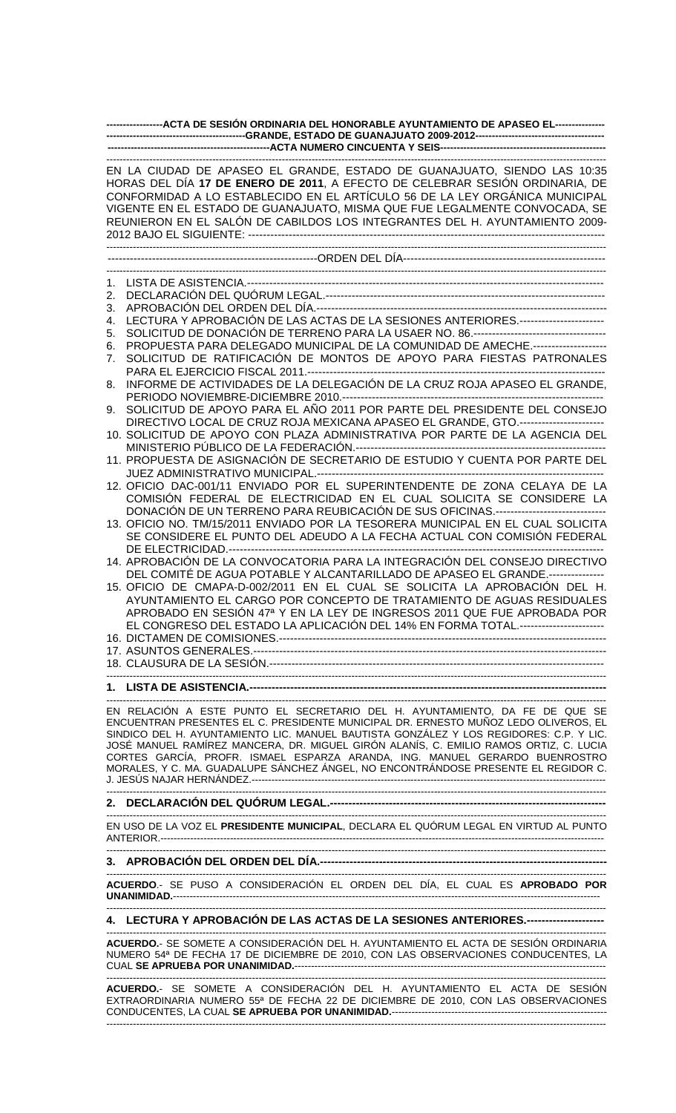|    | -----------------ACTA DE SESIÓN ORDINARIA DEL HONORABLE AYUNTAMIENTO DE APASEO EL---------------                                                                                                                                                                                                                                                                                                     |
|----|------------------------------------------------------------------------------------------------------------------------------------------------------------------------------------------------------------------------------------------------------------------------------------------------------------------------------------------------------------------------------------------------------|
|    |                                                                                                                                                                                                                                                                                                                                                                                                      |
|    | EN LA CIUDAD DE APASEO EL GRANDE, ESTADO DE GUANAJUATO, SIENDO LAS 10:35<br>HORAS DEL DÍA 17 DE ENERO DE 2011, A EFECTO DE CELEBRAR SESIÓN ORDINARIA, DE<br>CONFORMIDAD A LO ESTABLECIDO EN EL ARTÍCULO 56 DE LA LEY ORGÁNICA MUNICIPAL<br>VIGENTE EN EL ESTADO DE GUANAJUATO, MISMA QUE FUE LEGALMENTE CONVOCADA, SE<br>REUNIERON EN EL SALÓN DE CABILDOS LOS INTEGRANTES DEL H. AYUNTAMIENTO 2009- |
|    |                                                                                                                                                                                                                                                                                                                                                                                                      |
|    |                                                                                                                                                                                                                                                                                                                                                                                                      |
| 1. |                                                                                                                                                                                                                                                                                                                                                                                                      |
| 2. |                                                                                                                                                                                                                                                                                                                                                                                                      |
| 3. |                                                                                                                                                                                                                                                                                                                                                                                                      |
| 4. | LECTURA Y APROBACIÓN DE LAS ACTAS DE LA SESIONES ANTERIORES.---------------------                                                                                                                                                                                                                                                                                                                    |
| 5. | SOLICITUD DE DONACIÓN DE TERRENO PARA LA USAER NO. 86.----------------------------------                                                                                                                                                                                                                                                                                                             |
| 6. | PROPUESTA PARA DELEGADO MUNICIPAL DE LA COMUNIDAD DE AMECHE.--------------------                                                                                                                                                                                                                                                                                                                     |
| 7. | SOLICITUD DE RATIFICACIÓN DE MONTOS DE APOYO PARA FIESTAS PATRONALES                                                                                                                                                                                                                                                                                                                                 |
|    | INFORME DE ACTIVIDADES DE LA DELEGACIÓN DE LA CRUZ ROJA APASEO EL GRANDE,                                                                                                                                                                                                                                                                                                                            |
| 8. |                                                                                                                                                                                                                                                                                                                                                                                                      |
| 9. | SOLICITUD DE APOYO PARA EL AÑO 2011 POR PARTE DEL PRESIDENTE DEL CONSEJO                                                                                                                                                                                                                                                                                                                             |
|    | DIRECTIVO LOCAL DE CRUZ ROJA MEXICANA APASEO EL GRANDE, GTO.----------------------                                                                                                                                                                                                                                                                                                                   |
|    | 10. SOLICITUD DE APOYO CON PLAZA ADMINISTRATIVA POR PARTE DE LA AGENCIA DEL                                                                                                                                                                                                                                                                                                                          |
|    |                                                                                                                                                                                                                                                                                                                                                                                                      |
|    | 11. PROPUESTA DE ASIGNACIÓN DE SECRETARIO DE ESTUDIO Y CUENTA POR PARTE DEL                                                                                                                                                                                                                                                                                                                          |
|    | 12. OFICIO DAC-001/11 ENVIADO POR EL SUPERINTENDENTE DE ZONA CELAYA DE LA                                                                                                                                                                                                                                                                                                                            |
|    | COMISIÓN FEDERAL DE ELECTRICIDAD EN EL CUAL SOLICITA SE CONSIDERE LA                                                                                                                                                                                                                                                                                                                                 |
|    | DONACIÓN DE UN TERRENO PARA REUBICACIÓN DE SUS OFICINAS.------------------------------                                                                                                                                                                                                                                                                                                               |
|    | 13. OFICIO NO. TM/15/2011 ENVIADO POR LA TESORERA MUNICIPAL EN EL CUAL SOLICITA                                                                                                                                                                                                                                                                                                                      |
|    | SE CONSIDERE EL PUNTO DEL ADEUDO A LA FECHA ACTUAL CON COMISIÓN FEDERAL                                                                                                                                                                                                                                                                                                                              |
|    |                                                                                                                                                                                                                                                                                                                                                                                                      |
|    | 14. APROBACIÓN DE LA CONVOCATORIA PARA LA INTEGRACIÓN DEL CONSEJO DIRECTIVO                                                                                                                                                                                                                                                                                                                          |
|    | DEL COMITÉ DE AGUA POTABLE Y ALCANTARILLADO DE APASEO EL GRANDE.----------------                                                                                                                                                                                                                                                                                                                     |
|    | 15. OFICIO DE CMAPA-D-002/2011 EN EL CUAL SE SOLICITA LA APROBACIÓN DEL H.                                                                                                                                                                                                                                                                                                                           |
|    | AYUNTAMIENTO EL CARGO POR CONCEPTO DE TRATAMIENTO DE AGUAS RESIDUALES                                                                                                                                                                                                                                                                                                                                |
|    | APROBADO EN SESION 47ª Y EN LA LEY DE INGRESOS 2011 QUE FUE APROBADA POR                                                                                                                                                                                                                                                                                                                             |
|    | EL CONGRESO DEL ESTADO LA APLICACIÓN DEL 14% EN FORMA TOTAL.---------------------                                                                                                                                                                                                                                                                                                                    |
|    |                                                                                                                                                                                                                                                                                                                                                                                                      |
|    |                                                                                                                                                                                                                                                                                                                                                                                                      |
|    |                                                                                                                                                                                                                                                                                                                                                                                                      |
|    |                                                                                                                                                                                                                                                                                                                                                                                                      |
|    | EN RELACIÓN A ESTE PUNTO EL SECRETARIO DEL H. AYUNTAMIENTO, DA FE DE QUE SE                                                                                                                                                                                                                                                                                                                          |
|    | ENCUENTRAN PRESENTES EL C. PRESIDENTE MUNICIPAL DR. ERNESTO MUÑOZ LEDO OLIVEROS, EL                                                                                                                                                                                                                                                                                                                  |
|    | SINDICO DEL H. AYUNTAMIENTO LIC. MANUEL BAUTISTA GONZÁLEZ Y LOS REGIDORES: C.P. Y LIC.                                                                                                                                                                                                                                                                                                               |
|    | JOSÉ MANUEL RAMÍREZ MANCERA, DR. MIGUEL GIRÓN ALANÍS, C. EMILIO RAMOS ORTIZ, C. LUCIA                                                                                                                                                                                                                                                                                                                |
|    | CORTES GARCÍA, PROFR. ISMAEL ESPARZA ARANDA, ING. MANUEL GERARDO BUENROSTRO<br>MORALES, Y C. MA. GUADALUPE SÁNCHEZ ÁNGEL, NO ENCONTRÁNDOSE PRESENTE EL REGIDOR C.                                                                                                                                                                                                                                    |
|    |                                                                                                                                                                                                                                                                                                                                                                                                      |
|    |                                                                                                                                                                                                                                                                                                                                                                                                      |
|    |                                                                                                                                                                                                                                                                                                                                                                                                      |
|    | EN USO DE LA VOZ EL PRESIDENTE MUNICIPAL, DECLARA EL QUÓRUM LEGAL EN VIRTUD AL PUNTO                                                                                                                                                                                                                                                                                                                 |
|    |                                                                                                                                                                                                                                                                                                                                                                                                      |
|    |                                                                                                                                                                                                                                                                                                                                                                                                      |

------------------------------------------------------------------------------------------------------------------------------------------------------- **ACUERDO**.- SE PUSO A CONSIDERACIÓN EL ORDEN DEL DÍA, EL CUAL ES **APROBADO POR UNANIMIDAD.**--------------------------------------------------------------------------------------------------------------------------------- -------------------------------------------------------------------------------------------------------------------------------------------------------

# **4. LECTURA Y APROBACIÓN DE LAS ACTAS DE LA SESIONES ANTERIORES.---------------------**

------------------------------------------------------------------------------------------------------------------------------------------------------- **ACUERDO.**- SE SOMETE A CONSIDERACIÓN DEL H. AYUNTAMIENTO EL ACTA DE SESIÓN ORDINARIA NUMERO 54ª DE FECHA 17 DE DICIEMBRE DE 2010, CON LAS OBSERVACIONES CONDUCENTES, LA **CUAL SE APRUEBA POR UNANIMIDAD.----**

-------------------------------------------------------------------------------------------------------------------------------------------------------

**ACUERDO.**- SE SOMETE A CONSIDERACIÓN DEL H. AYUNTAMIENTO EL ACTA DE SESIÓN EXTRAORDINARIA NUMERO 55ª DE FECHA 22 DE DICIEMBRE DE 2010, CON LAS OBSERVACIONES CONDUCENTES, LA CUAL **SE APRUEBA POR UNANIMIDAD.**----------------------------------------------------------------- -------------------------------------------------------------------------------------------------------------------------------------------------------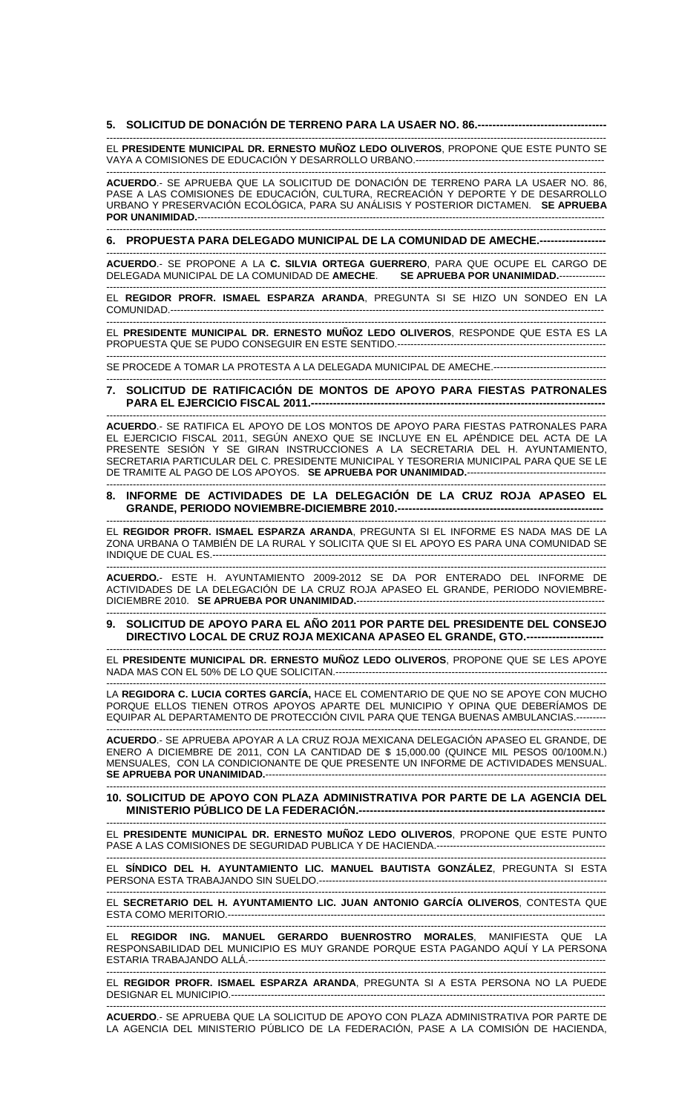#### **5. SOLICITUD DE DONACIÓN DE TERRENO PARA LA USAER NO. 86.-----------------------------------**  -------------------------------------------------------------------------------------------------------------------------------------------------------

EL **PRESIDENTE MUNICIPAL DR. ERNESTO MUÑOZ LEDO OLIVEROS**, PROPONE QUE ESTE PUNTO SE VAYA A COMISIONES DE EDUCACIÓN Y DESARROLLO URBANO.---------------------------------------------------------

------------------------------------------------------------------------------------------------------------------------------------------------------- **ACUERDO**.- SE APRUEBA QUE LA SOLICITUD DE DONACIÓN DE TERRENO PARA LA USAER NO. 86, PASE A LAS COMISIONES DE EDUCACIÓN, CULTURA, RECREACIÓN Y DEPORTE Y DE DESARROLLO URBANO Y PRESERVACIÓN ECOLÓGICA, PARA SU ANÁLISIS Y POSTERIOR DICTAMEN. **SE APRUEBA POR UNANIMIDAD.**-------------------------------

------------------------------------------------------------------------------------------------------------------------------------------------------- **6. PROPUESTA PARA DELEGADO MUNICIPAL DE LA COMUNIDAD DE AMECHE.------------------** 

------------------------------------------------------------------------------------------------------------------------------------------------------- **ACUERDO**.- SE PROPONE A LA **C. SILVIA ORTEGA GUERRERO**, PARA QUE OCUPE EL CARGO DE DELEGADA MUNICIPAL DE LA COMUNIDAD DE **AMECHE**. **SE APRUEBA POR UNANIMIDAD.**-------------- -------------------------------------------------------------------------------------------------------------------------------------------------------

EL **REGIDOR PROFR. ISMAEL ESPARZA ARANDA**, PREGUNTA SI SE HIZO UN SONDEO EN LA COMUNIDAD.-----------------------------------------------------------------------------------------------------------------------------------

------------------------------------------------------------------------------------------------------------------------------------------------------- EL **PRESIDENTE MUNICIPAL DR. ERNESTO MUÑOZ LEDO OLIVEROS**, RESPONDE QUE ESTA ES LA PROPUESTA QUE SE PUDO CONSEGUIR EN ESTE SENTIDO.----------------

------------------------------------------------------------------------------------------------------------------------------------------------------- SE PROCEDE A TOMAR LA PROTESTA A LA DELEGADA MUNICIPAL DE AMECHE.-----------------------------------------------------------------------------------------------------------------------------------------------------------------------

**7. SOLICITUD DE RATIFICACIÓN DE MONTOS DE APOYO PARA FIESTAS PATRONALES PARA EL EJERCICIO FISCAL 2011.---**

------------------------------------------------------------------------------------------------------------------------------------------------------- **ACUERDO**.- SE RATIFICA EL APOYO DE LOS MONTOS DE APOYO PARA FIESTAS PATRONALES PARA EL EJERCICIO FISCAL 2011, SEGÚN ANEXO QUE SE INCLUYE EN EL APÉNDICE DEL ACTA DE LA PRESENTE SESIÓN Y SE GIRAN INSTRUCCIONES A LA SECRETARIA DEL H. AYUNTAMIENTO, SECRETARIA PARTICULAR DEL C. PRESIDENTE MUNICIPAL Y TESORERIA MUNICIPAL PARA QUE SE LE DE TRAMITE AL PAGO DE LOS APOYOS. SE APRUEBA POR UNANIMIDAD.-------------------------------

#### ------------------------------------------------------------------------------------------------------------------------------------------------------- **8. INFORME DE ACTIVIDADES DE LA DELEGACIÓN DE LA CRUZ ROJA APASEO EL GRANDE, PERIODO NOVIEMBRE-DICIEMBRE 2010.----**

------------------------------------------------------------------------------------------------------------------------------------------------------- EL **REGIDOR PROFR. ISMAEL ESPARZA ARANDA**, PREGUNTA SI EL INFORME ES NADA MAS DE LA ZONA URBANA O TAMBIÉN DE LA RURAL Y SOLICITA QUE SI EL APOYO ES PARA UNA COMUNIDAD SE INDIQUE DE CUAL ES.--

------------------------------------------------------------------------------------------------------------------------------------------------------- **ACUERDO.**- ESTE H. AYUNTAMIENTO 2009-2012 SE DA POR ENTERADO DEL INFORME DE ACTIVIDADES DE LA DELEGACIÓN DE LA CRUZ ROJA APASEO EL GRANDE, PERIODO NOVIEMBRE-DICIEMBRE 2010. **SE APRUEBA POR UNANIMIDAD.**---------------------------------------------------------------------------

#### ------------------------------------------------------------------------------------------------------------------------------------------------------- **9. SOLICITUD DE APOYO PARA EL AÑO 2011 POR PARTE DEL PRESIDENTE DEL CONSEJO DIRECTIVO LOCAL DE CRUZ ROJA MEXICANA APASEO EL GRANDE, GTO.---------------------**

------------------------------------------------------------------------------------------------------------------------------------------------------- EL **PRESIDENTE MUNICIPAL DR. ERNESTO MUÑOZ LEDO OLIVEROS**, PROPONE QUE SE LES APOYE NADA MAS CON EL 50% DE LO QUE SOLICITAN.----------------------------------------------------------------------------------

------------------------------------------------------------------------------------------------------------------------------------------------------- LA **REGIDORA C. LUCIA CORTES GARCÍA,** HACE EL COMENTARIO DE QUE NO SE APOYE CON MUCHO PORQUE ELLOS TIENEN OTROS APOYOS APARTE DEL MUNICIPIO Y OPINA QUE DEBERÍAMOS DE EQUIPAR AL DEPARTAMENTO DE PROTECCIÓN CIVIL PARA QUE TENGA BUENAS AMBULANCIAS.--------- -------------------------------------------------------------------------------------------------------------------------------------------------------

**ACUERDO**.- SE APRUEBA APOYAR A LA CRUZ ROJA MEXICANA DELEGACIÓN APASEO EL GRANDE, DE ENERO A DICIEMBRE DE 2011, CON LA CANTIDAD DE \$ 15,000.00 (QUINCE MIL PESOS 00/100M.N.) MENSUALES, CON LA CONDICIONANTE DE QUE PRESENTE UN INFORME DE ACTIVIDADES MENSUAL. **SE APRUEBA POR UNANIMIDAD.**-------------------------------------------------------------------------------------------------------

#### ------------------------------------------------------------------------------------------------------------------------------------------------------- **10. SOLICITUD DE APOYO CON PLAZA ADMINISTRATIVA POR PARTE DE LA AGENCIA DEL MINISTERIO PÚBLICO DE LA FEDERACIÓN.-------------------------------------------------------------------**

------------------------------------------------------------------------------------------------------------------------------------------------------- EL **PRESIDENTE MUNICIPAL DR. ERNESTO MUÑOZ LEDO OLIVEROS**, PROPONE QUE ESTE PUNTO PASE A LAS COMISIONES DE SEGURIDAD PUBLICA Y DE HACIENDA.---------------------------------------------------

------------------------------------------------------------------------------------------------------------------------------------------------------- EL **SÍNDICO DEL H. AYUNTAMIENTO LIC. MANUEL BAUTISTA GONZÁLEZ**, PREGUNTA SI ESTA PERSONA ESTA TRABAJANDO SIN SUELDO.--

------------------------------------------------------------------------------------------------------------------------------------------------------- EL **SECRETARIO DEL H. AYUNTAMIENTO LIC. JUAN ANTONIO GARCÍA OLIVEROS**, CONTESTA QUE ESTA COMO MERITORIO.------------------------------------------------------------------------------------------------------------------

-------------------------------------------------------------------------------------------------------------------------------------------------------

EL **REGIDOR ING. MANUEL GERARDO BUENROSTRO MORALES**, MANIFIESTA QUE LA RESPONSABILIDAD DEL MUNICIPIO ES MUY GRANDE PORQUE ESTA PAGANDO AQUÍ Y LA PERSONA ESTARIA TRABAJANDO ALLÁ.------------------------------------------------------------------------------------------------------------

------------------------------------------------------------------------------------------------------------------------------------------------------- EL **REGIDOR PROFR. ISMAEL ESPARZA ARANDA**, PREGUNTA SI A ESTA PERSONA NO LA PUEDE DESIGNAR EL MUNICIPIO.-----------------------------------------------------------------------------------------------------------------

------------------------------------------------------------------------------------------------------------------------------------------------------- **ACUERDO**.- SE APRUEBA QUE LA SOLICITUD DE APOYO CON PLAZA ADMINISTRATIVA POR PARTE DE LA AGENCIA DEL MINISTERIO PÚBLICO DE LA FEDERACIÓN, PASE A LA COMISIÓN DE HACIENDA,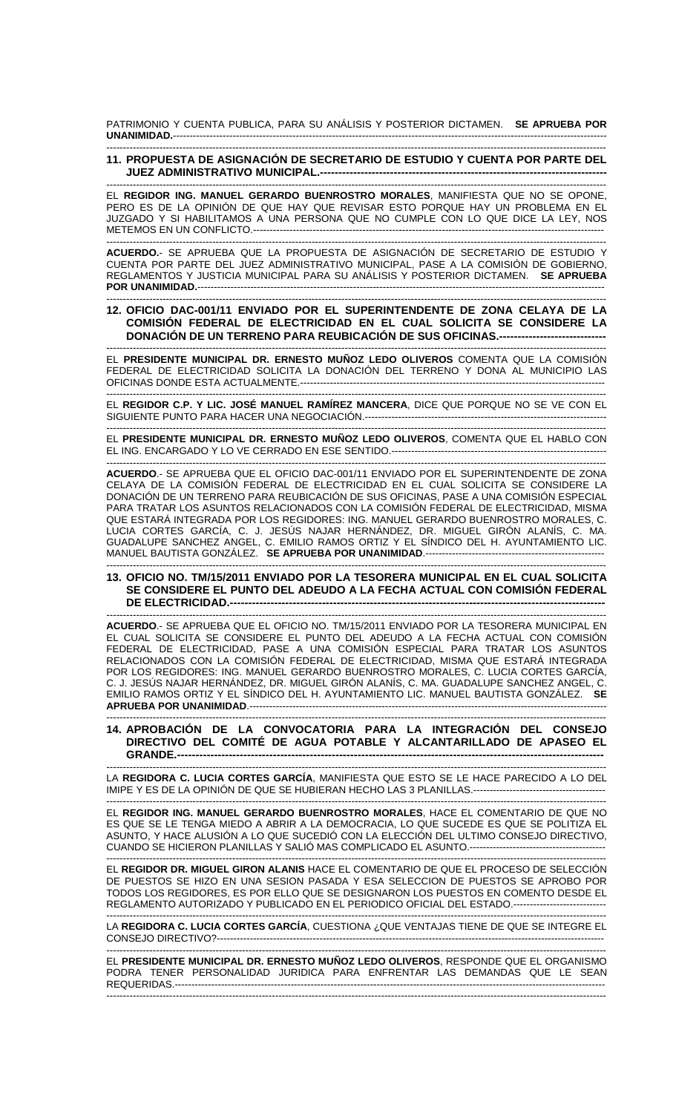PATRIMONIO Y CUENTA PUBLICA, PARA SU ANÁLISIS Y POSTERIOR DICTAMEN. **SE APRUEBA POR UNANIMIDAD.**-----------------------------------------------------------------------------------------------------------------------------------

### ------------------------------------------------------------------------------------------------------------------------------------------------------- **11. PROPUESTA DE ASIGNACIÓN DE SECRETARIO DE ESTUDIO Y CUENTA POR PARTE DEL JUEZ ADMINISTRATIVO MUNICIPAL.---**

------------------------------------------------------------------------------------------------------------------------------------------------------- EL **REGIDOR ING. MANUEL GERARDO BUENROSTRO MORALES**, MANIFIESTA QUE NO SE OPONE, PERO ES DE LA OPINIÓN DE QUE HAY QUE REVISAR ESTO PORQUE HAY UN PROBLEMA EN EL JUZGADO Y SI HABILITAMOS A UNA PERSONA QUE NO CUMPLE CON LO QUE DICE LA LEY, NOS METEMOS EN UN CONFLICTO.----------------------------------------------------------------------------------------------------------

------------------------------------------------------------------------------------------------------------------------------------------------------- **ACUERDO.**- SE APRUEBA QUE LA PROPUESTA DE ASIGNACIÓN DE SECRETARIO DE ESTUDIO Y CUENTA POR PARTE DEL JUEZ ADMINISTRATIVO MUNICIPAL, PASE A LA COMISIÓN DE GOBIERNO, REGLAMENTOS Y JUSTICIA MUNICIPAL PARA SU ANÁLISIS Y POSTERIOR DICTAMEN. **SE APRUEBA POR UNANIMIDAD.**--------------------------------------------------------------------------------------------------------------------------- -------------------------------------------------------------------------------------------------------------------------------------------------------

## **12. OFICIO DAC-001/11 ENVIADO POR EL SUPERINTENDENTE DE ZONA CELAYA DE LA COMISIÓN FEDERAL DE ELECTRICIDAD EN EL CUAL SOLICITA SE CONSIDERE LA DONACIÓN DE UN TERRENO PARA REUBICACIÓN DE SUS OFICINAS.---**

------------------------------------------------------------------------------------------------------------------------------------------------------- EL **PRESIDENTE MUNICIPAL DR. ERNESTO MUÑOZ LEDO OLIVEROS** COMENTA QUE LA COMISIÓN FEDERAL DE ELECTRICIDAD SOLICITA LA DONACIÓN DEL TERRENO Y DONA AL MUNICIPIO LAS OFICINAS DONDE ESTA ACTUALMENTE.--------------------------------------------------------------------------------------------

------------------------------------------------------------------------------------------------------------------------------------------------------- EL **REGIDOR C.P. Y LIC. JOSÉ MANUEL RAMÍREZ MANCERA**, DICE QUE PORQUE NO SE VE CON EL SIGUIENTE PUNTO PARA HACER UNA NEGOCIACIÓN.-------------------------------------------------------------------------

------------------------------------------------------------------------------------------------------------------------------------------------------- EL **PRESIDENTE MUNICIPAL DR. ERNESTO MUÑOZ LEDO OLIVEROS**, COMENTA QUE EL HABLO CON EL ING. ENCARGADO Y LO VE CERRADO EN ESE SENTIDO.-----------------------------------------------------------------

------------------------------------------------------------------------------------------------------------------------------------------------------- **ACUERDO**.- SE APRUEBA QUE EL OFICIO DAC-001/11 ENVIADO POR EL SUPERINTENDENTE DE ZONA CELAYA DE LA COMISIÓN FEDERAL DE ELECTRICIDAD EN EL CUAL SOLICITA SE CONSIDERE LA DONACIÓN DE UN TERRENO PARA REUBICACIÓN DE SUS OFICINAS, PASE A UNA COMISIÓN ESPECIAL PARA TRATAR LOS ASUNTOS RELACIONADOS CON LA COMISIÓN FEDERAL DE ELECTRICIDAD, MISMA QUE ESTARÁ INTEGRADA POR LOS REGIDORES: ING. MANUEL GERARDO BUENROSTRO MORALES, C. LUCIA CORTES GARCÍA, C. J. JESÚS NAJAR HERNÁNDEZ, DR. MIGUEL GIRÓN ALANÍS, C. MA. GUADALUPE SANCHEZ ANGEL, C. EMILIO RAMOS ORTIZ Y EL SÍNDICO DEL H. AYUNTAMIENTO LIC. MANUEL BAUTISTA GONZÁLEZ. **SE APRUEBA POR UNANIMIDAD**.------------------------------------------------------

#### ------------------------------------------------------------------------------------------------------------------------------------------------------- **13. OFICIO NO. TM/15/2011 ENVIADO POR LA TESORERA MUNICIPAL EN EL CUAL SOLICITA SE CONSIDERE EL PUNTO DEL ADEUDO A LA FECHA ACTUAL CON COMISIÓN FEDERAL DE ELECTRICIDAD.--**

------------------------------------------------------------------------------------------------------------------------------------------------------- **ACUERDO**.- SE APRUEBA QUE EL OFICIO NO. TM/15/2011 ENVIADO POR LA TESORERA MUNICIPAL EN EL CUAL SOLICITA SE CONSIDERE EL PUNTO DEL ADEUDO A LA FECHA ACTUAL CON COMISIÓN FEDERAL DE ELECTRICIDAD, PASE A UNA COMISIÓN ESPECIAL PARA TRATAR LOS ASUNTOS RELACIONADOS CON LA COMISIÓN FEDERAL DE ELECTRICIDAD, MISMA QUE ESTARÁ INTEGRADA POR LOS REGIDORES: ING. MANUEL GERARDO BUENROSTRO MORALES, C. LUCIA CORTES GARCÍA, C. J. JESÚS NAJAR HERNÁNDEZ, DR. MIGUEL GIRÓN ALANÍS, C. MA. GUADALUPE SANCHEZ ANGEL, C. EMILIO RAMOS ORTIZ Y EL SÍNDICO DEL H. AYUNTAMIENTO LIC. MANUEL BAUTISTA GONZÁLEZ. **SE APRUEBA POR UNANIMIDAD**.------------------------------------------------------------------------------------------------------------

### ------------------------------------------------------------------------------------------------------------------------------------------------------- **14. APROBACIÓN DE LA CONVOCATORIA PARA LA INTEGRACIÓN DEL CONSEJO DIRECTIVO DEL COMITÉ DE AGUA POTABLE Y ALCANTARILLADO DE APASEO EL GRANDE.--------------------------------------------------------------------------------------------------------------------**

------------------------------------------------------------------------------------------------------------------------------------------------------- LA **REGIDORA C. LUCIA CORTES GARCÍA**, MANIFIESTA QUE ESTO SE LE HACE PARECIDO A LO DEL IMIPE Y ES DE LA OPINIÓN DE QUE SE HUBIERAN HECHO LAS 3 PLANILLAS.----------------------------------------

------------------------------------------------------------------------------------------------------------------------------------------------------- EL **REGIDOR ING. MANUEL GERARDO BUENROSTRO MORALES**, HACE EL COMENTARIO DE QUE NO ES QUE SE LE TENGA MIEDO A ABRIR A LA DEMOCRACIA, LO QUE SUCEDE ES QUE SE POLITIZA EL ASUNTO, Y HACE ALUSIÓN A LO QUE SUCEDIÓ CON LA ELECCIÓN DEL ULTIMO CONSEJO DIRECTIVO, CUANDO SE HICIERON PLANILLAS Y SALIÓ MAS COMPLICADO EL ASUNTO.-----------------------------------------

------------------------------------------------------------------------------------------------------------------------------------------------------- EL **REGIDOR DR. MIGUEL GIRON ALANIS** HACE EL COMENTARIO DE QUE EL PROCESO DE SELECCIÓN DE PUESTOS SE HIZO EN UNA SESION PASADA Y ESA SELECCION DE PUESTOS SE APROBO POR TODOS LOS REGIDORES, ES POR ELLO QUE SE DESIGNARON LOS PUESTOS EN COMENTO DESDE EL REGLAMENTO AUTORIZADO Y PUBLICADO EN EL PERIODICO OFICIAL DEL ESTADO.----------------------------

------------------------------------------------------------------------------------------------------------------------------------------------------- LA **REGIDORA C. LUCIA CORTES GARCÍA**, CUESTIONA ¿QUE VENTAJAS TIENE DE QUE SE INTEGRE EL CONSEJO DIRECTIVO?-------------------

------------------------------------------------------------------------------------------------------------------------------------------------------- EL **PRESIDENTE MUNICIPAL DR. ERNESTO MUÑOZ LEDO OLIVEROS**, RESPONDE QUE EL ORGANISMO PODRA TENER PERSONALIDAD JURIDICA PARA ENFRENTAR LAS DEMANDAS QUE LE SEAN REQUERIDAS.---------------------------------------------------------------------------------------------------------------------------------- -------------------------------------------------------------------------------------------------------------------------------------------------------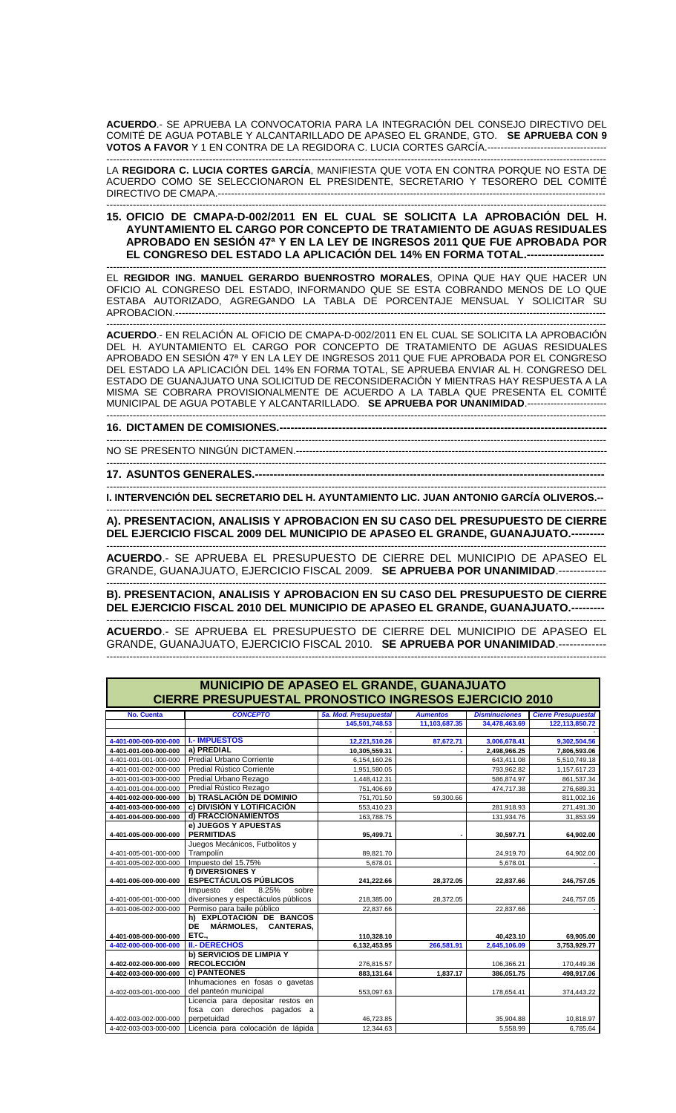**ACUERDO**.- SE APRUEBA LA CONVOCATORIA PARA LA INTEGRACIÓN DEL CONSEJO DIRECTIVO DEL COMITÉ DE AGUA POTABLE Y ALCANTARILLADO DE APASEO EL GRANDE, GTO. **SE APRUEBA CON 9 VOTOS A FAVOR** Y 1 EN CONTRA DE LA REGIDORA C. LUCIA CORTES GARCÍA.------------------------------------

------------------------------------------------------------------------------------------------------------------------------------------------------- LA **REGIDORA C. LUCIA CORTES GARCÍA**, MANIFIESTA QUE VOTA EN CONTRA PORQUE NO ESTA DE ACUERDO COMO SE SELECCIONARON EL PRESIDENTE, SECRETARIO Y TESORERO DEL COMITÉ DIRECTIVO DE CMAPA.--------------------------------------------------------------------------------------------------------------------- -------------------------------------------------------------------------------------------------------------------------------------------------------

**15. OFICIO DE CMAPA-D-002/2011 EN EL CUAL SE SOLICITA LA APROBACIÓN DEL H. AYUNTAMIENTO EL CARGO POR CONCEPTO DE TRATAMIENTO DE AGUAS RESIDUALES APROBADO EN SESIÓN 47ª Y EN LA LEY DE INGRESOS 2011 QUE FUE APROBADA POR EL CONGRESO DEL ESTADO LA APLICACIÓN DEL 14% EN FORMA TOTAL.---------------------** 

------------------------------------------------------------------------------------------------------------------------------------------------------- EL **REGIDOR ING. MANUEL GERARDO BUENROSTRO MORALES**, OPINA QUE HAY QUE HACER UN OFICIO AL CONGRESO DEL ESTADO, INFORMANDO QUE SE ESTA COBRANDO MENOS DE LO QUE ESTABA AUTORIZADO, AGREGANDO LA TABLA DE PORCENTAJE MENSUAL Y SOLICITAR SU APROBACION.----------------------------------------------------------------------------------------------------------------------------------

------------------------------------------------------------------------------------------------------------------------------------------------------- **ACUERDO**.- EN RELACIÓN AL OFICIO DE CMAPA-D-002/2011 EN EL CUAL SE SOLICITA LA APROBACIÓN DEL H. AYUNTAMIENTO EL CARGO POR CONCEPTO DE TRATAMIENTO DE AGUAS RESIDUALES APROBADO EN SESIÓN 47ª Y EN LA LEY DE INGRESOS 2011 QUE FUE APROBADA POR EL CONGRESO DEL ESTADO LA APLICACIÓN DEL 14% EN FORMA TOTAL, SE APRUEBA ENVIAR AL H. CONGRESO DEL ESTADO DE GUANAJUATO UNA SOLICITUD DE RECONSIDERACIÓN Y MIENTRAS HAY RESPUESTA A LA MISMA SE COBRARA PROVISIONALMENTE DE ACUERDO A LA TABLA QUE PRESENTA EL COMITÉ MUNICIPAL DE AGUA POTABLE Y ALCANTARILLADO. **SE APRUEBA POR UNANIMIDAD**.------------------------

-------------------------------------------------------------------------------------------------------------------------------------------------------

-------------------------------------------------------------------------------------------------------------------------------------------------------

-------------------------------------------------------------------------------------------------------------------------------------------------------

**16. DICTAMEN DE COMISIONES.----**

NO SE PRESENTO NINGÚN DICTAMEN.----------------------------------------------------------------------------------------------

**17. ASUNTOS GENERALES.-----------------------------------------------------------------------------------------------** 

------------------------------------------------------------------------------------------------------------------------------------------------------- **I. INTERVENCIÓN DEL SECRETARIO DEL H. AYUNTAMIENTO LIC. JUAN ANTONIO GARCÍA OLIVEROS.--** 

------------------------------------------------------------------------------------------------------------------------------------------------------- **A). PRESENTACION, ANALISIS Y APROBACION EN SU CASO DEL PRESUPUESTO DE CIERRE DEL EJERCICIO FISCAL 2009 DEL MUNICIPIO DE APASEO EL GRANDE, GUANAJUATO.---**

------------------------------------------------------------------------------------------------------------------------------------------------------- **ACUERDO**.- SE APRUEBA EL PRESUPUESTO DE CIERRE DEL MUNICIPIO DE APASEO EL GRANDE, GUANAJUATO, EJERCICIO FISCAL 2009. **SE APRUEBA POR UNANIMIDAD**.-------------

------------------------------------------------------------------------------------------------------------------------------------------------------- **B). PRESENTACION, ANALISIS Y APROBACION EN SU CASO DEL PRESUPUESTO DE CIERRE DEL EJERCICIO FISCAL 2010 DEL MUNICIPIO DE APASEO EL GRANDE, GUANAJUATO.---------** 

------------------------------------------------------------------------------------------------------------------------------------------------------- **ACUERDO**.- SE APRUEBA EL PRESUPUESTO DE CIERRE DEL MUNICIPIO DE APASEO EL GRANDE, GUANAJUATO, EJERCICIO FISCAL 2010. **SE APRUEBA POR UNANIMIDAD**.------------- -------------------------------------------------------------------------------------------------------------------------------------------------------

| <b>MUNICIPIO DE APASEO EL GRANDE, GUANAJUATO</b><br><b>CIERRE PRESUPUESTAL PRONOSTICO INGRESOS EJERCICIO 2010</b> |                                                                                        |                       |                 |                      |                            |  |  |
|-------------------------------------------------------------------------------------------------------------------|----------------------------------------------------------------------------------------|-----------------------|-----------------|----------------------|----------------------------|--|--|
| <b>No. Cuenta</b>                                                                                                 | <b>CONCEPTO</b>                                                                        | 5a. Mod. Presupuestal | <b>Aumentos</b> | <b>Disminuciones</b> | <b>Cierre Presupuestal</b> |  |  |
|                                                                                                                   |                                                                                        | 145,501,748.53        | 11,103,687.35   | 34,478,463.69        | 122,113,850.72             |  |  |
|                                                                                                                   |                                                                                        |                       |                 |                      |                            |  |  |
| 4-401-000-000-000-000                                                                                             | <b>I.- IMPUESTOS</b>                                                                   | 12,221,510.26         | 87.672.71       | 3,006,678.41         | 9,302,504.56               |  |  |
| 4-401-001-000-000-000                                                                                             | a) PREDIAL                                                                             | 10.305.559.31         |                 | 2.498.966.25         | 7,806,593.06               |  |  |
| 4-401-001-001-000-000                                                                                             | Predial Urbano Corriente                                                               | 6,154,160.26          |                 | 643,411.08           | 5,510,749.18               |  |  |
| 4-401-001-002-000-000                                                                                             | Predial Rústico Corriente                                                              | 1,951,580.05          |                 | 793,962.82           | 1,157,617.23               |  |  |
| 4-401-001-003-000-000                                                                                             | Predial Urbano Rezago                                                                  | 1,448,412.31          |                 | 586,874.97           | 861,537.34                 |  |  |
| 4-401-001-004-000-000                                                                                             | Predial Rústico Rezago                                                                 | 751,406.69            |                 | 474,717.38           | 276,689.31                 |  |  |
| 4-401-002-000-000-000                                                                                             | b) TRASLACIÓN DE DOMINIO                                                               | 751,701.50            | 59.300.66       |                      | 811.002.16                 |  |  |
| 4-401-003-000-000-000                                                                                             | c) DIVISIÓN Y LOTIFICACIÓN                                                             | 553,410.23            |                 | 281,918.93           | 271,491.30                 |  |  |
| 4-401-004-000-000-000                                                                                             | d) FRACCIONAMIENTOS                                                                    | 163,788.75            |                 | 131,934.76           | 31,853.99                  |  |  |
| 4-401-005-000-000-000                                                                                             | e) JUEGOS Y APUESTAS<br><b>PERMITIDAS</b>                                              | 95,499.71             |                 | 30,597.71            | 64,902.00                  |  |  |
|                                                                                                                   | Juegos Mecánicos, Futbolitos y                                                         |                       |                 |                      |                            |  |  |
| 4-401-005-001-000-000                                                                                             | Trampolín                                                                              | 89,821.70             |                 | 24,919.70            | 64,902.00                  |  |  |
| 4-401-005-002-000-000                                                                                             | Impuesto del 15.75%                                                                    | 5,678.01              |                 | 5,678.01             |                            |  |  |
|                                                                                                                   | f) DIVERSIONES Y                                                                       |                       |                 |                      |                            |  |  |
| 4-401-006-000-000-000                                                                                             | <b>ESPECTÁCULOS PÚBLICOS</b>                                                           | 241,222.66            | 28,372.05       | 22.837.66            | 246,757.05                 |  |  |
| 4-401-006-001-000-000                                                                                             | 8.25%<br>Impuesto<br>del<br>sobre<br>diversiones y espectáculos públicos               | 218,385.00            | 28,372.05       |                      | 246,757.05                 |  |  |
| 4-401-006-002-000-000                                                                                             | Permiso para baile público                                                             | 22,837.66             |                 | 22,837.66            |                            |  |  |
| 4-401-008-000-000-000                                                                                             | h) EXPLOTACIÓN DE BANCOS<br><b>MÁRMOLES.</b><br><b>DE</b><br><b>CANTERAS.</b><br>ETC., | 110,328.10            |                 | 40,423.10            | 69,905.00                  |  |  |
| 4-402-000-000-000-000                                                                                             | <b>II.- DERECHOS</b>                                                                   | 6,132,453.95          | 266,581.91      | 2,645,106.09         | 3,753,929.77               |  |  |
|                                                                                                                   | <b>b) SERVICIOS DE LIMPIA Y</b>                                                        |                       |                 |                      |                            |  |  |
| 4-402-002-000-000-000                                                                                             | <b>RECOLECCIÓN</b>                                                                     | 276,815.57            |                 | 106,366.21           | 170,449.36                 |  |  |
| 4-402-003-000-000-000                                                                                             | c) PANTEONES                                                                           | 883,131.64            | 1,837.17        | 386,051.75           | 498,917.06                 |  |  |
| 4-402-003-001-000-000                                                                                             | Inhumaciones en fosas o gavetas<br>del panteón municipal                               | 553,097.63            |                 | 178,654.41           | 374,443.22                 |  |  |
| 4-402-003-002-000-000                                                                                             | Licencia para depositar restos en<br>fosa con derechos pagados a<br>perpetuidad        | 46,723.85             |                 | 35,904.88            | 10,818.97                  |  |  |
| 4-402-003-003-000-000                                                                                             | Licencia para colocación de lápida                                                     | 12,344.63             |                 | 5,558.99             | 6,785.64                   |  |  |
|                                                                                                                   |                                                                                        |                       |                 |                      |                            |  |  |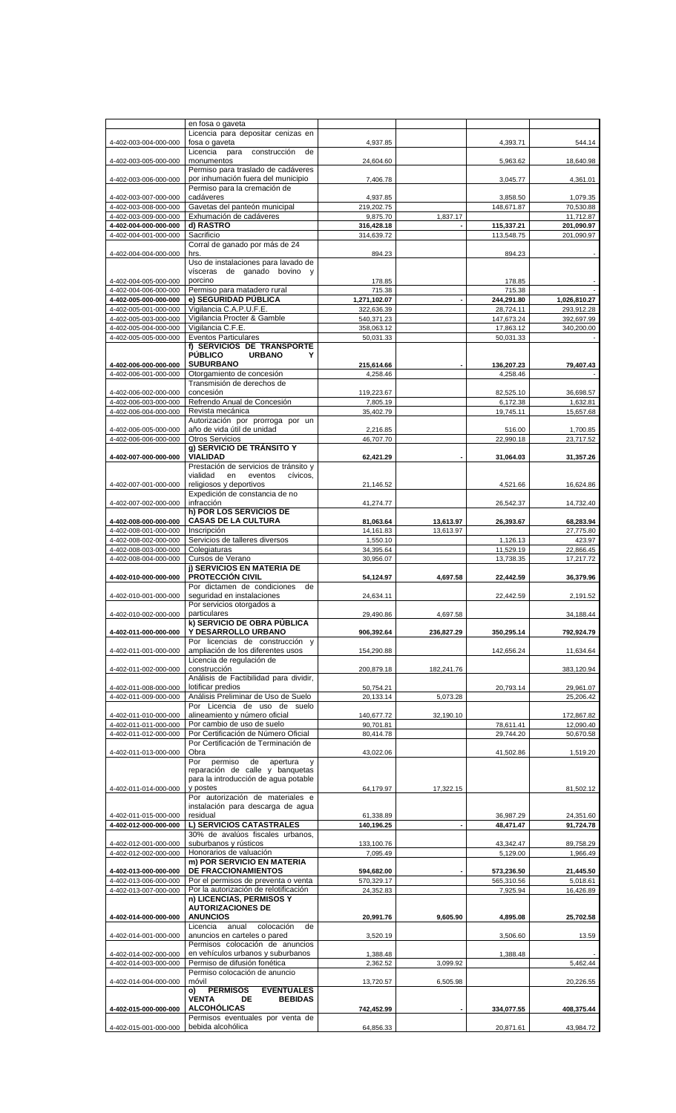|                       | en fosa o gaveta                                           |              |            |            |              |
|-----------------------|------------------------------------------------------------|--------------|------------|------------|--------------|
|                       | Licencia para depositar cenizas en                         |              |            |            |              |
| 4-402-003-004-000-000 | fosa o gaveta<br>construcción                              | 4,937.85     |            | 4,393.71   | 544.14       |
|                       | Licencia para<br>de<br>monumentos                          | 24,604.60    |            |            | 18,640.98    |
| 4-402-003-005-000-000 | Permiso para traslado de cadáveres                         |              |            | 5,963.62   |              |
| 4-402-003-006-000-000 | por inhumación fuera del municipio                         | 7,406.78     |            | 3,045.77   | 4,361.01     |
|                       | Permiso para la cremación de                               |              |            |            |              |
| 4-402-003-007-000-000 | cadáveres                                                  | 4,937.85     |            | 3,858.50   | 1,079.35     |
| 4-402-003-008-000-000 | Gavetas del panteón municipal                              | 219,202.75   |            | 148,671.87 | 70,530.88    |
| 4-402-003-009-000-000 | Exhumación de cadáveres                                    | 9,875.70     | 1,837.17   |            | 11,712.87    |
| 4-402-004-000-000-000 | d) RASTRO                                                  | 316,428.18   |            | 115,337.21 | 201,090.97   |
| 4-402-004-001-000-000 | Sacrificio                                                 | 314,639.72   |            | 113,548.75 | 201,090.97   |
|                       | Corral de ganado por más de 24                             |              |            |            |              |
| 4-402-004-004-000-000 | hrs.                                                       | 894.23       |            | 894.23     |              |
|                       | Uso de instalaciones para lavado de                        |              |            |            |              |
|                       | vísceras de ganado bovino<br>V                             |              |            |            |              |
| 4-402-004-005-000-000 | porcino                                                    | 178.85       |            | 178.85     |              |
| 4-402-004-006-000-000 | Permiso para matadero rural                                | 715.38       |            | 715.38     |              |
| 4-402-005-000-000-000 | e) SEGURIDAD PÚBLICA                                       | 1,271,102.07 |            | 244,291.80 | 1,026,810.27 |
| 4-402-005-001-000-000 | Vigilancia C.A.P.U.F.E.                                    | 322,636.39   |            | 28,724.11  | 293,912.28   |
| 4-402-005-003-000-000 | Vigilancia Procter & Gamble                                | 540,371.23   |            | 147,673.24 | 392,697.99   |
| 4-402-005-004-000-000 | Vigilancia C.F.E.                                          | 358,063.12   |            | 17,863.12  | 340,200.00   |
| 4-402-005-005-000-000 | <b>Eventos Particulares</b>                                | 50,031.33    |            | 50.031.33  |              |
|                       | f) SERVICIOS DE TRANSPORTE                                 |              |            |            |              |
|                       | <b>PÚBLICO</b><br><b>URBANO</b><br>Υ                       |              |            |            |              |
| 4-402-006-000-000-000 | <b>SUBURBANO</b>                                           | 215,614.66   |            | 136,207.23 | 79,407.43    |
| 4-402-006-001-000-000 | Otorgamiento de concesión                                  | 4,258.46     |            | 4,258.46   |              |
|                       | Transmisión de derechos de                                 |              |            |            |              |
| 4-402-006-002-000-000 | concesión                                                  | 119,223.67   |            | 82,525.10  | 36,698.57    |
| 4-402-006-003-000-000 | Refrendo Anual de Concesión                                | 7,805.19     |            | 6,172.38   | 1.632.81     |
| 4-402-006-004-000-000 | Revista mecánica                                           | 35,402.79    |            | 19.745.11  | 15,657.68    |
|                       | Autorización por prorroga por un                           |              |            |            |              |
| 4-402-006-005-000-000 | año de vida útil de unidad                                 | 2,216.85     |            | 516.00     | 1,700.85     |
| 4-402-006-006-000-000 | Otros Servicios                                            | 46,707.70    |            | 22,990.18  | 23,717.52    |
|                       | g) SERVICIO DE TRÁNSITO Y                                  |              |            |            |              |
| 4-402-007-000-000-000 | <b>VIALIDAD</b>                                            | 62,421.29    |            | 31,064.03  | 31,357.26    |
|                       | Prestación de servicios de tránsito y                      |              |            |            |              |
|                       | vialidad<br>cívicos.<br>en<br>eventos                      |              |            |            |              |
| 4-402-007-001-000-000 | religiosos y deportivos                                    | 21,146.52    |            | 4,521.66   | 16,624.86    |
|                       | Expedición de constancia de no                             |              |            |            |              |
| 4-402-007-002-000-000 | infracción                                                 | 41,274.77    |            | 26,542.37  | 14,732.40    |
|                       | h) POR LOS SERVICIOS DE                                    |              |            |            |              |
| 4-402-008-000-000-000 | <b>CASAS DE LA CULTURA</b>                                 | 81,063.64    | 13,613.97  | 26,393.67  | 68,283.94    |
| 4-402-008-001-000-000 | Inscripción                                                | 14,161.83    | 13,613.97  |            | 27,775.80    |
| 4-402-008-002-000-000 | Servicios de talleres diversos                             | 1,550.10     |            | 1,126.13   | 423.97       |
| 4-402-008-003-000-000 | Colegiaturas                                               | 34,395.64    |            | 11.529.19  | 22,866.45    |
| 4-402-008-004-000-000 | Cursos de Verano                                           | 30,956.07    |            | 13,738.35  | 17,217.72    |
|                       | j) SERVICIOS EN MATERIA DE                                 |              |            |            |              |
| 4-402-010-000-000-000 | <b>PROTECCION CIVIL</b>                                    | 54,124.97    | 4,697.58   | 22,442.59  | 36,379.96    |
|                       | Por dictamen de condiciones<br>de                          |              |            |            |              |
| 4-402-010-001-000-000 | sequridad en instalaciones                                 | 24,634.11    |            | 22,442.59  | 2.191.52     |
|                       | Por servicios otorgados a                                  |              |            |            |              |
| 4-402-010-002-000-000 | particulares                                               | 29,490.86    | 4,697.58   |            | 34,188.44    |
|                       | k) SERVICIO DE OBRA PÚBLICA                                |              |            |            |              |
| 4-402-011-000-000-000 | Y DESARROLLO URBANO                                        | 906,392.64   | 236,827.29 | 350.295.14 | 792,924.79   |
|                       | Por licencias de construcción y                            |              |            |            |              |
| 4-402-011-001-000-000 | ampliación de los diferentes usos                          | 154,290.88   |            | 142,656.24 | 11,634.64    |
|                       | Licencia de regulación de                                  |              |            |            |              |
| 4-402-011-002-000-000 | construcción                                               | 200,879.18   | 182,241.76 |            | 383,120.94   |
|                       | Análisis de Factibilidad para dividir,                     |              |            |            |              |
| 4-402-011-008-000-000 | lotificar predios                                          | 50,754.21    |            | 20,793.14  | 29,961.07    |
| 4-402-011-009-000-000 | Análisis Preliminar de Uso de Suelo                        | 20,133.14    | 5,073.28   |            | 25,206.42    |
|                       | Por Licencia de uso de suelo                               |              |            |            |              |
| 4-402-011-010-000-000 | alineamiento y número oficial                              | 140,677.72   | 32,190.10  |            | 172,867.82   |
| 4-402-011-011-000-000 | Por cambio de uso de suelo                                 | 90,701.81    |            | 78,611.41  | 12,090.40    |
| 4-402-011-012-000-000 | Por Certificación de Número Oficial                        | 80,414.78    |            | 29,744.20  | 50,670.58    |
|                       | Por Certificación de Terminación de                        |              |            |            |              |
| 4-402-011-013-000-000 | Obra                                                       | 43,022.06    |            | 41,502.86  | 1,519.20     |
|                       | permiso<br>de<br>Por<br>apertura<br>y                      |              |            |            |              |
|                       | reparación de calle y banquetas                            |              |            |            |              |
|                       | para la introducción de aqua potable                       |              |            |            |              |
| 4-402-011-014-000-000 | y postes                                                   | 64,179.97    | 17,322.15  |            | 81,502.12    |
|                       | Por autorización de materiales e                           |              |            |            |              |
|                       | instalación para descarga de agua                          |              |            |            |              |
| 4-402-011-015-000-000 | residual                                                   | 61,338.89    |            | 36,987.29  | 24,351.60    |
| 4-402-012-000-000-000 | L) SERVICIOS CATASTRALES                                   | 140,196.25   |            | 48,471.47  | 91,724.78    |
|                       | 30% de avalúos fiscales urbanos,                           |              |            |            |              |
| 4-402-012-001-000-000 | suburbanos y rústicos                                      | 133,100.76   |            | 43,342.47  | 89,758.29    |
| 4-402-012-002-000-000 | Honorarios de valuación                                    | 7,095.49     |            | 5,129.00   | 1,966.49     |
|                       | m) POR SERVICIO EN MATERIA                                 |              |            |            |              |
| 4-402-013-000-000-000 | <b>DE FRACCIONAMIENTOS</b>                                 | 594,682.00   |            | 573,236.50 | 21,445.50    |
| 4-402-013-006-000-000 | Por el permisos de preventa o venta                        | 570,329.17   |            | 565,310.56 | 5,018.61     |
| 4-402-013-007-000-000 | Por la autorización de relotificación                      | 24,352.83    |            | 7,925.94   | 16,426.89    |
|                       | n) LICENCIAS, PERMISOS Y                                   |              |            |            |              |
|                       | <b>AUTORIZACIONES DE</b>                                   |              |            |            |              |
| 4-402-014-000-000-000 | <b>ANUNCIOS</b>                                            | 20,991.76    | 9,605.90   | 4,895.08   | 25,702.58    |
|                       | Licencia anual<br>colocación<br>de                         |              |            |            |              |
| 4-402-014-001-000-000 | anuncios en carteles o pared                               | 3,520.19     |            | 3,506.60   | 13.59        |
|                       | Permisos colocación de anuncios                            |              |            |            |              |
| 4-402-014-002-000-000 | en vehículos urbanos y suburbanos                          | 1,388.48     |            | 1,388.48   |              |
| 4-402-014-003-000-000 | Permiso de difusión fonética                               | 2,362.52     | 3,099.92   |            | 5,462.44     |
|                       | Permiso colocación de anuncio                              |              |            |            |              |
| 4-402-014-004-000-000 | móvil                                                      | 13,720.57    | 6.505.98   |            | 20,226.55    |
|                       | <b>PERMISOS</b><br><b>EVENTUALES</b><br>o)<br><b>VENTA</b> |              |            |            |              |
| 4-402-015-000-000-000 | <b>BEBIDAS</b><br>DE<br><b>ALCOHOLICAS</b>                 |              |            |            |              |
|                       | Permisos eventuales por venta de                           | 742,452.99   |            | 334,077.55 | 408,375.44   |
|                       | bebida alcohólica                                          |              |            |            |              |
| 4-402-015-001-000-000 |                                                            | 64,856.33    |            | 20,871.61  | 43,984.72    |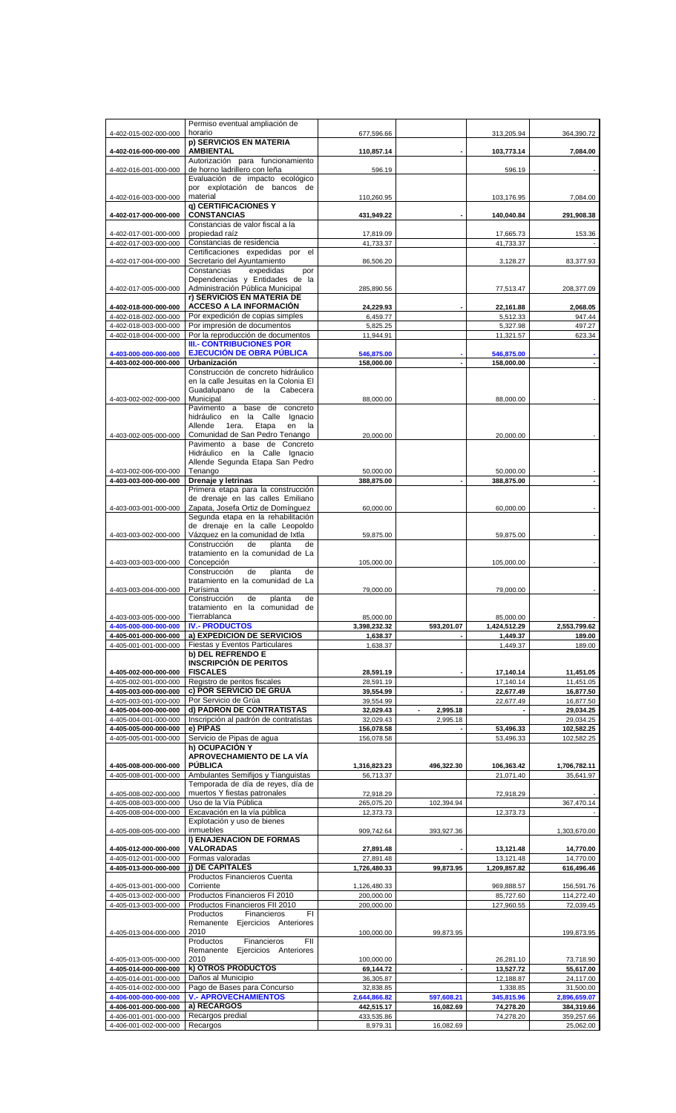|                                                | Permiso eventual ampliación de                                          |                         |               |              |                         |
|------------------------------------------------|-------------------------------------------------------------------------|-------------------------|---------------|--------------|-------------------------|
| 4-402-015-002-000-000                          | horario                                                                 | 677,596.66              |               | 313,205.94   | 364,390.72              |
|                                                | p) SERVICIOS EN MATERIA                                                 |                         |               |              |                         |
| 4-402-016-000-000-000                          | <b>AMBIENTAL</b>                                                        | 110,857.14              |               | 103,773.14   | 7.084.00                |
|                                                | Autorización para funcionamiento                                        |                         |               |              |                         |
| 4-402-016-001-000-000                          | de horno ladrillero con leña                                            | 596.19                  |               | 596.19       |                         |
|                                                | Evaluación de impacto ecológico                                         |                         |               |              |                         |
|                                                | por explotación de bancos de                                            |                         |               |              |                         |
| 4-402-016-003-000-000                          | material                                                                | 110,260.95              |               | 103,176.95   | 7,084.00                |
| 4-402-017-000-000-000                          | q) CERTIFICACIONES Y<br><b>CONSTANCIAS</b>                              | 431,949.22              |               | 140,040.84   | 291,908.38              |
|                                                | Constancias de valor fiscal a la                                        |                         |               |              |                         |
| 4-402-017-001-000-000                          | propiedad raíz                                                          | 17,819.09               |               | 17,665.73    | 153.36                  |
| 4-402-017-003-000-000                          | Constancias de residencia                                               | 41,733.37               |               | 41.733.37    |                         |
|                                                | Certificaciones expedidas por el                                        |                         |               |              |                         |
| 4-402-017-004-000-000                          | Secretario del Ayuntamiento                                             | 86,506.20               |               | 3,128.27     | 83,377.93               |
|                                                | Constancias<br>expedidas<br>por                                         |                         |               |              |                         |
|                                                | Dependencias y Entidades de la                                          |                         |               |              |                         |
| 4-402-017-005-000-000                          | Administración Pública Municipal                                        | 285,890.56              |               | 77,513.47    | 208,377.09              |
|                                                | r) SERVICIOS EN MATERIA DE                                              |                         |               |              |                         |
| 4-402-018-000-000-000                          | <b>ACCESO A LA INFORMACIÓN</b>                                          | 24,229.93               |               | 22,161.88    | 2,068.05                |
| 4-402-018-002-000-000                          | Por expedición de copias simples                                        | 6,459.77                |               | 5,512.33     | 947.44                  |
| 4-402-018-003-000-000                          | Por impresión de documentos                                             | 5,825.25                |               | 5,327.98     | 497.27                  |
| 4-402-018-004-000-000                          | Por la reproducción de documentos                                       | 11,944.91               |               | 11,321.57    | 623.34                  |
|                                                | <b>III.- CONTRIBUCIONES POR</b>                                         |                         |               |              |                         |
| 4-403-000-000-000-000                          | <b>EJECUCIÓN DE OBRA PÚBLICA</b><br>Urbanización                        | 546,875.00              |               | 546,875.00   |                         |
| 4-403-002-000-000-000                          |                                                                         | 158,000.00              |               | 158,000.00   |                         |
|                                                | Construcción de concreto hidráulico                                     |                         |               |              |                         |
|                                                | en la calle Jesuitas en la Colonia El                                   |                         |               |              |                         |
| 4-403-002-002-000-000                          | Guadalupano de la Cabecera<br>Municipal                                 |                         |               |              |                         |
|                                                | Pavimento a base de concreto                                            | 88,000.00               |               | 88,000.00    |                         |
|                                                | hidráulico en la Calle Ignacio                                          |                         |               |              |                         |
|                                                | 1era. Etapa<br>Allende<br>en<br>la                                      |                         |               |              |                         |
| 4-403-002-005-000-000                          | Comunidad de San Pedro Tenango                                          | 20,000.00               |               | 20,000.00    |                         |
|                                                | Pavimento a base de Concreto                                            |                         |               |              |                         |
|                                                | Hidráulico en la Calle Ignacio                                          |                         |               |              |                         |
|                                                | Allende Segunda Etapa San Pedro                                         |                         |               |              |                         |
| 4-403-002-006-000-000                          | Tenango                                                                 | 50,000.00               |               | 50,000.00    |                         |
| 4-403-003-000-000-000                          | Drenaje y letrinas                                                      | 388,875.00              |               | 388,875.00   |                         |
|                                                | Primera etapa para la construcción                                      |                         |               |              |                         |
|                                                | de drenaje en las calles Emiliano                                       |                         |               |              |                         |
| 4-403-003-001-000-000                          | Zapata, Josefa Ortiz de Domínguez                                       | 60,000.00               |               | 60,000.00    |                         |
|                                                | Segunda etapa en la rehabilitación                                      |                         |               |              |                         |
|                                                | de drenaje en la calle Leopoldo                                         |                         |               |              |                         |
| 4-403-003-002-000-000                          | Vázquez en la comunidad de Ixtla                                        | 59,875.00               |               | 59,875.00    |                         |
|                                                | Construcción<br>planta<br>de<br>de                                      |                         |               |              |                         |
|                                                | tratamiento en la comunidad de La                                       |                         |               |              |                         |
| 4-403-003-003-000-000                          | Concepción                                                              | 105,000.00              |               | 105,000.00   |                         |
|                                                | Construcción<br>de<br>planta<br>de                                      |                         |               |              |                         |
|                                                | tratamiento en la comunidad de La                                       |                         |               |              |                         |
| 4-403-003-004-000-000                          | Purísima                                                                | 79,000.00               |               | 79,000.00    |                         |
|                                                | Construcción<br>planta<br>de<br>de                                      |                         |               |              |                         |
|                                                | tratamiento en la comunidad de                                          |                         |               |              |                         |
| 4-403-003-005-000-000                          | Tierrablanca                                                            | 85,000.00               |               | 85,000.00    |                         |
| 4-405-000-000-000-000                          | <b>IV.- PRODUCTOS</b>                                                   | 3,398,232.32            | 593,201.07    | 1,424,512.29 | 2,553,799.62            |
| 4-405-001-000-000-000                          | a) EXPEDICION DE SERVICIOS                                              | 1,638.37                |               | 1,449.37     | 189.00                  |
| 4-405-001-001-000-000                          | Fiestas y Eventos Particulares                                          | 1,638.37                |               | 1,449.37     | 189.00                  |
|                                                | <b>b) DEL REFRENDO E</b>                                                |                         |               |              |                         |
|                                                | <b>INSCRIPCIÓN DE PERITOS</b>                                           |                         |               |              |                         |
| 4-405-002-000-000-000                          | <b>FISCALES</b>                                                         | 28,591.19               |               | 17,140.14    | 11,451.05               |
| 4-405-002-001-000-000                          | Registro de peritos fiscales                                            | 28,591.19               |               | 17,140.14    | 11,451.05               |
| 4-405-003-000-000-000                          | c) POR SERVICIO DE GRÚA                                                 | 39,554.99               |               | 22,677.49    | 16,877.50               |
| 4-405-003-001-000-000                          | Por Servicio de Grúa                                                    | 39,554.99               |               | 22,677.49    | 16,877.50               |
| 4-405-004-000-000-000                          | d) PADRON DE CONTRATISTAS                                               | 32,029.43               | 2.995.18<br>٠ |              | 29,034.25               |
| 4-405-004-001-000-000                          | Inscripción al padrón de contratistas                                   | 32,029.43               | 2,995.18      |              | 29,034.25               |
| 4-405-005-000-000-000                          | e) PIPAS                                                                | 156,078.58              |               | 53,496.33    | 102,582.25              |
| 4-405-005-001-000-000                          | Servicio de Pipas de agua                                               | 156,078.58              |               | 53,496.33    | 102,582.25              |
|                                                | h) OCUPACIÓN Y                                                          |                         |               |              |                         |
|                                                | APROVECHAMIENTO DE LA VÍA<br><b>PÚBLICA</b>                             |                         |               |              |                         |
| 4-405-008-000-000-000                          |                                                                         | 1,316,823.23            | 496,322.30    | 106,363.42   | 1,706,782.11            |
| 4-405-008-001-000-000                          | Ambulantes Semifijos y Tianguistas<br>Temporada de día de reyes, día de | 56,713.37               |               | 21,071.40    | 35,641.97               |
|                                                | muertos Y fiestas patronales                                            |                         |               |              |                         |
| 4-405-008-002-000-000<br>4-405-008-003-000-000 | Uso de la Vía Pública                                                   | 72,918.29<br>265,075.20 | 102,394.94    | 72,918.29    | 367,470.14              |
|                                                |                                                                         |                         |               |              |                         |
| 4-405-008-004-000-000                          | Excavación en la vía pública                                            | 12,373.73               |               | 12,373.73    |                         |
| 4-405-008-005-000-000                          |                                                                         |                         |               |              |                         |
|                                                | Explotación y uso de bienes                                             |                         |               |              |                         |
|                                                | inmuebles                                                               | 909,742.64              | 393,927.36    |              | 1,303,670.00            |
|                                                | I) ENAJENACION DE FORMAS                                                |                         |               |              |                         |
| 4-405-012-000-000-000                          | <b>VALORADAS</b>                                                        | 27,891.48               |               | 13,121.48    | 14,770.00               |
| 4-405-012-001-000-000                          | Formas valoradas                                                        | 27,891.48               |               | 13,121.48    | 14,770.00               |
| 4-405-013-000-000-000                          | i) DE CAPITALES                                                         | 1,726,480.33            | 99,873.95     | 1,209,857.82 | 616,496.46              |
|                                                | Productos Financieros Cuenta                                            |                         |               |              |                         |
| 4-405-013-001-000-000                          | Corriente                                                               | 1,126,480.33            |               | 969,888.57   | 156,591.76              |
| 4-405-013-002-000-000                          | Productos Financieros FI 2010                                           | 200,000.00              |               | 85,727.60    | 114,272.40              |
| 4-405-013-003-000-000                          | Productos Financieros FII 2010                                          | 200,000.00              |               | 127,960.55   | 72,039.45               |
|                                                | FI<br>Productos<br>Financieros                                          |                         |               |              |                         |
|                                                | Remanente Ejercicios Anteriores<br>2010                                 |                         |               |              |                         |
| 4-405-013-004-000-000                          | FII                                                                     | 100,000.00              | 99,873.95     |              | 199,873.95              |
|                                                | Financieros<br>Productos<br>Remanente Ejercicios Anteriores             |                         |               |              |                         |
| 4-405-013-005-000-000                          | 2010                                                                    | 100,000.00              |               | 26,281.10    |                         |
|                                                |                                                                         | 69,144.72               | ٠             | 13,527.72    | 73,718.90               |
| 4-405-014-000-000-000                          | k) OTROS PRODUCTOS                                                      |                         |               |              | 55,617.00               |
| 4-405-014-001-000-000                          | Daños al Municipio                                                      | 36,305.87               |               | 12,188.87    | 24,117.00               |
| 4-405-014-002-000-000                          | Pago de Bases para Concurso                                             | 32,838.85               |               | 1,338.85     | 31,500.00               |
| 4-406-000-000-000-000                          | <b>V.- APROVECHAMIENTOS</b>                                             | 2,644,866.82            | 597,608.21    | 345,815.96   | 2,896,659.07            |
| 4-406-001-000-000-000                          | a) RECARGOS                                                             | 442,515.17              | 16,082.69     | 74,278.20    | 384,319.66              |
| 4-406-001-001-000-000<br>4-406-001-002-000-000 | Recargos predial<br>Recargos                                            | 433,535.86<br>8,979.31  | 16,082.69     | 74,278.20    | 359,257.66<br>25,062.00 |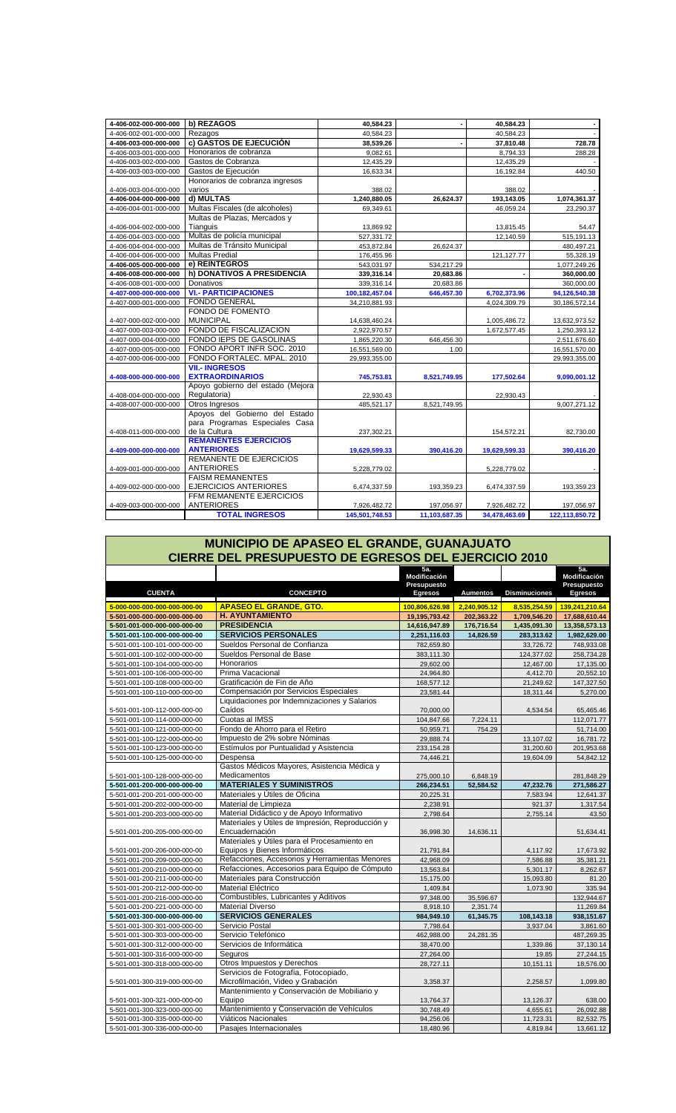| 4-406-002-000-000-000 | b) REZAGOS                        | 40,584.23      |               | 40,584.23     |                |
|-----------------------|-----------------------------------|----------------|---------------|---------------|----------------|
| 4-406-002-001-000-000 | Rezagos                           | 40.584.23      |               | 40.584.23     |                |
| 4-406-003-000-000-000 | c) GASTOS DE EJECUCIÓN            | 38,539.26      |               | 37,810.48     | 728.78         |
| 4-406-003-001-000-000 | Honorarios de cobranza            | 9,082.61       |               | 8,794.33      | 288.28         |
| 4-406-003-002-000-000 | Gastos de Cobranza                | 12,435.29      |               | 12,435.29     |                |
| 4-406-003-003-000-000 | Gastos de Ejecución               | 16,633.34      |               | 16,192.84     | 440.50         |
|                       | Honorarios de cobranza ingresos   |                |               |               |                |
| 4-406-003-004-000-000 | varios                            | 388.02         |               | 388.02        |                |
| 4-406-004-000-000-000 | d) MULTAS                         | 1,240,880.05   | 26,624.37     | 193,143.05    | 1,074,361.37   |
| 4-406-004-001-000-000 | Multas Fiscales (de alcoholes)    | 69,349.61      |               | 46,059.24     | 23,290.37      |
|                       | Multas de Plazas, Mercados y      |                |               |               |                |
| 4-406-004-002-000-000 | Tianguis                          | 13,869.92      |               | 13,815.45     | 54.47          |
| 4-406-004-003-000-000 | Multas de policía municipal       | 527,331.72     |               | 12.140.59     | 515,191.13     |
| 4-406-004-004-000-000 | Multas de Tránsito Municipal      | 453,872.84     | 26,624.37     |               | 480,497.21     |
| 4-406-004-006-000-000 | <b>Multas Predial</b>             | 176,455.96     |               | 121, 127. 77  | 55,328.19      |
| 4-406-005-000-000-000 | e) REINTEGROS                     | 543,031.97     | 534,217.29    |               | 1,077,249.26   |
| 4-406-008-000-000-000 | h) DONATIVOS A PRESIDENCIA        | 339,316.14     | 20,683.86     |               | 360,000.00     |
| 4-406-008-001-000-000 | Donativos                         | 339,316.14     | 20,683.86     |               | 360,000.00     |
| 4-407-000-000-000-000 | <b>VI.- PARTICIPACIONES</b>       | 100,182,457.04 | 646,457.30    | 6,702,373.96  | 94,126,540.38  |
| 4-407-000-001-000-000 | <b>FONDO GENERAL</b>              | 34,210,881.93  |               | 4,024,309.79  | 30,186,572.14  |
|                       | FONDO DE FOMENTO                  |                |               |               |                |
| 4-407-000-002-000-000 | <b>MUNICIPAL</b>                  | 14,638,460.24  |               | 1,005,486.72  | 13,632,973.52  |
| 4-407-000-003-000-000 | FONDO DE FISCALIZACION            | 2,922,970.57   |               | 1,672,577.45  | 1,250,393.12   |
| 4-407-000-004-000-000 | FONDO IEPS DE GASOLINAS           | 1,865,220.30   | 646,456.30    |               | 2,511,676.60   |
| 4-407-000-005-000-000 | FONDO APORT INFR SOC. 2010        | 16,551,569.00  | 1.00          |               | 16,551,570.00  |
| 4-407-000-006-000-000 | FONDO FORTALEC, MPAL, 2010        | 29,993,355.00  |               |               | 29,993,355.00  |
|                       | <b>VII.- INGRESOS</b>             |                |               |               |                |
| 4-408-000-000-000-000 | <b>EXTRAORDINARIOS</b>            | 745,753.81     | 8,521,749.95  | 177,502.64    | 9,090,001.12   |
|                       | Apoyo gobierno del estado (Mejora |                |               |               |                |
| 4-408-004-000-000-000 | Regulatoria)                      | 22,930.43      |               | 22,930.43     |                |
| 4-408-007-000-000-000 | Otros Ingresos                    | 485,521.17     | 8,521,749.95  |               | 9,007,271.12   |
|                       | Apovos del Gobierno del Estado    |                |               |               |                |
|                       | para Programas Especiales Casa    |                |               |               |                |
| 4-408-011-000-000-000 | de la Cultura                     | 237,302.21     |               | 154,572.21    | 82,730.00      |
|                       | <b>REMANENTES EJERCICIOS</b>      |                |               |               |                |
| 4-409-000-000-000-000 | <b>ANTERIORES</b>                 | 19,629,599.33  | 390,416.20    | 19,629,599.33 | 390,416.20     |
|                       | <b>REMANENTE DE EJERCICIOS</b>    |                |               |               |                |
| 4-409-001-000-000-000 | <b>ANTERIORES</b>                 | 5,228,779.02   |               | 5,228,779.02  |                |
|                       | <b>FAISM REMANENTES</b>           |                |               |               |                |
| 4-409-002-000-000-000 | <b>EJERCICIOS ANTERIORES</b>      | 6,474,337.59   | 193,359.23    | 6,474,337.59  | 193,359.23     |
|                       | FFM REMANENTE EJERCICIOS          |                |               |               |                |
| 4-409-003-000-000-000 | <b>ANTERIORES</b>                 | 7,926,482.72   | 197,056.97    | 7,926,482.72  | 197,056.97     |
|                       | <b>TOTAL INGRESOS</b>             | 145,501,748.53 | 11,103,687.35 | 34,478,463.69 | 122,113,850.72 |

| MUNICIPIO DE APASEO EL GRANDE, GUANAJUATO                   |                                                  |                     |                 |                      |                     |  |  |  |
|-------------------------------------------------------------|--------------------------------------------------|---------------------|-----------------|----------------------|---------------------|--|--|--|
| <b>CIERRE DEL PRESUPUESTO DE EGRESOS DEL EJERCICIO 2010</b> |                                                  |                     |                 |                      |                     |  |  |  |
|                                                             |                                                  | 5a.<br>Modificación |                 |                      | 5a.<br>Modificación |  |  |  |
|                                                             |                                                  | Presupuesto         |                 |                      | Presupuesto         |  |  |  |
| <b>CUENTA</b>                                               | <b>CONCEPTO</b>                                  | <b>Egresos</b>      | <b>Aumentos</b> | <b>Disminuciones</b> | <b>Egresos</b>      |  |  |  |
| 5-000-000-000-000-000-000-00                                | <b>APASEO EL GRANDE, GTO.</b>                    | 100,806,626.98      | 2,240,905.12    | 8,535,254.59         | 139,241,210.64      |  |  |  |
| 5-501-000-000-000-000-000-00                                | <b>H. AYUNTAMIENTO</b>                           | 19,195,793.42       | 202,363.22      | 1,709,546.20         | 17,688,610.44       |  |  |  |
| 5-501-001-000-000-000-000-00                                | <b>PRESIDENCIA</b>                               | 14,616,947.89       | 176,716.54      | 1,435,091.30         | 13,358,573.13       |  |  |  |
| 5-501-001-100-000-000-000-00                                | <b>SERVICIOS PERSONALES</b>                      | 2,251,116.03        | 14,826.59       | 283,313.62           | 1,982,629.00        |  |  |  |
| 5-501-001-100-101-000-000-00                                | Sueldos Personal de Confianza                    | 782,659.80          |                 | 33,726.72            | 748,933.08          |  |  |  |
| 5-501-001-100-102-000-000-00                                | Sueldos Personal de Base                         | 383,111.30          |                 | 124,377.02           | 258,734.28          |  |  |  |
| 5-501-001-100-104-000-000-00                                | Honorarios                                       | 29,602.00           |                 | 12,467.00            | 17,135.00           |  |  |  |
| 5-501-001-100-106-000-000-00                                | Prima Vacacional                                 | 24,964.80           |                 | 4,412.70             | 20,552.10           |  |  |  |
| 5-501-001-100-108-000-000-00                                | Gratificación de Fin de Año                      | 168.577.12          |                 | 21.249.62            | 147,327.50          |  |  |  |
| 5-501-001-100-110-000-000-00                                | Compensación por Servicios Especiales            | 23,581.44           |                 | 18,311.44            | 5,270.00            |  |  |  |
|                                                             | Liquidaciones por Indemnizaciones y Salarios     |                     |                 |                      |                     |  |  |  |
| 5-501-001-100-112-000-000-00                                | Caídos                                           | 70,000.00           |                 | 4,534.54             | 65,465.46           |  |  |  |
| 5-501-001-100-114-000-000-00                                | Cuotas al IMSS                                   | 104,847.66          | 7.224.11        |                      | 112,071.77          |  |  |  |
| 5-501-001-100-121-000-000-00                                | Fondo de Ahorro para el Retiro                   | 50,959.71           | 754.29          |                      | 51,714.00           |  |  |  |
| 5-501-001-100-122-000-000-00                                | Impuesto de 2% sobre Nóminas                     | 29,888.74           |                 | 13,107.02            | 16,781.72           |  |  |  |
| 5-501-001-100-123-000-000-00                                | Estímulos por Puntualidad y Asistencia           | 233,154.28          |                 | 31,200.60            | 201,953.68          |  |  |  |
| 5-501-001-100-125-000-000-00                                | Despensa                                         | 74.446.21           |                 | 19,604.09            | 54,842.12           |  |  |  |
|                                                             | Gastos Médicos Mayores, Asistencia Médica y      |                     |                 |                      |                     |  |  |  |
| 5-501-001-100-128-000-000-00                                | Medicamentos                                     | 275,000.10          | 6,848.19        |                      | 281,848.29          |  |  |  |
| 5-501-001-200-000-000-000-00                                | <b>MATERIALES Y SUMINISTROS</b>                  | 266,234.51          | 52,584.52       | 47,232.76            | 271,586.27          |  |  |  |
| 5-501-001-200-201-000-000-00                                | Materiales y Útiles de Oficina                   | 20.225.31           |                 | 7,583.94             | 12,641.37           |  |  |  |
| 5-501-001-200-202-000-000-00                                | Material de Limpieza                             | 2,238.91            |                 | 921.37               | 1,317.54            |  |  |  |
| 5-501-001-200-203-000-000-00                                | Material Didáctico y de Apoyo Informativo        | 2,798.64            |                 | 2,755.14             | 43.50               |  |  |  |
|                                                             | Materiales y Útiles de Impresión, Reproducción y |                     |                 |                      |                     |  |  |  |
| 5-501-001-200-205-000-000-00                                | Encuadernación                                   | 36,998.30           | 14.636.11       |                      | 51,634.41           |  |  |  |
|                                                             | Materiales y Útiles para el Procesamiento en     |                     |                 |                      |                     |  |  |  |
| 5-501-001-200-206-000-000-00                                | Equipos y Bienes Informáticos                    | 21,791.84           |                 | 4,117.92             | 17,673.92           |  |  |  |
| 5-501-001-200-209-000-000-00                                | Refacciones, Accesorios y Herramientas Menores   | 42,968.09           |                 | 7,586.88             | 35,381.21           |  |  |  |
| 5-501-001-200-210-000-000-00                                | Refacciones, Accesorios para Equipo de Cómputo   | 13,563.84           |                 | 5,301.17             | 8,262.67            |  |  |  |
| 5-501-001-200-211-000-000-00                                | Materiales para Construcción                     | 15,175.00           |                 | 15,093.80            | 81.20               |  |  |  |
| 5-501-001-200-212-000-000-00                                | Material Eléctrico                               | 1,409.84            |                 | 1,073.90             | 335.94              |  |  |  |
| 5-501-001-200-216-000-000-00                                | Combustibles, Lubricantes y Aditivos             | 97,348.00           | 35,596.67       |                      | 132,944.67          |  |  |  |
| 5-501-001-200-221-000-000-00                                | <b>Material Diverso</b>                          | 8.918.10            | 2.351.74        |                      | 11.269.84           |  |  |  |
| 5-501-001-300-000-000-000-00                                | <b>SERVICIOS GENERALES</b>                       | 984,949.10          | 61,345.75       | 108,143.18           | 938,151.67          |  |  |  |
| 5-501-001-300-301-000-000-00                                | Servicio Postal                                  | 7,798.64            |                 | 3,937.04             | 3,861.60            |  |  |  |
| 5-501-001-300-303-000-000-00                                | Servicio Telefónico                              | 462,988.00          | 24,281.35       |                      | 487,269.35          |  |  |  |
| 5-501-001-300-312-000-000-00                                | Servicios de Informática                         | 38,470.00           |                 | 1,339.86             | 37,130.14           |  |  |  |
| 5-501-001-300-316-000-000-00                                | Seguros                                          | 27.264.00           |                 | 19.85                | 27.244.15           |  |  |  |
| 5-501-001-300-318-000-000-00                                | Otros Impuestos y Derechos                       | 28,727.11           |                 | 10,151.11            | 18,576.00           |  |  |  |
|                                                             | Servicios de Fotografía, Fotocopiado,            |                     |                 |                      |                     |  |  |  |
| 5-501-001-300-319-000-000-00                                | Microfilmación, Video y Grabación                | 3,358.37            |                 | 2,258.57             | 1,099.80            |  |  |  |
|                                                             | Mantenimiento y Conservación de Mobiliario y     |                     |                 |                      |                     |  |  |  |
| 5-501-001-300-321-000-000-00                                | Equipo                                           | 13,764.37           |                 | 13,126.37            | 638.00              |  |  |  |
| 5-501-001-300-323-000-000-00                                | Mantenimiento y Conservación de Vehículos        | 30,748.49           |                 | 4,655.61             | 26,092.88           |  |  |  |
| 5-501-001-300-335-000-000-00                                | Viáticos Nacionales                              | 94,256.06           |                 | 11,723.31            | 82,532.75           |  |  |  |
| 5-501-001-300-336-000-000-00                                | Pasajes Internacionales                          | 18,480.96           |                 | 4,819.84             | 13,661.12           |  |  |  |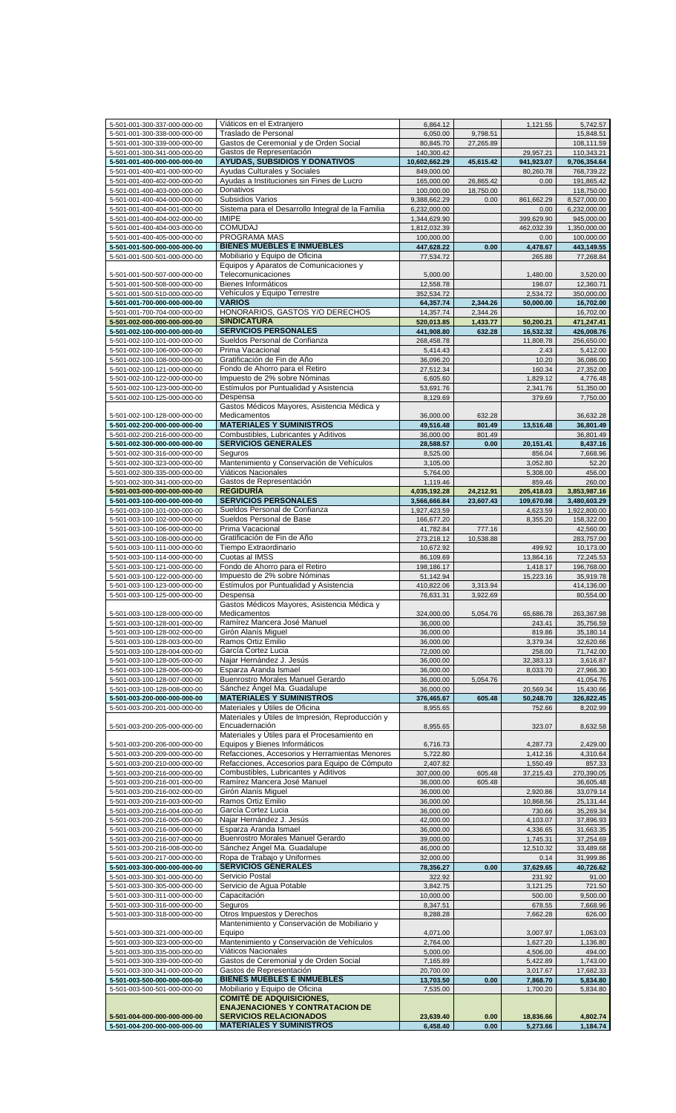| 5-501-001-300-337-000-000-00 | Viáticos en el Extranjero                         | 6,864.12      |           | 1,121.55   | 5,742.57     |
|------------------------------|---------------------------------------------------|---------------|-----------|------------|--------------|
| 5-501-001-300-338-000-000-00 | Traslado de Personal                              | 6,050.00      | 9,798.51  |            | 15,848.51    |
| 5-501-001-300-339-000-000-00 | Gastos de Ceremonial y de Orden Social            | 80,845.70     | 27,265.89 |            | 108,111.59   |
| 5-501-001-300-341-000-000-00 | Gastos de Representación                          | 140,300.42    |           | 29,957.21  | 110,343.21   |
| 5-501-001-400-000-000-000-00 | <b>AYUDAS, SUBSIDIOS Y DONATIVOS</b>              | 10,602,662.29 | 45,615.42 | 941,923.07 | 9,706,354.64 |
| 5-501-001-400-401-000-000-00 | Ayudas Culturales y Sociales                      | 849,000.00    |           | 80,260.78  | 768,739.22   |
| 5-501-001-400-402-000-000-00 | Ayudas a Instituciones sin Fines de Lucro         |               |           |            |              |
|                              |                                                   | 165,000.00    | 26,865.42 | 0.00       | 191,865.42   |
| 5-501-001-400-403-000-000-00 | Donativos                                         | 100,000.00    | 18,750.00 |            | 118,750.00   |
| 5-501-001-400-404-000-000-00 | Subsidios Varios                                  | 9,388,662.29  | 0.00      | 861,662.29 | 8,527,000.00 |
| 5-501-001-400-404-001-000-00 | Sistema para el Desarrollo Integral de la Familia | 6,232,000.00  |           | 0.00       | 6,232,000.00 |
| 5-501-001-400-404-002-000-00 | <b>IMIPE</b>                                      | 1,344,629.90  |           | 399,629.90 | 945,000.00   |
| 5-501-001-400-404-003-000-00 | <b>COMUDAJ</b>                                    | 1,812,032.39  |           | 462.032.39 | 1,350,000.00 |
| 5-501-001-400-405-000-000-00 | PROGRAMA MAS                                      | 100,000.00    |           | 0.00       | 100,000.00   |
| 5-501-001-500-000-000-000-00 | <b>BIENES MUEBLES E INMUEBLES</b>                 | 447,628.22    | 0.00      | 4,478.67   | 443,149.55   |
| 5-501-001-500-501-000-000-00 | Mobiliario y Equipo de Oficina                    | 77,534.72     |           | 265.88     | 77,268.84    |
|                              | Equipos y Aparatos de Comunicaciones y            |               |           |            |              |
| 5-501-001-500-507-000-000-00 | Telecomunicaciones                                | 5,000.00      |           | 1,480.00   | 3,520.00     |
|                              | Bienes Informáticos                               |               |           |            |              |
| 5-501-001-500-508-000-000-00 |                                                   | 12,558.78     |           | 198.07     | 12,360.71    |
| 5-501-001-500-510-000-000-00 | Vehículos y Equipo Terrestre                      | 352,534.72    |           | 2,534.72   | 350,000.00   |
| 5-501-001-700-000-000-000-00 | <b>VARIOS</b>                                     | 64,357.74     | 2,344.26  | 50,000.00  | 16,702.00    |
| 5-501-001-700-704-000-000-00 | HONORARIOS, GASTOS Y/O DERECHOS                   | 14,357.74     | 2,344.26  |            | 16,702.00    |
| 5-501-002-000-000-000-000-00 | <b>SINDICATURA</b>                                | 520,013.85    | 1,433.77  | 50,200.21  | 471,247.41   |
| 5-501-002-100-000-000-000-00 | <b>SERVICIOS PERSONALES</b>                       | 441,908.80    | 632.28    | 16,532.32  | 426,008.76   |
| 5-501-002-100-101-000-000-00 | Sueldos Personal de Confianza                     | 268,458.78    |           | 11,808.78  | 256,650.00   |
| 5-501-002-100-106-000-000-00 | Prima Vacacional                                  | 5,414.43      |           | 2.43       | 5,412.00     |
| 5-501-002-100-108-000-000-00 | Gratificación de Fin de Año                       | 36,096.20     |           | 10.20      | 36,086.00    |
|                              | Fondo de Ahorro para el Retiro                    |               |           |            | 27,352.00    |
| 5-501-002-100-121-000-000-00 | Impuesto de 2% sobre Nóminas                      | 27,512.34     |           | 160.34     |              |
| 5-501-002-100-122-000-000-00 |                                                   | 6,605.60      |           | 1,829.12   | 4,776.48     |
| 5-501-002-100-123-000-000-00 | Estímulos por Puntualidad y Asistencia            | 53,691.76     |           | 2,341.76   | 51,350.00    |
| 5-501-002-100-125-000-000-00 | Despensa                                          | 8,129.69      |           | 379.69     | 7,750.00     |
|                              | Gastos Médicos Mayores, Asistencia Médica y       |               |           |            |              |
| 5-501-002-100-128-000-000-00 | Medicamentos                                      | 36,000.00     | 632.28    |            | 36,632.28    |
| 5-501-002-200-000-000-000-00 | <b>MATERIALES Y SUMINISTROS</b>                   | 49,516.48     | 801.49    | 13,516.48  | 36,801.49    |
| 5-501-002-200-216-000-000-00 | Combustibles, Lubricantes y Aditivos              | 36,000.00     | 801.49    |            | 36,801.49    |
| 5-501-002-300-000-000-000-00 | <b>SERVICIOS GENERALES</b>                        | 28,588.57     | 0.00      | 20,151.41  | 8,437.16     |
| 5-501-002-300-316-000-000-00 | Seguros                                           | 8,525.00      |           | 856.04     | 7,668.96     |
| 5-501-002-300-323-000-000-00 | Mantenimiento y Conservación de Vehículos         | 3,105.00      |           | 3,052.80   | 52.20        |
| 5-501-002-300-335-000-000-00 | Viáticos Nacionales                               | 5,764.00      |           | 5,308.00   | 456.00       |
|                              |                                                   |               |           |            |              |
| 5-501-002-300-341-000-000-00 | Gastos de Representación                          | 1,119.46      |           | 859.46     | 260.00       |
| 5-501-003-000-000-000-000-00 | <b>REGIDURÍA</b>                                  | 4,035,192.28  | 24,212.91 | 205,418.03 | 3,853,987.16 |
| 5-501-003-100-000-000-000-00 | <b>SERVICIOS PERSONALES</b>                       | 3,566,666.84  | 23,607.43 | 109,670.98 | 3,480,603.29 |
| 5-501-003-100-101-000-000-00 | Sueldos Personal de Confianza                     | 1,927,423.59  |           | 4,623.59   | 1,922,800.00 |
| 5-501-003-100-102-000-000-00 | Sueldos Personal de Base                          | 166,677.20    |           | 8,355.20   | 158,322.00   |
| 5-501-003-100-106-000-000-00 | Prima Vacacional                                  | 41,782.84     | 777.16    |            | 42,560.00    |
| 5-501-003-100-108-000-000-00 | Gratificación de Fin de Año                       | 273,218.12    | 10,538.88 |            | 283,757.00   |
| 5-501-003-100-111-000-000-00 | Tiempo Extraordinario                             | 10,672.92     |           | 499.92     | 10,173.00    |
| 5-501-003-100-114-000-000-00 | Cuotas al IMSS                                    | 86,109.69     |           | 13,864.16  | 72,245.53    |
|                              | Fondo de Ahorro para el Retiro                    |               |           |            |              |
| 5-501-003-100-121-000-000-00 |                                                   | 198,186.17    |           | 1,418.17   | 196,768.00   |
| 5-501-003-100-122-000-000-00 | Impuesto de 2% sobre Nóminas                      | 51,142.94     |           | 15,223.16  | 35,919.78    |
| 5-501-003-100-123-000-000-00 | Estímulos por Puntualidad y Asistencia            | 410,822.06    | 3,313.94  |            | 414,136.00   |
| 5-501-003-100-125-000-000-00 | Despensa                                          | 76,631.31     | 3,922.69  |            | 80,554.00    |
|                              | Gastos Médicos Mayores, Asistencia Médica y       |               |           |            |              |
| 5-501-003-100-128-000-000-00 | Medicamentos                                      | 324,000.00    | 5,054.76  | 65,686.78  | 263,367.98   |
| 5-501-003-100-128-001-000-00 | Ramírez Mancera José Manuel                       | 36,000.00     |           | 243.41     | 35,756.59    |
| 5-501-003-100-128-002-000-00 | Girón Alanís Miquel                               | 36,000.00     |           | 819.86     | 35,180.14    |
| 5-501-003-100-128-003-000-00 | Ramos Ortiz Emilio                                | 36,000.00     |           | 3,379.34   | 32,620.66    |
| 5-501-003-100-128-004-000-00 | García Cortez Lucia                               | 72,000.00     |           | 258.00     | 71,742.00    |
| 5-501-003-100-128-005-000-00 | Najar Hernández J. Jesús                          | 36,000.00     |           | 32,383.13  | 3,616.87     |
| 5-501-003-100-128-006-000-00 | Esparza Aranda Ismael                             | 36,000.00     |           | 8,033.70   | 27,966.30    |
|                              | Buenrostro Morales Manuel Gerardo                 |               |           |            |              |
| 5-501-003-100-128-007-000-00 |                                                   | 36,000.00     | 5,054.76  |            | 41,054.76    |
| 5-501-003-100-128-008-000-00 | Sánchez Ángel Ma. Guadalupe                       | 36,000.00     |           | 20,569.34  | 15,430.66    |
| 5-501-003-200-000-000-000-00 | <b>MATERIALES Y SUMINISTROS</b>                   | 376,465.67    | 605.48    | 50,248.70  | 326,822.45   |
| 5-501-003-200-201-000-000-00 | Materiales y Útiles de Oficina                    | 8,955.65      |           | 752.66     | 8,202.99     |
|                              | Materiales y Útiles de Impresión, Reproducción y  |               |           |            |              |
| 5-501-003-200-205-000-000-00 | Encuadernación                                    | 8,955.65      |           | 323.07     | 8,632.58     |
|                              | Materiales y Útiles para el Procesamiento en      |               |           |            |              |
| 5-501-003-200-206-000-000-00 | Equipos y Bienes Informáticos                     | 6,716.73      |           | 4,287.73   | 2,429.00     |
| 5-501-003-200-209-000-000-00 | Refacciones, Accesorios y Herramientas Menores    | 5,722.80      |           | 1,412.16   | 4,310.64     |
| 5-501-003-200-210-000-000-00 | Refacciones, Accesorios para Equipo de Cómputo    | 2,407.82      |           | 1,550.49   | 857.33       |
| 5-501-003-200-216-000-000-00 | Combustibles, Lubricantes y Aditivos              | 307,000.00    | 605.48    | 37,215.43  | 270,390.05   |
| 5-501-003-200-216-001-000-00 | Ramírez Mancera José Manuel                       | 36,000.00     | 605.48    |            | 36,605.48    |
| 5-501-003-200-216-002-000-00 | Girón Alanís Miguel                               | 36,000.00     |           | 2,920.86   | 33,079.14    |
| 5-501-003-200-216-003-000-00 | Ramos Ortiz Emilio                                | 36,000.00     |           | 10,868.56  | 25, 131.44   |
| 5-501-003-200-216-004-000-00 | García Cortez Lucia                               | 36,000.00     |           | 730.66     | 35,269.34    |
| 5-501-003-200-216-005-000-00 | Najar Hernández J. Jesús                          | 42,000.00     |           | 4,103.07   | 37,896.93    |
|                              | Esparza Aranda Ismael                             |               |           |            |              |
| 5-501-003-200-216-006-000-00 |                                                   | 36,000.00     |           | 4,336.65   | 31,663.35    |
| 5-501-003-200-216-007-000-00 | Buenrostro Morales Manuel Gerardo                 | 39,000.00     |           | 1,745.31   | 37,254.69    |
| 5-501-003-200-216-008-000-00 | Sánchez Ángel Ma. Guadalupe                       | 46,000.00     |           | 12,510.32  | 33,489.68    |
| 5-501-003-200-217-000-000-00 | Ropa de Trabajo y Uniformes                       | 32,000.00     |           | 0.14       | 31,999.86    |
| 5-501-003-300-000-000-000-00 | <b>SERVICIOS GENERALES</b>                        | 78,356.27     | 0.00      | 37,629.65  | 40,726.62    |
| 5-501-003-300-301-000-000-00 | Servicio Postal                                   | 322.92        |           | 231.92     | 91.00        |
| 5-501-003-300-305-000-000-00 | Servicio de Agua Potable                          | 3,842.75      |           | 3,121.25   | 721.50       |
| 5-501-003-300-311-000-000-00 | Capacitación                                      | 10,000.00     |           | 500.00     | 9,500.00     |
| 5-501-003-300-316-000-000-00 | Seguros                                           | 8,347.51      |           | 678.55     | 7,668.96     |
| 5-501-003-300-318-000-000-00 | Otros Impuestos y Derechos                        | 8,288.28      |           | 7,662.28   | 626.00       |
|                              |                                                   |               |           |            |              |
| 5-501-003-300-321-000-000-00 |                                                   |               |           | 3,007.97   | 1,063.03     |
|                              | Mantenimiento y Conservación de Mobiliario y      |               |           |            |              |
|                              | Equipo                                            | 4,071.00      |           |            |              |
| 5-501-003-300-323-000-000-00 | Mantenimiento y Conservación de Vehículos         | 2,764.00      |           | 1,627.20   | 1,136.80     |
| 5-501-003-300-335-000-000-00 | Viáticos Nacionales                               | 5,000.00      |           | 4,506.00   | 494.00       |
| 5-501-003-300-339-000-000-00 | Gastos de Ceremonial y de Orden Social            | 7,165.89      |           | 5,422.89   | 1,743.00     |
| 5-501-003-300-341-000-000-00 | Gastos de Representación                          | 20,700.00     |           | 3,017.67   | 17,682.33    |
| 5-501-003-500-000-000-000-00 | <b>BIENES MUEBLES E INMUEBLES</b>                 | 13,703.50     | 0.00      | 7,868.70   | 5,834.80     |
| 5-501-003-500-501-000-000-00 | Mobiliario y Equipo de Oficina                    | 7,535.00      |           | 1,700.20   | 5,834.80     |
|                              | <b>COMITÉ DE ADQUISICIONES,</b>                   |               |           |            |              |
|                              | <b>ENAJENACIONES Y CONTRATACION DE</b>            |               |           |            |              |
| 5-501-004-000-000-000-000-00 | <b>SERVICIOS RELACIONADOS</b>                     | 23,639.40     | 0.00      | 18,836.66  | 4,802.74     |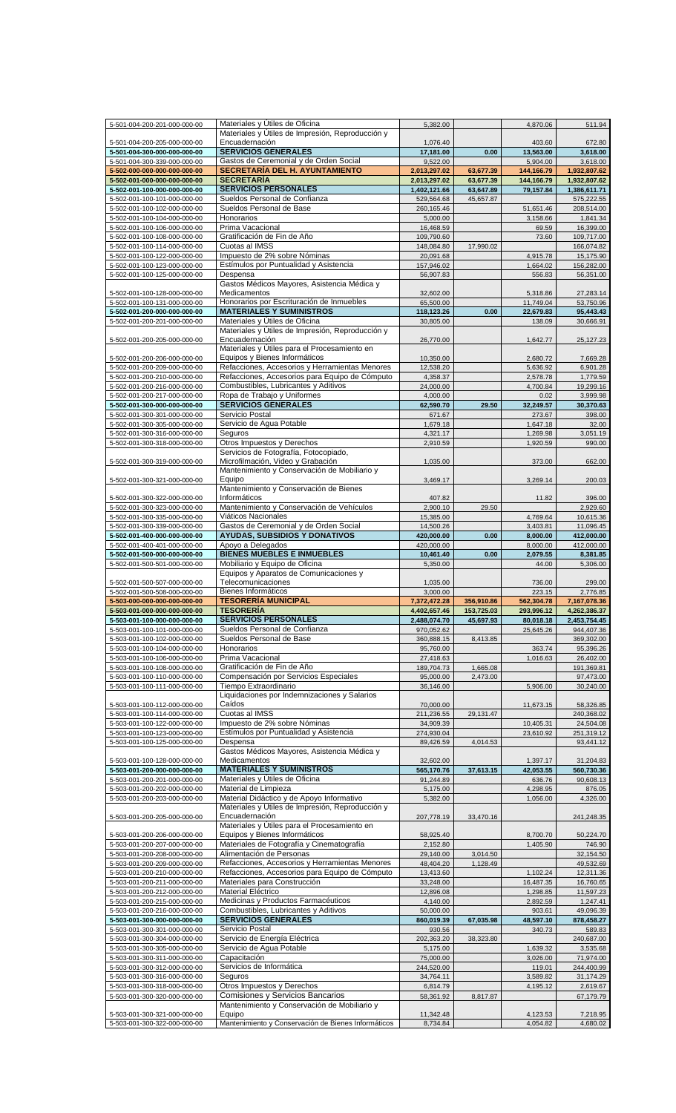| 5-501-004-200-201-000-000-00                                 | Materiales y Utiles de Oficina                                | 5,382.00              |            | 4,870.06             | 511.94               |
|--------------------------------------------------------------|---------------------------------------------------------------|-----------------------|------------|----------------------|----------------------|
|                                                              |                                                               |                       |            |                      |                      |
|                                                              | Materiales y Útiles de Impresión, Reproducción y              |                       |            |                      |                      |
| 5-501-004-200-205-000-000-00                                 | Encuadernación                                                | 1,076.40              |            | 403.60               | 672.80               |
| 5-501-004-300-000-000-000-00                                 | <b>SERVICIOS GENERALES</b>                                    | 17,181.00             | 0.00       | 13,563.00            | 3.618.00             |
| 5-501-004-300-339-000-000-00                                 | Gastos de Ceremonial y de Orden Social                        | 9,522.00              |            | 5,904.00             | 3,618.00             |
| 5-502-000-000-000-000-000-00                                 | <b>SECRETARÍA DEL H. AYUNTAMIENTO</b>                         | 2,013,297.02          | 63,677.39  | 144,166.79           | 1,932,807.62         |
| 5-502-001-000-000-000-000-00                                 | <b>SECRETARÍA</b>                                             | 2,013,297.02          | 63,677.39  | 144,166.79           | 1,932,807.62         |
| 5-502-001-100-000-000-000-00                                 | <b>SERVICIOS PERSONALES</b>                                   | 1,402,121.66          | 63,647.89  | 79,157.84            | 1,386,611.71         |
|                                                              |                                                               |                       |            |                      |                      |
| 5-502-001-100-101-000-000-00                                 | Sueldos Personal de Confianza                                 | 529,564.68            | 45,657.87  |                      | 575,222.55           |
| 5-502-001-100-102-000-000-00                                 | Sueldos Personal de Base                                      | 260,165.46            |            | 51,651.46            | 208,514.00           |
| 5-502-001-100-104-000-000-00                                 | Honorarios                                                    | 5,000.00              |            | 3,158.66             | 1,841.34             |
| 5-502-001-100-106-000-000-00                                 | Prima Vacacional                                              | 16,468.59             |            | 69.59                | 16,399.00            |
| 5-502-001-100-108-000-000-00                                 | Gratificación de Fin de Año                                   | 109,790.60            |            | 73.60                | 109,717.00           |
|                                                              | Cuotas al IMSS                                                |                       |            |                      |                      |
| 5-502-001-100-114-000-000-00                                 |                                                               | 148,084.80            | 17,990.02  |                      | 166,074.82           |
| 5-502-001-100-122-000-000-00                                 | Impuesto de 2% sobre Nóminas                                  | 20,091.68             |            | 4,915.78             | 15,175.90            |
| 5-502-001-100-123-000-000-00                                 | Estímulos por Puntualidad y Asistencia                        | 157,946.02            |            | 1,664.02             | 156,282.00           |
| 5-502-001-100-125-000-000-00                                 | Despensa                                                      | 56,907.83             |            | 556.83               | 56,351.00            |
|                                                              | Gastos Médicos Mayores, Asistencia Médica y                   |                       |            |                      |                      |
| 5-502-001-100-128-000-000-00                                 | Medicamentos                                                  | 32,602.00             |            | 5,318.86             | 27,283.14            |
| 5-502-001-100-131-000-000-00                                 | Honorarios por Escrituración de Inmuebles                     | 65,500.00             |            | 11,749.04            | 53,750.96            |
|                                                              |                                                               |                       |            |                      |                      |
| 5-502-001-200-000-000-000-00                                 | <b>MATERIALES Y SUMINISTROS</b>                               | 118,123.26            | 0.00       | 22,679.83            | 95,443.43            |
| 5-502-001-200-201-000-000-00                                 | Materiales y Útiles de Oficina                                | 30,805.00             |            | 138.09               | 30,666.91            |
|                                                              | Materiales y Útiles de Impresión, Reproducción y              |                       |            |                      |                      |
| 5-502-001-200-205-000-000-00                                 | Encuadernación                                                | 26,770.00             |            | 1,642.77             | 25, 127. 23          |
|                                                              | Materiales y Útiles para el Procesamiento en                  |                       |            |                      |                      |
| 5-502-001-200-206-000-000-00                                 | Equipos y Bienes Informáticos                                 | 10,350.00             |            | 2,680.72             | 7,669.28             |
| 5-502-001-200-209-000-000-00                                 | Refacciones, Accesorios y Herramientas Menores                | 12,538.20             |            | 5,636.92             | 6,901.28             |
|                                                              |                                                               |                       |            |                      |                      |
| 5-502-001-200-210-000-000-00                                 | Refacciones, Accesorios para Equipo de Cómputo                | 4.358.37              |            | 2,578.78             | 1,779.59             |
| 5-502-001-200-216-000-000-00                                 | Combustibles, Lubricantes y Aditivos                          | 24,000.00             |            | 4,700.84             | 19,299.16            |
| 5-502-001-200-217-000-000-00                                 | Ropa de Trabajo y Uniformes                                   | 4,000.00              |            | 0.02                 | 3,999.98             |
| 5-502-001-300-000-000-000-00                                 | <b>SERVICIOS GENERALES</b>                                    | 62,590.70             | 29.50      | 32,249.57            | 30,370.63            |
| 5-502-001-300-301-000-000-00                                 | Servicio Postal                                               | 671.67                |            | 273.67               | 398.00               |
|                                                              |                                                               |                       |            |                      |                      |
| 5-502-001-300-305-000-000-00                                 | Servicio de Agua Potable                                      | 1,679.18              |            | 1,647.18             | 32.00                |
| 5-502-001-300-316-000-000-00                                 | Seguros                                                       | 4,321.17              |            | 1,269.98             | 3,051.19             |
| 5-502-001-300-318-000-000-00                                 | Otros Impuestos y Derechos                                    | 2,910.59              |            | 1,920.59             | 990.00               |
|                                                              | Servicios de Fotografía, Fotocopiado,                         |                       |            |                      |                      |
| 5-502-001-300-319-000-000-00                                 | Microfilmación, Video y Grabación                             | 1,035.00              |            | 373.00               | 662.00               |
|                                                              | Mantenimiento y Conservación de Mobiliario y                  |                       |            |                      |                      |
|                                                              | Equipo                                                        |                       |            |                      |                      |
| 5-502-001-300-321-000-000-00                                 |                                                               | 3,469.17              |            | 3,269.14             | 200.03               |
|                                                              | Mantenimiento y Conservación de Bienes                        |                       |            |                      |                      |
| 5-502-001-300-322-000-000-00                                 | Informáticos                                                  | 407.82                |            | 11.82                | 396.00               |
| 5-502-001-300-323-000-000-00                                 | Mantenimiento y Conservación de Vehículos                     | 2,900.10              | 29.50      |                      | 2,929.60             |
| 5-502-001-300-335-000-000-00                                 | Viáticos Nacionales                                           | 15,385.00             |            | 4,769.64             | 10,615.36            |
| 5-502-001-300-339-000-000-00                                 | Gastos de Ceremonial y de Orden Social                        | 14,500.26             |            | 3,403.81             | 11,096.45            |
| 5-502-001-400-000-000-000-00                                 | <b>AYUDAS, SUBSIDIOS Y DONATIVOS</b>                          | 420,000.00            | 0.00       | 8,000.00             | 412,000.00           |
|                                                              |                                                               |                       |            |                      |                      |
| 5-502-001-400-401-000-000-00                                 | Apoyo a Delegados                                             | 420,000.00            |            | 8,000.00             | 412,000.00           |
| 5-502-001-500-000-000-000-00                                 | <b>BIENES MUEBLES E INMUEBLES</b>                             | 10,461.40             | 0.00       | 2,079.55             | 8,381.85             |
| 5-502-001-500-501-000-000-00                                 | Mobiliario y Equipo de Oficina                                | 5,350.00              |            | 44.00                | 5,306.00             |
|                                                              | Equipos y Aparatos de Comunicaciones y                        |                       |            |                      |                      |
|                                                              |                                                               |                       |            |                      |                      |
| 5-502-001-500-507-000-000-00                                 | Telecomunicaciones                                            | 1,035.00              |            | 736.00               | 299.00               |
|                                                              |                                                               |                       |            |                      |                      |
| 5-502-001-500-508-000-000-00                                 | Bienes Informáticos                                           | 3,000.00              |            | 223.15               | 2,776.85             |
| 5-503-000-000-000-000-000-00                                 | <b>TESORERÍA MUNICIPAL</b>                                    | 7,372,472.28          | 356,910.86 | 562,304.78           | 7,167,078.36         |
| 5-503-001-000-000-000-000-00                                 | <b>TESORERIA</b>                                              | 4.402.657.46          | 153.725.03 | 293.996.12           | 4.262.386.37         |
| 5-503-001-100-000-000-000-00                                 | <b>SERVICIOS PERSONALES</b>                                   | 2,488,074.70          | 45,697.93  | 80,018.18            | 2,453,754.45         |
| 5-503-001-100-101-000-000-00                                 | Sueldos Personal de Confianza                                 | 970,052.62            |            | 25,645.26            | 944,407.36           |
| 5-503-001-100-102-000-000-00                                 | Sueldos Personal de Base                                      | 360,888.15            | 8,413.85   |                      | 369,302.00           |
| 5-503-001-100-104-000-000-00                                 | Honorarios                                                    | 95,760.00             |            | 363.74               | 95,396.26            |
|                                                              |                                                               |                       |            |                      |                      |
| 5-503-001-100-106-000-000-00                                 | Prima Vacacional                                              | 27,418.63             |            | 1,016.63             | 26,402.00            |
| 5-503-001-100-108-000-000-00                                 | Gratificación de Fin de Año                                   | 189,704.73            | 1,665.08   |                      | 191,369.81           |
| 5-503-001-100-110-000-000-00                                 | Compensación por Servicios Especiales                         | 95,000.00             | 2,473.00   |                      | 97,473.00            |
| 5-503-001-100-111-000-000-00                                 | Tiempo Extraordinario                                         | 36,146.00             |            | 5,906.00             | 30,240.00            |
|                                                              | Liquidaciones por Indemnizaciones y Salarios                  |                       |            |                      |                      |
| 5-503-001-100-112-000-000-00                                 | Caídos                                                        | 70,000.00             |            | 11,673.15            | 58,326.85            |
|                                                              |                                                               |                       |            |                      |                      |
| 5-503-001-100-114-000-000-00                                 | Cuotas al IMSS                                                | 211,236.55            | 29,131.47  |                      | 240,368.02           |
| 5-503-001-100-122-000-000-00                                 | Impuesto de 2% sobre Nóminas                                  | 34,909.39             |            | 10,405.31            | 24,504.08            |
| 5-503-001-100-123-000-000-00                                 | Estímulos por Puntualidad y Asistencia                        | 274,930.04            |            | 23,610.92            | 251,319.12           |
| 5-503-001-100-125-000-000-00                                 | Despensa                                                      | 89,426.59             | 4,014.53   |                      | 93,441.12            |
|                                                              | Gastos Médicos Mayores, Asistencia Médica y                   |                       |            |                      |                      |
| 5-503-001-100-128-000-000-00                                 | Medicamentos                                                  | 32,602.00             |            | 1,397.17             | 31,204.83            |
| 5-503-001-200-000-000-000-00                                 | <b>MATERIALES Y SUMINISTROS</b>                               | 565,170.76            | 37,613.15  | 42,053.55            | 560,730.36           |
| 5-503-001-200-201-000-000-00                                 | Materiales y Útiles de Oficina                                | 91,244.89             |            |                      |                      |
|                                                              |                                                               |                       |            | 636.76               | 90,608.13            |
| 5-503-001-200-202-000-000-00                                 | Material de Limpieza                                          | 5,175.00              |            | 4,298.95             | 876.05               |
| 5-503-001-200-203-000-000-00                                 | Material Didáctico y de Apoyo Informativo                     | 5,382.00              |            | 1,056.00             | 4,326.00             |
|                                                              | Materiales y Útiles de Impresión, Reproducción y              |                       |            |                      |                      |
| 5-503-001-200-205-000-000-00                                 | Encuadernación                                                | 207,778.19            | 33,470.16  |                      | 241,248.35           |
|                                                              | Materiales y Útiles para el Procesamiento en                  |                       |            |                      |                      |
| 5-503-001-200-206-000-000-00                                 |                                                               | 58,925.40             |            |                      | 50,224.70            |
|                                                              | Equipos y Bienes Informáticos                                 |                       |            | 8,700.70             |                      |
| 5-503-001-200-207-000-000-00                                 | Materiales de Fotografía y Cinematografía                     | 2,152.80              |            | 1,405.90             | 746.90               |
| 5-503-001-200-208-000-000-00                                 | Alimentación de Personas                                      | 29,140.00             | 3,014.50   |                      | 32,154.50            |
| 5-503-001-200-209-000-000-00                                 | Refacciones, Accesorios y Herramientas Menores                | 48,404.20             | 1,128.49   |                      | 49,532.69            |
| 5-503-001-200-210-000-000-00                                 | Refacciones, Accesorios para Equipo de Cómputo                | 13,413.60             |            | 1,102.24             | 12,311.36            |
| 5-503-001-200-211-000-000-00                                 | Materiales para Construcción                                  | 33,248.00             |            | 16,487.35            | 16,760.65            |
| 5-503-001-200-212-000-000-00                                 | Material Eléctrico                                            |                       |            |                      |                      |
|                                                              |                                                               | 12,896.08             |            | 1,298.85             | 11,597.23            |
| 5-503-001-200-215-000-000-00                                 | Medicinas y Productos Farmacéuticos                           | 4,140.00              |            | 2,892.59             | 1,247.41             |
| 5-503-001-200-216-000-000-00                                 | Combustibles, Lubricantes y Aditivos                          | 50,000.00             |            | 903.61               | 49,096.39            |
| 5-503-001-300-000-000-000-00                                 | <b>SERVICIOS GENERALES</b>                                    | 860,019.39            | 67,035.98  | 48,597.10            | 878,458.27           |
| 5-503-001-300-301-000-000-00                                 | Servicio Postal                                               | 930.56                |            | 340.73               | 589.83               |
| 5-503-001-300-304-000-000-00                                 | Servicio de Energía Eléctrica                                 | 202,363.20            | 38,323.80  |                      | 240,687.00           |
|                                                              | Servicio de Agua Potable                                      |                       |            |                      |                      |
| 5-503-001-300-305-000-000-00                                 |                                                               | 5,175.00              |            | 1,639.32             | 3,535.68             |
| 5-503-001-300-311-000-000-00                                 | Capacitación                                                  | 75,000.00             |            | 3,026.00             | 71,974.00            |
| 5-503-001-300-312-000-000-00                                 | Servicios de Informática                                      | 244,520.00            |            | 119.01               | 244,400.99           |
| 5-503-001-300-316-000-000-00                                 | Seguros                                                       | 34,764.11             |            | 3,589.82             | 31,174.29            |
| 5-503-001-300-318-000-000-00                                 | Otros Impuestos y Derechos                                    | 6,814.79              |            | 4,195.12             | 2,619.67             |
| 5-503-001-300-320-000-000-00                                 | Comisiones y Servicios Bancarios                              | 58,361.92             | 8,817.87   |                      |                      |
|                                                              |                                                               |                       |            |                      | 67,179.79            |
|                                                              | Mantenimiento y Conservación de Mobiliario y                  |                       |            |                      |                      |
| 5-503-001-300-321-000-000-00<br>5-503-001-300-322-000-000-00 | Equipo<br>Mantenimiento y Conservación de Bienes Informáticos | 11,342.48<br>8,734.84 |            | 4,123.53<br>4,054.82 | 7,218.95<br>4,680.02 |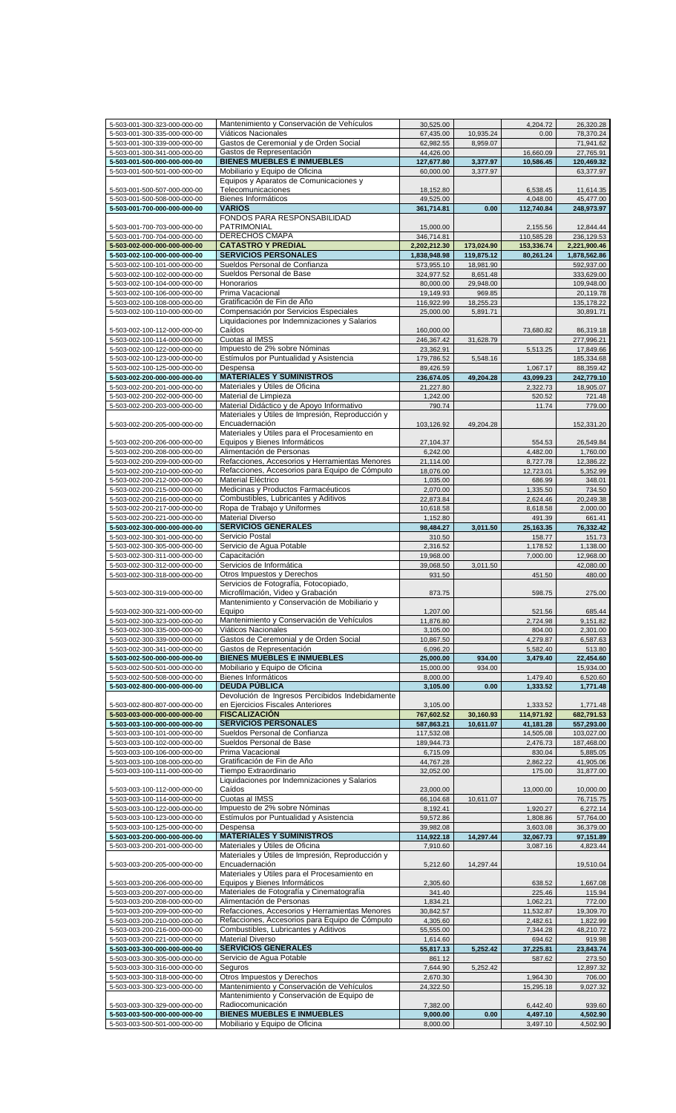| 5-503-001-300-323-000-000-00 | Mantenimiento y Conservación de Vehículos        | 30,525.00    |            | 4,204.72   | 26,320.28    |
|------------------------------|--------------------------------------------------|--------------|------------|------------|--------------|
| 5-503-001-300-335-000-000-00 | Viáticos Nacionales                              | 67,435.00    | 10,935.24  | 0.00       | 78,370.24    |
| 5-503-001-300-339-000-000-00 | Gastos de Ceremonial y de Orden Social           | 62,982.55    | 8,959.07   |            | 71,941.62    |
|                              | Gastos de Representación                         | 44.426.00    |            |            |              |
| 5-503-001-300-341-000-000-00 |                                                  |              |            | 16,660.09  | 27,765.91    |
| 5-503-001-500-000-000-000-00 | <b>BIENES MUEBLES E INMUEBLES</b>                | 127,677.80   | 3,377.97   | 10,586.45  | 120,469.32   |
| 5-503-001-500-501-000-000-00 | Mobiliario y Equipo de Oficina                   | 60,000.00    | 3,377.97   |            | 63,377.97    |
|                              | Equipos y Aparatos de Comunicaciones y           |              |            |            |              |
| 5-503-001-500-507-000-000-00 | Telecomunicaciones                               |              |            | 6,538.45   | 11,614.35    |
|                              |                                                  | 18,152.80    |            |            |              |
| 5-503-001-500-508-000-000-00 | Bienes Informáticos                              | 49,525.00    |            | 4,048.00   | 45,477.00    |
| 5-503-001-700-000-000-000-00 | <b>VARIOS</b>                                    | 361,714.81   | 0.00       | 112,740.84 | 248,973.97   |
|                              | FONDOS PARA RESPONSABILIDAD                      |              |            |            |              |
| 5-503-001-700-703-000-000-00 | PATRIMONIAL                                      |              |            |            |              |
|                              |                                                  | 15,000.00    |            | 2,155.56   | 12,844.44    |
| 5-503-001-700-704-000-000-00 | DERECHOS CMAPA                                   | 346,714.81   |            | 110,585.28 | 236,129.53   |
| 5-503-002-000-000-000-000-00 | <b>CATASTRO Y PREDIAL</b>                        | 2,202,212.30 | 173,024.90 | 153,336.74 | 2,221,900.46 |
| 5-503-002-100-000-000-000-00 | <b>SERVICIOS PERSONALES</b>                      | 1,838,948.98 | 119,875.12 | 80,261.24  | 1,878,562.86 |
|                              | Sueldos Personal de Confianza                    |              |            |            |              |
| 5-503-002-100-101-000-000-00 |                                                  | 573,955.10   | 18,981.90  |            | 592,937.00   |
| 5-503-002-100-102-000-000-00 | Sueldos Personal de Base                         | 324,977.52   | 8,651.48   |            | 333,629.00   |
| 5-503-002-100-104-000-000-00 | Honorarios                                       | 80,000.00    | 29,948.00  |            | 109,948.00   |
| 5-503-002-100-106-000-000-00 | Prima Vacacional                                 | 19,149.93    | 969.85     |            | 20,119.78    |
|                              | Gratificación de Fin de Año                      |              |            |            |              |
| 5-503-002-100-108-000-000-00 |                                                  | 116,922.99   | 18,255.23  |            | 135, 178.22  |
| 5-503-002-100-110-000-000-00 | Compensación por Servicios Especiales            | 25,000.00    | 5,891.71   |            | 30,891.71    |
|                              | Liquidaciones por Indemnizaciones y Salarios     |              |            |            |              |
| 5-503-002-100-112-000-000-00 | Caídos                                           | 160,000.00   |            | 73,680.82  | 86,319.18    |
| 5-503-002-100-114-000-000-00 | Cuotas al IMSS                                   | 246,367.42   | 31,628.79  |            | 277,996.21   |
|                              |                                                  |              |            |            |              |
| 5-503-002-100-122-000-000-00 | Impuesto de 2% sobre Nóminas                     | 23,362.91    |            | 5,513.25   | 17,849.66    |
| 5-503-002-100-123-000-000-00 | Estímulos por Puntualidad y Asistencia           | 179,786.52   | 5,548.16   |            | 185,334.68   |
| 5-503-002-100-125-000-000-00 | Despensa                                         | 89,426.59    |            | 1,067.17   | 88,359.42    |
|                              | <b>MATERIALES Y SUMINISTROS</b>                  |              |            |            |              |
| 5-503-002-200-000-000-000-00 |                                                  | 236,674.05   | 49,204.28  | 43,099.23  | 242,779.10   |
| 5-503-002-200-201-000-000-00 | Materiales y Útiles de Oficina                   | 21,227.80    |            | 2,322.73   | 18,905.07    |
| 5-503-002-200-202-000-000-00 | Material de Limpieza                             | 1,242.00     |            | 520.52     | 721.48       |
| 5-503-002-200-203-000-000-00 | Material Didáctico y de Apoyo Informativo        | 790.74       |            | 11.74      | 779.00       |
|                              |                                                  |              |            |            |              |
|                              | Materiales y Útiles de Impresión, Reproducción y |              |            |            |              |
| 5-503-002-200-205-000-000-00 | Encuadernación                                   | 103,126.92   | 49,204.28  |            | 152,331.20   |
|                              | Materiales y Útiles para el Procesamiento en     |              |            |            |              |
|                              | Equipos y Bienes Informáticos                    |              |            |            |              |
| 5-503-002-200-206-000-000-00 |                                                  | 27,104.37    |            | 554.53     | 26,549.84    |
| 5-503-002-200-208-000-000-00 | Alimentación de Personas                         | 6,242.00     |            | 4,482.00   | 1,760.00     |
| 5-503-002-200-209-000-000-00 | Refacciones, Accesorios y Herramientas Menores   | 21,114.00    |            | 8,727.78   | 12,386.22    |
| 5-503-002-200-210-000-000-00 | Refacciones, Accesorios para Equipo de Cómputo   | 18,076.00    |            | 12,723.01  | 5,352.99     |
|                              |                                                  |              |            |            |              |
| 5-503-002-200-212-000-000-00 | Material Eléctrico                               | 1,035.00     |            | 686.99     | 348.01       |
| 5-503-002-200-215-000-000-00 | Medicinas y Productos Farmacéuticos              | 2,070.00     |            | 1,335.50   | 734.50       |
| 5-503-002-200-216-000-000-00 | Combustibles, Lubricantes y Aditivos             | 22,873.84    |            | 2,624.46   | 20,249.38    |
| 5-503-002-200-217-000-000-00 | Ropa de Trabajo y Uniformes                      | 10,618.58    |            |            | 2,000.00     |
|                              |                                                  |              |            | 8,618.58   |              |
| 5-503-002-200-221-000-000-00 | <b>Material Diverso</b>                          | 1,152.80     |            | 491.39     | 661.41       |
| 5-503-002-300-000-000-000-00 | <b>SERVICIOS GENERALES</b>                       | 98,484.27    | 3,011.50   | 25,163.35  | 76,332.42    |
| 5-503-002-300-301-000-000-00 | Servicio Postal                                  | 310.50       |            | 158.77     | 151.73       |
| 5-503-002-300-305-000-000-00 | Servicio de Aqua Potable                         |              |            |            | 1,138.00     |
|                              |                                                  | 2,316.52     |            | 1,178.52   |              |
| 5-503-002-300-311-000-000-00 | Capacitación                                     | 19,968.00    |            | 7,000.00   | 12,968.00    |
| 5-503-002-300-312-000-000-00 | Servicios de Informática                         | 39,068.50    | 3.011.50   |            | 42,080.00    |
| 5-503-002-300-318-000-000-00 | Otros Impuestos y Derechos                       | 931.50       |            | 451.50     | 480.00       |
|                              |                                                  |              |            |            |              |
|                              | Servicios de Fotografía, Fotocopiado,            |              |            |            |              |
| 5-503-002-300-319-000-000-00 | Microfilmación, Video y Grabación                | 873.75       |            | 598.75     | 275.00       |
|                              | Mantenimiento y Conservación de Mobiliario y     |              |            |            |              |
| 5-503-002-300-321-000-000-00 | Equipo                                           | 1,207.00     |            | 521.56     | 685.44       |
|                              | Mantenimiento y Conservación de Vehículos        | 11,876.80    |            | 2,724.98   |              |
| 5-503-002-300-323-000-000-00 |                                                  |              |            |            | 9,151.82     |
| 5-503-002-300-335-000-000-00 | Viáticos Nacionales                              | 3,105.00     |            | 804.00     | 2,301.00     |
| 5-503-002-300-339-000-000-00 | Gastos de Ceremonial y de Orden Social           | 10,867.50    |            | 4,279.87   | 6,587.63     |
| 5-503-002-300-341-000-000-00 | Gastos de Representación                         | 6,096.20     |            | 5,582.40   | 513.80       |
| 5-503-002-500-000-000-000-00 | <b>BIENES MUEBLES E INMUEBLES</b>                | 25,000.00    |            |            |              |
|                              |                                                  |              | 934.00     | 3,479.40   | 22,454.60    |
| 5-503-002-500-501-000-000-00 | Mobiliario y Equipo de Oficina                   | 15,000.00    | 934.00     |            | 15,934.00    |
| 5-503-002-500-508-000-000-00 | Bienes Informáticos                              | 8,000.00     |            | 1,479.40   | 6,520.60     |
| 5-503-002-800-000-000-000-00 | <b>DEUDA PÚBLICA</b>                             | 3,105.00     | 0.00       | 1,333.52   | 1,771.48     |
|                              | Devolución de Ingresos Percibidos Indebidamente  |              |            |            |              |
|                              |                                                  |              |            |            |              |
| 5-503-002-800-807-000-000-00 | en Ejercicios Fiscales Anteriores                | 3,105.00     |            | 1,333.52   | 1,771.48     |
| 5-503-003-000-000-000-000-00 | <b>FISCALIZACIÓN</b>                             | 767,602.52   | 30,160.93  | 114,971.92 | 682,791.53   |
| 5-503-003-100-000-000-000-00 | <b>SERVICIOS PERSONALES</b>                      | 587,863.21   | 10,611.07  | 41,181.28  | 557,293.00   |
| 5-503-003-100-101-000-000-00 | Sueldos Personal de Confianza                    | 117,532.08   |            |            | 103,027.00   |
|                              |                                                  |              |            | 14,505.08  |              |
| 5-503-003-100-102-000-000-00 | Sueldos Personal de Base                         | 189,944.73   |            | 2,476.73   | 187,468.00   |
| 5-503-003-100-106-000-000-00 | Prima Vacacional                                 | 6,715.09     |            | 830.04     | 5,885.05     |
| 5-503-003-100-108-000-000-00 | Gratificación de Fin de Año                      | 44,767.28    |            | 2,862.22   | 41,905.06    |
|                              | Tiempo Extraordinario                            |              |            |            | 31,877.00    |
| 5-503-003-100-111-000-000-00 |                                                  | 32,052.00    |            | 175.00     |              |
|                              | Liquidaciones por Indemnizaciones y Salarios     |              |            |            |              |
| 5-503-003-100-112-000-000-00 | Caídos                                           | 23,000.00    |            | 13,000.00  | 10,000.00    |
| 5-503-003-100-114-000-000-00 | Cuotas al IMSS                                   | 66,104.68    | 10,611.07  |            | 76,715.75    |
| 5-503-003-100-122-000-000-00 | Impuesto de 2% sobre Nóminas                     | 8,192.41     |            | 1,920.27   | 6,272.14     |
|                              |                                                  |              |            |            |              |
| 5-503-003-100-123-000-000-00 | Estímulos por Puntualidad y Asistencia           | 59,572.86    |            | 1,808.86   | 57,764.00    |
| 5-503-003-100-125-000-000-00 | Despensa                                         | 39,982.08    |            | 3,603.08   | 36,379.00    |
| 5-503-003-200-000-000-000-00 | <b>MATERIALES Y SUMINISTROS</b>                  | 114,922.18   | 14,297.44  | 32,067.73  | 97,151.89    |
| 5-503-003-200-201-000-000-00 | Materiales y Útiles de Oficina                   | 7,910.60     |            | 3,087.16   | 4,823.44     |
|                              |                                                  |              |            |            |              |
|                              | Materiales y Útiles de Impresión, Reproducción y |              |            |            |              |
| 5-503-003-200-205-000-000-00 | Encuadernación                                   | 5,212.60     | 14,297.44  |            | 19,510.04    |
|                              | Materiales y Útiles para el Procesamiento en     |              |            |            |              |
| 5-503-003-200-206-000-000-00 | Equipos y Bienes Informáticos                    | 2,305.60     |            | 638.52     | 1,667.08     |
|                              | Materiales de Fotografía y Cinematografía        |              |            |            |              |
| 5-503-003-200-207-000-000-00 |                                                  | 341.40       |            | 225.46     | 115.94       |
| 5-503-003-200-208-000-000-00 | Alimentación de Personas                         | 1,834.21     |            | 1,062.21   | 772.00       |
| 5-503-003-200-209-000-000-00 | Refacciones, Accesorios y Herramientas Menores   | 30,842.57    |            | 11,532.87  | 19,309.70    |
| 5-503-003-200-210-000-000-00 | Refacciones, Accesorios para Equipo de Cómputo   | 4,305.60     |            | 2,482.61   | 1,822.99     |
|                              |                                                  |              |            |            |              |
| 5-503-003-200-216-000-000-00 | Combustibles, Lubricantes y Aditivos             | 55,555.00    |            | 7,344.28   | 48,210.72    |
| 5-503-003-200-221-000-000-00 | <b>Material Diverso</b>                          | 1,614.60     |            | 694.62     | 919.98       |
| 5-503-003-300-000-000-000-00 | <b>SERVICIOS GENERALES</b>                       | 55,817.13    | 5,252.42   | 37,225.81  | 23,843.74    |
|                              | Servicio de Agua Potable                         |              |            |            |              |
| 5-503-003-300-305-000-000-00 |                                                  | 861.12       |            | 587.62     | 273.50       |
| 5-503-003-300-316-000-000-00 | Seguros                                          | 7,644.90     | 5,252.42   |            | 12,897.32    |
| 5-503-003-300-318-000-000-00 | Otros Impuestos y Derechos                       | 2,670.30     |            | 1,964.30   | 706.00       |
| 5-503-003-300-323-000-000-00 | Mantenimiento y Conservación de Vehículos        | 24,322.50    |            | 15,295.18  | 9,027.32     |
|                              |                                                  |              |            |            |              |
|                              | Mantenimiento y Conservación de Equipo de        |              |            |            |              |
| 5-503-003-300-329-000-000-00 | Radiocomunicación                                | 7,382.00     |            | 6,442.40   | 939.60       |
| 5-503-003-500-000-000-000-00 | <b>BIENES MUEBLES E INMUEBLES</b>                | 9,000.00     | 0.00       | 4,497.10   | 4,502.90     |
|                              | Mobiliario y Equipo de Oficina                   | 8,000.00     |            | 3,497.10   | 4,502.90     |
| 5-503-003-500-501-000-000-00 |                                                  |              |            |            |              |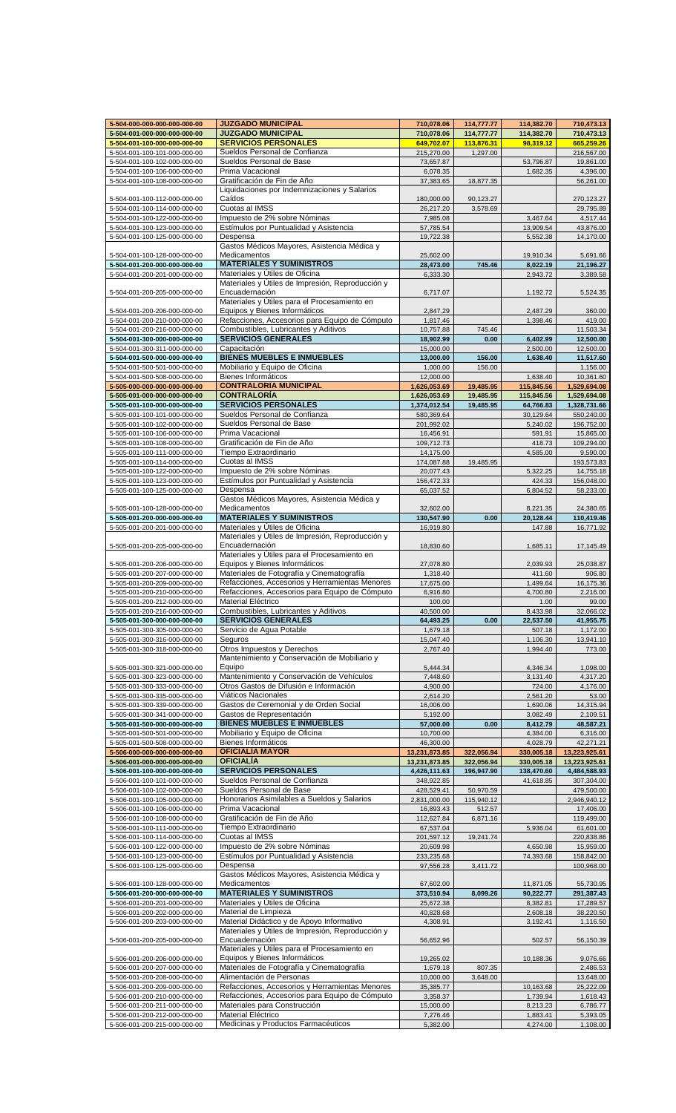| 5-504-000-000-000-000-000-00                                 | <b>JUZGADO MUNICIPAL</b>                                  | 710,078.06            | 114,777.77 | 114,382.70           | 710,473.13           |
|--------------------------------------------------------------|-----------------------------------------------------------|-----------------------|------------|----------------------|----------------------|
| 5-504-001-000-000-000-000-00                                 | <b>JUZGADO MUNICIPAL</b>                                  | 710,078.06            | 114,777.77 | 114,382.70           | 710,473.13           |
| 5-504-001-100-000-000-000-00                                 | <b>SERVICIOS PERSONALES</b>                               | 649,702.07            | 113,876.31 | 98,319.12            | 665,259.26           |
| 5-504-001-100-101-000-000-00                                 | Sueldos Personal de Confianza                             | 215,270.00            | 1,297.00   |                      | 216,567.00           |
| 5-504-001-100-102-000-000-00                                 | Sueldos Personal de Base                                  | 73,657.87             |            | 53,796.87            | 19,861.00            |
| 5-504-001-100-106-000-000-00                                 | Prima Vacacional                                          | 6,078.35              |            | 1,682.35             | 4,396.00             |
| 5-504-001-100-108-000-000-00                                 | Gratificación de Fin de Año                               | 37,383.65             | 18,877.35  |                      | 56,261.00            |
|                                                              | Liquidaciones por Indemnizaciones y Salarios              |                       |            |                      |                      |
|                                                              |                                                           |                       |            |                      |                      |
| 5-504-001-100-112-000-000-00                                 | Caídos                                                    | 180,000.00            | 90,123.27  |                      | 270,123.27           |
| 5-504-001-100-114-000-000-00                                 | Cuotas al IMSS                                            | 26,217.20             | 3,578.69   |                      | 29,795.89            |
| 5-504-001-100-122-000-000-00                                 | Impuesto de 2% sobre Nóminas                              | 7,985.08              |            | 3,467.64             | 4,517.44             |
| 5-504-001-100-123-000-000-00                                 | Estímulos por Puntualidad y Asistencia                    | 57,785.54             |            | 13,909.54            | 43,876.00            |
| 5-504-001-100-125-000-000-00                                 | Despensa                                                  | 19,722.38             |            | 5,552.38             | 14,170.00            |
|                                                              | Gastos Médicos Mayores, Asistencia Médica y               |                       |            |                      |                      |
| 5-504-001-100-128-000-000-00                                 | Medicamentos                                              | 25,602.00             |            | 19,910.34            | 5,691.66             |
| 5-504-001-200-000-000-000-00                                 | <b>MATERIALES Y SUMINISTROS</b>                           | 28,473.00             | 745.46     | 8,022.19             | 21,196.27            |
| 5-504-001-200-201-000-000-00                                 | Materiales y Útiles de Oficina                            | 6,333.30              |            | 2,943.72             | 3,389.58             |
|                                                              | Materiales y Útiles de Impresión, Reproducción y          |                       |            |                      |                      |
| 5-504-001-200-205-000-000-00                                 | Encuadernación                                            |                       |            | 1,192.72             | 5,524.35             |
|                                                              | Materiales y Útiles para el Procesamiento en              | 6,717.07              |            |                      |                      |
|                                                              |                                                           |                       |            |                      |                      |
| 5-504-001-200-206-000-000-00                                 | Equipos y Bienes Informáticos                             | 2,847.29              |            | 2,487.29             | 360.00               |
| 5-504-001-200-210-000-000-00                                 | Refacciones, Accesorios para Equipo de Cómputo            | 1,817.46              |            | 1,398.46             | 419.00               |
| 5-504-001-200-216-000-000-00                                 | Combustibles, Lubricantes y Aditivos                      | 10,757.88             | 745.46     |                      | 11,503.34            |
| 5-504-001-300-000-000-000-00                                 | <b>SERVICIOS GENERALES</b>                                | 18,902.99             | 0.00       | 6,402.99             | 12,500.00            |
| 5-504-001-300-311-000-000-00                                 | Capacitación                                              | 15,000.00             |            | 2,500.00             | 12,500.00            |
| 5-504-001-500-000-000-000-00                                 | <b>BIENES MUEBLES E INMUEBLES</b>                         | 13,000.00             | 156.00     | 1,638.40             | 11,517.60            |
| 5-504-001-500-501-000-000-00                                 | Mobiliario y Equipo de Oficina                            | 1,000.00              | 156.00     |                      | 1,156.00             |
|                                                              | Bienes Informáticos                                       |                       |            |                      |                      |
| 5-504-001-500-508-000-000-00                                 |                                                           | 12,000.00             |            | 1,638.40             | 10,361.60            |
| 5-505-000-000-000-000-000-00                                 | <b>CONTRALORÍA MUNICIPAL</b>                              | 1,626,053.69          | 19,485.95  | 115,845.56           | 1,529,694.08         |
| 5-505-001-000-000-000-000-00                                 | <b>CONTRALORÍA</b>                                        | 1,626,053.69          | 19,485.95  | 115,845.56           | 1,529,694.08         |
| 5-505-001-100-000-000-000-00                                 | <b>SERVICIOS PERSONALES</b>                               | 1,374,012.54          | 19,485.95  | 64,766.83            | 1,328,731.66         |
| 5-505-001-100-101-000-000-00                                 | Sueldos Personal de Confianza                             | 580,369.64            |            | 30,129.64            | 550,240.00           |
| 5-505-001-100-102-000-000-00                                 | Sueldos Personal de Base                                  | 201,992.02            |            | 5,240.02             | 196,752.00           |
| 5-505-001-100-106-000-000-00                                 | Prima Vacacional                                          | 16,456.91             |            | 591.91               | 15,865.00            |
| 5-505-001-100-108-000-000-00                                 | Gratificación de Fin de Año                               | 109,712.73            |            | 418.73               | 109,294.00           |
| 5-505-001-100-111-000-000-00                                 | Tiempo Extraordinario                                     | 14,175.00             |            | 4,585.00             | 9,590.00             |
|                                                              | Cuotas al IMSS                                            |                       |            |                      |                      |
| 5-505-001-100-114-000-000-00                                 |                                                           | 174,087.88            | 19,485.95  |                      | 193,573.83           |
| 5-505-001-100-122-000-000-00                                 | Impuesto de 2% sobre Nóminas                              | 20,077.43             |            | 5,322.25             | 14,755.18            |
| 5-505-001-100-123-000-000-00                                 | Estímulos por Puntualidad y Asistencia                    | 156,472.33            |            | 424.33               | 156,048.00           |
| 5-505-001-100-125-000-000-00                                 | Despensa                                                  | 65,037.52             |            | 6,804.52             | 58,233.00            |
|                                                              | Gastos Médicos Mayores, Asistencia Médica y               |                       |            |                      |                      |
| 5-505-001-100-128-000-000-00                                 | Medicamentos                                              | 32,602.00             |            | 8,221.35             | 24,380.65            |
| 5-505-001-200-000-000-000-00                                 | <b>MATERIALES Y SUMINISTROS</b>                           | 130,547.90            | 0.00       | 20,128.44            | 110,419.46           |
| 5-505-001-200-201-000-000-00                                 | Materiales y Útiles de Oficina                            | 16,919.80             |            | 147.88               | 16,771.92            |
|                                                              | Materiales y Útiles de Impresión, Reproducción y          |                       |            |                      |                      |
| 5-505-001-200-205-000-000-00                                 | Encuadernación                                            | 18,830.60             |            | 1,685.11             | 17,145.49            |
|                                                              | Materiales y Útiles para el Procesamiento en              |                       |            |                      |                      |
|                                                              |                                                           |                       |            |                      |                      |
| 5-505-001-200-206-000-000-00                                 | Equipos y Bienes Informáticos                             | 27,078.80             |            | 2,039.93             | 25,038.87            |
| 5-505-001-200-207-000-000-00                                 | Materiales de Fotografía y Cinematografía                 | 1,318.40              |            | 411.60               | 906.80               |
| 5-505-001-200-209-000-000-00                                 | Refacciones, Accesorios y Herramientas Menores            | 17,675.00             |            | 1,499.64             | 16,175.36            |
| 5-505-001-200-210-000-000-00                                 | Refacciones, Accesorios para Equipo de Cómputo            | 6,916.80              |            | 4,700.80             | 2,216.00             |
| 5-505-001-200-212-000-000-00                                 | Material Eléctrico                                        | 100.00                |            | 1.00                 | 99.00                |
| 5-505-001-200-216-000-000-00                                 | Combustibles, Lubricantes y Aditivos                      | 40.500.00             |            | 8.433.98             | 32.066.02            |
| 5-505-001-300-000-000-000-00                                 | <b>SERVICIOS GENERALES</b>                                | 64,493.25             | 0.00       | 22,537.50            | 41,955.75            |
| 5-505-001-300-305-000-000-00                                 | Servicio de Agua Potable                                  | 1,679.18              |            | 507.18               | 1,172.00             |
| 5-505-001-300-316-000-000-00                                 | Seguros                                                   | 15,047.40             |            | 1,106.30             | 13,941.10            |
| 5-505-001-300-318-000-000-00                                 | Otros Impuestos y Derechos                                | 2,767.40              |            | 1,994.40             | 773.00               |
|                                                              | Mantenimiento y Conservación de Mobiliario y              |                       |            |                      |                      |
|                                                              |                                                           |                       |            |                      |                      |
| 5-505-001-300-321-000-000-00                                 | Equipo                                                    | 5,444.34              |            | 4,346.34             | 1,098.00             |
| 5-505-001-300-323-000-000-00                                 | Mantenimiento y Conservación de Vehículos                 | 7,448.60              |            | 3,131.40             | 4,317.20             |
| 5-505-001-300-333-000-000-00                                 | Otros Gastos de Difusión e Información                    | 4,900.00              |            | 724.00               | 4,176.00             |
| 5-505-001-300-335-000-000-00                                 | Viáticos Nacionales                                       | 2,614.20              |            | 2,561.20             | 53.00                |
| 5-505-001-300-339-000-000-00                                 | Gastos de Ceremonial y de Orden Social                    | 16,006.00             |            | 1,690.06             | 14,315.94            |
| 5-505-001-300-341-000-000-00                                 | Gastos de Representación                                  | 5,192.00              |            | 3,082.49             | 2,109.51             |
| 5-505-001-500-000-000-000-00                                 | <b>BIENES MUEBLES E INMUEBLES</b>                         | 57,000.00             | 0.00       | 8,412.79             | 48,587.21            |
| 5-505-001-500-501-000-000-00                                 | Mobiliario y Equipo de Oficina                            | 10,700.00             |            | 4,384.00             | 6,316.00             |
| 5-505-001-500-508-000-000-00                                 | Bienes Informáticos                                       | 46,300.00             |            | 4,028.79             | 42,271.21            |
| 5-506-000-000-000-000-000-00                                 | <b>OFICIALÍA MAYOR</b>                                    | 13,231,873.85         | 322,056.94 | 330,005.18           | 13,223,925.61        |
|                                                              | <b>OFICIALÍA</b>                                          |                       |            |                      |                      |
| 5-506-001-000-000-000-000-00                                 |                                                           | 13,231,873.85         | 322,056.94 | 330,005.18           | 13,223,925.61        |
| 5-506-001-100-000-000-000-00                                 | <b>SERVICIOS PERSONALES</b>                               | 4,426,111.63          | 196,947.90 | 138,470.60           | 4,484,588.93         |
| 5-506-001-100-101-000-000-00                                 | Sueldos Personal de Confianza                             | 348,922.85            |            | 41,618.85            | 307,304.00           |
| 5-506-001-100-102-000-000-00                                 | Sueldos Personal de Base                                  | 428,529.41            | 50,970.59  |                      | 479,500.00           |
| 5-506-001-100-105-000-000-00                                 | Honorarios Asimilables a Sueldos y Salarios               | 2,831,000.00          | 115,940.12 |                      | 2,946,940.12         |
| 5-506-001-100-106-000-000-00                                 | Prima Vacacional                                          | 16,893.43             | 512.57     |                      | 17,406.00            |
| 5-506-001-100-108-000-000-00                                 | Gratificación de Fin de Año                               | 112,627.84            | 6,871.16   |                      | 119,499.00           |
| 5-506-001-100-111-000-000-00                                 | Tiempo Extraordinario                                     | 67,537.04             |            | 5,936.04             | 61,601.00            |
| 5-506-001-100-114-000-000-00                                 | Cuotas al IMSS                                            | 201,597.12            | 19,241.74  |                      | 220,838.86           |
| 5-506-001-100-122-000-000-00                                 | Impuesto de 2% sobre Nóminas                              | 20,609.98             |            | 4,650.98             | 15,959.00            |
| 5-506-001-100-123-000-000-00                                 | Estímulos por Puntualidad y Asistencia                    | 233,235.68            |            | 74,393.68            | 158,842.00           |
|                                                              |                                                           |                       |            |                      |                      |
| 5-506-001-100-125-000-000-00                                 | Despensa                                                  | 97,556.28             | 3,411.72   |                      | 100,968.00           |
|                                                              | Gastos Médicos Mayores, Asistencia Médica y               |                       |            |                      |                      |
| 5-506-001-100-128-000-000-00                                 | Medicamentos                                              | 67,602.00             |            | 11,871.05            | 55,730.95            |
| 5-506-001-200-000-000-000-00                                 | <b>MATERIALES Y SUMINISTROS</b>                           | 373,510.94            | 8,099.26   | 90,222.77            | 291,387.43           |
| 5-506-001-200-201-000-000-00                                 | Materiales y Útiles de Oficina                            | 25,672.38             |            | 8,382.81             | 17,289.57            |
| 5-506-001-200-202-000-000-00                                 | Material de Limpieza                                      | 40,828.68             |            | 2,608.18             | 38,220.50            |
| 5-506-001-200-203-000-000-00                                 | Material Didáctico y de Apoyo Informativo                 | 4,308.91              |            | 3,192.41             | 1,116.50             |
|                                                              | Materiales y Útiles de Impresión, Reproducción y          |                       |            |                      |                      |
| 5-506-001-200-205-000-000-00                                 | Encuadernación                                            | 56,652.96             |            | 502.57               | 56,150.39            |
|                                                              | Materiales y Útiles para el Procesamiento en              |                       |            |                      |                      |
| 5-506-001-200-206-000-000-00                                 | Equipos y Bienes Informáticos                             | 19,265.02             |            | 10,188.36            | 9,076.66             |
|                                                              | Materiales de Fotografía y Cinematografía                 |                       |            |                      |                      |
| 5-506-001-200-207-000-000-00                                 |                                                           | 1,679.18<br>10,000.00 | 807.35     |                      | 2,486.53             |
| 5-506-001-200-208-000-000-00                                 |                                                           |                       | 3,648.00   |                      | 13,648.00            |
|                                                              | Alimentación de Personas                                  |                       |            |                      |                      |
| 5-506-001-200-209-000-000-00                                 | Refacciones, Accesorios y Herramientas Menores            | 35,385.77             |            | 10,163.68            | 25,222.09            |
| 5-506-001-200-210-000-000-00                                 | Refacciones, Accesorios para Equipo de Cómputo            | 3,358.37              |            | 1,739.94             | 1,618.43             |
| 5-506-001-200-211-000-000-00                                 | Materiales para Construcción                              | 15,000.00             |            | 8,213.23             | 6,786.77             |
| 5-506-001-200-212-000-000-00<br>5-506-001-200-215-000-000-00 | Material Eléctrico<br>Medicinas y Productos Farmacéuticos | 7,276.46<br>5,382.00  |            | 1,883.41<br>4,274.00 | 5,393.05<br>1,108.00 |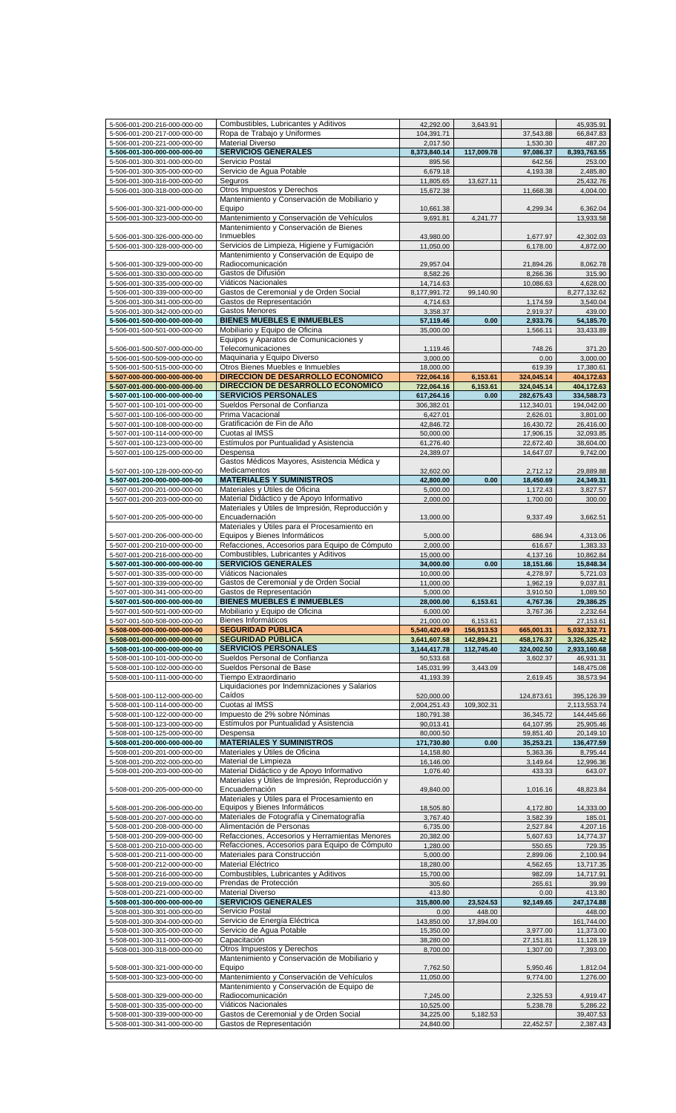|                                                              | Combustibles, Lubricantes y Aditivos                               |                 |            |            |              |
|--------------------------------------------------------------|--------------------------------------------------------------------|-----------------|------------|------------|--------------|
| 5-506-001-200-216-000-000-00                                 |                                                                    | 42,292.00       | 3,643.91   |            | 45,935.91    |
| 5-506-001-200-217-000-000-00                                 | Ropa de Trabajo y Uniformes                                        | 104,391.71      |            | 37,543.88  | 66,847.83    |
| 5-506-001-200-221-000-000-00                                 | <b>Material Diverso</b>                                            | 2,017.50        |            | 1,530.30   | 487.20       |
| 5-506-001-300-000-000-000-00                                 | <b>SERVICIOS GENERALES</b>                                         | 8,373,840.14    | 117,009.78 | 97,086.37  | 8,393,763.55 |
| 5-506-001-300-301-000-000-00                                 | Servicio Postal                                                    | 895.56          |            | 642.56     | 253.00       |
| 5-506-001-300-305-000-000-00                                 | Servicio de Agua Potable                                           | 6,679.18        |            | 4,193.38   | 2,485.80     |
|                                                              | Seguros                                                            |                 | 13,627.11  |            | 25,432.76    |
| 5-506-001-300-316-000-000-00                                 |                                                                    | 11,805.65       |            |            |              |
| 5-506-001-300-318-000-000-00                                 | Otros Impuestos y Derechos                                         | 15,672.38       |            | 11,668.38  | 4,004.00     |
|                                                              | Mantenimiento y Conservación de Mobiliario y                       |                 |            |            |              |
| 5-506-001-300-321-000-000-00                                 | Equipo                                                             | 10,661.38       |            | 4,299.34   | 6,362.04     |
| 5-506-001-300-323-000-000-00                                 | Mantenimiento y Conservación de Vehículos                          | 9,691.81        | 4,241.77   |            | 13,933.58    |
|                                                              | Mantenimiento y Conservación de Bienes                             |                 |            |            |              |
| 5-506-001-300-326-000-000-00                                 | Inmuebles                                                          | 43,980.00       |            | 1,677.97   | 42,302.03    |
|                                                              | Servicios de Limpieza, Higiene y Fumigación                        | 11,050.00       |            | 6,178.00   | 4,872.00     |
| 5-506-001-300-328-000-000-00                                 |                                                                    |                 |            |            |              |
|                                                              | Mantenimiento y Conservación de Equipo de                          |                 |            |            |              |
| 5-506-001-300-329-000-000-00                                 | Radiocomunicación                                                  | 29,957.04       |            | 21,894.26  | 8,062.78     |
| 5-506-001-300-330-000-000-00                                 | Gastos de Difusión                                                 | 8,582.26        |            | 8,266.36   | 315.90       |
| 5-506-001-300-335-000-000-00                                 | Viáticos Nacionales                                                | 14,714.63       |            | 10,086.63  | 4,628.00     |
| 5-506-001-300-339-000-000-00                                 | Gastos de Ceremonial y de Orden Social                             | 8,177,991.72    | 99,140.90  |            | 8,277,132.62 |
|                                                              |                                                                    |                 |            |            |              |
| 5-506-001-300-341-000-000-00                                 | Gastos de Representación                                           | 4,714.63        |            | 1,174.59   | 3,540.04     |
| 5-506-001-300-342-000-000-00                                 | Gastos Menores                                                     | 3,358.37        |            | 2,919.37   | 439.00       |
| 5-506-001-500-000-000-000-00                                 | <b>BIENES MUEBLES E INMUEBLES</b>                                  | 57,119.46       | 0.00       | 2,933.76   | 54,185.70    |
| 5-506-001-500-501-000-000-00                                 | Mobiliario y Equipo de Oficina                                     | 35,000.00       |            | 1,566.11   | 33,433.89    |
|                                                              |                                                                    |                 |            |            |              |
|                                                              | Equipos y Aparatos de Comunicaciones y                             |                 |            |            |              |
| 5-506-001-500-507-000-000-00                                 | Telecomunicaciones                                                 | 1,119.46        |            | 748.26     | 371.20       |
| 5-506-001-500-509-000-000-00                                 | Maquinaria y Equipo Diverso                                        | 3,000.00        |            | 0.00       | 3,000.00     |
| 5-506-001-500-515-000-000-00                                 | Otros Bienes Muebles e Inmuebles                                   | 18,000.00       |            | 619.39     | 17,380.61    |
| 5-507-000-000-000-000-000-00                                 | DIRECCION DE DESARROLLO ECONOMICO                                  | 722,064.16      | 6,153.61   | 324,045.14 | 404,172.63   |
|                                                              |                                                                    |                 |            |            |              |
| 5-507-001-000-000-000-000-00                                 | DIRECCION DE DESARROLLO ECONOMICO                                  | 722,064.16      | 6,153.61   | 324,045.14 | 404,172.63   |
| 5-507-001-100-000-000-000-00                                 | <b>SERVICIOS PERSONALES</b>                                        | 617,264.16      | 0.00       | 282,675.43 | 334,588.73   |
| 5-507-001-100-101-000-000-00                                 | Sueldos Personal de Confianza                                      | 306,382.01      |            | 112,340.01 | 194,042.00   |
| 5-507-001-100-106-000-000-00                                 | Prima Vacacional                                                   | 6,427.01        |            | 2,626.01   | 3,801.00     |
| 5-507-001-100-108-000-000-00                                 | Gratificación de Fin de Año                                        | 42,846.72       |            | 16,430.72  | 26,416.00    |
|                                                              |                                                                    |                 |            |            |              |
| 5-507-001-100-114-000-000-00                                 | Cuotas al IMSS                                                     | 50,000.00       |            | 17,906.15  | 32,093.85    |
| 5-507-001-100-123-000-000-00                                 | Estímulos por Puntualidad y Asistencia                             | 61,276.40       |            | 22,672.40  | 38,604.00    |
| 5-507-001-100-125-000-000-00                                 | Despensa                                                           | 24,389.07       |            | 14,647.07  | 9,742.00     |
|                                                              | Gastos Médicos Mayores, Asistencia Médica y                        |                 |            |            |              |
| 5-507-001-100-128-000-000-00                                 | Medicamentos                                                       | 32,602.00       |            | 2,712.12   | 29,889.88    |
|                                                              |                                                                    |                 |            |            |              |
| 5-507-001-200-000-000-000-00                                 | <b>MATERIALES Y SUMINISTROS</b>                                    | 42,800.00       | 0.00       | 18,450.69  | 24,349.31    |
| 5-507-001-200-201-000-000-00                                 | Materiales y Útiles de Oficina                                     | 5,000.00        |            | 1,172.43   | 3,827.57     |
| 5-507-001-200-203-000-000-00                                 | Material Didáctico y de Apoyo Informativo                          | 2,000.00        |            | 1,700.00   | 300.00       |
|                                                              | Materiales y Útiles de Impresión, Reproducción y                   |                 |            |            |              |
|                                                              | Encuadernación                                                     | 13,000.00       |            | 9,337.49   |              |
| 5-507-001-200-205-000-000-00                                 |                                                                    |                 |            |            | 3,662.51     |
|                                                              | Materiales y Útiles para el Procesamiento en                       |                 |            |            |              |
| 5-507-001-200-206-000-000-00                                 | Equipos y Bienes Informáticos                                      | 5,000.00        |            | 686.94     | 4,313.06     |
| 5-507-001-200-210-000-000-00                                 | Refacciones, Accesorios para Equipo de Cómputo                     | 2,000.00        |            | 616.67     | 1.383.33     |
| 5-507-001-200-216-000-000-00                                 | Combustibles, Lubricantes y Aditivos                               | 15,000.00       |            | 4,137.16   | 10,862.84    |
|                                                              | <b>SERVICIOS GENERALES</b>                                         |                 |            |            |              |
| 5-507-001-300-000-000-000-00                                 |                                                                    | 34,000.00       | 0.00       | 18,151.66  | 15,848.34    |
|                                                              |                                                                    |                 |            |            |              |
| 5-507-001-300-335-000-000-00                                 | Viáticos Nacionales                                                | 10,000.00       |            | 4,278.97   | 5,721.03     |
| 5-507-001-300-339-000-000-00                                 | Gastos de Ceremonial y de Orden Social                             | 11,000.00       |            | 1,962.19   | 9,037.81     |
|                                                              |                                                                    |                 |            |            |              |
| 5-507-001-300-341-000-000-00                                 | Gastos de Representación                                           | 5,000.00        |            | 3,910.50   | 1,089.50     |
| 5-507-001-500-000-000-000-00                                 | <b>BIENES MUEBLES E INMUEBLES</b>                                  | 28,000.00       | 6,153.61   | 4,767.36   | 29,386.25    |
| 5-507-001-500-501-000-000-00                                 | Mobiliario y Equipo de Oficina                                     | 6,000.00        |            | 3,767.36   | 2,232.64     |
| 5-507-001-500-508-000-000-00                                 | Bienes Informáticos                                                | 21,000.00       | 6,153.61   |            | 27,153.61    |
| 5-508-000-000-000-000-000-00                                 | <b>SEGURIDAD PUBLICA</b>                                           | 5,540,420.49    | 156,913.53 | 665,001.31 | 5,032,332.71 |
|                                                              | <b>SEGURIDAD PÚBLICA</b>                                           |                 |            |            |              |
| 5-508-001-000-000-000-000-00                                 |                                                                    | 3,641,607.58    | 142,894.21 | 458,176.37 | 3,326,325.42 |
| 5-508-001-100-000-000-000-00                                 | <b>SERVICIOS PERSONALES</b>                                        | 3, 144, 417. 78 | 112,745.40 | 324,002.50 | 2,933,160.68 |
| 5-508-001-100-101-000-000-00                                 | Sueldos Personal de Confianza                                      | 50,533.68       |            | 3,602.37   | 46,931.31    |
| 5-508-001-100-102-000-000-00                                 | Sueldos Personal de Base                                           | 145,031.99      | 3,443.09   |            | 148,475.08   |
| 5-508-001-100-111-000-000-00                                 | Tiempo Extraordinario                                              | 41,193.39       |            | 2,619.45   | 38,573.94    |
|                                                              |                                                                    |                 |            |            |              |
|                                                              | Liquidaciones por Indemnizaciones y Salarios                       |                 |            |            |              |
| 5-508-001-100-112-000-000-00                                 | Caídos                                                             | 520,000.00      |            | 124,873.61 | 395,126.39   |
| 5-508-001-100-114-000-000-00                                 | Cuotas al IMSS                                                     | 2,004,251.43    | 109,302.31 |            | 2,113,553.74 |
| 5-508-001-100-122-000-000-00                                 | Impuesto de 2% sobre Nóminas                                       | 180,791.38      |            | 36,345.72  | 144,445.66   |
| 5-508-001-100-123-000-000-00                                 | Estímulos por Puntualidad y Asistencia                             | 90,013.41       |            | 64,107.95  | 25,905.46    |
| 5-508-001-100-125-000-000-00                                 | Despensa                                                           | 80,000.50       |            | 59,851.40  | 20,149.10    |
|                                                              | <b>MATERIALES Y SUMINISTROS</b>                                    |                 |            | 35,253.21  |              |
| 5-508-001-200-000-000-000-00                                 |                                                                    | 171,730.80      | 0.00       |            | 136,477.59   |
| 5-508-001-200-201-000-000-00                                 | Materiales y Útiles de Oficina                                     | 14,158.80       |            | 5,363.36   | 8,795.44     |
| 5-508-001-200-202-000-000-00                                 | Material de Limpieza                                               | 16,146.00       |            | 3,149.64   | 12,996.36    |
| 5-508-001-200-203-000-000-00                                 | Material Didáctico y de Apoyo Informativo                          | 1,076.40        |            | 433.33     | 643.07       |
|                                                              | Materiales y Útiles de Impresión, Reproducción y                   |                 |            |            |              |
| 5-508-001-200-205-000-000-00                                 | Encuadernación                                                     | 49,840.00       |            | 1,016.16   | 48,823.84    |
|                                                              |                                                                    |                 |            |            |              |
|                                                              | Materiales y Útiles para el Procesamiento en                       |                 |            |            |              |
| 5-508-001-200-206-000-000-00                                 | Equipos y Bienes Informáticos                                      | 18,505.80       |            | 4,172.80   | 14,333.00    |
| 5-508-001-200-207-000-000-00                                 | Materiales de Fotografía y Cinematografía                          | 3,767.40        |            | 3,582.39   | 185.01       |
| 5-508-001-200-208-000-000-00                                 | Alimentación de Personas                                           | 6,735.00        |            | 2,527.84   | 4,207.16     |
| 5-508-001-200-209-000-000-00                                 | Refacciones, Accesorios y Herramientas Menores                     | 20,382.00       |            | 5,607.63   | 14,774.37    |
|                                                              |                                                                    |                 |            |            |              |
| 5-508-001-200-210-000-000-00                                 | Refacciones, Accesorios para Equipo de Cómputo                     | 1,280.00        |            | 550.65     | 729.35       |
| 5-508-001-200-211-000-000-00                                 | Materiales para Construcción                                       | 5,000.00        |            | 2,899.06   | 2,100.94     |
| 5-508-001-200-212-000-000-00                                 | Material Eléctrico                                                 | 18,280.00       |            | 4,562.65   | 13,717.35    |
| 5-508-001-200-216-000-000-00                                 | Combustibles, Lubricantes y Aditivos                               | 15,700.00       |            | 982.09     | 14,717.91    |
| 5-508-001-200-219-000-000-00                                 | Prendas de Protección                                              | 305.60          |            | 265.61     | 39.99        |
|                                                              |                                                                    |                 |            |            |              |
| 5-508-001-200-221-000-000-00                                 | <b>Material Diverso</b>                                            | 413.80          |            | 0.00       | 413.80       |
| 5-508-001-300-000-000-000-00                                 | <b>SERVICIOS GENERALES</b>                                         | 315,800.00      | 23,524.53  | 92,149.65  | 247,174.88   |
| 5-508-001-300-301-000-000-00                                 | Servicio Postal                                                    | 0.00            | 448.00     |            | 448.00       |
| 5-508-001-300-304-000-000-00                                 | Servicio de Energía Eléctrica                                      | 143,850.00      | 17,894.00  |            | 161,744.00   |
|                                                              |                                                                    |                 |            |            |              |
| 5-508-001-300-305-000-000-00                                 | Servicio de Agua Potable                                           | 15,350.00       |            | 3,977.00   | 11,373.00    |
| 5-508-001-300-311-000-000-00                                 | Capacitación                                                       | 38,280.00       |            | 27,151.81  | 11,128.19    |
| 5-508-001-300-318-000-000-00                                 | Otros Impuestos y Derechos                                         | 8,700.00        |            | 1,307.00   | 7,393.00     |
|                                                              | Mantenimiento y Conservación de Mobiliario y                       |                 |            |            |              |
| 5-508-001-300-321-000-000-00                                 | Equipo                                                             | 7,762.50        |            | 5,950.46   | 1,812.04     |
|                                                              |                                                                    |                 |            |            |              |
| 5-508-001-300-323-000-000-00                                 | Mantenimiento y Conservación de Vehículos                          | 11,050.00       |            | 9,774.00   | 1,276.00     |
|                                                              | Mantenimiento y Conservación de Equipo de                          |                 |            |            |              |
| 5-508-001-300-329-000-000-00                                 | Radiocomunicación                                                  | 7,245.00        |            | 2,325.53   | 4,919.47     |
| 5-508-001-300-335-000-000-00                                 | Viáticos Nacionales                                                | 10,525.00       |            | 5,238.78   | 5,286.22     |
| 5-508-001-300-339-000-000-00<br>5-508-001-300-341-000-000-00 | Gastos de Ceremonial y de Orden Social<br>Gastos de Representación | 34,225.00       | 5,182.53   |            | 39,407.53    |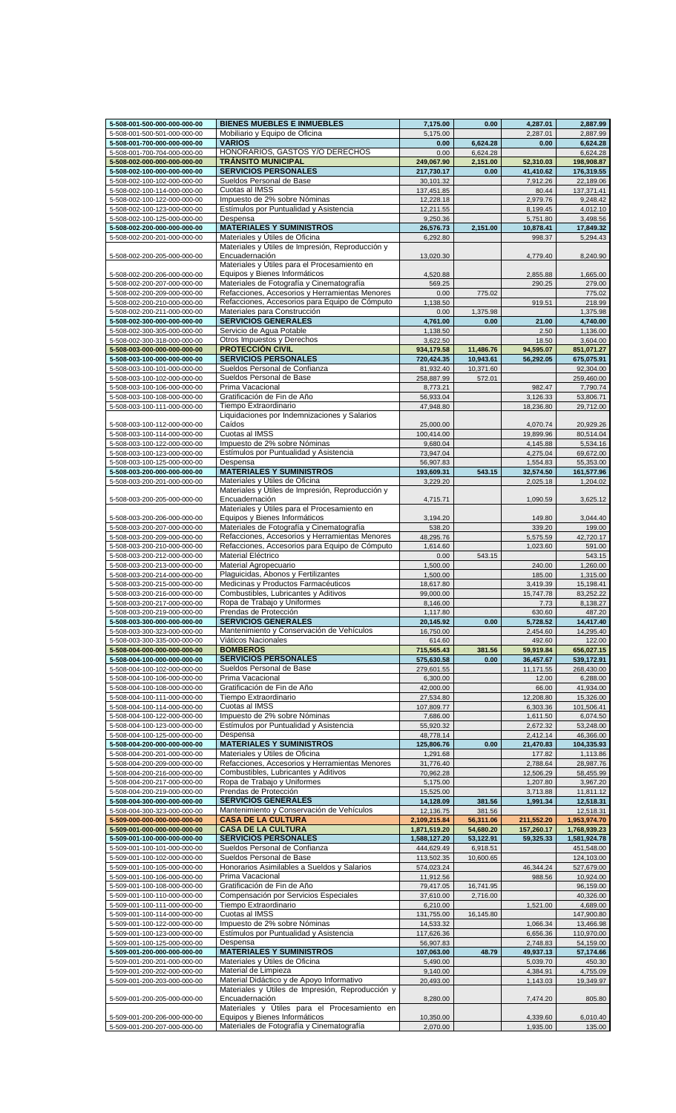| 5-508-001-500-000-000-000-00 | <b>BIENES MUEBLES E INMUEBLES</b>                | 7,175.00     | 0.00      | 4,287.01   | 2,887.99     |
|------------------------------|--------------------------------------------------|--------------|-----------|------------|--------------|
| 5-508-001-500-501-000-000-00 | Mobiliario y Equipo de Oficina                   | 5,175.00     |           | 2,287.01   | 2,887.99     |
|                              | <b>VARIOS</b>                                    | 0.00         |           | 0.00       |              |
| 5-508-001-700-000-000-000-00 |                                                  |              | 6,624.28  |            | 6,624.28     |
| 5-508-001-700-704-000-000-00 | HONORARIOS, GASTOS Y/O DERECHOS                  | 0.00         | 6.624.28  |            | 6,624.28     |
| 5-508-002-000-000-000-000-00 | <b>TRÁNSITO MUNICIPAL</b>                        | 249,067.90   | 2,151.00  | 52,310.03  | 198,908.87   |
| 5-508-002-100-000-000-000-00 | <b>SERVICIOS PERSONALES</b>                      | 217,730.17   | 0.00      | 41,410.62  | 176,319.55   |
| 5-508-002-100-102-000-000-00 | Sueldos Personal de Base                         | 30,101.32    |           | 7,912.26   | 22,189.06    |
| 5-508-002-100-114-000-000-00 | Cuotas al IMSS                                   | 137,451.85   |           | 80.44      | 137,371.41   |
| 5-508-002-100-122-000-000-00 | Impuesto de 2% sobre Nóminas                     | 12,228.18    |           | 2,979.76   | 9,248.42     |
|                              |                                                  |              |           |            |              |
| 5-508-002-100-123-000-000-00 | Estímulos por Puntualidad y Asistencia           | 12,211.55    |           | 8,199.45   | 4,012.10     |
| 5-508-002-100-125-000-000-00 | Despensa                                         | 9,250.36     |           | 5,751.80   | 3,498.56     |
| 5-508-002-200-000-000-000-00 | <b>MATERIALES Y SUMINISTROS</b>                  | 26,576.73    | 2,151.00  | 10,878.41  | 17,849.32    |
| 5-508-002-200-201-000-000-00 | Materiales y Útiles de Oficina                   | 6.292.80     |           | 998.37     | 5,294.43     |
|                              | Materiales y Útiles de Impresión, Reproducción y |              |           |            |              |
| 5-508-002-200-205-000-000-00 | Encuadernación                                   | 13,020.30    |           | 4,779.40   | 8,240.90     |
|                              | Materiales y Útiles para el Procesamiento en     |              |           |            |              |
|                              |                                                  |              |           |            |              |
| 5-508-002-200-206-000-000-00 | Equipos y Bienes Informáticos                    | 4,520.88     |           | 2,855.88   | 1,665.00     |
| 5-508-002-200-207-000-000-00 | Materiales de Fotografía y Cinematografía        | 569.25       |           | 290.25     | 279.00       |
| 5-508-002-200-209-000-000-00 | Refacciones, Accesorios y Herramientas Menores   | 0.00         | 775.02    |            | 775.02       |
| 5-508-002-200-210-000-000-00 | Refacciones, Accesorios para Equipo de Cómputo   | 1,138.50     |           | 919.51     | 218.99       |
| 5-508-002-200-211-000-000-00 | Materiales para Construcción                     | 0.00         | 1,375.98  |            | 1,375.98     |
|                              | <b>SERVICIOS GENERALES</b>                       |              |           |            |              |
| 5-508-002-300-000-000-000-00 |                                                  | 4,761.00     | 0.00      | 21.00      | 4,740.00     |
| 5-508-002-300-305-000-000-00 | Servicio de Agua Potable                         | 1,138.50     |           | 2.50       | 1,136.00     |
| 5-508-002-300-318-000-000-00 | Otros Impuestos y Derechos                       | 3,622.50     |           | 18.50      | 3,604.00     |
| 5-508-003-000-000-000-000-00 | <b>PROTECCIÓN CIVIL</b>                          | 934,179.58   | 11,486.76 | 94,595.07  | 851,071.27   |
| 5-508-003-100-000-000-000-00 | <b>SERVICIOS PERSONALES</b>                      | 720,424.35   | 10,943.61 | 56,292.05  | 675,075.91   |
| 5-508-003-100-101-000-000-00 | Sueldos Personal de Confianza                    | 81,932.40    | 10,371.60 |            | 92,304.00    |
|                              |                                                  |              |           |            |              |
| 5-508-003-100-102-000-000-00 | Sueldos Personal de Base                         | 258,887.99   | 572.01    |            | 259,460.00   |
| 5-508-003-100-106-000-000-00 | Prima Vacacional                                 | 8,773.21     |           | 982.47     | 7,790.74     |
| 5-508-003-100-108-000-000-00 | Gratificación de Fin de Año                      | 56,933.04    |           | 3,126.33   | 53,806.71    |
| 5-508-003-100-111-000-000-00 | Tiempo Extraordinario                            | 47,948.80    |           | 18.236.80  | 29,712.00    |
|                              | Liquidaciones por Indemnizaciones y Salarios     |              |           |            |              |
| 5-508-003-100-112-000-000-00 | Caídos                                           | 25,000.00    |           | 4,070.74   | 20,929.26    |
|                              | Cuotas al IMSS                                   |              |           |            |              |
| 5-508-003-100-114-000-000-00 |                                                  | 100,414.00   |           | 19,899.96  | 80,514.04    |
| 5-508-003-100-122-000-000-00 | Impuesto de 2% sobre Nóminas                     | 9,680.04     |           | 4,145.88   | 5,534.16     |
| 5-508-003-100-123-000-000-00 | Estímulos por Puntualidad y Asistencia           | 73,947.04    |           | 4,275.04   | 69,672.00    |
| 5-508-003-100-125-000-000-00 | Despensa                                         | 56,907.83    |           | 1,554.83   | 55,353.00    |
| 5-508-003-200-000-000-000-00 | <b>MATERIALES Y SUMINISTROS</b>                  | 193,609.31   | 543.15    | 32,574.50  | 161,577.96   |
| 5-508-003-200-201-000-000-00 | Materiales y Útiles de Oficina                   | 3,229.20     |           | 2,025.18   | 1,204.02     |
|                              | Materiales y Útiles de Impresión, Reproducción y |              |           |            |              |
|                              |                                                  |              |           |            |              |
| 5-508-003-200-205-000-000-00 | Encuadernación                                   | 4,715.71     |           | 1,090.59   | 3,625.12     |
|                              | Materiales y Útiles para el Procesamiento en     |              |           |            |              |
| 5-508-003-200-206-000-000-00 | Equipos y Bienes Informáticos                    | 3,194.20     |           | 149.80     | 3,044.40     |
| 5-508-003-200-207-000-000-00 | Materiales de Fotografía y Cinematografía        | 538.20       |           | 339.20     | 199.00       |
| 5-508-003-200-209-000-000-00 | Refacciones, Accesorios y Herramientas Menores   | 48,295.76    |           | 5,575.59   | 42,720.17    |
| 5-508-003-200-210-000-000-00 | Refacciones, Accesorios para Equipo de Cómputo   | 1,614.60     |           | 1,023.60   | 591.00       |
|                              |                                                  |              |           |            |              |
| 5-508-003-200-212-000-000-00 | Material Eléctrico                               | 0.00         | 543.15    |            | 543.15       |
| 5-508-003-200-213-000-000-00 | Material Agropecuario                            | 1,500.00     |           | 240.00     | 1,260.00     |
| 5-508-003-200-214-000-000-00 | Plaguicidas, Abonos y Fertilizantes              | 1,500.00     |           | 185.00     | 1,315.00     |
| 5-508-003-200-215-000-000-00 | Medicinas y Productos Farmacéuticos              | 18,617.80    |           | 3,419.39   | 15,198.41    |
| 5-508-003-200-216-000-000-00 | Combustibles, Lubricantes y Aditivos             | 99,000.00    |           | 15,747.78  | 83,252.22    |
| 5-508-003-200-217-000-000-00 | Ropa de Trabajo y Uniformes                      | 8,146.00     |           | 7.73       | 8,138.27     |
|                              |                                                  |              |           |            |              |
| 5-508-003-200-219-000-000-00 | Prendas de Protección                            | 1,117.80     |           | 630.60     | 487.20       |
| 5-508-003-300-000-000-000-00 | <b>SERVICIOS GENERALES</b>                       | 20,145.92    | 0.00      | 5,728.52   | 14,417.40    |
| 5-508-003-300-323-000-000-00 | Mantenimiento y Conservación de Vehículos        | 16,750.00    |           | 2,454.60   | 14,295.40    |
| 5-508-003-300-335-000-000-00 | Viáticos Nacionales                              | 614.60       |           | 492.60     | 122.00       |
| 5-508-004-000-000-000-000-00 | <b>BOMBEROS</b>                                  | 715,565.43   | 381.56    | 59,919.84  | 656,027.15   |
| 5-508-004-100-000-000-000-00 | <b>SERVICIOS PERSONALES</b>                      | 575,630.58   | 0.00      | 36,457.67  | 539,172.91   |
|                              |                                                  |              |           |            |              |
| 5-508-004-100-102-000-000-00 | Sueldos Personal de Base                         | 279,601.55   |           | 11,171.55  | 268,430.00   |
| 5-508-004-100-106-000-000-00 | Prima Vacacional                                 | 6,300.00     |           | 12.00      | 6,288.00     |
| 5-508-004-100-108-000-000-00 | Gratificación de Fin de Año                      | 42,000.00    |           | 66.00      | 41,934.00    |
| 5-508-004-100-111-000-000-00 | Tiempo Extraordinario                            | 27,534.80    |           | 12,208.80  | 15,326.00    |
| 5-508-004-100-114-000-000-00 | Cuotas al IMSS                                   | 107,809.77   |           | 6,303.36   | 101,506.41   |
| 5-508-004-100-122-000-000-00 | Impuesto de 2% sobre Nóminas                     | 7,686.00     |           | 1,611.50   | 6,074.50     |
|                              |                                                  |              |           |            |              |
| 5-508-004-100-123-000-000-00 | Estímulos por Puntualidad y Asistencia           | 55,920.32    |           | 2,672.32   | 53,248.00    |
| 5-508-004-100-125-000-000-00 | Despensa                                         | 48,778.14    |           | 2,412.14   | 46,366.00    |
| 5-508-004-200-000-000-000-00 | <b>MATERIALES Y SUMINISTROS</b>                  | 125,806.76   | 0.00      | 21,470.83  | 104,335.93   |
| 5-508-004-200-201-000-000-00 | Materiales y Útiles de Oficina                   | 1,291.68     |           | 177.82     | 1,113.86     |
| 5-508-004-200-209-000-000-00 | Refacciones, Accesorios y Herramientas Menores   | 31,776.40    |           | 2,788.64   | 28,987.76    |
| 5-508-004-200-216-000-000-00 | Combustibles, Lubricantes y Aditivos             | 70,962.28    |           | 12,506.29  | 58,455.99    |
| 5-508-004-200-217-000-000-00 | Ropa de Trabajo y Uniformes                      | 5,175.00     |           | 1,207.80   | 3,967.20     |
|                              |                                                  |              |           |            |              |
| 5-508-004-200-219-000-000-00 | Prendas de Protección                            | 15,525.00    |           | 3,713.88   | 11,811.12    |
| 5-508-004-300-000-000-000-00 | <b>SERVICIOS GENERALES</b>                       | 14,128.09    | 381.56    | 1,991.34   | 12,518.31    |
| 5-508-004-300-323-000-000-00 | Mantenimiento y Conservación de Vehículos        | 12,136.75    | 381.56    |            | 12,518.31    |
| 5-509-000-000-000-000-000-00 | <b>CASA DE LA CULTURA</b>                        | 2,109,215.84 | 56,311.06 | 211,552.20 | 1,953,974.70 |
| 5-509-001-000-000-000-000-00 | <b>CASA DE LA CULTURA</b>                        | 1,871,519.20 | 54,680.20 | 157,260.17 | 1,768,939.23 |
| 5-509-001-100-000-000-000-00 | <b>SERVICIOS PERSONALES</b>                      | 1,588,127.20 | 53,122.91 | 59,325.33  | 1,581,924.78 |
|                              |                                                  |              |           |            |              |
| 5-509-001-100-101-000-000-00 | Sueldos Personal de Confianza                    | 444,629.49   | 6,918.51  |            | 451,548.00   |
| 5-509-001-100-102-000-000-00 | Sueldos Personal de Base                         | 113,502.35   | 10,600.65 |            | 124,103.00   |
| 5-509-001-100-105-000-000-00 | Honorarios Asimilables a Sueldos y Salarios      | 574,023.24   |           | 46,344.24  | 527,679.00   |
| 5-509-001-100-106-000-000-00 | Prima Vacacional                                 | 11,912.56    |           | 988.56     | 10,924.00    |
| 5-509-001-100-108-000-000-00 | Gratificación de Fin de Año                      | 79,417.05    | 16,741.95 |            | 96,159.00    |
|                              | Compensación por Servicios Especiales            | 37,610.00    | 2,716.00  |            | 40,326.00    |
| 5-509-001-100-110-000-000-00 |                                                  |              |           |            |              |
| 5-509-001-100-111-000-000-00 | Tiempo Extraordinario                            | 6,210.00     |           | 1,521.00   | 4,689.00     |
| 5-509-001-100-114-000-000-00 | Cuotas al IMSS                                   | 131,755.00   | 16,145.80 |            | 147,900.80   |
| 5-509-001-100-122-000-000-00 | Impuesto de 2% sobre Nóminas                     | 14,533.32    |           | 1,066.34   | 13,466.98    |
| 5-509-001-100-123-000-000-00 | Estímulos por Puntualidad y Asistencia           | 117,626.36   |           | 6,656.36   | 110,970.00   |
| 5-509-001-100-125-000-000-00 | Despensa                                         | 56,907.83    |           | 2,748.83   | 54,159.00    |
|                              | <b>MATERIALES Y SUMINISTROS</b>                  |              |           |            |              |
| 5-509-001-200-000-000-000-00 |                                                  | 107,063.00   | 48.79     | 49,937.13  | 57,174.66    |
| 5-509-001-200-201-000-000-00 | Materiales y Útiles de Oficina                   | 5,490.00     |           | 5,039.70   | 450.30       |
| 5-509-001-200-202-000-000-00 | Material de Limpieza                             | 9,140.00     |           | 4,384.91   | 4,755.09     |
| 5-509-001-200-203-000-000-00 | Material Didáctico y de Apoyo Informativo        | 20,493.00    |           | 1,143.03   | 19,349.97    |
|                              | Materiales y Útiles de Impresión, Reproducción y |              |           |            |              |
| 5-509-001-200-205-000-000-00 | Encuadernación                                   | 8,280.00     |           | 7,474.20   | 805.80       |
|                              | Materiales y Útiles para el Procesamiento en     |              |           |            |              |
|                              | Equipos y Bienes Informáticos                    |              |           |            |              |
| 5-509-001-200-206-000-000-00 |                                                  | 10,350.00    |           | 4,339.60   | 6,010.40     |
| 5-509-001-200-207-000-000-00 | Materiales de Fotografía y Cinematografía        | 2,070.00     |           | 1,935.00   | 135.00       |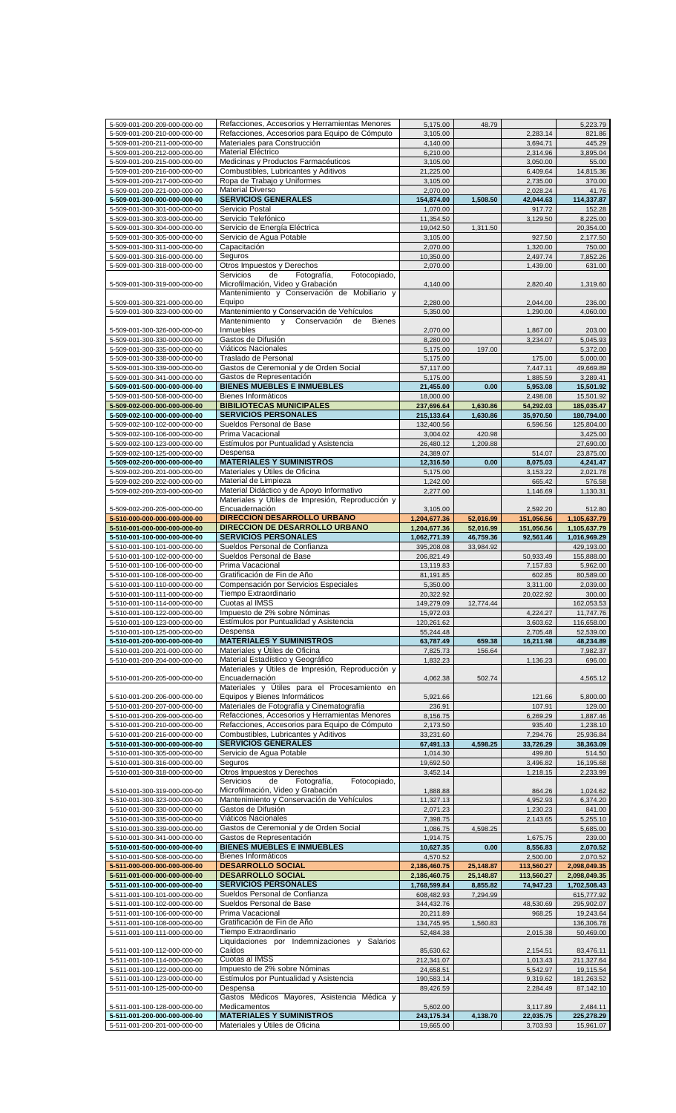|                                                              | Refacciones, Accesorios y Herramientas Menores                     | 5,175.00                 | 48.79     |                        | 5,223.79                 |
|--------------------------------------------------------------|--------------------------------------------------------------------|--------------------------|-----------|------------------------|--------------------------|
| 5-509-001-200-210-000-000-00                                 | Refacciones, Accesorios para Equipo de Cómputo                     | 3,105.00                 |           | 2,283.14               | 821.86                   |
| 5-509-001-200-211-000-000-00                                 | Materiales para Construcción                                       | 4,140.00                 |           | 3,694.71               | 445.29                   |
| 5-509-001-200-212-000-000-00                                 | Material Eléctrico                                                 | 6,210.00                 |           | 2,314.96               | 3,895.04                 |
| 5-509-001-200-215-000-000-00                                 | Medicinas y Productos Farmacéuticos                                | 3,105.00                 |           | 3,050.00               | 55.00                    |
| 5-509-001-200-216-000-000-00                                 | Combustibles, Lubricantes y Aditivos                               | 21,225.00                |           | 6,409.64               | 14,815.36                |
| 5-509-001-200-217-000-000-00                                 | Ropa de Trabajo y Uniformes                                        | 3,105.00                 |           | 2,735.00               | 370.00                   |
| 5-509-001-200-221-000-000-00                                 | <b>Material Diverso</b>                                            | 2,070.00                 |           | 2,028.24               | 41.76                    |
| 5-509-001-300-000-000-000-00                                 | <b>SERVICIOS GENERALES</b>                                         | 154,874.00               | 1,508.50  | 42,044.63              | 114,337.87               |
| 5-509-001-300-301-000-000-00                                 | Servicio Postal                                                    | 1,070.00                 |           | 917.72                 | 152.28                   |
| 5-509-001-300-303-000-000-00                                 | Servicio Telefónico                                                | 11,354.50                |           | 3,129.50               | 8,225.00                 |
| 5-509-001-300-304-000-000-00                                 | Servicio de Energía Eléctrica                                      | 19,042.50                | 1,311.50  |                        | 20,354.00                |
| 5-509-001-300-305-000-000-00                                 | Servicio de Agua Potable                                           | 3,105.00                 |           | 927.50                 | 2,177.50                 |
| 5-509-001-300-311-000-000-00                                 | Capacitación                                                       | 2,070.00                 |           | 1,320.00               | 750.00                   |
| 5-509-001-300-316-000-000-00                                 | Seguros                                                            | 10,350.00                |           | 2,497.74               | 7,852.26                 |
| 5-509-001-300-318-000-000-00                                 | Otros Impuestos y Derechos                                         | 2,070.00                 |           | 1,439.00               | 631.00                   |
|                                                              | de<br>Fotografía,<br>Fotocopiado,<br>Servicios                     |                          |           |                        |                          |
| 5-509-001-300-319-000-000-00                                 | Microfilmación, Video y Grabación                                  | 4,140.00                 |           | 2,820.40               | 1,319.60                 |
|                                                              | Mantenimiento y Conservación de Mobiliario y                       |                          |           |                        |                          |
| 5-509-001-300-321-000-000-00                                 | Equipo                                                             | 2,280.00                 |           | 2,044.00               | 236.00                   |
| 5-509-001-300-323-000-000-00                                 | Mantenimiento y Conservación de Vehículos                          | 5,350.00                 |           | 1,290.00               | 4,060.00                 |
|                                                              | Mantenimiento y Conservación<br>de<br><b>Bienes</b>                |                          |           |                        |                          |
| 5-509-001-300-326-000-000-00                                 | Inmuebles                                                          | 2,070.00                 |           | 1,867.00               | 203.00                   |
| 5-509-001-300-330-000-000-00                                 | Gastos de Difusión                                                 | 8,280.00                 |           | 3,234.07               | 5,045.93                 |
| 5-509-001-300-335-000-000-00                                 | Viáticos Nacionales                                                | 5,175.00                 | 197.00    |                        | 5,372.00                 |
| 5-509-001-300-338-000-000-00                                 | Traslado de Personal                                               | 5,175.00                 |           | 175.00                 | 5,000.00                 |
| 5-509-001-300-339-000-000-00                                 | Gastos de Ceremonial y de Orden Social                             | 57,117.00                |           | 7,447.11               | 49,669.89                |
| 5-509-001-300-341-000-000-00                                 | Gastos de Representación                                           | 5,175.00                 |           | 1,885.59               | 3,289.41                 |
| 5-509-001-500-000-000-000-00                                 | <b>BIENES MUEBLES E INMUEBLES</b>                                  | 21,455.00                | 0.00      | 5,953.08               | 15,501.92                |
| 5-509-001-500-508-000-000-00                                 | Bienes Informáticos                                                | 18,000.00                |           | 2,498.08               | 15,501.92                |
| 5-509-002-000-000-000-000-00                                 | <b>BIBILIOTECAS MUNICIPALES</b>                                    | 237,696.64               | 1,630.86  | 54,292.03              | 185,035.47               |
| 5-509-002-100-000-000-000-00                                 | <b>SERVICIOS PERSONALES</b>                                        | 215,133.64               | 1,630.86  | 35,970.50              | 180,794.00               |
| 5-509-002-100-102-000-000-00                                 | Sueldos Personal de Base                                           | 132,400.56               |           | 6,596.56               | 125,804.00               |
| 5-509-002-100-106-000-000-00                                 | Prima Vacacional                                                   | 3,004.02                 | 420.98    |                        | 3,425.00                 |
| 5-509-002-100-123-000-000-00                                 | Estímulos por Puntualidad y Asistencia                             | 26,480.12                | 1,209.88  |                        | 27,690.00                |
| 5-509-002-100-125-000-000-00                                 | Despensa                                                           | 24,389.07                |           | 514.07                 | 23,875.00                |
| 5-509-002-200-000-000-000-00                                 | <b>MATERIALES Y SUMINISTROS</b><br>Materiales y Útiles de Oficina  | 12,316.50                | 0.00      | 8,075.03               | 4,241.47                 |
| 5-509-002-200-201-000-000-00                                 |                                                                    | 5,175.00                 |           | 3,153.22               | 2,021.78                 |
| 5-509-002-200-202-000-000-00                                 | Material de Limpieza                                               | 1,242.00                 |           | 665.42                 | 576.58                   |
| 5-509-002-200-203-000-000-00                                 | Material Didáctico y de Apoyo Informativo                          | 2,277.00                 |           | 1,146.69               | 1,130.31                 |
|                                                              | Materiales y Útiles de Impresión, Reproducción y<br>Encuadernación |                          |           |                        |                          |
| 5-509-002-200-205-000-000-00<br>5-510-000-000-000-000-000-00 | <b>DIRECCION DESARROLLO URBANO</b>                                 | 3,105.00<br>1,204,677.36 | 52,016.99 | 2,592.20<br>151,056.56 | 512.80<br>1,105,637.79   |
| 5-510-001-000-000-000-000-00                                 | <b>DIRECCION DE DESARROLLO URBANO</b>                              | 1,204,677.36             | 52,016.99 | 151,056.56             | 1,105,637.79             |
| 5-510-001-100-000-000-000-00                                 | <b>SERVICIOS PERSONALES</b>                                        | 1,062,771.39             | 46,759.36 | 92,561.46              | 1,016,969.29             |
| 5-510-001-100-101-000-000-00                                 | Sueldos Personal de Confianza                                      | 395,208.08               | 33,984.92 |                        | 429,193.00               |
| 5-510-001-100-102-000-000-00                                 | Sueldos Personal de Base                                           | 206,821.49               |           | 50,933.49              | 155,888.00               |
| 5-510-001-100-106-000-000-00                                 | Prima Vacacional                                                   | 13,119.83                |           | 7,157.83               | 5,962.00                 |
| 5-510-001-100-108-000-000-00                                 | Gratificación de Fin de Año                                        | 81,191.85                |           | 602.85                 | 80,589.00                |
| 5-510-001-100-110-000-000-00                                 | Compensación por Servicios Especiales                              | 5,350.00                 |           | 3,311.00               | 2,039.00                 |
| 5-510-001-100-111-000-000-00                                 | Tiempo Extraordinario                                              | 20,322.92                |           | 20,022.92              | 300.00                   |
| 5-510-001-100-114-000-000-00                                 | Cuotas al IMSS                                                     | 149,279.09               | 12,774.44 |                        | 162,053.53               |
| 5-510-001-100-122-000-000-00                                 | Impuesto de 2% sobre Nóminas                                       | 15,972.03                |           | 4,224.27               | 11,747.76                |
| 5-510-001-100-123-000-000-00                                 | Estímulos por Puntualidad y Asistencia                             | 120,261.62               |           | 3,603.62               | 116,658.00               |
| 5-510-001-100-125-000-000-00                                 | Despensa                                                           | 55,244.48                |           | 2,705.48               | 52,539.00                |
| 5-510-001-200-000-000-000-00                                 | <b>MATERIALES Y SUMINISTROS</b>                                    | 63,787.49                | 659.38    |                        | 48,234.89                |
|                                                              |                                                                    |                          |           |                        |                          |
|                                                              | Materiales y Útiles de Oficina                                     |                          |           | 16,211.98              | 7,982.37                 |
| 5-510-001-200-201-000-000-00                                 |                                                                    | 7,825.73                 | 156.64    |                        |                          |
| 5-510-001-200-204-000-000-00                                 | Material Estadístico y Geográfico                                  | 1,832.23                 |           | 1,136.23               | 696.00                   |
| 5-510-001-200-205-000-000-00                                 | Materiales y Útiles de Impresión, Reproducción y<br>Encuadernación | 4,062.38                 | 502.74    |                        | 4,565.12                 |
|                                                              | Materiales y Útiles para el Procesamiento en                       |                          |           |                        |                          |
| 5-510-001-200-206-000-000-00                                 | Equipos y Bienes Informáticos                                      | 5,921.66                 |           | 121.66                 | 5,800.00                 |
| 5-510-001-200-207-000-000-00                                 | Materiales de Fotografía y Cinematografía                          | 236.91                   |           | 107.91                 | 129.00                   |
| 5-510-001-200-209-000-000-00                                 | Refacciones, Accesorios y Herramientas Menores                     | 8,156.75                 |           | 6,269.29               | 1,887.46                 |
| 5-510-001-200-210-000-000-00                                 | Refacciones, Accesorios para Equipo de Cómputo                     | 2,173.50                 |           | 935.40                 | 1,238.10                 |
| 5-510-001-200-216-000-000-00                                 | Combustibles, Lubricantes y Aditivos                               | 33,231.60                |           | 7,294.76               | 25,936.84                |
| 5-510-001-300-000-000-000-00                                 | <b>SERVICIOS GENERALES</b>                                         | 67,491.13                | 4,598.25  | 33,726.29              | 38,363.09                |
| 5-510-001-300-305-000-000-00                                 | Servicio de Agua Potable                                           | 1,014.30                 |           | 499.80                 | 514.50                   |
| 5-510-001-300-316-000-000-00                                 | Seguros                                                            | 19,692.50                |           | 3,496.82               | 16,195.68                |
| 5-510-001-300-318-000-000-00                                 | Otros Impuestos y Derechos                                         | 3,452.14                 |           | 1,218.15               | 2,233.99                 |
|                                                              | Servicios<br>Fotografía,<br>Fotocopiado,<br>de                     |                          |           |                        |                          |
| 5-510-001-300-319-000-000-00                                 | Microfilmación, Video y Grabación                                  | 1,888.88                 |           | 864.26                 | 1,024.62                 |
| 5-510-001-300-323-000-000-00                                 | Mantenimiento y Conservación de Vehículos                          | 11,327.13                |           | 4,952.93               | 6,374.20                 |
| 5-510-001-300-330-000-000-00                                 | Gastos de Difusión                                                 | 2,071.23                 |           | 1,230.23               | 841.00                   |
| 5-510-001-300-335-000-000-00                                 | Viáticos Nacionales                                                | 7,398.75                 |           | 2,143.65               | 5,255.10                 |
| 5-510-001-300-339-000-000-00                                 | Gastos de Ceremonial y de Orden Social                             | 1,086.75                 | 4,598.25  |                        | 5,685.00                 |
| 5-510-001-300-341-000-000-00                                 | Gastos de Representación                                           | 1,914.75                 |           | 1,675.75               | 239.00                   |
| 5-510-001-500-000-000-000-00                                 | <b>BIENES MUEBLES E INMUEBLES</b>                                  | 10,627.35                | 0.00      | 8,556.83               | 2,070.52                 |
| 5-510-001-500-508-000-000-00                                 | Bienes Informáticos                                                | 4,570.52                 |           | 2,500.00               | 2,070.52                 |
| 5-511-000-000-000-000-000-00                                 | <b>DESARROLLO SOCIAL</b>                                           | 2,186,460.75             | 25,148.87 | 113,560.27             | 2,098,049.35             |
| 5-511-001-000-000-000-000-00                                 | <b>DESARROLLO SOCIAL</b>                                           | 2,186,460.75             | 25,148.87 | 113,560.27             | 2,098,049.35             |
| 5-511-001-100-000-000-000-00                                 | <b>SERVICIOS PERSONALES</b><br>Sueldos Personal de Confianza       | 1,768,599.84             | 8,855.82  | 74,947.23              | 1,702,508.43             |
| 5-511-001-100-101-000-000-00<br>5-511-001-100-102-000-000-00 | Sueldos Personal de Base                                           | 608,482.93<br>344,432.76 | 7,294.99  | 48,530.69              | 615,777.92<br>295,902.07 |
| 5-511-001-100-106-000-000-00                                 | Prima Vacacional                                                   | 20,211.89                |           | 968.25                 | 19,243.64                |
| 5-511-001-100-108-000-000-00                                 | Gratificación de Fin de Año                                        | 134,745.95               | 1,560.83  |                        | 136,306.78               |
| 5-511-001-100-111-000-000-00                                 | Tiempo Extraordinario                                              | 52,484.38                |           | 2,015.38               | 50,469.00                |
|                                                              | Liquidaciones por Indemnizaciones y Salarios                       |                          |           |                        |                          |
| 5-511-001-100-112-000-000-00                                 | Caídos                                                             | 85,630.62                |           | 2,154.51               | 83,476.11                |
| 5-511-001-100-114-000-000-00                                 | Cuotas al IMSS                                                     | 212,341.07               |           | 1,013.43               | 211,327.64               |
| 5-511-001-100-122-000-000-00                                 | Impuesto de 2% sobre Nóminas                                       | 24,658.51                |           | 5,542.97               | 19,115.54                |
| 5-511-001-100-123-000-000-00                                 | Estímulos por Puntualidad y Asistencia                             | 190,583.14               |           | 9,319.62               | 181,263.52               |
| 5-511-001-100-125-000-000-00                                 | Despensa                                                           | 89,426.59                |           | 2,284.49               | 87,142.10                |
|                                                              | Gastos Médicos Mayores, Asistencia Médica y                        |                          |           |                        |                          |
| 5-511-001-100-128-000-000-00                                 | Medicamentos                                                       | 5,602.00                 |           | 3,117.89               | 2,484.11                 |
| 5-511-001-200-000-000-000-00<br>5-511-001-200-201-000-000-00 | <b>MATERIALES Y SUMINISTROS</b><br>Materiales y Útiles de Oficina  | 243,175.34<br>19,665.00  | 4,138.70  | 22,035.75<br>3,703.93  | 225,278.29<br>15,961.07  |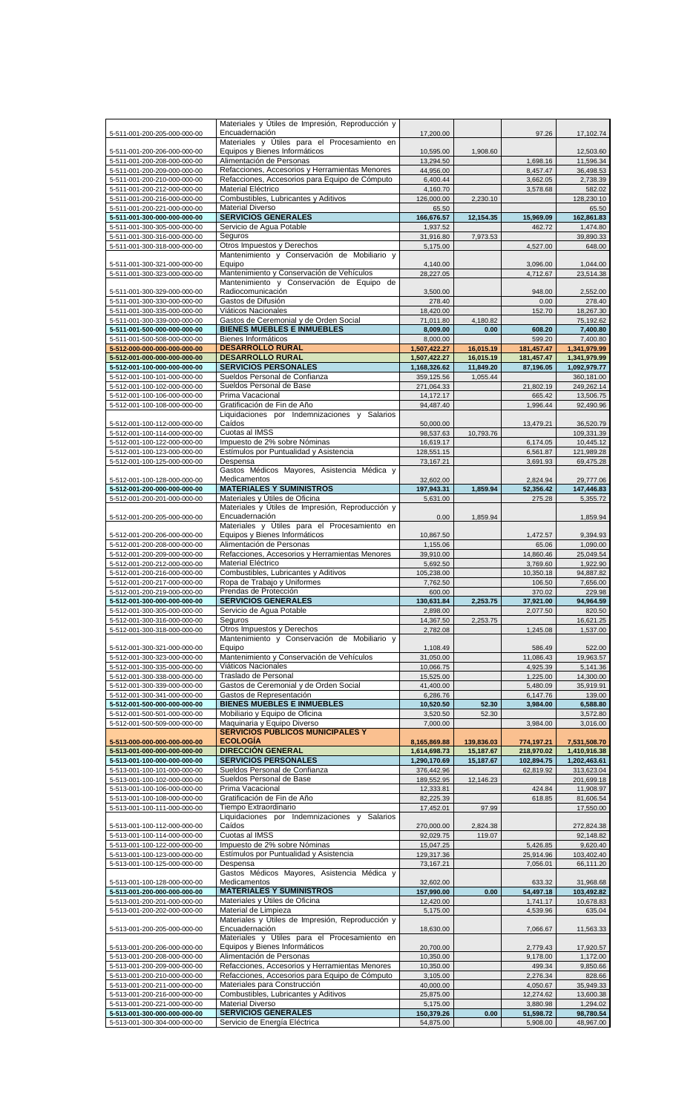|                              | Materiales y Útiles de Impresión, Reproducción y |              |            |            |              |
|------------------------------|--------------------------------------------------|--------------|------------|------------|--------------|
| 5-511-001-200-205-000-000-00 | Encuadernación                                   | 17,200.00    |            | 97.26      | 17,102.74    |
|                              | Materiales y Útiles para el Procesamiento en     |              |            |            |              |
|                              |                                                  |              |            |            |              |
| 5-511-001-200-206-000-000-00 | Equipos y Bienes Informáticos                    | 10,595.00    | 1,908.60   |            | 12,503.60    |
| 5-511-001-200-208-000-000-00 | Alimentación de Personas                         | 13,294.50    |            | 1,698.16   | 11,596.34    |
| 5-511-001-200-209-000-000-00 | Refacciones, Accesorios y Herramientas Menores   | 44,956.00    |            | 8,457.47   | 36,498.53    |
| 5-511-001-200-210-000-000-00 | Refacciones, Accesorios para Equipo de Cómputo   | 6,400.44     |            | 3,662.05   | 2,738.39     |
| 5-511-001-200-212-000-000-00 | Material Eléctrico                               | 4,160.70     |            | 3,578.68   | 582.02       |
| 5-511-001-200-216-000-000-00 | Combustibles, Lubricantes y Aditivos             | 126,000.00   | 2,230.10   |            | 128,230.10   |
| 5-511-001-200-221-000-000-00 | <b>Material Diverso</b>                          | 65.50        |            |            | 65.50        |
|                              |                                                  |              |            |            |              |
| 5-511-001-300-000-000-000-00 | <b>SERVICIOS GENERALES</b>                       | 166,676.57   | 12,154.35  | 15,969.09  | 162,861.83   |
| 5-511-001-300-305-000-000-00 | Servicio de Agua Potable                         | 1.937.52     |            | 462.72     | 1,474.80     |
| 5-511-001-300-316-000-000-00 | Seguros                                          | 31,916.80    | 7,973.53   |            | 39,890.33    |
| 5-511-001-300-318-000-000-00 | Otros Impuestos y Derechos                       | 5,175.00     |            | 4,527.00   | 648.00       |
|                              | Mantenimiento y Conservación de Mobiliario y     |              |            |            |              |
| 5-511-001-300-321-000-000-00 | Equipo                                           | 4,140.00     |            | 3,096.00   | 1,044.00     |
|                              |                                                  |              |            |            |              |
| 5-511-001-300-323-000-000-00 | Mantenimiento y Conservación de Vehículos        | 28,227.05    |            | 4,712.67   | 23,514.38    |
|                              | Mantenimiento y Conservación de Equipo de        |              |            |            |              |
| 5-511-001-300-329-000-000-00 | Radiocomunicación                                | 3,500.00     |            | 948.00     | 2,552.00     |
| 5-511-001-300-330-000-000-00 | Gastos de Difusión                               | 278.40       |            | 0.00       | 278.40       |
| 5-511-001-300-335-000-000-00 | Viáticos Nacionales                              | 18,420.00    |            | 152.70     | 18,267.30    |
| 5-511-001-300-339-000-000-00 | Gastos de Ceremonial y de Orden Social           | 71,011.80    | 4,180.82   |            | 75,192.62    |
|                              | <b>BIENES MUEBLES E INMUEBLES</b>                |              |            |            |              |
| 5-511-001-500-000-000-000-00 |                                                  | 8,009.00     | 0.00       | 608.20     | 7,400.80     |
| 5-511-001-500-508-000-000-00 | Bienes Informáticos                              | 8,000.00     |            | 599.20     | 7,400.80     |
| 5-512-000-000-000-000-000-00 | <b>DESARROLLO RURAL</b>                          | 1,507,422.27 | 16,015.19  | 181,457.47 | 1,341,979.99 |
| 5-512-001-000-000-000-000-00 | <b>DESARROLLO RURAL</b>                          | 1,507,422.27 | 16,015.19  | 181,457.47 | 1,341,979.99 |
| 5-512-001-100-000-000-000-00 | <b>SERVICIOS PERSONALES</b>                      | 1,168,326.62 | 11,849.20  | 87,196.05  | 1,092,979.77 |
| 5-512-001-100-101-000-000-00 | Sueldos Personal de Confianza                    | 359,125.56   | 1,055.44   |            | 360,181.00   |
|                              |                                                  |              |            |            |              |
| 5-512-001-100-102-000-000-00 | Sueldos Personal de Base                         | 271,064.33   |            | 21,802.19  | 249,262.14   |
| 5-512-001-100-106-000-000-00 | Prima Vacacional                                 | 14,172.17    |            | 665.42     | 13,506.75    |
| 5-512-001-100-108-000-000-00 | Gratificación de Fin de Año                      | 94,487.40    |            | 1,996.44   | 92,490.96    |
|                              | Liquidaciones por Indemnizaciones y Salarios     |              |            |            |              |
| 5-512-001-100-112-000-000-00 | Caídos                                           | 50,000.00    |            | 13,479.21  | 36,520.79    |
| 5-512-001-100-114-000-000-00 | Cuotas al IMSS                                   | 98,537.63    | 10,793.76  |            | 109,331.39   |
|                              |                                                  |              |            |            |              |
| 5-512-001-100-122-000-000-00 | Impuesto de 2% sobre Nóminas                     | 16,619.17    |            | 6,174.05   | 10,445.12    |
| 5-512-001-100-123-000-000-00 | Estímulos por Puntualidad y Asistencia           | 128,551.15   |            | 6,561.87   | 121,989.28   |
| 5-512-001-100-125-000-000-00 | Despensa                                         | 73,167.21    |            | 3,691.93   | 69,475.28    |
|                              | Gastos Médicos Mayores, Asistencia Médica y      |              |            |            |              |
| 5-512-001-100-128-000-000-00 | Medicamentos                                     | 32,602.00    |            | 2,824.94   | 29,777.06    |
| 5-512-001-200-000-000-000-00 | <b>MATERIALES Y SUMINISTROS</b>                  | 197,943.31   | 1,859.94   | 52,356.42  | 147,446.83   |
|                              |                                                  |              |            |            |              |
| 5-512-001-200-201-000-000-00 | Materiales y Útiles de Oficina                   | 5,631.00     |            | 275.28     | 5,355.72     |
|                              | Materiales y Útiles de Impresión, Reproducción y |              |            |            |              |
| 5-512-001-200-205-000-000-00 | Encuadernación                                   | 0.00         | 1,859.94   |            | 1,859.94     |
|                              | Materiales y Útiles para el Procesamiento en     |              |            |            |              |
| 5-512-001-200-206-000-000-00 | Equipos y Bienes Informáticos                    | 10,867.50    |            | 1,472.57   | 9,394.93     |
| 5-512-001-200-208-000-000-00 | Alimentación de Personas                         | 1,155.06     |            | 65.06      | 1,090.00     |
| 5-512-001-200-209-000-000-00 | Refacciones, Accesorios y Herramientas Menores   |              |            |            |              |
|                              |                                                  | 39,910.00    |            | 14,860.46  | 25,049.54    |
| 5-512-001-200-212-000-000-00 | Material Eléctrico                               | 5,692.50     |            | 3,769.60   | 1,922.90     |
| 5-512-001-200-216-000-000-00 | Combustibles, Lubricantes y Aditivos             | 105,238.00   |            | 10,350.18  | 94,887.82    |
| 5-512-001-200-217-000-000-00 | Ropa de Trabajo y Uniformes                      | 7,762.50     |            | 106.50     | 7,656.00     |
| 5-512-001-200-219-000-000-00 | Prendas de Protección                            | 600.00       |            | 370.02     | 229.98       |
| 5-512-001-300-000-000-000-00 | <b>SERVICIOS GENERALES</b>                       | 130,631.84   | 2,253.75   | 37,921.00  | 94,964.59    |
| 5-512-001-300-305-000-000-00 | Servicio de Agua Potable                         | 2.898.00     |            | 2.077.50   | 820.50       |
|                              |                                                  |              |            |            |              |
| 5-512-001-300-316-000-000-00 | Seguros                                          | 14,367.50    | 2,253.75   |            | 16,621.25    |
| 5-512-001-300-318-000-000-00 | Otros Impuestos y Derechos                       | 2,782.08     |            | 1,245.08   | 1,537.00     |
|                              | Mantenimiento y Conservación de Mobiliario y     |              |            |            |              |
| 5-512-001-300-321-000-000-00 | Equipo                                           | 1,108.49     |            | 586.49     | 522.00       |
| 5-512-001-300-323-000-000-00 | Mantenimiento y Conservación de Vehículos        | 31,050.00    |            | 11,086.43  | 19,963.57    |
| 5-512-001-300-335-000-000-00 | Viáticos Nacionales                              | 10,066.75    |            | 4,925.39   | 5,141.36     |
|                              |                                                  |              |            |            |              |
| 5-512-001-300-338-000-000-00 | Traslado de Personal                             | 15,525.00    |            | 1,225.00   | 14,300.00    |
| 5-512-001-300-339-000-000-00 | Gastos de Ceremonial y de Orden Social           | 41,400.00    |            | 5,480.09   | 35,919.91    |
| 5-512-001-300-341-000-000-00 | Gastos de Representación                         | 6.286.76     |            | 6,147.76   | 139.00       |
| 5-512-001-500-000-000-000-00 | <b>BIENES MUEBLES E INMUEBLES</b>                | 10,520.50    | 52.30      | 3,984.00   | 6,588.80     |
| 5-512-001-500-501-000-000-00 | Mobiliario y Equipo de Oficina                   | 3,520.50     | 52.30      |            | 3,572.80     |
| 5-512-001-500-509-000-000-00 | Maguinaria y Equipo Diverso                      | 7,000.00     |            | 3,984.00   | 3,016.00     |
|                              | <b>SERVICIOS PÚBLICOS MUNICIPALES Y</b>          |              |            |            |              |
|                              |                                                  |              |            |            |              |
| 5-513-000-000-000-000-000-00 | <b>ECOLOGÍA</b>                                  | 8,165,869.88 | 139,836.03 | 774,197.21 | 7,531,508.70 |
| 5-513-001-000-000-000-000-00 | <b>DIRECCIÓN GENERAL</b>                         | 1,614,698.73 | 15,187.67  | 218,970.02 | 1,410,916.38 |
| 5-513-001-100-000-000-000-00 | <b>SERVICIOS PERSONALES</b>                      | 1,290,170.69 | 15,187.67  | 102,894.75 | 1,202,463.61 |
| 5-513-001-100-101-000-000-00 | Sueldos Personal de Confianza                    | 376,442.96   |            | 62,819.92  | 313,623.04   |
| 5-513-001-100-102-000-000-00 | Sueldos Personal de Base                         | 189,552.95   | 12,146.23  |            | 201,699.18   |
| 5-513-001-100-106-000-000-00 | Prima Vacacional                                 | 12,333.81    |            | 424.84     | 11,908.97    |
|                              | Gratificación de Fin de Año                      |              |            |            |              |
| 5-513-001-100-108-000-000-00 |                                                  | 82,225.39    |            | 618.85     | 81,606.54    |
| 5-513-001-100-111-000-000-00 | Tiempo Extraordinario                            | 17,452.01    | 97.99      |            | 17,550.00    |
|                              | Liquidaciones por Indemnizaciones y Salarios     |              |            |            |              |
| 5-513-001-100-112-000-000-00 | Caídos                                           | 270,000.00   | 2,824.38   |            | 272,824.38   |
| 5-513-001-100-114-000-000-00 | Cuotas al IMSS                                   | 92,029.75    | 119.07     |            | 92,148.82    |
| 5-513-001-100-122-000-000-00 | Impuesto de 2% sobre Nóminas                     | 15,047.25    |            | 5,426.85   | 9,620.40     |
| 5-513-001-100-123-000-000-00 | Estímulos por Puntualidad y Asistencia           | 129,317.36   |            |            | 103,402.40   |
|                              |                                                  |              |            | 25,914.96  |              |
| 5-513-001-100-125-000-000-00 | Despensa                                         | 73,167.21    |            | 7,056.01   | 66,111.20    |
|                              | Gastos Médicos Mayores, Asistencia Médica y      |              |            |            |              |
| 5-513-001-100-128-000-000-00 | Medicamentos                                     | 32,602.00    |            | 633.32     | 31,968.68    |
| 5-513-001-200-000-000-000-00 | <b>MATERIALES Y SUMINISTROS</b>                  | 157,990.00   | 0.00       | 54,497.18  | 103,492.82   |
| 5-513-001-200-201-000-000-00 | Materiales y Útiles de Oficina                   | 12,420.00    |            | 1,741.17   | 10,678.83    |
|                              | Material de Limpieza                             |              |            |            |              |
| 5-513-001-200-202-000-000-00 |                                                  | 5,175.00     |            | 4,539.96   | 635.04       |
|                              | Materiales y Útiles de Impresión, Reproducción y |              |            |            |              |
| 5-513-001-200-205-000-000-00 | Encuadernación                                   | 18,630.00    |            | 7,066.67   | 11,563.33    |
|                              | Materiales y Útiles para el Procesamiento en     |              |            |            |              |
| 5-513-001-200-206-000-000-00 | Equipos y Bienes Informáticos                    | 20,700.00    |            | 2,779.43   | 17,920.57    |
| 5-513-001-200-208-000-000-00 | Alimentación de Personas                         | 10,350.00    |            | 9,178.00   | 1,172.00     |
| 5-513-001-200-209-000-000-00 | Refacciones, Accesorios y Herramientas Menores   | 10,350.00    |            | 499.34     | 9,850.66     |
|                              |                                                  |              |            |            |              |
| 5-513-001-200-210-000-000-00 | Refacciones, Accesorios para Equipo de Cómputo   | 3,105.00     |            | 2,276.34   | 828.66       |
| 5-513-001-200-211-000-000-00 | Materiales para Construcción                     | 40,000.00    |            | 4,050.67   | 35,949.33    |
| 5-513-001-200-216-000-000-00 | Combustibles, Lubricantes y Aditivos             | 25,875.00    |            | 12,274.62  | 13,600.38    |
| 5-513-001-200-221-000-000-00 | <b>Material Diverso</b>                          | 5,175.00     |            | 3,880.98   | 1,294.02     |
| 5-513-001-300-000-000-000-00 | <b>SERVICIOS GENERALES</b>                       | 150,379.26   | 0.00       | 51,598.72  | 98,780.54    |
| 5-513-001-300-304-000-000-00 | Servicio de Energía Eléctrica                    | 54,875.00    |            | 5,908.00   | 48,967.00    |
|                              |                                                  |              |            |            |              |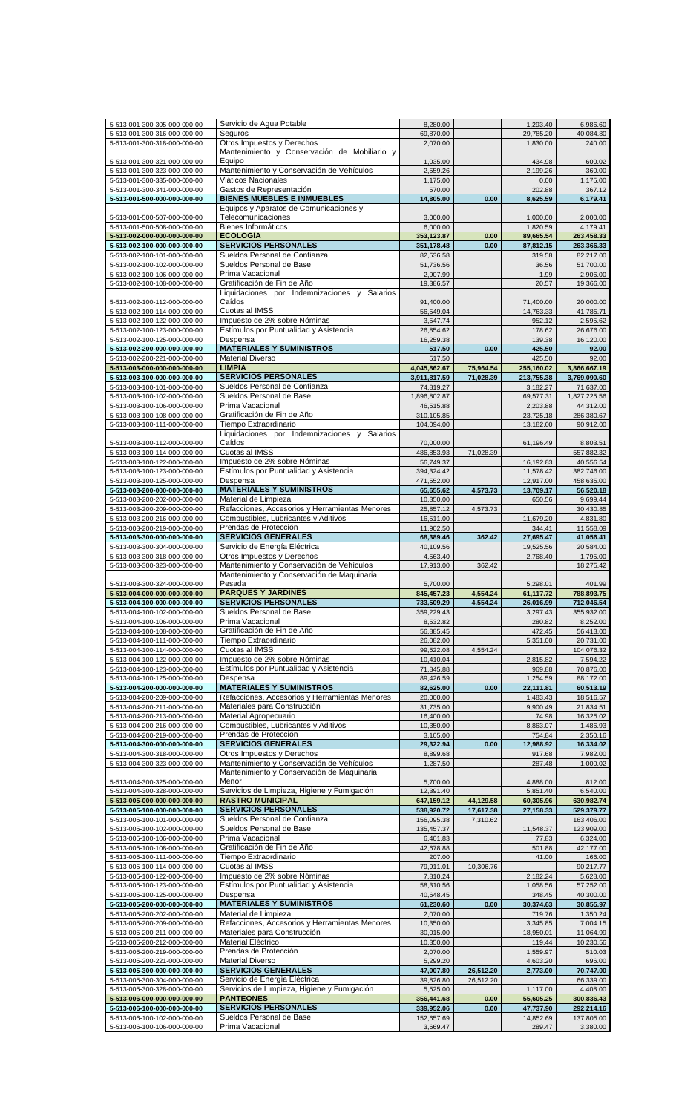| 5-513-001-300-305-000-000-00 | Servicio de Agua Potable                       | 8,280.00               |           | 1,293.40            | 6,986.60               |
|------------------------------|------------------------------------------------|------------------------|-----------|---------------------|------------------------|
| 5-513-001-300-316-000-000-00 | Seguros                                        | 69,870.00              |           | 29,785.20           | 40,084.80              |
| 5-513-001-300-318-000-000-00 | Otros Impuestos y Derechos                     | 2,070.00               |           | 1,830.00            | 240.00                 |
|                              | Mantenimiento y Conservación de Mobiliario y   |                        |           |                     |                        |
|                              | Equipo                                         | 1,035.00               |           |                     | 600.02                 |
| 5-513-001-300-321-000-000-00 | Mantenimiento y Conservación de Vehículos      |                        |           | 434.98              |                        |
| 5-513-001-300-323-000-000-00 |                                                | 2,559.26               |           | 2,199.26            | 360.00                 |
| 5-513-001-300-335-000-000-00 | Viáticos Nacionales                            | 1,175.00               |           | 0.00                | 1,175.00               |
| 5-513-001-300-341-000-000-00 | Gastos de Representación                       | 570.00                 |           | 202.88              | 367.12                 |
| 5-513-001-500-000-000-000-00 | <b>BIENES MUEBLES E INMUEBLES</b>              | 14,805.00              | 0.00      | 8,625.59            | 6,179.41               |
|                              | Equipos y Aparatos de Comunicaciones y         |                        |           |                     |                        |
| 5-513-001-500-507-000-000-00 | Telecomunicaciones                             | 3,000.00               |           | 1,000.00            | 2,000.00               |
| 5-513-001-500-508-000-000-00 | Bienes Informáticos                            | 6,000.00               |           | 1,820.59            | 4,179.41               |
| 5-513-002-000-000-000-000-00 | <b>ECOLOGÍA</b>                                | 353,123.87             | 0.00      | 89,665.54           | 263,458.33             |
| 5-513-002-100-000-000-000-00 | <b>SERVICIOS PERSONALES</b>                    | 351,178.48             | 0.00      | 87,812.15           | 263,366.33             |
| 5-513-002-100-101-000-000-00 | Sueldos Personal de Confianza                  | 82,536.58              |           | 319.58              | 82,217.00              |
| 5-513-002-100-102-000-000-00 | Sueldos Personal de Base                       | 51,736.56              |           | 36.56               | 51,700.00              |
| 5-513-002-100-106-000-000-00 | Prima Vacacional                               | 2,907.99               |           | 1.99                | 2,906.00               |
| 5-513-002-100-108-000-000-00 | Gratificación de Fin de Año                    | 19,386.57              |           | 20.57               | 19,366.00              |
|                              | Liquidaciones por Indemnizaciones y Salarios   |                        |           |                     |                        |
| 5-513-002-100-112-000-000-00 | Caídos                                         | 91,400.00              |           | 71,400.00           | 20,000.00              |
| 5-513-002-100-114-000-000-00 | Cuotas al IMSS                                 | 56,549.04              |           | 14,763.33           | 41,785.71              |
| 5-513-002-100-122-000-000-00 | Impuesto de 2% sobre Nóminas                   | 3,547.74               |           | 952.12              | 2,595.62               |
| 5-513-002-100-123-000-000-00 | Estímulos por Puntualidad y Asistencia         | 26,854.62              |           | 178.62              | 26,676.00              |
| 5-513-002-100-125-000-000-00 | Despensa                                       | 16,259.38              |           | 139.38              | 16,120.00              |
| 5-513-002-200-000-000-000-00 | <b>MATERIALES Y SUMINISTROS</b>                | 517.50                 | 0.00      | 425.50              | 92.00                  |
| 5-513-002-200-221-000-000-00 | <b>Material Diverso</b>                        | 517.50                 |           | 425.50              | 92.00                  |
| 5-513-003-000-000-000-000-00 | <b>LIMPIA</b>                                  | 4,045,862.67           | 75,964.54 | 255,160.02          | 3,866,667.19           |
| 5-513-003-100-000-000-000-00 | <b>SERVICIOS PERSONALES</b>                    | 3,911,817.59           | 71,028.39 | 213,755.38          | 3,769,090.60           |
| 5-513-003-100-101-000-000-00 | Sueldos Personal de Confianza                  | 74,819.27              |           | 3,182.27            | 71,637.00              |
|                              | Sueldos Personal de Base                       |                        |           |                     | 1,827,225.56           |
| 5-513-003-100-102-000-000-00 |                                                | 1,896,802.87           |           | 69,577.31           |                        |
| 5-513-003-100-106-000-000-00 | Prima Vacacional                               | 46,515.88              |           | 2,203.88            | 44,312.00              |
| 5-513-003-100-108-000-000-00 | Gratificación de Fin de Año                    | 310,105.85             |           | 23,725.18           | 286,380.67             |
| 5-513-003-100-111-000-000-00 | Tiempo Extraordinario                          | 104.094.00             |           | 13,182.00           | 90,912.00              |
|                              | Liquidaciones por Indemnizaciones y Salarios   |                        |           |                     |                        |
| 5-513-003-100-112-000-000-00 | Caídos                                         | 70,000.00              |           | 61,196.49           | 8,803.51               |
| 5-513-003-100-114-000-000-00 | Cuotas al IMSS                                 | 486,853.93             | 71,028.39 |                     | 557,882.32             |
| 5-513-003-100-122-000-000-00 | Impuesto de 2% sobre Nóminas                   | 56,749.37              |           | 16,192.83           | 40,556.54              |
| 5-513-003-100-123-000-000-00 | Estímulos por Puntualidad y Asistencia         | 394,324.42             |           | 11,578.42           | 382,746.00             |
| 5-513-003-100-125-000-000-00 | Despensa                                       | 471,552.00             |           | 12,917.00           | 458,635.00             |
| 5-513-003-200-000-000-000-00 | <b>MATERIALES Y SUMINISTROS</b>                | 65,655.62              | 4,573.73  | 13,709.17           | 56,520.18              |
| 5-513-003-200-202-000-000-00 | Material de Limpieza                           | 10,350.00              |           | 650.56              | 9,699.44               |
| 5-513-003-200-209-000-000-00 | Refacciones, Accesorios y Herramientas Menores | 25,857.12              | 4,573.73  |                     | 30,430.85              |
| 5-513-003-200-216-000-000-00 | Combustibles, Lubricantes y Aditivos           | 16,511.00              |           | 11,679.20           | 4,831.80               |
| 5-513-003-200-219-000-000-00 | Prendas de Protección                          | 11,902.50              |           | 344.41              | 11,558.09              |
| 5-513-003-300-000-000-000-00 | <b>SERVICIOS GENERALES</b>                     | 68,389.46              | 362.42    | 27,695.47           | 41,056.41              |
| 5-513-003-300-304-000-000-00 | Servicio de Energía Eléctrica                  | 40,109.56              |           | 19,525.56           | 20,584.00              |
| 5-513-003-300-318-000-000-00 | Otros Impuestos y Derechos                     | 4,563.40               |           | 2,768.40            | 1,795.00               |
| 5-513-003-300-323-000-000-00 | Mantenimiento y Conservación de Vehículos      | 17,913.00              | 362.42    |                     | 18,275.42              |
|                              | Mantenimiento y Conservación de Maquinaria     |                        |           |                     |                        |
| 5-513-003-300-324-000-000-00 | Pesada                                         | 5,700.00               |           | 5,298.01            | 401.99                 |
| 5-513-004-000-000-000-000-00 | <b>PARQUES Y JARDINES</b>                      | 845,457.23             | 4,554.24  | 61,117.72           | 788,893.75             |
| 5-513-004-100-000-000-000-00 | <b>SERVICIOS PERSONALES</b>                    |                        |           | 26,016.99           | 712,046.54             |
|                              |                                                | 733,509.29             | 4,554.24  |                     |                        |
| 5-513-004-100-102-000-000-00 | Sueldos Personal de Base                       | 359,229.43             |           | 3,297.43            | 355,932.00             |
| 5-513-004-100-106-000-000-00 | Prima Vacacional                               | 8,532.82               |           | 280.82              | 8,252.00               |
| 5-513-004-100-108-000-000-00 | Gratificación de Fin de Año                    | 56,885.45              |           | 472.45              | 56,413.00              |
| 5-513-004-100-111-000-000-00 | Tiempo Extraordinario                          | 26,082.00              |           | 5,351.00            | 20,731.00              |
| 5-513-004-100-114-000-000-00 | Cuotas al IMSS                                 | 99,522.08              | 4,554.24  |                     | 104,076.32             |
| 5-513-004-100-122-000-000-00 | Impuesto de 2% sobre Nóminas                   | 10,410.04              |           | 2,815.82            | 7,594.22               |
| 5-513-004-100-123-000-000-00 | Estímulos por Puntualidad y Asistencia         | 71,845.88              |           | 969.88              | 70,876.00              |
| 5-513-004-100-125-000-000-00 | Despensa                                       | 89,426.59              |           | 1,254.59            | 88,172.00              |
| 5-513-004-200-000-000-000-00 | <b>MATERIALES Y SUMINISTROS</b>                | 82,625.00              | 0.00      | 22,111.81           | 60,513.19              |
| 5-513-004-200-209-000-000-00 | Refacciones, Accesorios y Herramientas Menores | 20,000.00              |           | 1,483.43            | 18,516.57              |
| 5-513-004-200-211-000-000-00 | Materiales para Construcción                   | 31,735.00              |           | 9,900.49            | 21,834.51              |
| 5-513-004-200-213-000-000-00 | Material Agropecuario                          | 16,400.00              |           | 74.98               | 16,325.02              |
| 5-513-004-200-216-000-000-00 | Combustibles, Lubricantes y Aditivos           | 10,350.00              |           | 8,863.07            | 1,486.93               |
| 5-513-004-200-219-000-000-00 | Prendas de Protección                          | 3,105.00               |           | 754.84              | 2,350.16               |
| 5-513-004-300-000-000-000-00 | <b>SERVICIOS GENERALES</b>                     | 29,322.94              | 0.00      | 12,988.92           | 16,334.02              |
| 5-513-004-300-318-000-000-00 | Otros Impuestos y Derechos                     | 8.899.68               |           | 917.68              | 7,982.00               |
| 5-513-004-300-323-000-000-00 | Mantenimiento y Conservación de Vehículos      | 1,287.50               |           | 287.48              | 1,000.02               |
|                              | Mantenimiento y Conservación de Maquinaria     |                        |           |                     |                        |
| 5-513-004-300-325-000-000-00 | Menor                                          | 5,700.00               |           | 4,888.00            | 812.00                 |
| 5-513-004-300-328-000-000-00 | Servicios de Limpieza, Higiene y Fumigación    | 12,391.40              |           | 5,851.40            | 6,540.00               |
| 5-513-005-000-000-000-000-00 | <b>RASTRO MUNICIPAL</b>                        |                        |           |                     |                        |
|                              | <b>SERVICIOS PERSONALES</b>                    | 647,159.12             | 44,129.58 | 60,305.96           | 630,982.74             |
| 5-513-005-100-000-000-000-00 |                                                | 538,920.72             | 17,617.38 | 27,158.33           | 529,379.77             |
| 5-513-005-100-101-000-000-00 | Sueldos Personal de Confianza                  | 156,095.38             | 7,310.62  |                     | 163,406.00             |
| 5-513-005-100-102-000-000-00 | Sueldos Personal de Base                       | 135,457.37             |           | 11,548.37           | 123,909.00             |
| 5-513-005-100-106-000-000-00 | Prima Vacacional                               | 6,401.83               |           | 77.83               | 6,324.00               |
| 5-513-005-100-108-000-000-00 | Gratificación de Fin de Año                    | 42,678.88              |           | 501.88              | 42,177.00              |
| 5-513-005-100-111-000-000-00 | Tiempo Extraordinario                          | 207.00                 |           | 41.00               | 166.00                 |
| 5-513-005-100-114-000-000-00 | Cuotas al IMSS                                 | 79,911.01              | 10,306.76 |                     | 90,217.77              |
| 5-513-005-100-122-000-000-00 | Impuesto de 2% sobre Nóminas                   | 7,810.24               |           | 2,182.24            | 5,628.00               |
| 5-513-005-100-123-000-000-00 | Estímulos por Puntualidad y Asistencia         | 58,310.56              |           | 1,058.56            | 57,252.00              |
| 5-513-005-100-125-000-000-00 | Despensa                                       | 40,648.45              |           | 348.45              | 40,300.00              |
| 5-513-005-200-000-000-000-00 | <b>MATERIALES Y SUMINISTROS</b>                | 61,230.60              | 0.00      | 30,374.63           | 30,855.97              |
| 5-513-005-200-202-000-000-00 | Material de Limpieza                           | 2,070.00               |           | 719.76              | 1,350.24               |
| 5-513-005-200-209-000-000-00 | Refacciones, Accesorios y Herramientas Menores | 10,350.00              |           | 3,345.85            | 7,004.15               |
| 5-513-005-200-211-000-000-00 | Materiales para Construcción                   | 30,015.00              |           | 18,950.01           | 11,064.99              |
| 5-513-005-200-212-000-000-00 | Material Eléctrico                             | 10,350.00              |           | 119.44              | 10,230.56              |
| 5-513-005-200-219-000-000-00 | Prendas de Protección                          | 2,070.00               |           | 1,559.97            | 510.03                 |
| 5-513-005-200-221-000-000-00 | <b>Material Diverso</b>                        | 5,299.20               |           | 4,603.20            | 696.00                 |
| 5-513-005-300-000-000-000-00 | <b>SERVICIOS GENERALES</b>                     | 47,007.80              | 26,512.20 | 2,773.00            | 70,747.00              |
| 5-513-005-300-304-000-000-00 | Servicio de Energía Eléctrica                  | 39,826.80              | 26,512.20 |                     | 66,339.00              |
| 5-513-005-300-328-000-000-00 | Servicios de Limpieza, Higiene y Fumigación    | 5,525.00               |           | 1,117.00            | 4,408.00               |
| 5-513-006-000-000-000-000-00 | <b>PANTEONES</b>                               | 356,441.68             | 0.00      | 55,605.25           | 300,836.43             |
| 5-513-006-100-000-000-000-00 | <b>SERVICIOS PERSONALES</b>                    |                        | 0.00      | 47,737.90           | 292,214.16             |
|                              |                                                | 339,952.06             |           |                     |                        |
| 5-513-006-100-102-000-000-00 | Sueldos Personal de Base<br>Prima Vacacional   | 152,657.69<br>3,669.47 |           | 14,852.69<br>289.47 | 137,805.00<br>3,380.00 |
| 5-513-006-100-106-000-000-00 |                                                |                        |           |                     |                        |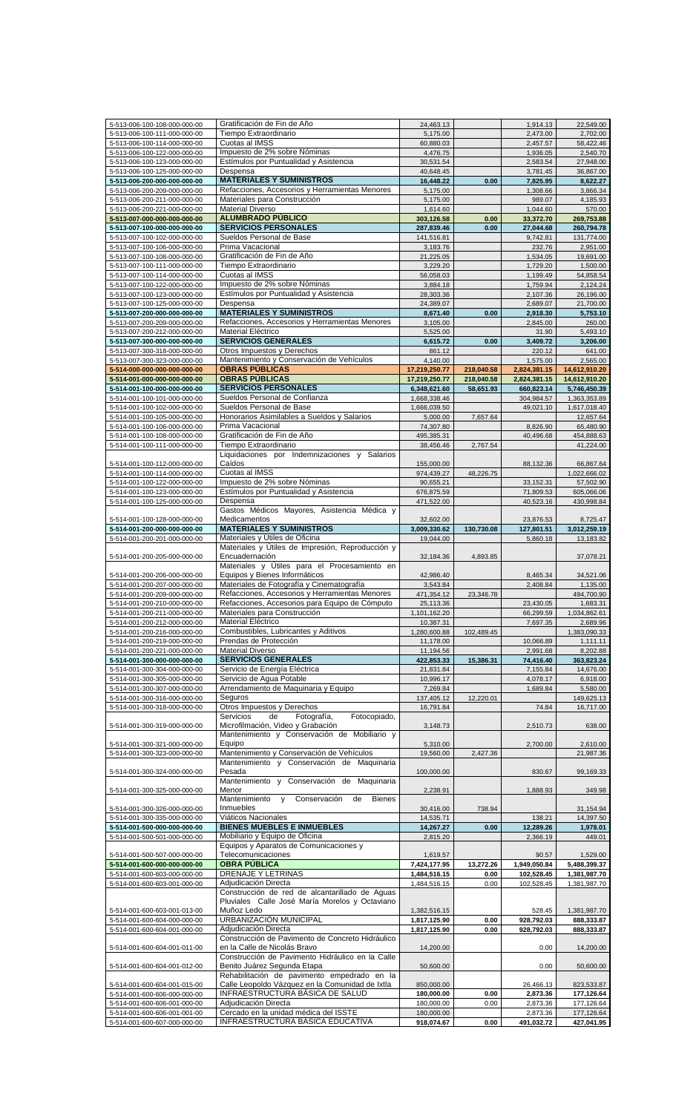| 5-513-006-100-108-000-000-00                                 | Gratificación de Fin de Año                                               | 24,463.13                |            | 1,914.13               | 22,549.00                |
|--------------------------------------------------------------|---------------------------------------------------------------------------|--------------------------|------------|------------------------|--------------------------|
| 5-513-006-100-111-000-000-00                                 | Tiempo Extraordinario                                                     | 5,175.00                 |            | 2,473.00               | 2,702.00                 |
| 5-513-006-100-114-000-000-00                                 | Cuotas al IMSS                                                            | 60,880.03                |            | 2,457.57               | 58,422.46                |
|                                                              | Impuesto de 2% sobre Nóminas                                              | 4,476.75                 |            | 1,936.05               | 2,540.70                 |
| 5-513-006-100-122-000-000-00                                 |                                                                           |                          |            |                        |                          |
| 5-513-006-100-123-000-000-00                                 | Estímulos por Puntualidad y Asistencia                                    | 30,531.54                |            | 2,583.54               | 27,948.00                |
| 5-513-006-100-125-000-000-00                                 | Despensa                                                                  | 40,648.45                |            | 3,781.45               | 36,867.00                |
| 5-513-006-200-000-000-000-00                                 | <b>MATERIALES Y SUMINISTROS</b>                                           | 16,448.22                | 0.00       | 7,825.95               | 8,622.27                 |
| 5-513-006-200-209-000-000-00                                 | Refacciones, Accesorios y Herramientas Menores                            | 5,175.00                 |            | 1,308.66               | 3,866.34                 |
|                                                              |                                                                           |                          |            |                        |                          |
| 5-513-006-200-211-000-000-00                                 | Materiales para Construcción                                              | 5,175.00                 |            | 989.07                 | 4,185.93                 |
| 5-513-006-200-221-000-000-00                                 | <b>Material Diverso</b>                                                   | 1,614.60                 |            | 1,044.60               | 570.00                   |
| 5-513-007-000-000-000-000-00                                 | <b>ALUMBRADO PÚBLICO</b>                                                  | 303,126.58               | 0.00       | 33,372.70              | 269,753.88               |
| 5-513-007-100-000-000-000-00                                 | <b>SERVICIOS PERSONALES</b>                                               | 287,839.46               | 0.00       | 27,044.68              | 260,794.78               |
| 5-513-007-100-102-000-000-00                                 | Sueldos Personal de Base                                                  | 141,516.81               |            | 9,742.81               | 131,774.00               |
|                                                              |                                                                           |                          |            |                        |                          |
| 5-513-007-100-106-000-000-00                                 | Prima Vacacional                                                          | 3,183.76                 |            | 232.76                 | 2,951.00                 |
| 5-513-007-100-108-000-000-00                                 | Gratificación de Fin de Año                                               | 21,225.05                |            | 1,534.05               | 19,691.00                |
| 5-513-007-100-111-000-000-00                                 | Tiempo Extraordinario                                                     | 3,229.20                 |            | 1,729.20               | 1,500.00                 |
| 5-513-007-100-114-000-000-00                                 | Cuotas al IMSS                                                            | 56,058.03                |            | 1,199.49               | 54,858.54                |
|                                                              | Impuesto de 2% sobre Nóminas                                              |                          |            |                        |                          |
| 5-513-007-100-122-000-000-00                                 |                                                                           | 3,884.18                 |            | 1,759.94               | 2,124.24                 |
| 5-513-007-100-123-000-000-00                                 | Estímulos por Puntualidad y Asistencia                                    | 28,303.36                |            | 2,107.36               | 26,196.00                |
| 5-513-007-100-125-000-000-00                                 | Despensa                                                                  | 24,389.07                |            | 2,689.07               | 21,700.00                |
| 5-513-007-200-000-000-000-00                                 | <b>MATERIALES Y SUMINISTROS</b>                                           | 8,671.40                 | 0.00       | 2,918.30               | 5,753.10                 |
| 5-513-007-200-209-000-000-00                                 | Refacciones, Accesorios y Herramientas Menores                            | 3,105.00                 |            | 2,845.00               | 260.00                   |
|                                                              | Material Eléctrico                                                        |                          |            |                        |                          |
| 5-513-007-200-212-000-000-00                                 |                                                                           | 5,525.00                 |            | 31.90                  | 5,493.10                 |
| 5-513-007-300-000-000-000-00                                 | <b>SERVICIOS GENERALES</b>                                                | 6,615.72                 | 0.00       | 3,409.72               | 3,206.00                 |
| 5-513-007-300-318-000-000-00                                 | Otros Impuestos y Derechos                                                | 861.12                   |            | 220.12                 | 641.00                   |
| 5-513-007-300-323-000-000-00                                 | Mantenimiento y Conservación de Vehículos                                 | 4,140.00                 |            | 1,575.00               | 2,565.00                 |
| 5-514-000-000-000-000-000-00                                 | <b>OBRAS PÚBLICAS</b>                                                     | 17,219,250.77            | 218,040.58 | 2,824,381.15           | 14,612,910.20            |
|                                                              |                                                                           |                          |            |                        |                          |
| 5-514-001-000-000-000-000-00                                 | <b>OBRAS PÚBLICAS</b>                                                     | 17,219,250.77            | 218,040.58 | 2,824,381.15           | 14,612,910.20            |
| 5-514-001-100-000-000-000-00                                 | <b>SERVICIOS PERSONALES</b>                                               | 6,348,621.60             | 58,651.93  | 660,823.14             | 5,746,450.39             |
| 5-514-001-100-101-000-000-00                                 | Sueldos Personal de Confianza                                             | 1,668,338.46             |            | 304,984.57             | 1,363,353.89             |
| 5-514-001-100-102-000-000-00                                 | Sueldos Personal de Base                                                  | 1,666,039.50             |            | 49,021.10              | 1,617,018.40             |
| 5-514-001-100-105-000-000-00                                 | Honorarios Asimilables a Sueldos y Salarios                               | 5,000.00                 | 7,657.64   |                        | 12,657.64                |
|                                                              |                                                                           |                          |            |                        |                          |
| 5-514-001-100-106-000-000-00                                 | Prima Vacacional                                                          | 74,307.80                |            | 8,826.90               | 65,480.90                |
| 5-514-001-100-108-000-000-00                                 | Gratificación de Fin de Año                                               | 495,385.31               |            | 40,496.68              | 454,888.63               |
| 5-514-001-100-111-000-000-00                                 | Tiempo Extraordinario                                                     | 38,456.46                | 2,767.54   |                        | 41,224.00                |
|                                                              | Liquidaciones por Indemnizaciones y Salarios                              |                          |            |                        |                          |
| 5-514-001-100-112-000-000-00                                 | Caídos                                                                    | 155,000.00               |            | 88,132.36              | 66,867.64                |
|                                                              |                                                                           |                          |            |                        |                          |
| 5-514-001-100-114-000-000-00                                 | Cuotas al IMSS                                                            | 974,439.27               | 48,226.75  |                        | 1,022,666.02             |
| 5-514-001-100-122-000-000-00                                 | Impuesto de 2% sobre Nóminas                                              | 90,655.21                |            | 33,152.31              | 57,502.90                |
| 5-514-001-100-123-000-000-00                                 | Estímulos por Puntualidad y Asistencia                                    | 676,875.59               |            | 71,809.53              | 605,066.06               |
| 5-514-001-100-125-000-000-00                                 | Despensa                                                                  | 471,522.00               |            | 40,523.16              | 430,998.84               |
|                                                              | Gastos Médicos Mayores, Asistencia Médica y                               |                          |            |                        |                          |
|                                                              |                                                                           |                          |            |                        |                          |
| 5-514-001-100-128-000-000-00                                 | Medicamentos                                                              | 32,602.00                |            | 23,876.53              | 8,725.47                 |
| 5-514-001-200-000-000-000-00                                 | <b>MATERIALES Y SUMINISTROS</b>                                           | 3,009,330.62             | 130,730.08 | 127,801.51             | 3,012,259.19             |
| 5-514-001-200-201-000-000-00                                 | Materiales y Útiles de Oficina                                            | 19,044.00                |            | 5,860.18               | 13,183.82                |
|                                                              | Materiales y Útiles de Impresión, Reproducción y                          |                          |            |                        |                          |
| 5-514-001-200-205-000-000-00                                 | Encuadernación                                                            | 32,184.36                | 4,893.85   |                        | 37,078.21                |
|                                                              | Materiales y Útiles para el Procesamiento en                              |                          |            |                        |                          |
|                                                              |                                                                           |                          |            |                        |                          |
| 5-514-001-200-206-000-000-00                                 | Equipos y Bienes Informáticos                                             | 42,986.40                |            | 8,465.34               | 34,521.06                |
| 5-514-001-200-207-000-000-00                                 | Materiales de Fotografía y Cinematografía                                 | 3,543.84                 |            | 2,408.84               | 1,135.00                 |
| 5-514-001-200-209-000-000-00                                 | Refacciones, Accesorios y Herramientas Menores                            | 471,354.12               | 23,346.78  |                        | 494,700.90               |
| 5-514-001-200-210-000-000-00                                 | Refacciones, Accesorios para Equipo de Cómputo                            | 25,113.36                |            | 23,430.05              | 1,683.31                 |
|                                                              |                                                                           |                          |            |                        |                          |
| 5-514-001-200-211-000-000-00                                 | Materiales para Construccion                                              | 1,101,162.20             |            | 66,299.59              | 1,034,862.61             |
| 5-514-001-200-212-000-000-00                                 | Material Eléctrico                                                        | 10,387.31                |            | 7,697.35               | 2,689.96                 |
| 5-514-001-200-216-000-000-00                                 | Combustibles, Lubricantes y Aditivos                                      | 1,280,600.88             | 102,489.45 |                        | 1,383,090.33             |
| 5-514-001-200-219-000-000-00                                 | Prendas de Protección                                                     | 11,178.00                |            | 10,066.89              | 1,111.11                 |
| 5-514-001-200-221-000-000-00                                 | <b>Material Diverso</b>                                                   | 11,194.56                |            | 2,991.68               | 8,202.88                 |
|                                                              |                                                                           |                          |            |                        |                          |
| 5-514-001-300-000-000-000-00                                 | <b>SERVICIOS GENERALES</b>                                                | 422,853.33               | 15,386.31  | 74,416.40              | 363,823.24               |
| 5-514-001-300-304-000-000-00                                 | Servicio de Energía Eléctrica                                             | 21,831.84                |            | 7,155.84               | 14,676.00                |
| 5-514-001-300-305-000-000-00                                 | Servicio de Aqua Potable                                                  | 10,996.17                |            | 4,078.17               | 6,918.00                 |
| 5-514-001-300-307-000-000-00                                 | Arrendamiento de Maquinaria y Equipo                                      | 7,269.84                 |            | 1,689.84               | 5,580.00                 |
| 5-514-001-300-316-000-000-00                                 | Seguros                                                                   | 137,405.12               | 12,220.01  |                        | 149,625.13               |
|                                                              |                                                                           |                          |            |                        |                          |
| 5-514-001-300-318-000-000-00                                 | Otros Impuestos y Derechos                                                | 16,791.84                |            | 74.84                  | 16,717.00                |
|                                                              | Servicios<br>Fotografía,<br>Fotocopiado,<br>de                            |                          |            |                        |                          |
| 5-514-001-300-319-000-000-00                                 | Microfilmación, Video y Grabación                                         | 3,148.73                 |            | 2,510.73               | 638.00                   |
|                                                              | Mantenimiento y Conservación de Mobiliario y                              |                          |            |                        |                          |
| 5-514-001-300-321-000-000-00                                 | Equipo                                                                    | 5,310.00                 |            | 2,700.00               | 2,610.00                 |
| 5-514-001-300-323-000-000-00                                 | Mantenimiento y Conservación de Vehículos                                 | 19,560.00                | 2,427.36   |                        | 21,987.36                |
|                                                              | Mantenimiento y Conservación de Maquinaria                                |                          |            |                        |                          |
|                                                              |                                                                           |                          |            |                        |                          |
| 5-514-001-300-324-000-000-00                                 | Pesada                                                                    | 100,000.00               |            | 830.67                 | 99,169.33                |
|                                                              | Mantenimiento y Conservación de<br>Maquinaria                             |                          |            |                        |                          |
| 5-514-001-300-325-000-000-00                                 | Menor                                                                     | 2,238.91                 |            | 1,888.93               | 349.98                   |
|                                                              | Mantenimiento<br><b>Bienes</b><br>$\mathsf{v}$<br>Conservación<br>de      |                          |            |                        |                          |
| 5-514-001-300-326-000-000-00                                 | Inmuebles                                                                 | 30,416.00                | 738.94     |                        | 31,154.94                |
| 5-514-001-300-335-000-000-00                                 | Viáticos Nacionales                                                       | 14,535.71                |            | 138.21                 | 14,397.50                |
|                                                              |                                                                           |                          |            |                        |                          |
| 5-514-001-500-000-000-000-00                                 | <b>BIENES MUEBLES E INMUEBLES</b>                                         | 14,267.27                | 0.00       | 12,289.26              | 1,978.01                 |
| 5-514-001-500-501-000-000-00                                 | Mobiliario y Equipo de Oficina                                            | 2,815.20                 |            | 2,366.19               | 449.01                   |
|                                                              | Equipos y Aparatos de Comunicaciones y                                    |                          |            |                        |                          |
| 5-514-001-500-507-000-000-00                                 | Telecomunicaciones                                                        | 1,619.57                 |            | 90.57                  | 1,529.00                 |
| 5-514-001-600-000-000-000-00                                 | OBRA PÚBLICA                                                              | 7,424,177.95             | 13,272.26  | 1,949,050.84           | 5,488,399.37             |
| 5-514-001-600-603-000-000-00                                 | <b>DRENAJE Y LETRINAS</b>                                                 | 1,484,516.15             | 0.00       | 102,528.45             | 1,381,987.70             |
|                                                              |                                                                           |                          |            |                        |                          |
| 5-514-001-600-603-001-000-00                                 | Adjudicación Directa                                                      | 1,484,516.15             | 0.00       | 102,528.45             | 1,381,987.70             |
|                                                              | Construcción de red de alcantarillado de Aguas                            |                          |            |                        |                          |
|                                                              | Pluviales Calle José María Morelos y Octaviano                            |                          |            |                        |                          |
| 5-514-001-600-603-001-013-00                                 | Muñoz Ledo                                                                | 1,382,516.15             |            | 528.45                 | 1,381,987.70             |
| 5-514-001-600-604-000-000-00                                 | URBANIZACIÓN MUNICIPAL                                                    | 1,817,125.90             | 0.00       | 928,792.03             | 888,333.87               |
| 5-514-001-600-604-001-000-00                                 | Adjudicación Directa                                                      | 1,817,125.90             | 0.00       | 928,792.03             | 888,333.87               |
|                                                              | Construcción de Pavimento de Concreto Hidráulico                          |                          |            |                        |                          |
|                                                              | en la Calle de Nicolás Bravo                                              |                          |            |                        |                          |
| 5-514-001-600-604-001-011-00                                 |                                                                           | 14,200.00                |            | 0.00                   | 14,200.00                |
|                                                              | Construcción de Pavimento Hidráulico en la Calle                          |                          |            |                        |                          |
| 5-514-001-600-604-001-012-00                                 |                                                                           |                          |            | 0.00                   | 50,600.00                |
|                                                              | Benito Juárez Segunda Etapa                                               | 50,600.00                |            |                        |                          |
|                                                              | Rehabilitación de pavimento empedrado en la                               |                          |            |                        |                          |
| 5-514-001-600-604-001-015-00                                 | Calle Leopoldo Vázquez en la Comunidad de Ixtla                           | 850,000.00               |            | 26,466.13              | 823,533.87               |
|                                                              |                                                                           |                          |            |                        |                          |
| 5-514-001-600-606-000-000-00                                 | INFRAESTRUCTURA BÁSICA DE SALUD                                           | 180,000.00               | 0.00       | 2,873.36               | 177,126.64               |
| 5-514-001-600-606-001-000-00                                 | Adjudicación Directa                                                      | 180,000.00               | 0.00       | 2,873.36               | 177,126.64               |
| 5-514-001-600-606-001-001-00<br>5-514-001-600-607-000-000-00 | Cercado en la unidad médica del ISSTE<br>INFRAESTRUCTURA BÁSICA EDUCATIVA | 180,000.00<br>918,074.67 | 0.00       | 2,873.36<br>491,032.72 | 177,126.64<br>427,041.95 |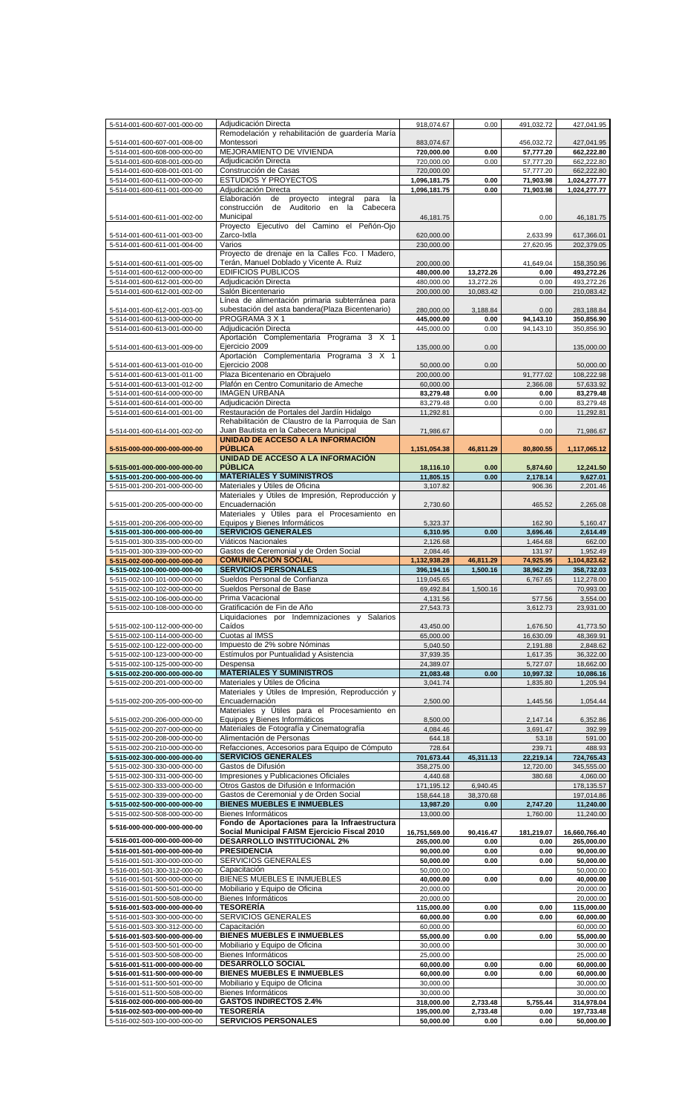| 5-514-001-600-607-001-000-00 | Adjudicación Directa                                    | 918,074.67    | 0.00      | 491,032.72 | 427,041.95    |
|------------------------------|---------------------------------------------------------|---------------|-----------|------------|---------------|
|                              | Remodelación y rehabilitación de guardería María        |               |           |            |               |
| 5-514-001-600-607-001-008-00 | Montessori                                              | 883,074.67    |           | 456,032.72 | 427,041.95    |
| 5-514-001-600-608-000-000-00 | MEJORAMIENTO DE VIVIENDA                                | 720,000.00    | 0.00      | 57,777.20  | 662,222.80    |
| 5-514-001-600-608-001-000-00 | Adjudicación Directa                                    | 720,000.00    | 0.00      | 57,777.20  | 662,222.80    |
| 5-514-001-600-608-001-001-00 | Construcción de Casas                                   | 720,000.00    |           | 57,777.20  | 662,222.80    |
| 5-514-001-600-611-000-000-00 | <b>ESTUDIOS Y PROYECTOS</b>                             |               |           |            |               |
|                              |                                                         | 1,096,181.75  | 0.00      | 71,903.98  | 1,024,277.77  |
| 5-514-001-600-611-001-000-00 | Adjudicación Directa                                    | 1,096,181.75  | 0.00      | 71,903.98  | 1,024,277.77  |
|                              | Elaboración<br>de<br>proyecto<br>integral<br>la<br>para |               |           |            |               |
|                              | Auditorio<br>Cabecera<br>construcción<br>de<br>en la    |               |           |            |               |
| 5-514-001-600-611-001-002-00 | Municipal                                               | 46,181.75     |           | 0.00       | 46, 181. 75   |
|                              | Proyecto Ejecutivo del Camino el Peñón-Ojo              |               |           |            |               |
| 5-514-001-600-611-001-003-00 | Zarco-Ixtla                                             | 620,000.00    |           | 2,633.99   | 617,366.01    |
| 5-514-001-600-611-001-004-00 | Varios                                                  | 230,000.00    |           | 27,620.95  | 202,379.05    |
|                              | Proyecto de drenaje en la Calles Fco. I Madero,         |               |           |            |               |
| 5-514-001-600-611-001-005-00 | Terán, Manuel Doblado y Vicente A. Ruiz                 | 200,000.00    |           | 41,649.04  | 158,350.96    |
| 5-514-001-600-612-000-000-00 | <b>EDIFICIOS PUBLICOS</b>                               | 480,000.00    | 13,272.26 | 0.00       | 493,272.26    |
| 5-514-001-600-612-001-000-00 | Adjudicación Directa                                    | 480,000.00    | 13,272.26 | 0.00       | 493,272.26    |
|                              | Salón Bicentenario                                      |               |           |            |               |
| 5-514-001-600-612-001-002-00 |                                                         | 200,000.00    | 10,083.42 | 0.00       | 210,083.42    |
|                              | Línea de alimentación primaria subterránea para         |               |           |            |               |
| 5-514-001-600-612-001-003-00 | subestación del asta bandera (Plaza Bicentenario)       | 280,000.00    | 3,188.84  | 0.00       | 283,188.84    |
| 5-514-001-600-613-000-000-00 | PROGRAMA 3 X 1                                          | 445,000.00    | 0.00      | 94,143.10  | 350,856.90    |
| 5-514-001-600-613-001-000-00 | Adjudicación Directa                                    | 445,000.00    | 0.00      | 94,143.10  | 350,856.90    |
|                              | Aportación Complementaria Programa 3 X 1                |               |           |            |               |
| 5-514-001-600-613-001-009-00 | Ejercicio 2009                                          | 135,000.00    | 0.00      |            | 135,000.00    |
|                              | Aportación Complementaria Programa 3 X 1                |               |           |            |               |
| 5-514-001-600-613-001-010-00 | Ejercicio 2008                                          | 50,000.00     | 0.00      |            | 50,000.00     |
| 5-514-001-600-613-001-011-00 | Plaza Bicentenario en Obrajuelo                         | 200,000.00    |           | 91,777.02  | 108,222.98    |
|                              |                                                         |               |           |            |               |
| 5-514-001-600-613-001-012-00 | Plafón en Centro Comunitario de Ameche                  | 60,000.00     |           | 2,366.08   | 57,633.92     |
| 5-514-001-600-614-000-000-00 | <b>IMAGEN URBANA</b>                                    | 83,279.48     | 0.00      | 0.00       | 83,279.48     |
| 5-514-001-600-614-001-000-00 | Adjudicación Directa                                    | 83,279.48     | 0.00      | 0.00       | 83,279.48     |
| 5-514-001-600-614-001-001-00 | Restauración de Portales del Jardín Hidalgo             | 11,292.81     |           | 0.00       | 11,292.81     |
|                              | Rehabilitación de Claustro de la Parroquia de San       |               |           |            |               |
| 5-514-001-600-614-001-002-00 | Juan Bautista en la Cabecera Municipal                  | 71,986.67     |           | 0.00       | 71,986.67     |
|                              | UNIDAD DE ACCESO A LA INFORMACIÓN                       |               |           |            |               |
| 5-515-000-000-000-000-000-00 | <b>PUBLICA</b>                                          | 1,151,054.38  | 46,811.29 | 80,800.55  | 1,117,065.12  |
|                              | UNIDAD DE ACCESO A LA INFORMACIÓN                       |               |           |            |               |
|                              | <b>PUBLICA</b>                                          |               |           |            |               |
| 5-515-001-000-000-000-000-00 |                                                         | 18,116.10     | 0.00      | 5,874.60   | 12,241.50     |
| 5-515-001-200-000-000-000-00 | <b>MATERIALES Y SUMINISTROS</b>                         | 11,805.15     | 0.00      | 2,178.14   | 9,627.01      |
| 5-515-001-200-201-000-000-00 | Materiales y Útiles de Oficina                          | 3,107.82      |           | 906.36     | 2,201.46      |
|                              | Materiales y Útiles de Impresión, Reproducción y        |               |           |            |               |
| 5-515-001-200-205-000-000-00 | Encuadernación                                          | 2,730.60      |           | 465.52     | 2,265.08      |
|                              | Materiales y Útiles para el Procesamiento en            |               |           |            |               |
| 5-515-001-200-206-000-000-00 | Equipos y Bienes Informáticos                           | 5,323.37      |           | 162.90     | 5,160.47      |
| 5-515-001-300-000-000-000-00 | <b>SERVICIOS GENERALES</b>                              | 6,310.95      | 0.00      | 3,696.46   | 2,614.49      |
|                              |                                                         |               |           |            |               |
| 5-515-001-300-335-000-000-00 | Viáticos Nacionales                                     | 2,126.68      |           | 1,464.68   | 662.00        |
| 5-515-001-300-339-000-000-00 | Gastos de Ceremonial y de Orden Social                  | 2,084.46      |           | 131.97     | 1,952.49      |
| 5-515-002-000-000-000-000-00 | <b>COMUNICACIÓN SOCIAL</b>                              | 1,132,938.28  | 46,811.29 | 74,925.95  | 1,104,823.62  |
| 5-515-002-100-000-000-000-00 | <b>SERVICIOS PERSONALES</b>                             | 396,194.16    | 1,500.16  | 38,962.29  | 358,732.03    |
| 5-515-002-100-101-000-000-00 | Sueldos Personal de Confianza                           | 119,045.65    |           | 6,767.65   | 112,278.00    |
| 5-515-002-100-102-000-000-00 | Sueldos Personal de Base                                | 69,492.84     | 1,500.16  |            | 70,993.00     |
| 5-515-002-100-106-000-000-00 | Prima Vacacional                                        | 4,131.56      |           | 577.56     | 3,554.00      |
| 5-515-002-100-108-000-000-00 | Gratificación de Fin de Año                             | 27,543.73     |           | 3,612.73   | 23,931.00     |
|                              |                                                         |               |           |            |               |
|                              | Liquidaciones por Indemnizaciones y Salarios            |               |           |            |               |
| 5-515-002-100-112-000-000-00 | Caídos                                                  | 43,450.00     |           | 1,676.50   | 41,773.50     |
| 5-515-002-100-114-000-000-00 | Cuotas al IMSS                                          | 65,000.00     |           | 16,630.09  | 48,369.91     |
| 5-515-002-100-122-000-000-00 | Impuesto de 2% sobre Nóminas                            | 5,040.50      |           | 2,191.88   | 2,848.62      |
| 5-515-002-100-123-000-000-00 | Estímulos por Puntualidad y Asistencia                  | 37,939.35     |           | 1,617.35   | 36,322.00     |
| 5-515-002-100-125-000-000-00 | Despensa                                                | 24,389.07     |           | 5,727.07   | 18,662.00     |
| 5-515-002-200-000-000-000-00 | <b>MATERIALES Y SUMINISTROS</b>                         | 21,083.48     | 0.00      | 10,997.32  | 10,086.16     |
| 5-515-002-200-201-000-000-00 | Materiales y Útiles de Oficina                          | 3,041.74      |           | 1,835.80   | 1,205.94      |
|                              | Materiales y Útiles de Impresión, Reproducción y        |               |           |            |               |
| 5-515-002-200-205-000-000-00 | Encuadernación                                          | 2,500.00      |           | 1,445.56   | 1,054.44      |
|                              | Materiales y Útiles para el Procesamiento en            |               |           |            |               |
|                              |                                                         |               |           |            |               |
| 5-515-002-200-206-000-000-00 | Equipos y Bienes Informáticos                           | 8,500.00      |           | 2,147.14   | 6,352.86      |
| 5-515-002-200-207-000-000-00 | Materiales de Fotografía y Cinematografía               | 4,084.46      |           | 3,691.47   | 392.99        |
| 5-515-002-200-208-000-000-00 | Alimentación de Personas                                | 644.18        |           | 53.18      | 591.00        |
| 5-515-002-200-210-000-000-00 | Refacciones, Accesorios para Equipo de Cómputo          | 728.64        |           | 239.71     | 488.93        |
| 5-515-002-300-000-000-000-00 | <b>SERVICIOS GENERALES</b>                              | 701,673.44    | 45,311.13 | 22,219.14  | 724,765.43    |
| 5-515-002-300-330-000-000-00 | Gastos de Difusión                                      | 358,275.00    |           | 12,720.00  | 345,555.00    |
| 5-515-002-300-331-000-000-00 | Impresiones y Publicaciones Oficiales                   | 4,440.68      |           | 380.68     | 4,060.00      |
| 5-515-002-300-333-000-000-00 | Otros Gastos de Difusión e Información                  | 171,195.12    | 6,940.45  |            | 178,135.57    |
| 5-515-002-300-339-000-000-00 | Gastos de Ceremonial y de Orden Social                  | 158,644.18    | 38,370.68 |            | 197,014.86    |
| 5-515-002-500-000-000-000-00 | <b>BIENES MUEBLES E INMUEBLES</b>                       | 13,987.20     | 0.00      | 2,747.20   | 11,240.00     |
|                              |                                                         |               |           |            |               |
| 5-515-002-500-508-000-000-00 | Bienes Informáticos                                     | 13,000.00     |           | 1,760.00   | 11,240.00     |
| 5-516-000-000-000-000-000-00 | Fondo de Aportaciones para la Infraestructura           |               |           |            |               |
|                              | Social Municipal FAISM Ejercicio Fiscal 2010            | 16,751,569.00 | 90,416.47 | 181,219.07 | 16,660,766.40 |
| 5-516-001-000-000-000-000-00 | <b>DESARROLLO INSTITUCIONAL 2%</b>                      | 265,000.00    | 0.00      | 0.00       | 265,000.00    |
| 5-516-001-501-000-000-000-00 | <b>PRESIDENCIA</b>                                      | 90,000.00     | 0.00      | 0.00       | 90,000.00     |
| 5-516-001-501-300-000-000-00 | SERVICIOS GENERALES                                     | 50,000.00     | 0.00      | 0.00       | 50,000.00     |
| 5-516-001-501-300-312-000-00 | Capacitación                                            | 50,000.00     |           |            | 50,000.00     |
| 5-516-001-501-500-000-000-00 | <b>BIENES MUEBLES E INMUEBLES</b>                       | 40,000.00     | 0.00      | 0.00       | 40,000.00     |
| 5-516-001-501-500-501-000-00 | Mobiliario y Equipo de Oficina                          | 20,000.00     |           |            | 20,000.00     |
|                              | Bienes Informáticos                                     |               |           |            |               |
| 5-516-001-501-500-508-000-00 |                                                         | 20,000.00     |           |            | 20,000.00     |
| 5-516-001-503-000-000-000-00 | <b>TESORERÍA</b>                                        | 115,000.00    | 0.00      | 0.00       | 115,000.00    |
| 5-516-001-503-300-000-000-00 | <b>SERVICIOS GENERALES</b>                              | 60,000.00     | 0.00      | 0.00       | 60,000.00     |
| 5-516-001-503-300-312-000-00 | Capacitación                                            | 60,000.00     |           |            | 60,000.00     |
| 5-516-001-503-500-000-000-00 | <b>BIENES MUEBLES E INMUEBLES</b>                       | 55,000.00     | 0.00      | 0.00       | 55,000.00     |
| 5-516-001-503-500-501-000-00 | Mobiliario y Equipo de Oficina                          | 30,000.00     |           |            | 30,000.00     |
| 5-516-001-503-500-508-000-00 | Bienes Informáticos                                     | 25,000.00     |           |            | 25,000.00     |
| 5-516-001-511-000-000-000-00 | <b>DESARROLLO SOCIAL</b>                                | 60,000.00     | 0.00      | 0.00       | 60,000.00     |
|                              | <b>BIENES MUEBLES E INMUEBLES</b>                       |               |           |            |               |
| 5-516-001-511-500-000-000-00 |                                                         | 60,000.00     | 0.00      | 0.00       | 60,000.00     |
| 5-516-001-511-500-501-000-00 | Mobiliario y Equipo de Oficina                          | 30,000.00     |           |            | 30,000.00     |
| 5-516-001-511-500-508-000-00 | Bienes Informáticos                                     | 30,000.00     |           |            | 30,000.00     |
| 5-516-002-000-000-000-000-00 | <b>GASTOS INDIRECTOS 2.4%</b>                           | 318,000.00    | 2,733.48  | 5,755.44   | 314,978.04    |
| 5-516-002-503-000-000-000-00 | <b>TESORERÍA</b>                                        | 195,000.00    | 2,733.48  | 0.00       | 197,733.48    |
| 5-516-002-503-100-000-000-00 | <b>SERVICIOS PERSONALES</b>                             | 50,000.00     | 0.00      | 0.00       | 50,000.00     |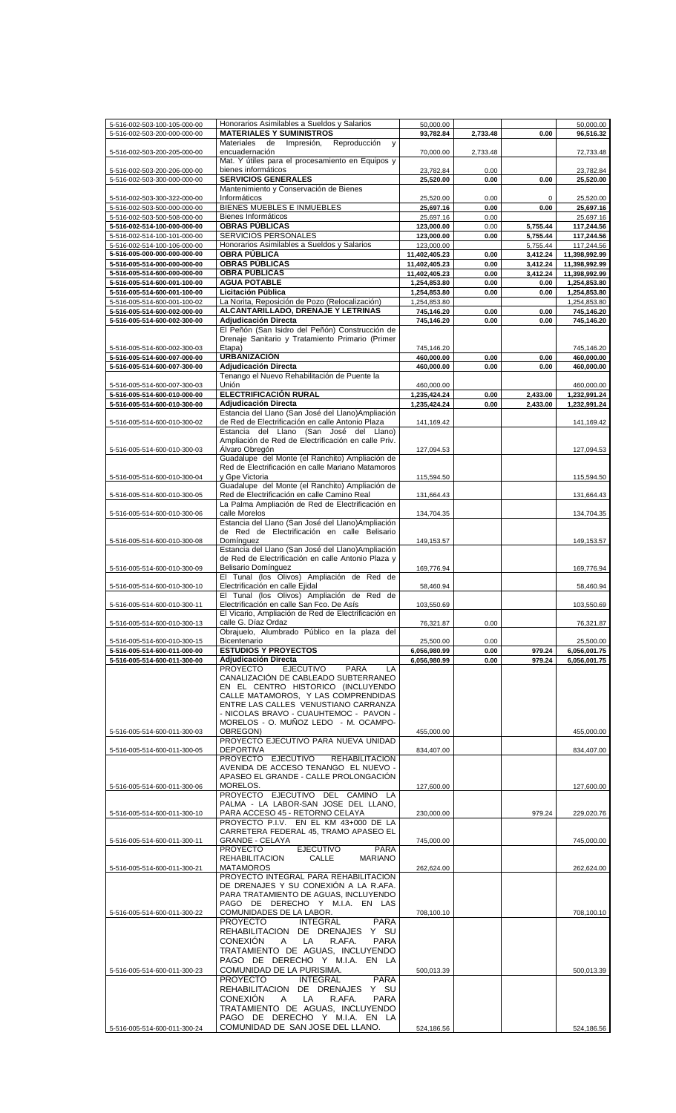| 5-516-002-503-100-105-000-00 | Honorarios Asimilables a Sueldos y Salarios              | 50,000.00     |          |          | 50,000.00     |
|------------------------------|----------------------------------------------------------|---------------|----------|----------|---------------|
| 5-516-002-503-200-000-000-00 | <b>MATERIALES Y SUMINISTROS</b>                          | 93,782.84     | 2,733.48 | 0.00     | 96,516.32     |
|                              | Materiales<br>Impresión,<br>Reproducción<br>de<br>y      |               |          |          |               |
| 5-516-002-503-200-205-000-00 | encuadernación                                           | 70,000.00     | 2,733.48 |          | 72,733.48     |
|                              | Mat. Y útiles para el procesamiento en Equipos y         |               |          |          |               |
| 5-516-002-503-200-206-000-00 | bienes informáticos                                      | 23,782.84     | 0.00     |          | 23,782.84     |
| 5-516-002-503-300-000-000-00 | <b>SERVICIOS GENERALES</b>                               | 25.520.00     | 0.00     | 0.00     | 25,520.00     |
|                              | Mantenimiento y Conservación de Bienes                   |               |          |          |               |
|                              | Informáticos                                             | 25,520.00     | 0.00     | 0        | 25,520.00     |
| 5-516-002-503-300-322-000-00 |                                                          |               |          |          |               |
| 5-516-002-503-500-000-000-00 | BIENES MUEBLES E INMUEBLES                               | 25,697.16     | 0.00     | 0.00     | 25,697.16     |
| 5-516-002-503-500-508-000-00 | Bienes Informáticos                                      | 25,697.16     | 0.00     |          | 25,697.16     |
| 5-516-002-514-100-000-000-00 | <b>OBRAS PÚBLICAS</b>                                    | 123,000.00    | 0.00     | 5,755.44 | 117,244.56    |
| 5-516-002-514-100-101-000-00 | SERVICIOS PERSONALES                                     | 123,000.00    | 0.00     | 5,755.44 | 117,244.56    |
| 5-516-002-514-100-106-000-00 | Honorarios Asimilables a Sueldos y Salarios              | 123,000.00    |          | 5,755.44 | 117,244.56    |
| 5-516-005-000-000-000-000-00 | <b>OBRA PÚBLICA</b>                                      | 11,402,405.23 | 0.00     | 3,412.24 | 11,398,992.99 |
|                              |                                                          |               |          |          |               |
| 5-516-005-514-000-000-000-00 | <b>OBRAS PÚBLICAS</b>                                    | 11,402,405.23 | 0.00     | 3,412.24 | 11,398,992.99 |
| 5-516-005-514-600-000-000-00 | <b>OBRA PÚBLICAS</b>                                     | 11,402,405.23 | 0.00     | 3,412.24 | 11,398,992.99 |
| 5-516-005-514-600-001-100-00 | <b>AGUA POTABLE</b>                                      | 1,254,853.80  | 0.00     | 0.00     | 1,254,853.80  |
| 5-516-005-514-600-001-100-00 | Licitación Pública                                       | 1,254,853.80  | 0.00     | 0.00     | 1,254,853.80  |
| 5-516-005-514-600-001-100-02 | La Norita, Reposición de Pozo (Relocalización)           | 1,254,853.80  |          |          | 1,254,853.80  |
| 5-516-005-514-600-002-000-00 | ALCANTARILLADO, DRENAJE Y LETRINAS                       | 745,146.20    | 0.00     | 0.00     | 745,146.20    |
| 5-516-005-514-600-002-300-00 | Adjudicación Directa                                     | 745,146.20    | 0.00     | 0.00     | 745,146.20    |
|                              |                                                          |               |          |          |               |
|                              | El Peñón (San Isidro del Peñón) Construcción de          |               |          |          |               |
|                              | Drenaje Sanitario y Tratamiento Primario (Primer         |               |          |          |               |
| 5-516-005-514-600-002-300-03 | Etapa)                                                   | 745,146.20    |          |          | 745,146.20    |
| 5-516-005-514-600-007-000-00 | <b>URBANIZACIÓN</b>                                      | 460,000.00    | 0.00     | 0.00     | 460,000.00    |
| 5-516-005-514-600-007-300-00 | <b>Adiudicación Directa</b>                              | 460,000.00    | 0.00     | 0.00     | 460,000.00    |
|                              | Tenango el Nuevo Rehabilitación de Puente la             |               |          |          |               |
| 5-516-005-514-600-007-300-03 | Unión                                                    | 460,000.00    |          |          | 460,000.00    |
| 5-516-005-514-600-010-000-00 | ELECTRIFICACIÓN RURAL                                    | 1,235,424.24  | 0.00     | 2,433.00 | 1,232,991.24  |
|                              | <b>Adjudicación Directa</b>                              |               |          |          |               |
| 5-516-005-514-600-010-300-00 |                                                          | 1,235,424.24  | 0.00     | 2,433.00 | 1,232,991.24  |
|                              | Estancia del Llano (San José del Llano)Ampliación        |               |          |          |               |
| 5-516-005-514-600-010-300-02 | de Red de Electrificación en calle Antonio Plaza         | 141,169.42    |          |          | 141,169.42    |
|                              | del<br>(San José<br>del<br>Estancia<br>Llano<br>Llano)   |               |          |          |               |
|                              | Ampliación de Red de Electrificación en calle Priv.      |               |          |          |               |
| 5-516-005-514-600-010-300-03 | Álvaro Obregón                                           | 127,094.53    |          |          | 127,094.53    |
|                              | Guadalupe del Monte (el Ranchito) Ampliación de          |               |          |          |               |
|                              | Red de Electrificación en calle Mariano Matamoros        |               |          |          |               |
|                              | y Gpe Victoria                                           |               |          |          |               |
| 5-516-005-514-600-010-300-04 |                                                          | 115,594.50    |          |          | 115,594.50    |
|                              | Guadalupe del Monte (el Ranchito) Ampliación de          |               |          |          |               |
| 5-516-005-514-600-010-300-05 | Red de Electrificación en calle Camino Real              | 131,664.43    |          |          | 131,664.43    |
|                              | La Palma Ampliación de Red de Electrificación en         |               |          |          |               |
| 5-516-005-514-600-010-300-06 | calle Morelos                                            | 134,704.35    |          |          | 134,704.35    |
|                              | Estancia del Llano (San José del Llano)Ampliación        |               |          |          |               |
|                              | de Red de Electrificación en calle Belisario             |               |          |          |               |
| 5-516-005-514-600-010-300-08 | Domínguez                                                | 149,153.57    |          |          | 149,153.57    |
|                              | Estancia del Llano (San José del Llano)Ampliación        |               |          |          |               |
|                              | de Red de Electrificación en calle Antonio Plaza y       |               |          |          |               |
|                              |                                                          |               |          |          |               |
| 5-516-005-514-600-010-300-09 | Belisario Domínquez                                      | 169,776.94    |          |          | 169,776.94    |
|                              | El Tunal (los Olivos) Ampliación de Red de               |               |          |          |               |
| 5-516-005-514-600-010-300-10 | Electrificación en calle Ejidal                          | 58,460.94     |          |          | 58,460.94     |
|                              | El Tunal (los Olivos) Ampliación de Red de               |               |          |          |               |
| 5-516-005-514-600-010-300-11 | Electrificación en calle San Fco. De Asís                | 103,550.69    |          |          | 103,550.69    |
|                              | El Vicario, Ampliación de Red de Electrificación en      |               |          |          |               |
| 5-516-005-514-600-010-300-13 | calle G. Díaz Ordaz                                      | 76,321.87     | 0.00     |          | 76,321.87     |
|                              | Obrajuelo, Alumbrado Público en la plaza del             |               |          |          |               |
| 5-516-005-514-600-010-300-15 | Bicentenario                                             | 25,500.00     | 0.00     |          | 25,500.00     |
|                              | <b>ESTUDIOS Y PROYECTOS</b>                              |               |          |          |               |
| 5-516-005-514-600-011-000-00 |                                                          | 6,056,980.99  | 0.00     | 979.24   | 6,056,001.75  |
| 5-516-005-514-600-011-300-00 | <b>Adjudicación Directa</b>                              | 6,056,980.99  | 0.00     | 979.24   | 6,056,001.75  |
|                              | <b>PROYECTO</b><br><b>EJECUTIVO</b><br><b>PARA</b><br>LA |               |          |          |               |
|                              | CANALIZACIÓN DE CABLEADO SUBTERRANEO                     |               |          |          |               |
|                              | EN EL CENTRO HISTORICO (INCLUYENDO                       |               |          |          |               |
|                              | CALLE MATAMOROS, Y LAS COMPRENDIDAS                      |               |          |          |               |
|                              | ENTRE LAS CALLES VENUSTIANO CARRANZA                     |               |          |          |               |
|                              | - NICOLAS BRAVO - CUAUHTEMOC - PAVON -                   |               |          |          |               |
|                              | MORELOS - O. MUÑOZ LEDO - M. OCAMPO-                     |               |          |          |               |
| 5-516-005-514-600-011-300-03 | OBREGON)                                                 | 455,000.00    |          |          | 455,000.00    |
|                              | PROYECTO EJECUTIVO PARA NUEVA UNIDAD                     |               |          |          |               |
|                              |                                                          |               |          |          |               |
| 5-516-005-514-600-011-300-05 | <b>DEPORTIVA</b>                                         | 834.407.00    |          |          | 834,407.00    |
|                              | PROYECTO EJECUTIVO<br><b>REHABILITACION</b>              |               |          |          |               |
|                              | AVENIDA DE ACCESO TENANGO EL NUEVO -                     |               |          |          |               |
|                              | APASEO EL GRANDE - CALLE PROLONGACIÓN                    |               |          |          |               |
| 5-516-005-514-600-011-300-06 | MORELOS.                                                 | 127,600.00    |          |          | 127,600.00    |
|                              | PROYECTO EJECUTIVO DEL CAMINO LA                         |               |          |          |               |
|                              | PALMA - LA LABOR-SAN JOSE DEL LLANO,                     |               |          |          |               |
| 5-516-005-514-600-011-300-10 | PARA ACCESO 45 - RETORNO CELAYA                          | 230,000.00    |          | 979.24   | 229,020.76    |
|                              | PROYECTO P.I.V. EN EL KM 43+000 DE LA                    |               |          |          |               |
|                              | CARRETERA FEDERAL 45, TRAMO APASEO EL                    |               |          |          |               |
| 5-516-005-514-600-011-300-11 | <b>GRANDE - CELAYA</b>                                   | 745,000.00    |          |          | 745,000.00    |
|                              |                                                          |               |          |          |               |
|                              | <b>PROYECTO</b><br><b>EJECUTIVO</b><br><b>PARA</b>       |               |          |          |               |
|                              | <b>REHABILITACION</b><br><b>CALLE</b><br><b>MARIANO</b>  |               |          |          |               |
| 5-516-005-514-600-011-300-21 | <b>MATAMOROS</b>                                         | 262,624.00    |          |          | 262,624.00    |
|                              | PROYECTO INTEGRAL PARA REHABILITACION                    |               |          |          |               |
|                              | DE DRENAJES Y SU CONEXION A LA R.AFA.                    |               |          |          |               |
|                              | PARA TRATAMIENTO DE AGUAS, INCLUYENDO                    |               |          |          |               |
|                              | PAGO DE DERECHO Y M.I.A. EN LAS                          |               |          |          |               |
| 5-516-005-514-600-011-300-22 | COMUNIDADES DE LA LABOR.                                 | 708,100.10    |          |          | 708,100.10    |
|                              | <b>PROYECTO</b><br><b>INTEGRAL</b><br><b>PARA</b>        |               |          |          |               |
|                              | REHABILITACION DE DRENAJES Y SU                          |               |          |          |               |
|                              |                                                          |               |          |          |               |
|                              | <b>CONEXION</b><br>LA<br>R.AFA.<br><b>PARA</b><br>A      |               |          |          |               |
|                              | TRATAMIENTO DE AGUAS, INCLUYENDO                         |               |          |          |               |
|                              | PAGO DE DERECHO Y M.I.A. EN LA                           |               |          |          |               |
| 5-516-005-514-600-011-300-23 | COMUNIDAD DE LA PURISIMA.                                | 500,013.39    |          |          | 500,013.39    |
|                              | <b>PROYECTO</b><br><b>INTEGRAL</b><br><b>PARA</b>        |               |          |          |               |
|                              |                                                          |               |          |          |               |
|                              | REHABILITACION DE DRENAJES<br>Y SU                       |               |          |          |               |
|                              | <b>CONEXION</b><br>LA<br>R.AFA.<br><b>PARA</b><br>A      |               |          |          |               |
|                              | TRATAMIENTO DE AGUAS, INCLUYENDO                         |               |          |          |               |
|                              | PAGO DE DERECHO Y M.I.A. EN LA                           |               |          |          |               |
| 5-516-005-514-600-011-300-24 | COMUNIDAD DE SAN JOSE DEL LLANO.                         | 524,186.56    |          |          | 524,186.56    |
|                              |                                                          |               |          |          |               |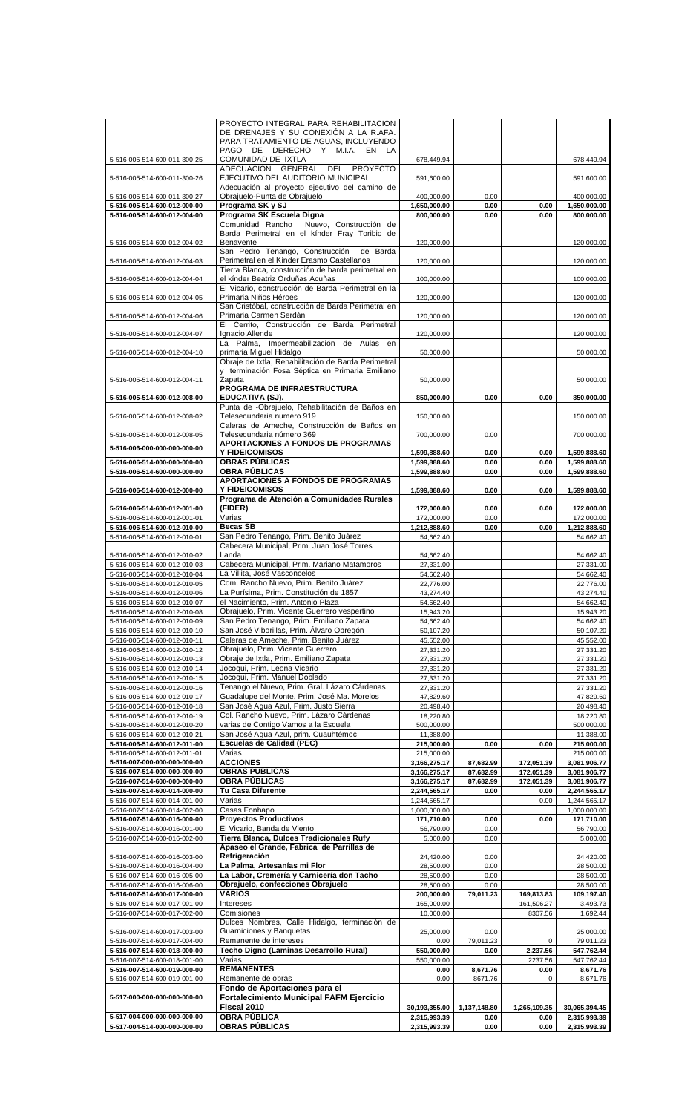|                                                              | PROYECTO INTEGRAL PARA REHABILITACION                          |                              |              |              |                              |
|--------------------------------------------------------------|----------------------------------------------------------------|------------------------------|--------------|--------------|------------------------------|
|                                                              | DE DRENAJES Y SU CONEXIÓN A LA R.AFA.                          |                              |              |              |                              |
|                                                              | PARA TRATAMIENTO DE AGUAS, INCLUYENDO                          |                              |              |              |                              |
|                                                              | PAGO DE DERECHO Y M.I.A. EN LA                                 |                              |              |              |                              |
| 5-516-005-514-600-011-300-25                                 | COMUNIDAD DE IXTLA                                             | 678,449.94                   |              |              | 678,449.94                   |
|                                                              | ADECUACION GENERAL DEL PROYECTO                                |                              |              |              |                              |
| 5-516-005-514-600-011-300-26                                 | EJECUTIVO DEL AUDITORIO MUNICIPAL                              | 591,600.00                   |              |              | 591,600.00                   |
|                                                              | Adecuación al proyecto ejecutivo del camino de                 |                              |              |              |                              |
| 5-516-005-514-600-011-300-27                                 | Obrajuelo-Punta de Obrajuelo                                   | 400,000.00                   | 0.00         |              | 400,000.00                   |
|                                                              | Programa SK y SJ                                               |                              |              |              |                              |
| 5-516-005-514-600-012-000-00                                 |                                                                | 1,650,000.00                 | 0.00         | 0.00         | 1,650,000.00                 |
| 5-516-005-514-600-012-004-00                                 | Programa SK Escuela Digna                                      | 800,000.00                   | 0.00         | 0.00         | 800,000.00                   |
|                                                              | Comunidad Rancho<br>Nuevo, Construcción de                     |                              |              |              |                              |
|                                                              | Barda Perimetral en el kínder Fray Toribio de                  |                              |              |              |                              |
| 5-516-005-514-600-012-004-02                                 | Benavente                                                      | 120,000.00                   |              |              | 120,000.00                   |
|                                                              | San Pedro Tenango, Construcción<br>de Barda                    |                              |              |              |                              |
| 5-516-005-514-600-012-004-03                                 | Perimetral en el Kínder Erasmo Castellanos                     | 120,000.00                   |              |              | 120,000.00                   |
|                                                              | Tierra Blanca, construcción de barda perimetral en             |                              |              |              |                              |
|                                                              |                                                                |                              |              |              |                              |
| 5-516-005-514-600-012-004-04                                 | el kínder Beatriz Orduñas Acuñas                               | 100,000.00                   |              |              | 100,000.00                   |
|                                                              | El Vicario, construcción de Barda Perimetral en la             |                              |              |              |                              |
| 5-516-005-514-600-012-004-05                                 | Primaria Niños Héroes                                          | 120,000.00                   |              |              | 120,000.00                   |
|                                                              | San Cristóbal, construcción de Barda Perimetral en             |                              |              |              |                              |
| 5-516-005-514-600-012-004-06                                 | Primaria Carmen Serdán                                         | 120,000.00                   |              |              | 120,000.00                   |
|                                                              | El Cerrito, Construcción de Barda Perimetral                   |                              |              |              |                              |
| 5-516-005-514-600-012-004-07                                 | Ignacio Allende                                                | 120,000.00                   |              |              | 120,000.00                   |
|                                                              | La Palma, Impermeabilización de Aulas en                       |                              |              |              |                              |
|                                                              |                                                                |                              |              |              |                              |
| 5-516-005-514-600-012-004-10                                 | primaria Miguel Hidalgo                                        | 50,000.00                    |              |              | 50,000.00                    |
|                                                              | Obraje de Ixtla, Rehabilitación de Barda Perimetral            |                              |              |              |                              |
|                                                              | y terminación Fosa Séptica en Primaria Emiliano                |                              |              |              |                              |
| 5-516-005-514-600-012-004-11                                 | Zapata                                                         | 50,000.00                    |              |              | 50,000.00                    |
|                                                              | PROGRAMA DE INFRAESTRUCTURA                                    |                              |              |              |                              |
| 5-516-005-514-600-012-008-00                                 | EDUCATIVA (SJ).                                                | 850,000.00                   | 0.00         | 0.00         | 850,000.00                   |
|                                                              | Punta de -Obrajuelo, Rehabilitación de Baños en                |                              |              |              |                              |
|                                                              |                                                                |                              |              |              |                              |
| 5-516-005-514-600-012-008-02                                 | Telesecundaria numero 919                                      | 150,000.00                   |              |              | 150,000.00                   |
|                                                              | Caleras de Ameche. Construcción de Baños en                    |                              |              |              |                              |
| 5-516-005-514-600-012-008-05                                 | Telesecundaria número 369                                      | 700,000.00                   | 0.00         |              | 700,000.00                   |
| 5-516-006-000-000-000-000-00                                 | APORTACIONES A FONDOS DE PROGRAMAS                             |                              |              |              |                              |
|                                                              | <b>Y FIDEICOMISOS</b>                                          | 1,599,888.60                 | 0.00         | 0.00         | 1,599,888.60                 |
| 5-516-006-514-000-000-000-00                                 | <b>OBRAS PÚBLICAS</b>                                          | 1,599,888.60                 | 0.00         | 0.00         | 1,599,888.60                 |
| 5-516-006-514-600-000-000-00                                 | <b>OBRA PÚBLICAS</b>                                           | 1,599,888.60                 | 0.00         | 0.00         | 1,599,888.60                 |
|                                                              | APORTACIONES A FONDOS DE PROGRAMAS                             |                              |              |              |                              |
|                                                              |                                                                |                              |              |              |                              |
| 5-516-006-514-600-012-000-00                                 | <b>Y FIDEICOMISOS</b>                                          | 1,599,888.60                 | 0.00         | 0.00         | 1,599,888.60                 |
|                                                              | Programa de Atención a Comunidades Rurales                     |                              |              |              |                              |
| 5-516-006-514-600-012-001-00                                 | (FIDER)                                                        | 172,000.00                   | 0.00         | 0.00         | 172,000.00                   |
| 5-516-006-514-600-012-001-01                                 | Varias                                                         | 172,000.00                   | 0.00         |              | 172,000.00                   |
| 5-516-006-514-600-012-010-00                                 | <b>Becas SB</b>                                                | 1,212,888.60                 | 0.00         | 0.00         | 1,212,888.60                 |
| 5-516-006-514-600-012-010-01                                 | San Pedro Tenango, Prim. Benito Juárez                         | 54,662.40                    |              |              | 54,662.40                    |
|                                                              |                                                                |                              |              |              |                              |
|                                                              | Cabecera Municipal, Prim. Juan José Torres                     |                              |              |              |                              |
| 5-516-006-514-600-012-010-02                                 | Landa                                                          | 54,662.40                    |              |              | 54,662.40                    |
| 5-516-006-514-600-012-010-03                                 | Cabecera Municipal, Prim. Mariano Matamoros                    | 27,331.00                    |              |              | 27,331.00                    |
| 5-516-006-514-600-012-010-04                                 | La Villita, José Vasconcelos                                   | 54,662.40                    |              |              | 54,662.40                    |
| 5-516-006-514-600-012-010-05                                 | Com. Rancho Nuevo, Prim. Benito Juárez                         | 22,776.00                    |              |              | 22,776.00                    |
| 5-516-006-514-600-012-010-06                                 | La Purísima, Prim. Constitución de 1857                        | 43,274.40                    |              |              | 43,274.40                    |
|                                                              |                                                                |                              |              |              |                              |
| 5-516-006-514-600-012-010-07                                 | el Nacimiento, Prim. Antonio Plaza                             | 54,662.40                    |              |              | 54,662.40                    |
| 5-516-006-514-600-012-010-08                                 | Obrajuelo, Prim. Vicente Guerrero vespertino                   | 15,943.20                    |              |              | 15,943.20                    |
| 5-516-006-514-600-012-010-09                                 | San Pedro Tenango, Prim. Emiliano Zapata                       | 54,662.40                    |              |              | 54,662.40                    |
| 5-516-006-514-600-012-010-10                                 | San José Viborillas, Prim. Álvaro Obregón                      | 50,107.20                    |              |              | 50,107.20                    |
| 5-516-006-514-600-012-010-11                                 | Caleras de Ameche, Prim. Benito Juárez                         | 45.552.00                    |              |              | 45,552.00                    |
|                                                              | Obrajuelo, Prim. Vicente Guerrero                              |                              |              |              |                              |
| 5-516-006-514-600-012-010-12                                 |                                                                | 27,331.20                    |              |              | 27,331.20                    |
| 5-516-006-514-600-012-010-13                                 | Obraje de Ixtla, Prim. Emiliano Zapata                         | 27,331.20                    |              |              | 27,331.20                    |
| 5-516-006-514-600-012-010-14                                 | Jocoqui, Prim. Leona Vicario                                   | 27,331.20                    |              |              | 27,331.20                    |
| 5-516-006-514-600-012-010-15                                 | Jocoqui, Prim. Manuel Doblado                                  | 27,331.20                    |              |              | 27,331.20                    |
| 5-516-006-514-600-012-010-16                                 | Tenango el Nuevo, Prim. Gral. Lázaro Cárdenas                  | 27,331.20                    |              |              | 27,331.20                    |
| 5-516-006-514-600-012-010-17                                 | Guadalupe del Monte, Prim. José Ma. Morelos                    | 47,829.60                    |              |              | 47,829.60                    |
|                                                              |                                                                |                              |              |              |                              |
| 5-516-006-514-600-012-010-18                                 | San José Agua Azul, Prim. Justo Sierra                         | 20,498.40                    |              |              | 20,498.40                    |
| 5-516-006-514-600-012-010-19                                 | Col. Rancho Nuevo, Prim. Lázaro Cárdenas                       | 18,220.80                    |              |              | 18,220.80                    |
| 5-516-006-514-600-012-010-20                                 | varias de Contigo Vamos a la Escuela                           | 500,000.00                   |              |              | 500,000.00                   |
| 5-516-006-514-600-012-010-21                                 | San José Agua Azul, prim. Cuauhtémoc                           | 11,388.00                    |              |              | 11,388.00                    |
| 5-516-006-514-600-012-011-00                                 | <b>Escuelas de Calidad (PEC)</b>                               | 215,000.00                   | 0.00         | 0.00         | 215,000.00                   |
| 5-516-006-514-600-012-011-01                                 | Varias                                                         | 215,000.00                   |              |              | 215,000.00                   |
| 5-516-007-000-000-000-000-00                                 | <b>ACCIONES</b>                                                | 3,166,275.17                 | 87,682.99    | 172,051.39   | 3,081,906.77                 |
| 5-516-007-514-000-000-000-00                                 | <b>OBRAS PUBLICAS</b>                                          |                              |              |              |                              |
| 5-516-007-514-600-000-000-00                                 |                                                                | 3,166,275.17                 | 87,682.99    | 172,051.39   | 3,081,906.77                 |
|                                                              | <b>OBRA PÚBLICAS</b>                                           | 3,166,275.17                 | 87,682.99    | 172,051.39   | 3,081,906.77                 |
| 5-516-007-514-600-014-000-00                                 | Tu Casa Diferente                                              | 2,244,565.17                 | 0.00         | 0.00         | 2,244,565.17                 |
| 5-516-007-514-600-014-001-00                                 | Varias                                                         | 1,244,565.17                 |              | 0.00         | 1,244,565.17                 |
| 5-516-007-514-600-014-002-00                                 | Casas Fonhapo                                                  | 1,000,000.00                 |              |              | 1,000,000.00                 |
| 5-516-007-514-600-016-000-00                                 | <b>Proyectos Productivos</b>                                   | 171,710.00                   | 0.00         | 0.00         | 171,710.00                   |
| 5-516-007-514-600-016-001-00                                 | El Vicario, Banda de Viento                                    |                              | 0.00         |              | 56,790.00                    |
| 5-516-007-514-600-016-002-00                                 |                                                                |                              |              |              | 5,000.00                     |
|                                                              |                                                                | 56,790.00                    |              |              |                              |
|                                                              | Tierra Blanca, Dulces Tradicionales Rufy                       | 5,000.00                     | 0.00         |              |                              |
| 5-516-007-514-600-016-003-00                                 | Apaseo el Grande, Fabrica de Parrillas de                      |                              |              |              |                              |
|                                                              | Refrigeración                                                  | 24,420.00                    | 0.00         |              | 24,420.00                    |
| 5-516-007-514-600-016-004-00                                 | La Palma, Artesanías mi Flor                                   | 28,500.00                    | 0.00         |              | 28,500.00                    |
| 5-516-007-514-600-016-005-00                                 | La Labor, Cremería y Carnicería don Tacho                      | 28,500.00                    | 0.00         |              | 28,500.00                    |
| 5-516-007-514-600-016-006-00                                 | Obrajuelo, confecciones Obrajuelo                              | 28,500.00                    | 0.00         |              | 28,500.00                    |
|                                                              |                                                                |                              |              |              |                              |
| 5-516-007-514-600-017-000-00                                 | <b>VARIOS</b>                                                  | 200,000.00                   | 79,011.23    | 169,813.83   | 109,197.40                   |
| 5-516-007-514-600-017-001-00                                 | Intereses                                                      | 165,000.00                   |              | 161,506.27   | 3,493.73                     |
| 5-516-007-514-600-017-002-00                                 | Comisiones                                                     | 10,000.00                    |              | 8307.56      | 1,692.44                     |
|                                                              | Dulces Nombres, Calle Hidalgo, terminación de                  |                              |              |              |                              |
| 5-516-007-514-600-017-003-00                                 | Guarniciones y Banquetas                                       | 25,000.00                    | 0.00         |              | 25,000.00                    |
| 5-516-007-514-600-017-004-00                                 | Remanente de intereses                                         | 0.00                         | 79,011.23    | $\mathbf 0$  | 79,011.23                    |
|                                                              |                                                                |                              |              |              |                              |
| 5-516-007-514-600-018-000-00                                 | Techo Digno (Laminas Desarrollo Rural)                         | 550,000.00                   | 0.00         | 2,237.56     | 547,762.44                   |
| 5-516-007-514-600-018-001-00                                 | Varias                                                         | 550,000.00                   |              | 2237.56      | 547,762.44                   |
| 5-516-007-514-600-019-000-00                                 | <b>REMANENTES</b>                                              | 0.00                         | 8,671.76     | 0.00         | 8,671.76                     |
| 5-516-007-514-600-019-001-00                                 | Remanente de obras                                             | 0.00                         | 8671.76      | 0            | 8,671.76                     |
|                                                              | Fondo de Aportaciones para el                                  |                              |              |              |                              |
| 5-517-000-000-000-000-000-00                                 |                                                                |                              |              |              |                              |
|                                                              | <b>Fortalecimiento Municipal FAFM Ejercicio</b><br>Fiscal 2010 |                              |              |              |                              |
|                                                              |                                                                | 30,193,355.00                | 1,137,148.80 | 1,265,109.35 | 30,065,394.45                |
| 5-517-004-000-000-000-000-00<br>5-517-004-514-000-000-000-00 | <b>OBRA PÚBLICA</b><br><b>OBRAS PÚBLICAS</b>                   | 2,315,993.39<br>2,315,993.39 | 0.00<br>0.00 | 0.00<br>0.00 | 2,315,993.39<br>2,315,993.39 |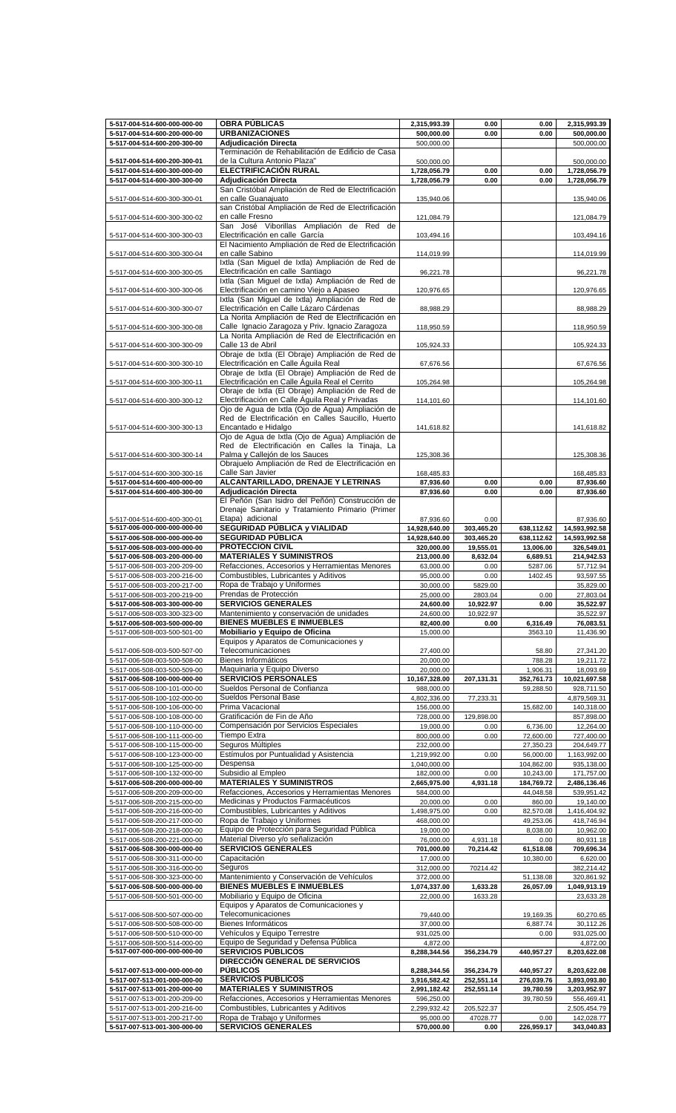| 5-517-004-514-600-000-000-00                                 | <b>OBRA PÚBLICAS</b>                                      | 2,315,993.39            | 0.00             | 0.00               | 2,315,993.39             |
|--------------------------------------------------------------|-----------------------------------------------------------|-------------------------|------------------|--------------------|--------------------------|
| 5-517-004-514-600-200-000-00                                 | <b>URBANIZACIONES</b>                                     | 500,000.00              | 0.00             | 0.00               | 500,000.00               |
| 5-517-004-514-600-200-300-00                                 | Adjudicación Directa                                      | 500,000.00              |                  |                    | 500,000.00               |
|                                                              | Terminación de Rehabilitación de Edificio de Casa         |                         |                  |                    |                          |
| 5-517-004-514-600-200-300-01                                 | de la Cultura Antonio Plaza"                              | 500,000.00              |                  |                    | 500,000.00               |
| 5-517-004-514-600-300-000-00                                 | ELECTRIFICACIÓN RURAL                                     | 1,728,056.79            | 0.00             | 0.00               | 1,728,056.79             |
| 5-517-004-514-600-300-300-00                                 | Adjudicación Directa                                      | 1,728,056.79            | 0.00             | 0.00               | 1,728,056.79             |
|                                                              | San Cristóbal Ampliación de Red de Electrificación        |                         |                  |                    |                          |
| 5-517-004-514-600-300-300-01                                 | en calle Guanajuato                                       | 135,940.06              |                  |                    | 135,940.06               |
|                                                              | san Cristóbal Ampliación de Red de Electrificación        |                         |                  |                    |                          |
|                                                              | en calle Fresno                                           |                         |                  |                    |                          |
| 5-517-004-514-600-300-300-02                                 | San José Viborillas Ampliación de Red de                  | 121,084.79              |                  |                    | 121,084.79               |
|                                                              |                                                           |                         |                  |                    |                          |
| 5-517-004-514-600-300-300-03                                 | Electrificación en calle García                           | 103,494.16              |                  |                    | 103,494.16               |
|                                                              | El Nacimiento Ampliación de Red de Electrificación        |                         |                  |                    |                          |
| 5-517-004-514-600-300-300-04                                 | en calle Sabino                                           | 114,019.99              |                  |                    | 114,019.99               |
|                                                              | Ixtla (San Miguel de Ixtla) Ampliación de Red de          |                         |                  |                    |                          |
| 5-517-004-514-600-300-300-05                                 | Electrificación en calle Santiago                         | 96,221.78               |                  |                    | 96,221.78                |
|                                                              | Ixtla (San Miguel de Ixtla) Ampliación de Red de          |                         |                  |                    |                          |
| 5-517-004-514-600-300-300-06                                 | Electrificación en camino Viejo a Apaseo                  | 120,976.65              |                  |                    | 120,976.65               |
|                                                              | Ixtla (San Miguel de Ixtla) Ampliación de Red de          |                         |                  |                    |                          |
| 5-517-004-514-600-300-300-07                                 | Electrificación en Calle Lázaro Cárdenas                  | 88,988.29               |                  |                    | 88,988.29                |
|                                                              | La Norita Ampliación de Red de Electrificación en         |                         |                  |                    |                          |
| 5-517-004-514-600-300-300-08                                 | Calle Ignacio Zaragoza y Priv. Ignacio Zaragoza           | 118,950.59              |                  |                    | 118,950.59               |
|                                                              | La Norita Ampliación de Red de Electrificación en         |                         |                  |                    |                          |
| 5-517-004-514-600-300-300-09                                 | Calle 13 de Abril                                         | 105,924.33              |                  |                    | 105,924.33               |
|                                                              | Obraje de Ixtla (El Obraje) Ampliación de Red de          |                         |                  |                    |                          |
| 5-517-004-514-600-300-300-10                                 | Electrificación en Calle Águila Real                      | 67,676.56               |                  |                    | 67,676.56                |
|                                                              | Obraje de Ixtla (El Obraje) Ampliación de Red de          |                         |                  |                    |                          |
| 5-517-004-514-600-300-300-11                                 | Electrificación en Calle Águila Real el Cerrito           | 105,264.98              |                  |                    | 105,264.98               |
|                                                              | Obraje de Ixtla (El Obraje) Ampliación de Red de          |                         |                  |                    |                          |
| 5-517-004-514-600-300-300-12                                 | Electrificación en Calle Águila Real y Privadas           | 114,101.60              |                  |                    | 114,101.60               |
|                                                              | Ojo de Agua de Ixtla (Ojo de Agua) Ampliación de          |                         |                  |                    |                          |
|                                                              | Red de Electrificación en Calles Saucillo, Huerto         |                         |                  |                    |                          |
| 5-517-004-514-600-300-300-13                                 | Encantado e Hidalgo                                       | 141,618.82              |                  |                    | 141,618.82               |
|                                                              | Ojo de Agua de Ixtla (Ojo de Agua) Ampliación de          |                         |                  |                    |                          |
|                                                              | Red de Electrificación en Calles la Tinaja, La            |                         |                  |                    |                          |
| 5-517-004-514-600-300-300-14                                 | Palma y Callejón de los Sauces                            | 125,308.36              |                  |                    | 125,308.36               |
|                                                              | Obrajuelo Ampliación de Red de Electrificación en         |                         |                  |                    |                          |
| 5-517-004-514-600-300-300-16                                 | Calle San Javier                                          | 168,485.83              |                  |                    | 168,485.83               |
| 5-517-004-514-600-400-000-00                                 | ALCANTARILLADO, DRENAJE Y LETRINAS                        | 87,936.60               | 0.00             | 0.00               | 87,936.60                |
| 5-517-004-514-600-400-300-00                                 | Adjudicación Directa                                      | 87,936.60               | 0.00             | 0.00               | 87,936.60                |
|                                                              | El Peñón (San Isidro del Peñón) Construcción de           |                         |                  |                    |                          |
|                                                              | Drenaje Sanitario y Tratamiento Primario (Primer          |                         |                  |                    |                          |
| 5-517-004-514-600-400-300-01                                 | Etapa) adicional                                          | 87,936.60               | 0.00             |                    | 87,936.60                |
| 5-517-006-000-000-000-000-00                                 | SEGURIDAD PÚBLICA y VIALIDAD                              | 14,928,640.00           | 303,465.20       | 638,112.62         | 14,593,992.58            |
| 5-517-006-508-000-000-000-00                                 | <b>SEGURIDAD PÚBLICA</b>                                  | 14,928,640.00           | 303,465.20       | 638,112.62         | 14,593,992.58            |
| 5-517-006-508-003-000-000-00                                 | <b>PROTECCION CIVIL</b>                                   | 320,000.00              | 19,555.01        | 13,006.00          | 326,549.01               |
|                                                              | <b>MATERIALES Y SUMINISTROS</b>                           |                         |                  |                    |                          |
| 5-517-006-508-003-200-000-00                                 |                                                           | 213,000.00              | 8.632.04         | 6,689.51           | 214,942.53               |
| 5-517-006-508-003-200-209-00                                 | Refacciones, Accesorios y Herramientas Menores            | 63,000.00               | 0.00             | 5287.06            | 57,712.94                |
| 5-517-006-508-003-200-216-00                                 | Combustibles, Lubricantes y Aditivos                      | 95,000.00               | 0.00             | 1402.45            | 93,597.55                |
| 5-517-006-508-003-200-217-00                                 | Ropa de Trabajo y Uniformes                               | 30,000.00               | 5829.00          |                    | 35,829.00                |
| 5-517-006-508-003-200-219-00                                 | Prendas de Protección                                     | 25,000.00               | 2803.04          | 0.00               | 27,803.04                |
| 5-517-006-508-003-300-000-00                                 | <b>SERVICIOS GENERALES</b>                                | 24,600.00               | 10,922.97        | 0.00               | 35,522.97                |
| 5-517-006-508-003-300-323-00                                 | Mantenimiento y conservación de unidades                  | 24,600.00               | 10,922.97        |                    | 35,522.97                |
| 5-517-006-508-003-500-000-00                                 | <b>BIENES MUEBLES E INMUEBLES</b>                         | 82,400.00               | 0.00             | 6,316.49           | 76,083.51                |
| 5-517-006-508-003-500-501-00                                 | Mobiliario y Equipo de Oficina                            | 15,000.00               |                  | 3563.10            | 11,436.90                |
|                                                              | Equipos y Aparatos de Comunicaciones y                    |                         |                  |                    |                          |
| 5-517-006-508-003-500-507-00                                 | Telecomunicaciones                                        | 27,400.00               |                  | 58.80              | 27,341.20                |
| 5-517-006-508-003-500-508-00                                 | Bienes Informáticos                                       | 20,000.00               |                  | 788.28             | 19,211.72                |
| 5-517-006-508-003-500-509-00                                 | Maguinaria y Equipo Diverso                               | 20,000.00               |                  | 1,906.31           | 18,093.69                |
| 5-517-006-508-100-000-000-00                                 | <b>SERVICIOS PERSONALES</b>                               | 10,167,328.00           | 207,131.31       | 352,761.73         | 10,021,697.58            |
| 5-517-006-508-100-101-000-00                                 | Sueldos Personal de Confianza                             | 988,000.00              |                  | 59,288.50          | 928,711.50               |
| 5-517-006-508-100-102-000-00                                 | Sueldos Personal Base                                     | 4,802,336.00            | 77,233.31        |                    | 4,879,569.31             |
| 5-517-006-508-100-106-000-00                                 | Prima Vacacional                                          | 156,000.00              |                  | 15,682.00          | 140,318.00               |
| 5-517-006-508-100-108-000-00                                 | Gratificación de Fin de Año                               | 728,000.00              | 129,898.00       |                    | 857,898.00               |
|                                                              | Compensación por Servicios Especiales                     | 19,000.00               |                  | 6,736.00           |                          |
| 5-517-006-508-100-110-000-00                                 |                                                           |                         | 0.00             |                    | 12,264.00                |
| 5-517-006-508-100-111-000-00                                 | <b>Tiempo Extra</b>                                       | 800,000.00              | 0.00             | 72,600.00          | 727,400.00               |
| 5-517-006-508-100-115-000-00                                 | Seguros Múltiples                                         | 232,000.00              |                  | 27,350.23          | 204,649.77               |
| 5-517-006-508-100-123-000-00                                 | Estímulos por Puntualidad y Asistencia                    | 1,219,992.00            | 0.00             | 56,000.00          | 1,163,992.00             |
| 5-517-006-508-100-125-000-00                                 | Despensa                                                  | 1,040,000.00            |                  | 104,862.00         | 935,138.00               |
| 5-517-006-508-100-132-000-00                                 | Subsidio al Empleo                                        | 182,000.00              | 0.00             | 10,243.00          | 171,757.00               |
| 5-517-006-508-200-000-000-00                                 | <b>MATERIALES Y SUMINISTROS</b>                           | 2,665,975.00            | 4,931.18         | 184,769.72         | 2,486,136.46             |
| 5-517-006-508-200-209-000-00                                 | Refacciones, Accesorios y Herramientas Menores            | 584,000.00              |                  | 44,048.58          | 539,951.42               |
| 5-517-006-508-200-215-000-00                                 | Medicinas y Productos Farmacéuticos                       | 20,000.00               | 0.00             | 860.00             | 19,140.00                |
| 5-517-006-508-200-216-000-00                                 | Combustibles, Lubricantes y Aditivos                      | 1,498,975.00            | 0.00             | 82,570.08          | 1,416,404.92             |
| 5-517-006-508-200-217-000-00                                 | Ropa de Trabajo y Uniformes                               | 468,000.00              |                  | 49,253.06          | 418,746.94               |
| 5-517-006-508-200-218-000-00                                 | Equipo de Protección para Seguridad Pública               |                         |                  | 8,038.00           | 10,962.00                |
| 5-517-006-508-200-221-000-00                                 |                                                           | 19,000.00               |                  |                    |                          |
|                                                              | Material Diverso y/o señalización                         | 76,000.00               | 4,931.18         | 0.00               | 80,931.18                |
| 5-517-006-508-300-000-000-00                                 | <b>SERVICIOS GENERALES</b>                                | 701,000.00              | 70,214.42        | 61,518.08          | 709,696.34               |
| 5-517-006-508-300-311-000-00                                 | Capacitación                                              | 17,000.00               |                  | 10,380.00          | 6,620.00                 |
| 5-517-006-508-300-316-000-00                                 | Seguros                                                   | 312,000.00              |                  |                    | 382,214.42               |
|                                                              |                                                           |                         | 70214.42         |                    |                          |
| 5-517-006-508-300-323-000-00                                 | Mantenimiento y Conservación de Vehículos                 | 372,000.00              |                  | 51,138.08          | 320,861.92               |
| 5-517-006-508-500-000-000-00                                 | <b>BIENES MUEBLES E INMUEBLES</b>                         | 1,074,337.00            | 1,633.28         | 26,057.09          | 1,049,913.19             |
| 5-517-006-508-500-501-000-00                                 | Mobiliario y Equipo de Oficina                            | 22,000.00               | 1633.28          |                    | 23,633.28                |
|                                                              | Equipos y Aparatos de Comunicaciones y                    |                         |                  |                    |                          |
| 5-517-006-508-500-507-000-00                                 | Telecomunicaciones                                        | 79,440.00               |                  | 19,169.35          | 60,270.65                |
| 5-517-006-508-500-508-000-00                                 | Bienes Informáticos                                       | 37,000.00               |                  | 6,887.74           | 30,112.26                |
| 5-517-006-508-500-510-000-00                                 | Vehículos y Equipo Terrestre                              | 931,025.00              |                  | 0.00               | 931,025.00               |
| 5-517-006-508-500-514-000-00                                 | Equipo de Seguridad y Defensa Pública                     | 4,872.00                |                  |                    | 4,872.00                 |
| 5-517-007-000-000-000-000-00                                 | <b>SERVICIOS PÚBLICOS</b>                                 | 8,288,344.56            | 356,234.79       | 440,957.27         | 8,203,622.08             |
|                                                              | <b>DIRECCIÓN GENERAL DE SERVICIOS</b>                     |                         |                  |                    |                          |
| 5-517-007-513-000-000-000-00                                 | <b>PÚBLICOS</b>                                           | 8,288,344.56            | 356,234.79       | 440,957.27         | 8,203,622.08             |
| 5-517-007-513-001-000-000-00                                 | <b>SERVICIOS PUBLICOS</b>                                 | 3,916,582.42            | 252,551.14       | 276,039.76         | 3,893,093.80             |
| 5-517-007-513-001-200-000-00                                 | <b>MATERIALES Y SUMINISTROS</b>                           | 2,991,182.42            | 252,551.14       | 39,780.59          | 3,203,952.97             |
| 5-517-007-513-001-200-209-00                                 | Refacciones, Accesorios y Herramientas Menores            | 596,250.00              |                  | 39,780.59          | 556,469.41               |
| 5-517-007-513-001-200-216-00                                 | Combustibles, Lubricantes y Aditivos                      | 2,299,932.42            | 205,522.37       |                    | 2,505,454.79             |
| 5-517-007-513-001-200-217-00<br>5-517-007-513-001-300-000-00 | Ropa de Trabajo y Uniformes<br><b>SERVICIOS GENERALES</b> | 95,000.00<br>570,000.00 | 47028.77<br>0.00 | 0.00<br>226,959.17 | 142,028.77<br>343,040.83 |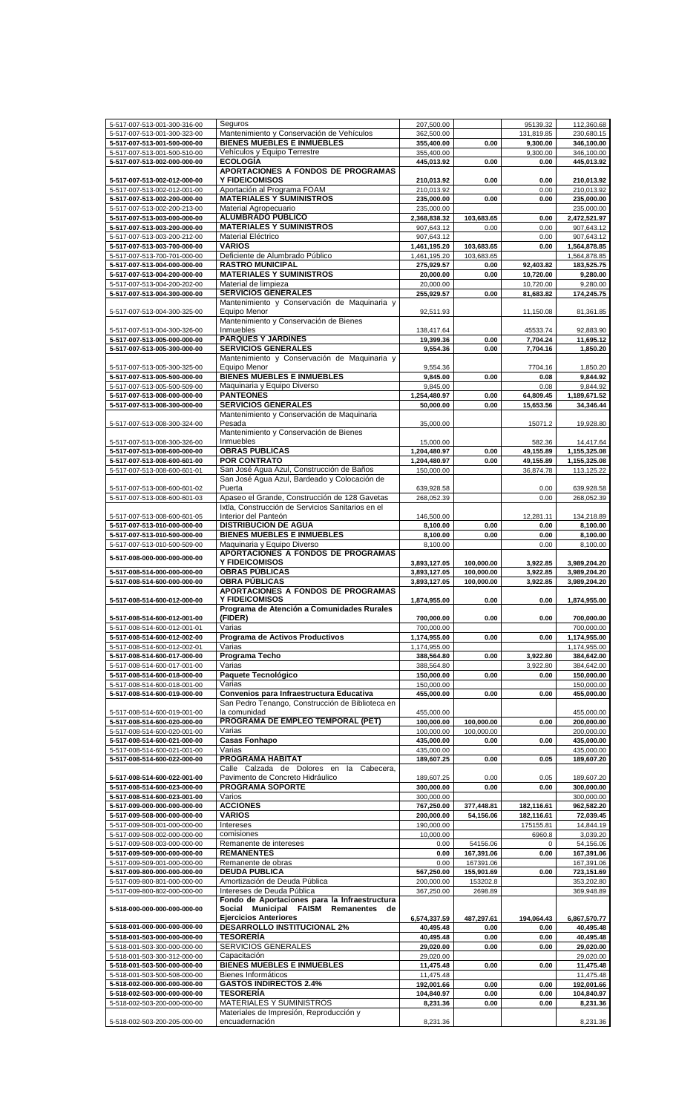| 5-517-007-513-001-300-316-00 | Seguros                                           | 207,500.00   |            | 95139.32   | 112,360.68   |
|------------------------------|---------------------------------------------------|--------------|------------|------------|--------------|
| 5-517-007-513-001-300-323-00 | Mantenimiento y Conservación de Vehículos         | 362,500.00   |            | 131,819.85 | 230,680.15   |
| 5-517-007-513-001-500-000-00 | <b>BIENES MUEBLES E INMUEBLES</b>                 | 355,400.00   | 0.00       | 9,300.00   | 346,100.00   |
| 5-517-007-513-001-500-510-00 | Vehículos y Equipo Terrestre                      | 355,400.00   |            | 9,300.00   | 346,100.00   |
|                              |                                                   |              |            |            |              |
| 5-517-007-513-002-000-000-00 | <b>ECOLOGÍA</b>                                   | 445,013.92   | 0.00       | 0.00       | 445,013.92   |
|                              | APORTACIONES A FONDOS DE PROGRAMAS                |              |            |            |              |
| 5-517-007-513-002-012-000-00 | <b>Y FIDEICOMISOS</b>                             | 210,013.92   | 0.00       | 0.00       | 210,013.92   |
| 5-517-007-513-002-012-001-00 | Aportación al Programa FOAM                       | 210,013.92   |            | 0.00       | 210,013.92   |
|                              |                                                   |              |            |            |              |
| 5-517-007-513-002-200-000-00 | <b>MATERIALES Y SUMINISTROS</b>                   | 235,000.00   | 0.00       | 0.00       | 235,000.00   |
| 5-517-007-513-002-200-213-00 | Material Agropecuario                             | 235,000.00   |            |            | 235,000.00   |
| 5-517-007-513-003-000-000-00 | ALUMBRADO PÚBLICO                                 | 2,368,838.32 | 103,683.65 | 0.00       | 2,472,521.97 |
|                              |                                                   |              |            |            |              |
| 5-517-007-513-003-200-000-00 | <b>MATERIALES Y SUMINISTROS</b>                   | 907,643.12   | 0.00       | 0.00       | 907,643.12   |
| 5-517-007-513-003-200-212-00 | Material Eléctrico                                | 907,643.12   |            | 0.00       | 907,643.12   |
| 5-517-007-513-003-700-000-00 | <b>VARIOS</b>                                     | 1,461,195.20 | 103,683.65 | 0.00       | 1,564,878.85 |
|                              |                                                   |              |            |            |              |
| 5-517-007-513-700-701-000-00 | Deficiente de Alumbrado Público                   | 1,461,195.20 | 103,683.65 |            | 1,564,878.85 |
| 5-517-007-513-004-000-000-00 | <b>RASTRO MUNICIPAL</b>                           | 275,929.57   | 0.00       | 92,403.82  | 183,525.75   |
| 5-517-007-513-004-200-000-00 | <b>MATERIALES Y SUMINISTROS</b>                   | 20,000.00    | 0.00       | 10,720.00  | 9,280.00     |
|                              |                                                   |              |            |            |              |
| 5-517-007-513-004-200-202-00 | Material de limpieza                              | 20,000.00    |            | 10,720.00  | 9,280.00     |
| 5-517-007-513-004-300-000-00 | <b>SERVICIOS GENERALES</b>                        | 255,929.57   | 0.00       | 81,683.82  | 174,245.75   |
|                              | Mantenimiento y Conservación de Maquinaria y      |              |            |            |              |
|                              | Equipo Menor                                      |              |            |            |              |
| 5-517-007-513-004-300-325-00 |                                                   | 92,511.93    |            | 11,150.08  | 81,361.85    |
|                              | Mantenimiento y Conservación de Bienes            |              |            |            |              |
| 5-517-007-513-004-300-326-00 | Inmuebles                                         | 138,417.64   |            | 45533.74   | 92,883.90    |
| 5-517-007-513-005-000-000-00 | <b>PARQUES Y JARDINES</b>                         | 19,399.36    | 0.00       | 7.704.24   | 11,695.12    |
|                              |                                                   |              |            |            |              |
| 5-517-007-513-005-300-000-00 | <b>SERVICIOS GENERALES</b>                        | 9,554.36     | 0.00       | 7,704.16   | 1,850.20     |
|                              | Mantenimiento y Conservación de Maquinaria y      |              |            |            |              |
| 5-517-007-513-005-300-325-00 | Equipo Menor                                      | 9,554.36     |            | 7704.16    | 1,850.20     |
|                              | <b>BIENES MUEBLES E INMUEBLES</b>                 |              |            |            |              |
| 5-517-007-513-005-500-000-00 |                                                   | 9,845.00     | 0.00       | 0.08       | 9,844.92     |
| 5-517-007-513-005-500-509-00 | Maquinaria y Equipo Diverso                       | 9,845.00     |            | 0.08       | 9.844.92     |
| 5-517-007-513-008-000-000-00 | <b>PANTEONES</b>                                  | 1,254,480.97 | 0.00       | 64,809.45  | 1,189,671.52 |
| 5-517-007-513-008-300-000-00 | <b>SERVICIOS GENERALES</b>                        | 50,000.00    |            |            |              |
|                              |                                                   |              | 0.00       | 15,653.56  | 34,346.44    |
|                              | Mantenimiento y Conservación de Maquinaria        |              |            |            |              |
| 5-517-007-513-008-300-324-00 | Pesada                                            | 35,000.00    |            | 15071.2    | 19,928.80    |
|                              | Mantenimiento y Conservación de Bienes            |              |            |            |              |
|                              |                                                   |              |            |            |              |
| 5-517-007-513-008-300-326-00 | Inmuebles                                         | 15,000.00    |            | 582.36     | 14,417.64    |
| 5-517-007-513-008-600-000-00 | <b>OBRAS PUBLICAS</b>                             | 1,204,480.97 | 0.00       | 49,155.89  | 1,155,325.08 |
| 5-517-007-513-008-600-601-00 | <b>POR CONTRATO</b>                               | 1,204,480.97 | 0.00       | 49,155.89  | 1,155,325.08 |
|                              |                                                   |              |            |            |              |
| 5-517-007-513-008-600-601-01 | San José Agua Azul, Construcción de Baños         | 150,000.00   |            | 36,874.78  | 113,125.22   |
|                              | San José Agua Azul, Bardeado y Colocación de      |              |            |            |              |
| 5-517-007-513-008-600-601-02 | Puerta                                            | 639,928.58   |            | 0.00       | 639,928.58   |
|                              | Apaseo el Grande, Construcción de 128 Gavetas     | 268,052.39   |            |            | 268,052.39   |
| 5-517-007-513-008-600-601-03 |                                                   |              |            | 0.00       |              |
|                              | Ixtla, Construcción de Servicios Sanitarios en el |              |            |            |              |
| 5-517-007-513-008-600-601-05 | Interior del Panteón                              | 146,500.00   |            | 12,281.11  | 134,218.89   |
| 5-517-007-513-010-000-000-00 | <b>DISTRIBUCION DE AGUA</b>                       | 8,100.00     | 0.00       | 0.00       | 8,100.00     |
|                              |                                                   |              |            |            |              |
| 5-517-007-513-010-500-000-00 | <b>BIENES MUEBLES E INMUEBLES</b>                 | 8,100.00     | 0.00       | 0.00       | 8,100.00     |
| 5-517-007-513-010-500-509-00 | Maguinaria y Equipo Diverso                       | 8,100.00     |            | 0.00       | 8,100.00     |
|                              | APORTACIONES A FONDOS DE PROGRAMAS                |              |            |            |              |
| 5-517-008-000-000-000-000-00 | <b>Y FIDEICOMISOS</b>                             |              |            | 3,922.85   |              |
|                              |                                                   | 3,893,127.05 | 100,000.00 |            | 3,989,204.20 |
| 5-517-008-514-000-000-000-00 | <b>OBRAS PÚBLICAS</b>                             | 3,893,127.05 | 100,000.00 | 3,922.85   | 3,989,204.20 |
| 5-517-008-514-600-000-000-00 | <b>OBRA PÚBLICAS</b>                              | 3,893,127.05 | 100,000.00 | 3,922.85   | 3,989,204.20 |
|                              |                                                   |              |            |            |              |
|                              |                                                   |              |            |            |              |
|                              | APORTACIONES A FONDOS DE PROGRAMAS                |              |            |            |              |
| 5-517-008-514-600-012-000-00 | <b>Y FIDEICOMISOS</b>                             | 1,874,955.00 | 0.00       | 0.00       | 1,874,955.00 |
|                              | Programa de Atención a Comunidades Rurales        |              |            |            |              |
|                              |                                                   |              |            |            |              |
| 5-517-008-514-600-012-001-00 | (FIDER)                                           | 700.000.00   | 0.00       | 0.00       | 700,000.00   |
| 5-517-008-514-600-012-001-01 | Varias                                            | 700,000.00   |            |            | 700,000.00   |
| 5-517-008-514-600-012-002-00 | Programa de Activos Productivos                   | 1,174,955.00 | 0.00       | 0.00       | 1,174,955.00 |
|                              | Varias                                            |              |            |            |              |
| 5-517-008-514-600-012-002-01 |                                                   | 1,174,955.00 |            |            | 1,174,955.00 |
| 5-517-008-514-600-017-000-00 | Programa Techo                                    | 388,564.80   | 0.00       | 3,922.80   | 384,642.00   |
| 5-517-008-514-600-017-001-00 | Varias                                            | 388,564.80   |            | 3,922.80   | 384,642.00   |
| 5-517-008-514-600-018-000-00 | Paquete Tecnológico                               | 150,000.00   | 0.00       | 0.00       | 150,000.00   |
|                              |                                                   |              |            |            |              |
| 5-517-008-514-600-018-001-00 | Varias                                            | 150,000.00   |            |            | 150,000.00   |
| 5-517-008-514-600-019-000-00 | Convenios para Infraestructura Educativa          | 455,000.00   | 0.00       | 0.00       | 455,000.00   |
|                              | San Pedro Tenango, Construcción de Biblioteca en  |              |            |            |              |
|                              |                                                   |              |            |            |              |
| 5-517-008-514-600-019-001-00 | la comunidad                                      | 455,000.00   |            |            | 455,000.00   |
| 5-517-008-514-600-020-000-00 | PROGRAMA DE EMPLEO TEMPORAL (PET)                 | 100,000.00   | 100,000.00 | 0.00       | 200,000.00   |
| 5-517-008-514-600-020-001-00 | Varias                                            | 100,000.00   | 100,000.00 |            | 200,000.00   |
| 5-517-008-514-600-021-000-00 | <b>Casas Fonhapo</b>                              | 435,000.00   | 0.00       | 0.00       | 435,000.00   |
|                              |                                                   |              |            |            |              |
| 5-517-008-514-600-021-001-00 | Varias                                            | 435,000.00   |            |            | 435,000.00   |
| 5-517-008-514-600-022-000-00 | PROGRAMA HABITAT                                  | 189,607.25   | 0.00       | 0.05       | 189,607.20   |
|                              | Calle Calzada de Dolores en<br>la<br>Cabecera,    |              |            |            |              |
|                              |                                                   |              |            |            |              |
| 5-517-008-514-600-022-001-00 | Pavimento de Concreto Hidráulico                  | 189,607.25   | 0.00       | 0.05       | 189,607.20   |
| 5-517-008-514-600-023-000-00 | PROGRAMA SOPORTE                                  | 300,000.00   | 0.00       | 0.00       | 300,000.00   |
| 5-517-008-514-600-023-001-00 | Varios                                            | 300,000.00   |            |            | 300,000.00   |
|                              | <b>ACCIONES</b>                                   |              |            |            |              |
| 5-517-009-000-000-000-000-00 |                                                   | 767,250.00   | 377,448.81 | 182,116.61 | 962,582.20   |
| 5-517-009-508-000-000-000-00 | <b>VARIOS</b>                                     | 200,000.00   | 54,156.06  | 182,116.61 | 72,039.45    |
| 5-517-009-508-001-000-000-00 | Intereses                                         | 190,000.00   |            | 175155.81  | 14,844.19    |
|                              | comisiones                                        | 10,000.00    |            |            |              |
| 5-517-009-508-002-000-000-00 |                                                   |              |            | 6960.8     | 3,039.20     |
| 5-517-009-508-003-000-000-00 | Remanente de intereses                            | 0.00         | 54156.06   | 0          | 54,156.06    |
| 5-517-009-509-000-000-000-00 | <b>REMANENTES</b>                                 | 0.00         | 167,391.06 | 0.00       | 167,391.06   |
| 5-517-009-509-001-000-000-00 | Remanente de obras                                | 0.00         | 167391.06  |            | 167,391.06   |
|                              |                                                   |              |            |            |              |
| 5-517-009-800-000-000-000-00 | <b>DEUDA PUBLICA</b>                              | 567,250.00   | 155,901.69 | 0.00       | 723,151.69   |
| 5-517-009-800-801-000-000-00 | Amortización de Deuda Pública                     | 200,000.00   | 153202.8   |            | 353,202.80   |
| 5-517-009-800-802-000-000-00 | Intereses de Deuda Pública                        | 367,250.00   | 2698.89    |            | 369,948.89   |
|                              |                                                   |              |            |            |              |
|                              | Fondo de Aportaciones para la Infraestructura     |              |            |            |              |
| 5-518-000-000-000-000-000-00 | Social Municipal FAISM Remanentes<br>de           |              |            |            |              |
|                              | <b>Ejercicios Anteriores</b>                      | 6,574,337.59 | 487,297.61 | 194,064.43 | 6,867,570.77 |
| 5-518-001-000-000-000-000-00 | <b>DESARROLLO INSTITUCIONAL 2%</b>                |              | 0.00       | 0.00       |              |
|                              |                                                   | 40,495.48    |            |            | 40,495.48    |
| 5-518-001-503-000-000-000-00 | TESORERÍA                                         | 40,495.48    | 0.00       | 0.00       | 40,495.48    |
| 5-518-001-503-300-000-000-00 | SERVICIOS GENERALES                               | 29,020.00    | 0.00       | 0.00       | 29,020.00    |
|                              | Capacitación                                      | 29,020.00    |            |            | 29,020.00    |
| 5-518-001-503-300-312-000-00 |                                                   |              |            |            |              |
| 5-518-001-503-500-000-000-00 | <b>BIENES MUEBLES E INMUEBLES</b>                 | 11,475.48    | 0.00       | 0.00       | 11,475.48    |
| 5-518-001-503-500-508-000-00 | Bienes Informáticos                               | 11,475.48    |            |            | 11,475.48    |
| 5-518-002-000-000-000-000-00 | <b>GASTOS INDIRECTOS 2.4%</b>                     | 192,001.66   | 0.00       | 0.00       | 192,001.66   |
|                              |                                                   |              |            |            |              |
| 5-518-002-503-000-000-000-00 | <b>TESORERÍA</b>                                  | 104,840.97   | 0.00       | 0.00       | 104,840.97   |
| 5-518-002-503-200-000-000-00 | MATERIALES Y SUMINISTROS                          | 8,231.36     | 0.00       | 0.00       | 8,231.36     |
|                              | Materiales de Impresión, Reproducción y           |              |            |            |              |
| 5-518-002-503-200-205-000-00 | encuadernación                                    | 8,231.36     |            |            | 8,231.36     |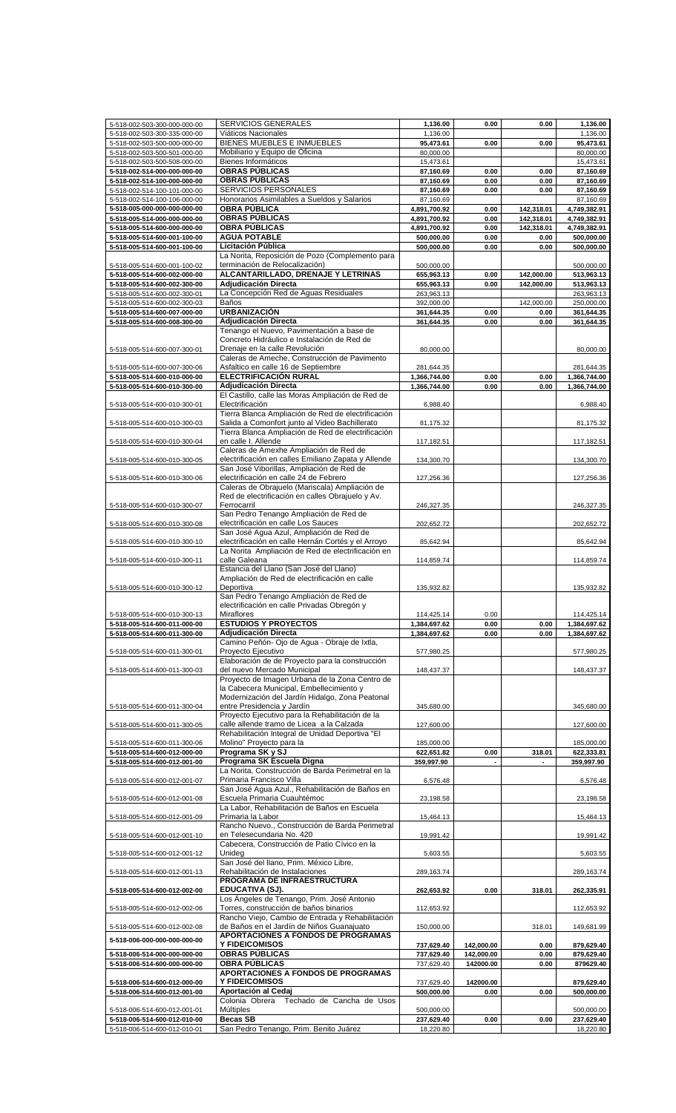| 5-518-002-503-300-000-000-00                                 | <b>SERVICIOS GENERALES</b>                                                                           | 1,136.00                | 0.00       | 0.00       | 1,136.00                |
|--------------------------------------------------------------|------------------------------------------------------------------------------------------------------|-------------------------|------------|------------|-------------------------|
| 5-518-002-503-300-335-000-00                                 | Viáticos Nacionales                                                                                  | 1,136.00                |            |            | 1.136.00                |
| 5-518-002-503-500-000-000-00                                 | BIENES MUEBLES E INMUEBLES                                                                           | 95,473.61               | 0.00       | 0.00       | 95,473.61               |
| 5-518-002-503-500-501-000-00                                 | Mobiliario y Equipo de Oficina                                                                       | 80,000.00               |            |            | 80,000.00               |
| 5-518-002-503-500-508-000-00                                 | Bienes Informáticos                                                                                  | 15,473.61               |            |            | 15,473.61               |
| 5-518-002-514-000-000-000-00                                 | <b>OBRAS PÚBLICAS</b>                                                                                | 87,160.69               | 0.00       | 0.00       | 87,160.69               |
| 5-518-002-514-100-000-000-00                                 | <b>OBRAS PÚBLICAS</b>                                                                                | 87,160.69               | 0.00       | 0.00       | 87,160.69               |
| 5-518-002-514-100-101-000-00                                 | SERVICIOS PERSONALES                                                                                 | 87,160.69               | 0.00       | 0.00       | 87,160.69               |
| 5-518-002-514-100-106-000-00                                 | Honorarios Asimilables a Sueldos y Salarios                                                          | 87,160.69               |            |            | 87,160.69               |
| 5-518-005-000-000-000-000-00                                 | <b>OBRA PÚBLICA</b>                                                                                  | 4,891,700.92            | 0.00       | 142,318.01 | 4,749,382.91            |
| 5-518-005-514-000-000-000-00                                 | <b>OBRAS PÚBLICAS</b>                                                                                | 4,891,700.92            | 0.00       | 142,318.01 | 4,749,382.91            |
| 5-518-005-514-600-000-000-00                                 | <b>OBRA PÚBLICAS</b>                                                                                 | 4,891,700.92            | 0.00       | 142,318.01 | 4,749,382.91            |
| 5-518-005-514-600-001-100-00                                 | <b>AGUA POTABLE</b>                                                                                  | 500,000.00              | 0.00       | 0.00       | 500,000.00              |
| 5-518-005-514-600-001-100-00                                 | Licitación Pública                                                                                   | 500.000.00              | 0.00       | 0.00       | 500,000.00              |
|                                                              | La Norita, Reposición de Pozo (Complemento para                                                      |                         |            |            |                         |
| 5-518-005-514-600-001-100-02                                 | terminación de Relocalización)                                                                       | 500,000.00              |            |            | 500,000.00              |
| 5-518-005-514-600-002-000-00                                 | ALCANTARILLADO, DRENAJE Y LETRINAS                                                                   | 655,963.13              | 0.00       | 142.000.00 | 513,963.13              |
| 5-518-005-514-600-002-300-00                                 | Adjudicación Directa                                                                                 | 655,963.13              | 0.00       | 142,000.00 | 513,963.13              |
| 5-518-005-514-600-002-300-01                                 | La Concepción Red de Aguas Residuales                                                                | 263,963.13              |            |            | 263,963.13              |
| 5-518-005-514-600-002-300-03                                 | Baños                                                                                                | 392,000.00              |            | 142,000.00 | 250,000.00              |
| 5-518-005-514-600-007-000-00                                 | <b>URBANIZACIÓN</b>                                                                                  | 361,644.35              | 0.00       | 0.00       | 361,644.35              |
| 5-518-005-514-600-008-300-00                                 | Adjudicación Directa                                                                                 | 361,644.35              | 0.00       | 0.00       | 361,644.35              |
|                                                              | Tenango el Nuevo, Pavimentación a base de                                                            |                         |            |            |                         |
|                                                              | Concreto Hidráulico e Instalación de Red de                                                          |                         |            |            |                         |
| 5-518-005-514-600-007-300-01                                 | Drenaje en la calle Revolución                                                                       | 80,000.00               |            |            | 80,000.00               |
|                                                              | Caleras de Ameche, Construcción de Pavimento                                                         |                         |            |            |                         |
| 5-518-005-514-600-007-300-06                                 | Asfaltico en calle 16 de Septiembre                                                                  | 281,644.35              |            |            | 281,644.35              |
| 5-518-005-514-600-010-000-00                                 | <b>ELECTRIFICACIÓN RURAL</b>                                                                         | 1,366,744.00            | 0.00       | 0.00       | 1,366,744.00            |
| 5-518-005-514-600-010-300-00                                 | Adjudicación Directa                                                                                 | 1,366,744.00            | 0.00       | 0.00       | 1,366,744.00            |
|                                                              | El Castillo, calle las Moras Ampliación de Red de                                                    |                         |            |            |                         |
| 5-518-005-514-600-010-300-01                                 | Electrificación                                                                                      | 6,988.40                |            |            | 6,988.40                |
|                                                              | Tierra Blanca Ampliación de Red de electrificación                                                   |                         |            |            |                         |
| 5-518-005-514-600-010-300-03                                 | Salida a Comonfort junto al Video Bachillerato<br>Tierra Blanca Ampliación de Red de electrificación | 81,175.32               |            |            | 81,175.32               |
|                                                              |                                                                                                      |                         |            |            |                         |
| 5-518-005-514-600-010-300-04                                 | en calle I. Allende<br>Caleras de Amexhe Ampliación de Red de                                        | 117,182.51              |            |            | 117,182.51              |
| 5-518-005-514-600-010-300-05                                 | electrificación en calles Emiliano Zapata y Allende                                                  | 134,300.70              |            |            | 134,300.70              |
|                                                              | San José Viborillas, Ampliación de Red de                                                            |                         |            |            |                         |
| 5-518-005-514-600-010-300-06                                 | electrificación en calle 24 de Febrero                                                               | 127,256.36              |            |            | 127,256.36              |
|                                                              | Caleras de Obrajuelo (Mariscala) Ampliación de                                                       |                         |            |            |                         |
|                                                              | Red de electrificación en calles Obrajuelo y Av.                                                     |                         |            |            |                         |
| 5-518-005-514-600-010-300-07                                 | Ferrocarril                                                                                          | 246,327.35              |            |            | 246,327.35              |
|                                                              | San Pedro Tenango Ampliación de Red de                                                               |                         |            |            |                         |
| 5-518-005-514-600-010-300-08                                 | electrificación en calle Los Sauces                                                                  | 202,652.72              |            |            | 202,652.72              |
|                                                              | San José Agua Azul, Ampliación de Red de                                                             |                         |            |            |                         |
| 5-518-005-514-600-010-300-10                                 | electrificación en calle Hernán Cortés y el Arroyo                                                   | 85,642.94               |            |            | 85,642.94               |
|                                                              | La Norita Ampliación de Red de electrificación en                                                    |                         |            |            |                         |
| 5-518-005-514-600-010-300-11                                 | calle Galeana                                                                                        | 114,859.74              |            |            | 114,859.74              |
|                                                              | Estancia del Llano (San José del Llano)                                                              |                         |            |            |                         |
|                                                              | Ampliación de Red de electrificación en calle                                                        |                         |            |            |                         |
| 5-518-005-514-600-010-300-12                                 | Deportiva                                                                                            | 135,932.82              |            |            | 135,932.82              |
|                                                              | San Pedro Tenango Ampliación de Red de                                                               |                         |            |            |                         |
|                                                              | electrificación en calle Privadas Obregón y                                                          |                         |            |            |                         |
| 5-518-005-514-600-010-300-13                                 | Miraflores<br><b>ESTUDIOS Y PROYECTOS</b>                                                            | 114,425.14              | 0.00       |            | 114,425.14              |
| 5-518-005-514-600-011-000-00                                 |                                                                                                      | 1,384,697.62            | 0.00       | 0.00       | 1,384,697.62            |
| 5-518-005-514-600-011-300-00                                 | Adjudicación Directa<br>Camino Peñón- Ojo de Aqua - Obraje de Ixtla,                                 | 1,384,697.62            | 0.00       | 0.00       | 1,384,697.62            |
| 5-518-005-514-600-011-300-01                                 | Proyecto Ejecutivo                                                                                   | 577,980.25              |            |            | 577,980.25              |
|                                                              | Elaboración de de Proyecto para la construcción                                                      |                         |            |            |                         |
| 5-518-005-514-600-011-300-03                                 |                                                                                                      |                         |            |            |                         |
|                                                              |                                                                                                      |                         |            |            |                         |
|                                                              | del nuevo Mercado Municipal                                                                          | 148,437.37              |            |            | 148,437.37              |
|                                                              | Proyecto de Imagen Urbana de la Zona Centro de                                                       |                         |            |            |                         |
|                                                              | la Cabecera Municipal, Embellecimiento y                                                             |                         |            |            |                         |
| 5-518-005-514-600-011-300-04                                 | Modernización del Jardín Hidalgo, Zona Peatonal<br>entre Presidencia y Jardín                        | 345,680.00              |            |            | 345,680.00              |
|                                                              | Proyecto Ejecutivo para la Rehabilitación de la                                                      |                         |            |            |                         |
| 5-518-005-514-600-011-300-05                                 | calle allende tramo de Licea a la Calzada                                                            | 127,600.00              |            |            | 127,600.00              |
|                                                              | Rehabilitación Integral de Unidad Deportiva "El                                                      |                         |            |            |                         |
| 5-518-005-514-600-011-300-06                                 | Molino" Proyecto para la                                                                             | 185,000.00              |            |            | 185,000.00              |
| 5-518-005-514-600-012-000-00                                 | Programa SK y SJ                                                                                     | 622,651.82              | 0.00       | 318.01     | 622,333.81              |
| 5-518-005-514-600-012-001-00                                 | Programa SK Escuela Digna                                                                            | 359,997.90              |            |            | 359,997.90              |
|                                                              | La Norita, Construcción de Barda Perimetral en la                                                    |                         |            |            |                         |
| 5-518-005-514-600-012-001-07                                 | Primaria Francisco Villa                                                                             | 6,576.48                |            |            | 6,576.48                |
|                                                              | San José Agua Azul., Rehabilitación de Baños en                                                      |                         |            |            |                         |
| 5-518-005-514-600-012-001-08                                 | Escuela Primaria Cuauhtémoc                                                                          | 23,198.58               |            |            | 23,198.58               |
|                                                              | La Labor, Rehabilitación de Baños en Escuela                                                         |                         |            |            |                         |
| 5-518-005-514-600-012-001-09                                 | Primaria la Labor                                                                                    | 15,464.13               |            |            | 15,464.13               |
|                                                              | Rancho Nuevo., Construcción de Barda Perimetral                                                      |                         |            |            |                         |
| 5-518-005-514-600-012-001-10                                 | en Telesecundaria No. 420                                                                            | 19,991.42               |            |            | 19,991.42               |
|                                                              | Cabecera, Construcción de Patio Cívico en la                                                         |                         |            |            |                         |
| 5-518-005-514-600-012-001-12                                 | Unideg<br>San José del llano, Prim. México Libre,                                                    | 5,603.55                |            |            | 5,603.55                |
|                                                              | Rehabilitación de Instalaciones                                                                      |                         |            |            |                         |
| 5-518-005-514-600-012-001-13                                 | PROGRAMA DE INFRAESTRUCTURA                                                                          | 289,163.74              |            |            | 289,163.74              |
| 5-518-005-514-600-012-002-00                                 | EDUCATIVA (SJ).                                                                                      | 262,653.92              | 0.00       | 318.01     | 262,335.91              |
|                                                              | Los Ángeles de Tenango, Prim. José Antonio                                                           |                         |            |            |                         |
| 5-518-005-514-600-012-002-06                                 | Torres, construcción de baños binarios                                                               | 112,653.92              |            |            | 112,653.92              |
|                                                              | Rancho Viejo, Cambio de Entrada y Rehabilitación                                                     |                         |            |            |                         |
| 5-518-005-514-600-012-002-08                                 | de Baños en el Jardín de Niños Guanajuato                                                            | 150,000.00              |            | 318.01     | 149,681.99              |
|                                                              | APORTACIONES A FONDOS DE PROGRAMAS                                                                   |                         |            |            |                         |
| 5-518-006-000-000-000-000-00                                 | Y FIDEICOMISOS                                                                                       | 737,629.40              | 142,000.00 | 0.00       | 879,629.40              |
| 5-518-006-514-000-000-000-00                                 | <b>OBRAS PÚBLICAS</b>                                                                                | 737,629.40              | 142,000.00 | 0.00       | 879,629.40              |
| 5-518-006-514-600-000-000-00                                 | <b>OBRA PÚBLICAS</b>                                                                                 | 737,629.40              | 142000.00  | 0.00       | 879629.40               |
|                                                              | <b>APORTACIONES A FONDOS DE PROGRAMAS</b>                                                            |                         |            |            |                         |
| 5-518-006-514-600-012-000-00                                 | Y FIDEICOMISOS                                                                                       | 737,629.40              | 142000.00  |            | 879,629.40              |
| 5-518-006-514-600-012-001-00                                 | Aportación al Cedaj                                                                                  | 500,000.00              | 0.00       | 0.00       | 500,000.00              |
|                                                              | Colonia Obrera<br>Techado de Cancha de Usos                                                          |                         |            |            |                         |
| 5-518-006-514-600-012-001-01                                 | Múltiples                                                                                            | 500,000.00              |            |            | 500.000.00              |
| 5-518-006-514-600-012-010-00<br>5-518-006-514-600-012-010-01 | <b>Becas SB</b><br>San Pedro Tenango, Prim. Benito Juárez                                            | 237,629.40<br>18,220.80 | 0.00       | 0.00       | 237,629.40<br>18,220.80 |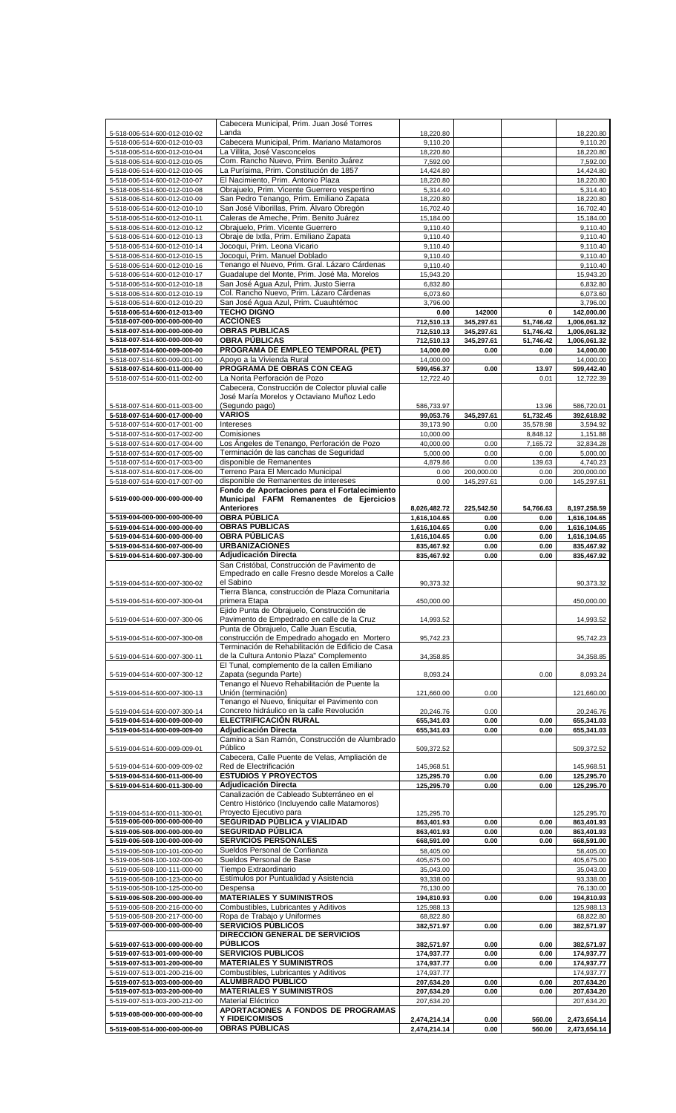|                              | Cabecera Municipal, Prim. Juan José Torres        |              |            |           |              |
|------------------------------|---------------------------------------------------|--------------|------------|-----------|--------------|
| 5-518-006-514-600-012-010-02 | Landa                                             | 18,220.80    |            |           | 18,220.80    |
| 5-518-006-514-600-012-010-03 | Cabecera Municipal, Prim. Mariano Matamoros       | 9,110.20     |            |           | 9,110.20     |
| 5-518-006-514-600-012-010-04 | La Villita, José Vasconcelos                      | 18,220.80    |            |           | 18,220.80    |
|                              |                                                   |              |            |           |              |
| 5-518-006-514-600-012-010-05 | Com. Rancho Nuevo, Prim. Benito Juárez            | 7,592.00     |            |           | 7,592.00     |
| 5-518-006-514-600-012-010-06 | La Purísima, Prim. Constitución de 1857           | 14,424.80    |            |           | 14,424.80    |
| 5-518-006-514-600-012-010-07 | El Nacimiento, Prim. Antonio Plaza                | 18,220.80    |            |           | 18,220.80    |
| 5-518-006-514-600-012-010-08 | Obrajuelo, Prim. Vicente Guerrero vespertino      | 5,314.40     |            |           | 5,314.40     |
| 5-518-006-514-600-012-010-09 | San Pedro Tenango, Prim. Emiliano Zapata          | 18,220.80    |            |           | 18,220.80    |
| 5-518-006-514-600-012-010-10 | San José Viborillas, Prim. Álvaro Obregón         | 16,702.40    |            |           | 16,702.40    |
| 5-518-006-514-600-012-010-11 | Caleras de Ameche, Prim. Benito Juárez            | 15,184.00    |            |           | 15,184.00    |
| 5-518-006-514-600-012-010-12 | Obrajuelo, Prim. Vicente Guerrero                 | 9,110.40     |            |           | 9,110.40     |
|                              |                                                   |              |            |           |              |
| 5-518-006-514-600-012-010-13 | Obraje de Ixtla, Prim. Emiliano Zapata            | 9,110.40     |            |           | 9,110.40     |
| 5-518-006-514-600-012-010-14 | Jocoqui, Prim. Leona Vicario                      | 9,110.40     |            |           | 9,110.40     |
| 5-518-006-514-600-012-010-15 | Jocoqui, Prim. Manuel Doblado                     | 9,110.40     |            |           | 9,110.40     |
| 5-518-006-514-600-012-010-16 | Tenango el Nuevo, Prim. Gral. Lázaro Cárdenas     | 9,110.40     |            |           | 9,110.40     |
| 5-518-006-514-600-012-010-17 | Guadalupe del Monte, Prim. José Ma. Morelos       | 15,943.20    |            |           | 15,943.20    |
| 5-518-006-514-600-012-010-18 | San José Agua Azul, Prim. Justo Sierra            | 6,832.80     |            |           | 6,832.80     |
|                              |                                                   |              |            |           |              |
| 5-518-006-514-600-012-010-19 | Col. Rancho Nuevo, Prim. Lázaro Cárdenas          | 6,073.60     |            |           | 6,073.60     |
| 5-518-006-514-600-012-010-20 | San José Agua Azul, Prim. Cuauhtémoc              | 3,796.00     |            |           | 3,796.00     |
| 5-518-006-514-600-012-013-00 | <b>TECHO DIGNO</b>                                | 0.00         | 142000     | 0         | 142,000.00   |
| 5-518-007-000-000-000-000-00 | <b>ACCIONES</b>                                   | 712,510.13   | 345,297.61 | 51,746.42 | 1,006,061.32 |
| 5-518-007-514-000-000-000-00 | <b>OBRAS PUBLICAS</b>                             | 712,510.13   | 345,297.61 | 51,746.42 | 1,006,061.32 |
| 5-518-007-514-600-000-000-00 | <b>OBRA PÚBLICAS</b>                              | 712,510.13   | 345,297.61 | 51,746.42 | 1,006,061.32 |
| 5-518-007-514-600-009-000-00 | PROGRAMA DE EMPLEO TEMPORAL (PET)                 | 14,000.00    | 0.00       | 0.00      | 14,000.00    |
|                              |                                                   |              |            |           |              |
| 5-518-007-514-600-009-001-00 | Apoyo a la Vivienda Rural                         | 14,000.00    |            |           | 14,000.00    |
| 5-518-007-514-600-011-000-00 | PROGRAMA DE OBRAS CON CEAG                        | 599,456.37   | 0.00       | 13.97     | 599,442.40   |
| 5-518-007-514-600-011-002-00 | La Norita Perforación de Pozo                     | 12,722.40    |            | 0.01      | 12,722.39    |
|                              | Cabecera, Construcción de Colector pluvial calle  |              |            |           |              |
|                              | José María Morelos y Octaviano Muñoz Ledo         |              |            |           |              |
| 5-518-007-514-600-011-003-00 | (Segundo pago)                                    | 586,733.97   |            | 13.96     | 586,720.01   |
|                              | <b>VARIOS</b>                                     |              |            | 51,732.45 |              |
| 5-518-007-514-600-017-000-00 |                                                   | 99,053.76    | 345,297.61 |           | 392,618.92   |
| 5-518-007-514-600-017-001-00 | Intereses                                         | 39,173.90    | 0.00       | 35,578.98 | 3.594.92     |
| 5-518-007-514-600-017-002-00 | Comisiones                                        | 10,000.00    |            | 8,848.12  | 1,151.88     |
| 5-518-007-514-600-017-004-00 | Los Ángeles de Tenango, Perforación de Pozo       | 40,000.00    | 0.00       | 7,165.72  | 32,834.28    |
| 5-518-007-514-600-017-005-00 | Terminación de las canchas de Seguridad           | 5,000.00     | 0.00       | 0.00      | 5,000.00     |
| 5-518-007-514-600-017-003-00 | disponible de Remanentes                          | 4,879.86     | 0.00       | 139.63    | 4,740.23     |
|                              |                                                   |              |            |           |              |
| 5-518-007-514-600-017-006-00 | Terreno Para El Mercado Municipal                 | 0.00         | 200,000.00 | 0.00      | 200,000.00   |
| 5-518-007-514-600-017-007-00 | disponible de Remanentes de intereses             | 0.00         | 145,297.61 | 0.00      | 145,297.61   |
|                              | Fondo de Aportaciones para el Fortalecimiento     |              |            |           |              |
| 5-519-000-000-000-000-000-00 | Municipal FAFM Remanentes de Ejercicios           |              |            |           |              |
|                              | <b>Anteriores</b>                                 | 8,026,482.72 | 225,542.50 | 54,766.63 | 8,197,258.59 |
| 5-519-004-000-000-000-000-00 | <b>OBRA PÚBLICA</b>                               | 1,616,104.65 | 0.00       | 0.00      | 1,616,104.65 |
| 5-519-004-514-000-000-000-00 | <b>OBRAS PUBLICAS</b>                             | 1,616,104.65 | 0.00       | 0.00      | 1,616,104.65 |
| 5-519-004-514-600-000-000-00 | <b>OBRA PÚBLICAS</b>                              | 1,616,104.65 | 0.00       | 0.00      | 1,616,104.65 |
|                              |                                                   |              |            |           |              |
| 5-519-004-514-600-007-000-00 | <b>URBANIZACIONES</b>                             | 835,467.92   | 0.00       | 0.00      | 835,467.92   |
| 5-519-004-514-600-007-300-00 | Adjudicación Directa                              | 835,467.92   | 0.00       | 0.00      | 835,467.92   |
|                              |                                                   |              |            |           |              |
|                              | San Cristóbal, Construcción de Pavimento de       |              |            |           |              |
|                              | Empedrado en calle Fresno desde Morelos a Calle   |              |            |           |              |
| 5-519-004-514-600-007-300-02 | el Sabino                                         | 90,373.32    |            |           | 90,373.32    |
|                              |                                                   |              |            |           |              |
|                              | Tierra Blanca, construcción de Plaza Comunitaria  |              |            |           |              |
| 5-519-004-514-600-007-300-04 | primera Etapa                                     | 450,000.00   |            |           | 450,000.00   |
|                              | Ejido Punta de Obrajuelo, Construcción de         |              |            |           |              |
| 5-519-004-514-600-007-300-06 | Pavimento de Empedrado en calle de la Cruz        | 14,993.52    |            |           | 14,993.52    |
|                              | Punta de Obrajuelo, Calle Juan Escutia,           |              |            |           |              |
| 5-519-004-514-600-007-300-08 | construcción de Empedrado ahogado en Mortero      | 95,742.23    |            |           | 95,742.23    |
|                              | Terminación de Rehabilitación de Edificio de Casa |              |            |           |              |
| 5-519-004-514-600-007-300-11 | de la Cultura Antonio Plaza" Complemento          | 34,358.85    |            |           | 34,358.85    |
|                              | El Tunal, complemento de la callen Emiliano       |              |            |           |              |
|                              |                                                   |              |            |           |              |
| 5-519-004-514-600-007-300-12 | Zapata (segunda Parte)                            | 8,093.24     |            | 0.00      | 8,093.24     |
|                              | Tenango el Nuevo Rehabilitación de Puente la      |              |            |           |              |
| 5-519-004-514-600-007-300-13 | Unión (terminación)                               | 121,660.00   | 0.00       |           | 121,660.00   |
|                              | Tenango el Nuevo, finiquitar el Pavimento con     |              |            |           |              |
| 5-519-004-514-600-007-300-14 | Concreto hidráulico en la calle Revolución        | 20,246.76    | 0.00       |           | 20,246.76    |
| 5-519-004-514-600-009-000-00 | ELECTRIFICACIÓN RURAL                             | 655,341.03   | 0.00       | 0.00      | 655,341.03   |
| 5-519-004-514-600-009-009-00 | Adjudicación Directa                              | 655,341.03   | 0.00       | 0.00      | 655,341.03   |
|                              | Camino a San Ramón, Construcción de Alumbrado     |              |            |           |              |
| 5-519-004-514-600-009-009-01 | Público                                           | 509,372.52   |            |           | 509,372.52   |
|                              |                                                   |              |            |           |              |
|                              | Cabecera, Calle Puente de Velas, Ampliación de    |              |            |           |              |
| 5-519-004-514-600-009-009-02 | Red de Electrificación                            | 145,968.51   |            |           | 145,968.51   |
| 5-519-004-514-600-011-000-00 | <b>ESTUDIOS Y PROYECTOS</b>                       | 125,295.70   | 0.00       | 0.00      | 125,295.70   |
| 5-519-004-514-600-011-300-00 | Adjudicación Directa                              | 125,295.70   | 0.00       | 0.00      | 125,295.70   |
|                              | Canalización de Cableado Subterráneo en el        |              |            |           |              |
|                              | Centro Histórico (Incluyendo calle Matamoros)     |              |            |           |              |
| 5-519-004-514-600-011-300-01 | Proyecto Ejecutivo para                           | 125,295.70   |            |           | 125,295.70   |
| 5-519-006-000-000-000-000-00 | SEGURIDAD PÚBLICA y VIALIDAD                      | 863,401.93   | 0.00       | 0.00      | 863,401.93   |
| 5-519-006-508-000-000-000-00 | <b>SEGURIDAD PÚBLICA</b>                          | 863,401.93   | 0.00       | 0.00      | 863,401.93   |
|                              | <b>SERVICIOS PERSONALES</b>                       |              | 0.00       | 0.00      |              |
| 5-519-006-508-100-000-000-00 |                                                   | 668,591.00   |            |           | 668,591.00   |
| 5-519-006-508-100-101-000-00 | Sueldos Personal de Confianza                     | 58,405.00    |            |           | 58,405.00    |
| 5-519-006-508-100-102-000-00 | Sueldos Personal de Base                          | 405,675.00   |            |           | 405,675.00   |
| 5-519-006-508-100-111-000-00 | Tiempo Extraordinario                             | 35,043.00    |            |           | 35,043.00    |
| 5-519-006-508-100-123-000-00 | Estímulos por Puntualidad y Asistencia            | 93,338.00    |            |           | 93,338.00    |
| 5-519-006-508-100-125-000-00 | Despensa                                          | 76,130.00    |            |           | 76,130.00    |
|                              | <b>MATERIALES Y SUMINISTROS</b>                   |              | 0.00       | 0.00      |              |
| 5-519-006-508-200-000-000-00 |                                                   | 194,810.93   |            |           | 194,810.93   |
| 5-519-006-508-200-216-000-00 | Combustibles, Lubricantes y Aditivos              | 125,988.13   |            |           | 125,988.13   |
| 5-519-006-508-200-217-000-00 | Ropa de Trabajo y Uniformes                       | 68,822.80    |            |           | 68,822.80    |
| 5-519-007-000-000-000-000-00 | <b>SERVICIOS PÚBLICOS</b>                         | 382,571.97   | 0.00       | 0.00      | 382,571.97   |
|                              | DIRECCIÓN GENERAL DE SERVICIOS                    |              |            |           |              |
| 5-519-007-513-000-000-000-00 | <b>PUBLICOS</b>                                   | 382,571.97   | 0.00       | 0.00      | 382,571.97   |
| 5-519-007-513-001-000-000-00 | <b>SERVICIOS PUBLICOS</b>                         | 174,937.77   | 0.00       | 0.00      | 174,937.77   |
|                              | <b>MATERIALES Y SUMINISTROS</b>                   |              | 0.00       | 0.00      |              |
| 5-519-007-513-001-200-000-00 |                                                   | 174,937.77   |            |           | 174,937.77   |
| 5-519-007-513-001-200-216-00 | Combustibles, Lubricantes y Aditivos              | 174,937.77   |            |           | 174,937.77   |
| 5-519-007-513-003-000-000-00 | ALUMBRADO PÚBLICO                                 | 207,634.20   | 0.00       | 0.00      | 207,634.20   |
| 5-519-007-513-003-200-000-00 | <b>MATERIALES Y SUMINISTROS</b>                   | 207,634.20   | 0.00       | 0.00      | 207,634.20   |
| 5-519-007-513-003-200-212-00 | Material Eléctrico                                | 207,634.20   |            |           | 207,634.20   |
|                              | APORTACIONES A FONDOS DE PROGRAMAS                |              |            |           |              |
| 5-519-008-000-000-000-000-00 | Y FIDEICOMISOS                                    | 2,474,214.14 | 0.00       | 560.00    | 2,473,654.14 |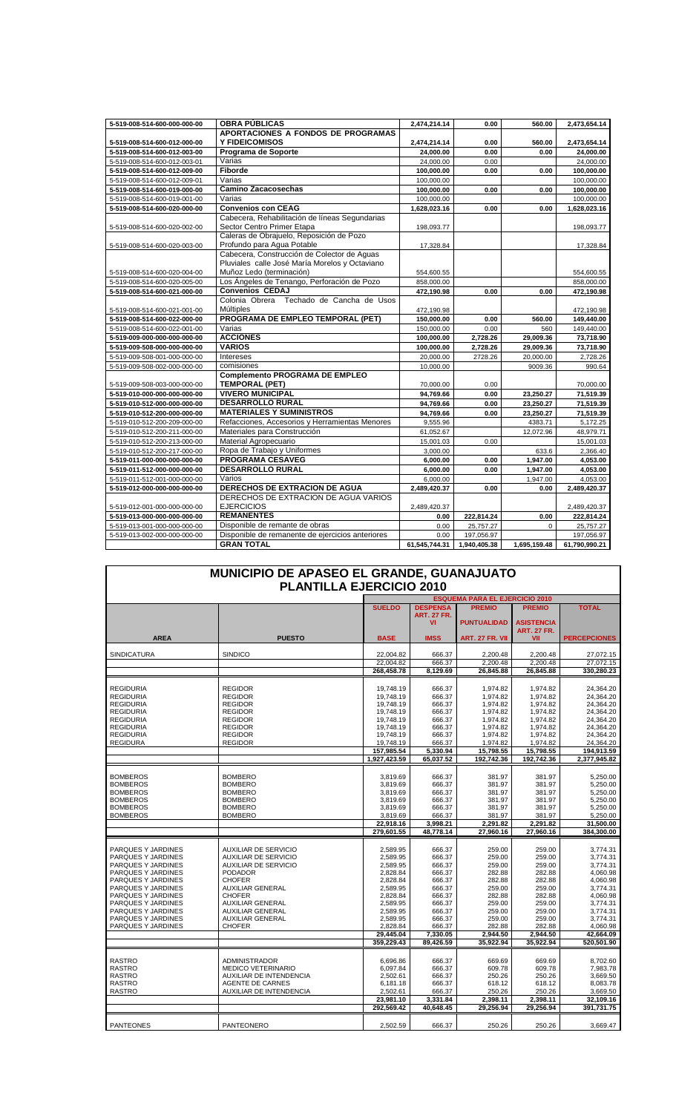| 5-519-008-514-600-000-000-00 | <b>OBRA PÚBLICAS</b>                             | 2,474,214.14  | 0.00         | 560.00       | 2,473,654.14  |
|------------------------------|--------------------------------------------------|---------------|--------------|--------------|---------------|
|                              | APORTACIONES A FONDOS DE PROGRAMAS               |               |              |              |               |
| 5-519-008-514-600-012-000-00 | <b>Y FIDEICOMISOS</b>                            | 2,474,214.14  | 0.00         | 560.00       | 2,473,654.14  |
| 5-519-008-514-600-012-003-00 | Programa de Soporte                              | 24,000.00     | 0.00         | 0.00         | 24,000.00     |
| 5-519-008-514-600-012-003-01 | Varias                                           | 24,000.00     | 0.00         |              | 24,000.00     |
| 5-519-008-514-600-012-009-00 | Fiborde                                          | 100,000.00    | 0.00         | 0.00         | 100,000.00    |
| 5-519-008-514-600-012-009-01 | Varias                                           | 100,000.00    |              |              | 100,000.00    |
| 5-519-008-514-600-019-000-00 | <b>Camino Zacacosechas</b>                       | 100,000.00    | 0.00         | 0.00         | 100,000.00    |
| 5-519-008-514-600-019-001-00 | Varias                                           | 100,000.00    |              |              | 100,000.00    |
| 5-519-008-514-600-020-000-00 | <b>Convenios con CEAG</b>                        | 1,628,023.16  | 0.00         | 0.00         | 1,628,023.16  |
|                              | Cabecera, Rehabilitación de líneas Segundarias   |               |              |              |               |
| 5-519-008-514-600-020-002-00 | Sector Centro Primer Etapa                       | 198,093.77    |              |              | 198,093.77    |
|                              | Caleras de Obrajuelo, Reposición de Pozo         |               |              |              |               |
| 5-519-008-514-600-020-003-00 | Profundo para Agua Potable                       | 17,328.84     |              |              | 17,328.84     |
|                              | Cabecera, Construcción de Colector de Aquas      |               |              |              |               |
|                              | Pluviales calle José María Morelos y Octaviano   |               |              |              |               |
| 5-519-008-514-600-020-004-00 | Muñoz Ledo (terminación)                         | 554,600.55    |              |              | 554,600.55    |
| 5-519-008-514-600-020-005-00 | Los Ángeles de Tenango, Perforación de Pozo      | 858,000.00    |              |              | 858,000.00    |
| 5-519-008-514-600-021-000-00 | <b>Convenios CEDAJ</b>                           | 472,190.98    | 0.00         | 0.00         | 472,190.98    |
|                              | Colonia Obrera Techado de Cancha de Usos         |               |              |              |               |
| 5-519-008-514-600-021-001-00 | Múltiples                                        | 472,190.98    |              |              | 472,190.98    |
| 5-519-008-514-600-022-000-00 | PROGRAMA DE EMPLEO TEMPORAL (PET)                | 150,000.00    | 0.00         | 560.00       | 149,440.00    |
| 5-519-008-514-600-022-001-00 | Varias                                           | 150,000.00    | 0.00         | 560          | 149,440.00    |
| 5-519-009-000-000-000-000-00 | <b>ACCIONES</b>                                  | 100,000.00    | 2,728.26     | 29,009.36    | 73,718.90     |
| 5-519-009-508-000-000-000-00 | <b>VARIOS</b>                                    | 100,000.00    | 2,728.26     | 29,009.36    | 73,718.90     |
| 5-519-009-508-001-000-000-00 | Intereses                                        | 20,000.00     | 2728.26      | 20,000.00    | 2,728.26      |
| 5-519-009-508-002-000-000-00 | comisiones                                       | 10,000.00     |              | 9009.36      | 990.64        |
|                              | <b>Complemento PROGRAMA DE EMPLEO</b>            |               |              |              |               |
| 5-519-009-508-003-000-000-00 | <b>TEMPORAL (PET)</b>                            | 70,000.00     | 0.00         |              | 70,000.00     |
| 5-519-010-000-000-000-000-00 | <b>VIVERO MUNICIPAL</b>                          | 94,769.66     | 0.00         | 23,250.27    | 71,519.39     |
| 5-519-010-512-000-000-000-00 | <b>DESARROLLO RURAL</b>                          | 94,769.66     | 0.00         | 23,250.27    | 71,519.39     |
| 5-519-010-512-200-000-000-00 | <b>MATERIALES Y SUMINISTROS</b>                  | 94,769.66     | 0.00         | 23,250.27    | 71,519.39     |
| 5-519-010-512-200-209-000-00 | Refacciones, Accesorios y Herramientas Menores   | 9,555.96      |              | 4383.71      | 5,172.25      |
| 5-519-010-512-200-211-000-00 | Materiales para Construcción                     | 61,052.67     |              | 12,072.96    | 48,979.71     |
| 5-519-010-512-200-213-000-00 | Material Agropecuario                            | 15,001.03     | 0.00         |              | 15,001.03     |
| 5-519-010-512-200-217-000-00 | Ropa de Trabajo y Uniformes                      | 3,000.00      |              | 633.6        | 2,366.40      |
| 5-519-011-000-000-000-000-00 | <b>PROGRAMA CESAVEG</b>                          | 6,000.00      | 0.00         | 1,947.00     | 4,053.00      |
| 5-519-011-512-000-000-000-00 | <b>DESARROLLO RURAL</b>                          | 6,000.00      | 0.00         | 1,947.00     | 4,053.00      |
| 5-519-011-512-001-000-000-00 | Varios                                           | 6,000.00      |              | 1,947.00     | 4,053.00      |
| 5-519-012-000-000-000-000-00 | DERECHOS DE EXTRACION DE AGUA                    | 2,489,420.37  | 0.00         | 0.00         | 2,489,420.37  |
|                              | DERECHOS DE EXTRACION DE AGUA VARIOS             |               |              |              |               |
| 5-519-012-001-000-000-000-00 | <b>EJERCICIOS</b>                                | 2,489,420.37  |              |              | 2,489,420.37  |
| 5-519-013-000-000-000-000-00 | <b>REMANENTES</b>                                | 0.00          | 222,814.24   | 0.00         | 222,814.24    |
| 5-519-013-001-000-000-000-00 | Disponible de remante de obras                   | 0.00          | 25,757.27    | $\Omega$     | 25,757.27     |
| 5-519-013-002-000-000-000-00 | Disponible de remanente de ejercicios anteriores | 0.00          | 197,056.97   |              | 197,056.97    |
|                              | <b>GRAN TOTAL</b>                                | 61,545,744.31 | 1,940,405.38 | 1,695,159.48 | 61,790,990.21 |

| MUNICIPIO DE APASEO EL GRANDE, GUANAJUATO<br><b>PLANTILLA EJERCICIO 2010</b> |                                |               |                          |                                       |                                         |                     |
|------------------------------------------------------------------------------|--------------------------------|---------------|--------------------------|---------------------------------------|-----------------------------------------|---------------------|
|                                                                              |                                |               |                          | <b>ESQUEMA PARA EL EJERCICIO 2010</b> |                                         |                     |
|                                                                              |                                | <b>SUELDO</b> | <b>DESPENSA</b>          | <b>PREMIO</b>                         | <b>PREMIO</b>                           | <b>TOTAL</b>        |
|                                                                              |                                |               | <b>ART. 27 FR.</b><br>VI | <b>PUNTUALIDAD</b>                    | <b>ASISTENCIA</b><br><b>ART. 27 FR.</b> |                     |
| <b>AREA</b>                                                                  | <b>PUESTO</b>                  | <b>BASE</b>   | <b>IMSS</b>              | ART. 27 FR. VII                       | VII                                     | <b>PERCEPCIONES</b> |
|                                                                              |                                |               |                          |                                       |                                         |                     |
| <b>SINDICATURA</b>                                                           | <b>SINDICO</b>                 | 22,004.82     | 666.37                   | 2,200.48                              | 2,200.48                                | 27,072.15           |
|                                                                              |                                | 22.004.82     | 666.37                   | 2,200.48                              | 2.200.48                                | 27.072.15           |
|                                                                              |                                | 268,458.78    | 8,129.69                 | 26,845.88                             | 26,845.88                               | 330,280.23          |
| <b>REGIDURIA</b>                                                             | <b>REGIDOR</b>                 | 19.748.19     | 666.37                   | 1.974.82                              | 1,974.82                                | 24,364.20           |
| <b>REGIDURIA</b>                                                             | <b>REGIDOR</b>                 | 19,748.19     | 666.37                   | 1,974.82                              | 1,974.82                                | 24,364.20           |
| <b>REGIDURIA</b>                                                             | <b>REGIDOR</b>                 | 19,748.19     | 666.37                   | 1,974.82                              | 1,974.82                                | 24,364.20           |
| <b>REGIDURIA</b>                                                             | <b>REGIDOR</b>                 | 19,748.19     | 666.37                   | 1,974.82                              | 1,974.82                                | 24,364.20           |
| <b>REGIDURIA</b>                                                             | <b>REGIDOR</b>                 | 19,748.19     | 666.37                   | 1,974.82                              | 1,974.82                                | 24,364.20           |
|                                                                              |                                |               |                          |                                       |                                         |                     |
| <b>REGIDURIA</b>                                                             | <b>REGIDOR</b>                 | 19,748.19     | 666.37                   | 1,974.82                              | 1,974.82                                | 24.364.20           |
| <b>REGIDURIA</b>                                                             | <b>REGIDOR</b>                 | 19,748.19     | 666.37                   | 1,974.82                              | 1,974.82                                | 24,364.20           |
| <b>REGIDURA</b>                                                              | <b>REGIDOR</b>                 | 19,748.19     | 666.37                   | 1,974.82                              | 1,974.82                                | 24,364.20           |
|                                                                              |                                | 157,985.54    | 5,330.94                 | 15,798.55                             | 15,798.55                               | 194,913.59          |
|                                                                              |                                | 1,927,423.59  | 65,037.52                | 192,742.36                            | 192,742.36                              | 2,377,945.82        |
|                                                                              |                                |               |                          |                                       |                                         |                     |
| <b>BOMBEROS</b>                                                              | <b>BOMBERO</b>                 | 3,819.69      | 666.37                   | 381.97                                | 381.97                                  | 5,250.00            |
| <b>BOMBEROS</b>                                                              | <b>BOMBERO</b>                 | 3,819.69      | 666.37                   | 381.97                                | 381.97                                  | 5,250.00            |
| <b>BOMBEROS</b>                                                              | <b>BOMBERO</b>                 | 3,819.69      | 666.37                   | 381.97                                | 381.97                                  | 5,250.00            |
| <b>BOMBEROS</b>                                                              | <b>BOMBERO</b>                 | 3,819.69      | 666.37                   | 381.97                                | 381.97                                  | 5,250.00            |
| <b>BOMBEROS</b>                                                              | <b>BOMBERO</b>                 | 3,819.69      | 666.37                   | 381.97                                | 381.97                                  | 5,250.00            |
| <b>BOMBEROS</b>                                                              | <b>BOMBERO</b>                 | 3,819.69      | 666.37                   | 381.97                                | 381.97                                  | 5,250.00            |
|                                                                              |                                | 22.918.16     | 3.998.21                 | 2.291.82                              | 2.291.82                                | 31.500.00           |
|                                                                              |                                | 279.601.55    | 48.778.14                | 27.960.16                             | 27.960.16                               | 384.300.00          |
|                                                                              |                                |               |                          |                                       |                                         |                     |
| PARQUES Y JARDINES                                                           | <b>AUXILIAR DE SERVICIO</b>    | 2,589.95      | 666.37                   | 259.00                                | 259.00                                  | 3,774.31            |
| PARQUES Y JARDINES                                                           | <b>AUXILIAR DE SERVICIO</b>    | 2,589.95      | 666.37                   | 259.00                                | 259.00                                  | 3,774.31            |
| PARQUES Y JARDINES                                                           | <b>AUXILIAR DE SERVICIO</b>    | 2,589.95      | 666.37                   | 259.00                                | 259.00                                  | 3,774.31            |
| PARQUES Y JARDINES                                                           | <b>PODADOR</b>                 | 2,828.84      | 666.37                   | 282.88                                | 282.88                                  | 4,060.98            |
| PARQUES Y JARDINES                                                           | <b>CHOFER</b>                  | 2,828.84      | 666.37                   | 282.88                                | 282.88                                  | 4,060.98            |
| PARQUES Y JARDINES                                                           | <b>AUXILIAR GENERAL</b>        | 2,589.95      | 666.37                   | 259.00                                | 259.00                                  | 3,774.31            |
| PARQUES Y JARDINES                                                           | <b>CHOFER</b>                  | 2,828.84      | 666.37                   | 282.88                                | 282.88                                  | 4,060.98            |
| PARQUES Y JARDINES                                                           | <b>AUXILIAR GENERAL</b>        | 2,589.95      | 666.37                   | 259.00                                | 259.00                                  | 3,774.31            |
| PARQUES Y JARDINES                                                           | <b>AUXILIAR GENERAL</b>        | 2,589.95      | 666.37                   | 259.00                                | 259.00                                  | 3,774.31            |
| PARQUES Y JARDINES                                                           | <b>AUXILIAR GENERAL</b>        | 2,589.95      | 666.37                   | 259.00                                | 259.00                                  | 3,774.31            |
| PARQUES Y JARDINES                                                           | <b>CHOFER</b>                  | 2,828.84      | 666.37                   | 282.88                                | 282.88                                  | 4,060.98            |
|                                                                              |                                | 29,445.04     | 7,330.05                 | 2,944.50                              | 2,944.50                                | 42,664.09           |
|                                                                              |                                | 359.229.43    | 89.426.59                | 35.922.94                             | 35.922.94                               | 520.501.90          |
|                                                                              |                                |               |                          |                                       |                                         |                     |
| <b>RASTRO</b>                                                                | <b>ADMINISTRADOR</b>           |               | 666.37                   | 669.69                                | 669.69                                  | 8,702.60            |
|                                                                              |                                | 6,696.86      |                          |                                       |                                         |                     |
| <b>RASTRO</b>                                                                | MEDICO VETERINARIO             | 6,097.84      | 666.37                   | 609.78                                | 609.78                                  | 7,983.78            |
| <b>RASTRO</b>                                                                | <b>AUXILIAR DE INTENDENCIA</b> | 2.502.61      | 666.37                   | 250.26                                | 250.26                                  | 3,669.50            |
| <b>RASTRO</b>                                                                | AGENTE DE CARNES               | 6,181.18      | 666.37                   | 618.12                                | 618.12                                  | 8,083.78            |
| <b>RASTRO</b>                                                                | AUXILIAR DE INTENDENCIA        | 2,502.61      | 666.37                   | 250.26                                | 250.26                                  | 3,669.50            |
|                                                                              |                                | 23,981.10     | 3,331.84                 | 2,398.11                              | 2,398.11                                | 32,109.16           |
|                                                                              |                                | 292,569.42    | 40,648.45                | 29,256.94                             | 29,256.94                               | 391,731.75          |
|                                                                              |                                |               |                          |                                       |                                         |                     |
| <b>PANTEONES</b>                                                             | PANTEONERO                     | 2,502.59      | 666.37                   | 250.26                                | 250.26                                  | 3,669.47            |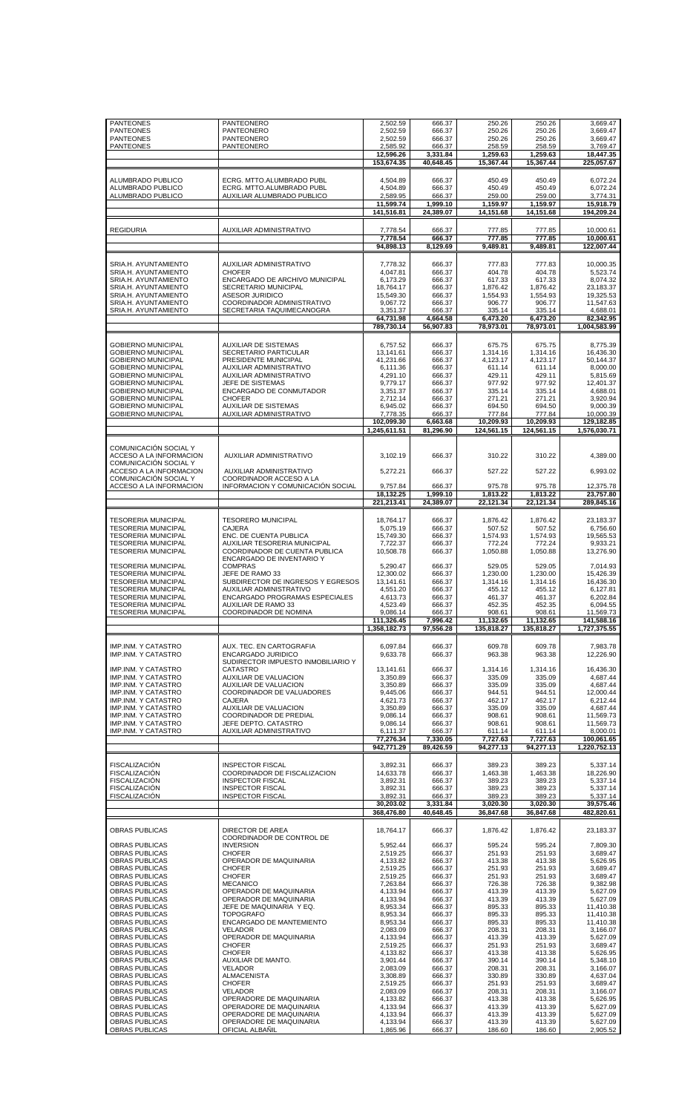|                                                        | PANTEONERO                                                 | 2,502.59                   | 666.37                | 250.26                  | 250.26                  | 3,669.47                   |
|--------------------------------------------------------|------------------------------------------------------------|----------------------------|-----------------------|-------------------------|-------------------------|----------------------------|
|                                                        | PANTEONERO                                                 | 2,502.59                   | 666.37                | 250.26                  | 250.26                  | 3,669.47                   |
|                                                        | PANTEONERO                                                 | 2,502.59                   | 666.37                | 250.26                  | 250.26                  | 3,669.47                   |
| <b>PANTEONES</b>                                       | PANTEONERO                                                 | 2,585.92                   | 666.37                | 258.59                  | 258.59                  | 3,769.47                   |
| <b>PANTEONES</b>                                       |                                                            | 12.596.26                  | 3.331.84              | 1.259.63                | 1,259.63                | 18,447.35                  |
|                                                        |                                                            | 153,674.35                 | 40,648.45             | 15,367.44               | 15,367.44               | 225,057.67                 |
| ALUMBRADO PUBLICO                                      | ECRG. MTTO.ALUMBRADO PUBL                                  | 4,504.89                   | 666.37                | 450.49                  | 450.49                  | 6,072.24                   |
| ALUMBRADO PUBLICO                                      | ECRG. MTTO.ALUMBRADO PUBL                                  | 4,504.89                   | 666.37                | 450.49                  | 450.49                  | 6,072.24                   |
| ALUMBRADO PUBLICO                                      | AUXILIAR ALUMBRADO PUBLICO                                 | 2,589.95<br>11,599.74      | 666.37<br>1,999.10    | 259.00<br>1,159.97      | 259.00<br>1,159.97      | 3,774.31<br>15,918.79      |
|                                                        |                                                            | 141,516.81                 | 24,389.07             | 14,151.68               | 14,151.68               | 194,209.24                 |
| <b>REGIDURIA</b>                                       | AUXILIAR ADMINISTRATIVO                                    | 7,778.54                   | 666.37                | 777.85                  | 777.85                  | 10,000.61                  |
|                                                        |                                                            | 7,778.54<br>94,898.13      | 666.37<br>8,129.69    | 777.85<br>9,489.81      | 777.85<br>9,489.81      | 10,000.61<br>122,007.44    |
| SRIA.H. AYUNTAMIENTO                                   | <b>AUXILIAR ADMINISTRATIVO</b>                             | 7,778.32                   | 666.37                | 777.83                  | 777.83                  | 10,000.35                  |
| SRIA.H. AYUNTAMIENTO                                   | <b>CHOFER</b>                                              | 4,047.81                   | 666.37                | 404.78                  | 404.78                  | 5,523.74                   |
| SRIA.H. AYUNTAMIENTO                                   | ENCARGADO DE ARCHIVO MUNICIPAL                             | 6,173.29                   | 666.37                | 617.33                  | 617.33                  | 8,074.32                   |
| SRIA.H. AYUNTAMIENTO                                   | <b>SECRETARIO MUNICIPAL</b>                                | 18,764.17                  | 666.37                | 1,876.42                | 1,876.42                | 23,183.37                  |
| SRIA.H. AYUNTAMIENTO                                   | <b>ASESOR JURIDICO</b>                                     | 15,549.30                  | 666.37                | 1,554.93                | 1,554.93                | 19,325.53                  |
| SRIA.H. AYUNTAMIENTO                                   | COORDINADOR ADMINISTRATIVO                                 | 9,067.72                   | 666.37                | 906.77                  | 906.77                  | 11,547.63                  |
| SRIA.H. AYUNTAMIENTO                                   | SECRETARIA TAQUIMECANOGRA                                  | 3,351.37                   | 666.37                | 335.14                  | 335.14                  | 4,688.01                   |
|                                                        |                                                            | 64,731.98<br>789,730.14    | 4,664.58<br>56,907.83 | 6,473.20<br>78,973.01   | 6,473.20<br>78,973.01   | 82,342.95<br>1,004,583.99  |
| <b>GOBIERNO MUNICIPAL</b>                              | <b>AUXILIAR DE SISTEMAS</b>                                | 6.757.52                   | 666.37                | 675.75                  | 675.75                  | 8,775.39                   |
| <b>GOBIERNO MUNICIPAL</b>                              | SECRETARIO PARTICULAR                                      | 13,141.61                  | 666.37                | 1,314.16                | 1,314.16                | 16,436.30                  |
| <b>GOBIERNO MUNICIPAL</b>                              | PRESIDENTE MUNICIPAL                                       | 41,231.66                  | 666.37                | 4.123.17                | 4.123.17                | 50.144.37                  |
| <b>GOBIERNO MUNICIPAL</b>                              | AUXILIAR ADMINISTRATIVO                                    | 6,111.36                   | 666.37                | 611.14                  | 611.14                  | 8,000.00                   |
| <b>GOBIERNO MUNICIPAL</b>                              | <b>AUXILIAR ADMINISTRATIVO</b>                             | 4,291.10                   | 666.37                | 429.11                  | 429.11                  | 5,815.69                   |
| <b>GOBIERNO MUNICIPAL</b><br><b>GOBIERNO MUNICIPAL</b> | JEFE DE SISTEMAS<br>ENCARGADO DE CONMUTADOR                | 9,779.17                   | 666.37                | 977.92<br>335.14        | 977.92<br>335.14        | 12,401.37<br>4,688.01      |
| <b>GOBIERNO MUNICIPAL</b>                              | <b>CHOFER</b>                                              | 3,351.37<br>2,712.14       | 666.37<br>666.37      | 271.21                  | 271.21                  | 3,920.94                   |
| <b>GOBIERNO MUNICIPAL</b>                              | <b>AUXILIAR DE SISTEMAS</b>                                | 6,945.02                   | 666.37                | 694.50                  | 694.50                  | 9,000.39                   |
| <b>GOBIERNO MUNICIPAL</b>                              | AUXILIAR ADMINISTRATIVO                                    | 7,778.35                   | 666.37                | 777.84                  | 777.84                  | 10,000.39                  |
|                                                        |                                                            | 102,099.30<br>1,245,611.51 | 6,663.68<br>81,296.90 | 10,209.93<br>124,561.15 | 10,209.93<br>124,561.15 | 129,182.85<br>1,576,030.71 |
| COMUNICACIÓN SOCIAL Y                                  |                                                            |                            |                       |                         |                         |                            |
| ACCESO A LA INFORMACION<br>COMUNICACIÓN SOCIAL Y       | AUXILIAR ADMINISTRATIVO                                    | 3,102.19                   | 666.37                | 310.22                  | 310.22                  | 4,389.00                   |
| ACCESO A LA INFORMACION<br>COMUNICACIÓN SOCIAL Y       | AUXILIAR ADMINISTRATIVO<br>COORDINADOR ACCESO A LA         | 5,272.21                   | 666.37                | 527.22                  | 527.22                  | 6,993.02                   |
| ACCESO A LA INFORMACION                                | INFORMACION Y COMUNICACIÓN SOCIAL                          | 9,757.84<br>18,132.25      | 666.37<br>1,999.10    | 975.78<br>1,813.22      | 975.78<br>1,813.22      | 12,375.78<br>23,757.80     |
|                                                        |                                                            | 221,213.41                 | 24,389.07             | 22,121.34               | 22,121.34               | 289,845.16                 |
| <b>TESORERIA MUNICIPAL</b>                             | <b>TESORERO MUNICIPAL</b>                                  | 18,764.17                  | 666.37                | 1,876.42                | 1,876.42                | 23,183.37                  |
| <b>TESORERIA MUNICIPAL</b>                             | <b>CAJERA</b>                                              | 5,075.19                   | 666.37                | 507.52                  | 507.52                  | 6,756.60                   |
| <b>TESORERIA MUNICIPAL</b>                             | ENC. DE CUENTA PUBLICA                                     | 15,749.30                  | 666.37                | 1,574.93                | 1,574.93                | 19,565.53                  |
| <b>TESORERIA MUNICIPAL</b>                             | AUXILIAR TESORERIA MUNICIPAL                               | 7,722.37                   | 666.37                | 772.24                  | 772.24                  | 9,933.21                   |
| <b>TESORERIA MUNICIPAL</b>                             | COORDINADOR DE CUENTA PUBLICA<br>ENCARGADO DE INVENTARIO Y | 10,508.78                  | 666.37                | 1,050.88                | 1,050.88                | 13,276.90                  |
| <b>TESORERIA MUNICIPAL</b>                             | <b>COMPRAS</b>                                             | 5,290.47                   | 666.37                | 529.05                  | 529.05                  | 7,014.93                   |
| <b>TESORERIA MUNICIPAL</b>                             | JEFE DE RAMO 33                                            | 12,300.02                  | 666.37                | 1,230.00                | 1,230.00                | 15,426.39                  |
| <b>TESORERIA MUNICIPAL</b>                             | SUBDIRECTOR DE INGRESOS Y EGRESOS                          | 13,141.61                  | 666.37                | 1,314.16                | 1,314.16                | 16,436.30                  |
| <b>TESORERIA MUNICIPAL</b>                             | AUXILIAR ADMINISTRATIVO                                    | 4,551.20                   | 666.37                | 455.12                  | 455.12                  | 6,127.81                   |
| <b>TESORERIA MUNICIPAL</b>                             | ENCARGADO PROGRAMAS ESPECIALES                             | 4,613.73                   |                       | 461.37                  | 461.37                  | 6,202.84                   |
|                                                        |                                                            |                            | 666.37                |                         |                         |                            |
| <b>TESORERIA MUNICIPAL</b>                             | AUXILIAR DE RAMO 33                                        | 4,523.49                   | 666.37                | 452.35                  | 452.35                  | 6,094.55                   |
| <b>TESORERIA MUNICIPAL</b>                             | COORDINADOR DE NOMINA                                      | 9,086.14                   | 666.37                | 908.61                  | 908.61                  | 11,569.73                  |
|                                                        |                                                            | 111,326.45<br>1,358,182.73 | 7,996.42<br>97,556.28 | 11,132.65<br>135,818.27 | 11,132.65<br>135,818.27 | 141,588.16<br>1,727,375.55 |
| IMP.INM. Y CATASTRO                                    | AUX. TEC. EN CARTOGRAFIA                                   | 6,097.84                   | 666.37                | 609.78                  | 609.78                  | 7,983.78                   |
| IMP.INM. Y CATASTRO                                    | ENCARGADO JURIDICO                                         | 9,633.78                   | 666.37                | 963.38                  | 963.38                  | 12,226.90                  |
| IMP.INM. Y CATASTRO                                    | SUDIRECTOR IMPUESTO INMOBILIARIO Y<br><b>CATASTRO</b>      | 13,141.61                  | 666.37                | 1,314.16                | 1,314.16                | 16,436.30                  |
| IMP.INM. Y CATASTRO                                    | AUXILIAR DE VALUACION                                      | 3,350.89                   | 666.37                | 335.09                  | 335.09                  | 4,687.44                   |
| IMP.INM. Y CATASTRO                                    | AUXILIAR DE VALUACION                                      | 3,350.89                   | 666.37                | 335.09                  | 335.09                  | 4,687.44                   |
| IMP.INM. Y CATASTRO                                    | COORDINADOR DE VALUADORES                                  | 9,445.06                   | 666.37                | 944.51                  | 944.51                  | 12,000.44                  |
| IMP.INM. Y CATASTRO                                    | <b>CAJERA</b>                                              | 4,621.73                   | 666.37                | 462.17                  | 462.17                  | 6,212.44                   |
| IMP.INM. Y CATASTRO                                    | AUXILIAR DE VALUACION                                      | 3,350.89                   | 666.37                | 335.09                  | 335.09                  | 4,687.44                   |
| IMP.INM. Y CATASTRO                                    | COORDINADOR DE PREDIAL                                     | 9,086.14                   | 666.37                | 908.61                  | 908.61                  | 11,569.73                  |
| IMP.INM. Y CATASTRO                                    | JEFE DEPTO. CATASTRO                                       | 9,086.14                   | 666.37                | 908.61                  | 908.61                  | 11,569.73                  |
| IMP.INM. Y CATASTRO                                    | AUXILIAR ADMINISTRATIVO                                    | 6,111.37                   | 666.37                | 611.14                  | 611.14                  | 8,000.01                   |
|                                                        |                                                            | 77.276.34<br>942,771.29    | 7.330.05<br>89,426.59 | 7.727.63<br>94,277.13   | 7,727.63<br>94,277.13   | 100,061.65<br>1,220,752.13 |
| <b>FISCALIZACIÓN</b>                                   | <b>INSPECTOR FISCAL</b>                                    | 3,892.31                   | 666.37                | 389.23                  | 389.23                  | 5,337.14                   |
| <b>FISCALIZACIÓN</b>                                   | COORDINADOR DE FISCALIZACION                               | 14,633.78                  | 666.37                | 1,463.38                | 1,463.38                | 18,226.90                  |
| <b>FISCALIZACION</b>                                   | <b>INSPECTOR FISCAL</b>                                    | 3,892.31                   | 666.37                | 389.23                  | 389.23                  | 5,337.14                   |
| <b>FISCALIZACIÓN</b>                                   | <b>INSPECTOR FISCAL</b>                                    | 3,892.31                   | 666.37                | 389.23                  | 389.23                  | 5,337.14                   |
| <b>FISCALIZACION</b>                                   | <b>INSPECTOR FISCAL</b>                                    | 3,892.31                   | 666.37                | 389.23                  | 389.23                  | 5,337.14                   |
|                                                        |                                                            | 30,203.02<br>368,476.80    | 3,331.84<br>40,648.45 | 3,020.30<br>36,847.68   | 3,020.30<br>36,847.68   | 39,575.46<br>482,820.61    |
| <b>OBRAS PUBLICAS</b>                                  | DIRECTOR DE AREA                                           | 18,764.17                  | 666.37                | 1,876.42                | 1,876.42                | 23,183.37                  |
| <b>OBRAS PUBLICAS</b>                                  | COORDINADOR DE CONTROL DE<br><b>INVERSION</b>              | 5,952.44                   | 666.37                | 595.24                  | 595.24                  | 7,809.30                   |
| <b>OBRAS PUBLICAS</b>                                  | <b>CHOFER</b>                                              | 2,519.25                   | 666.37                | 251.93                  | 251.93                  | 3,689.47                   |
| OBRAS PUBLICAS                                         | OPERADOR DE MAQUINARIA                                     | 4,133.82                   | 666.37                | 413.38                  | 413.38                  | 5,626.95                   |
| OBRAS PUBLICAS                                         | <b>CHOFER</b>                                              | 2,519.25                   | 666.37                | 251.93                  | 251.93                  | 3,689.47                   |
| OBRAS PUBLICAS                                         | <b>CHOFER</b>                                              | 2,519.25                   | 666.37                | 251.93                  | 251.93                  | 3,689.47                   |
| OBRAS PUBLICAS                                         | <b>MECANICO</b>                                            | 7,263.84                   | 666.37                | 726.38                  | 726.38                  | 9,382.98                   |
| <b>OBRAS PUBLICAS</b>                                  | OPERADOR DE MAQUINARIA                                     | 4,133.94                   | 666.37                | 413.39                  | 413.39                  | 5,627.09                   |
| OBRAS PUBLICAS                                         | OPERADOR DE MAQUINARIA                                     | 4,133.94                   | 666.37                | 413.39                  | 413.39                  | 5,627.09                   |
| OBRAS PUBLICAS                                         | JEFE DE MAQUINARIA Y EQ.                                   | 8,953.34                   | 666.37                | 895.33                  | 895.33                  | 11,410.38                  |
| <b>OBRAS PUBLICAS</b>                                  | <b>TOPOGRAFO</b>                                           | 8,953.34                   | 666.37                | 895.33                  | 895.33                  | 11,410.38                  |
| OBRAS PUBLICAS                                         | ENCARGADO DE MANTEMIENTO                                   | 8,953.34                   | 666.37                | 895.33                  | 895.33                  | 11,410.38                  |
| OBRAS PUBLICAS                                         | <b>VELADOR</b>                                             | 2,083.09                   | 666.37                | 208.31                  | 208.31                  | 3,166.07                   |
| OBRAS PUBLICAS                                         | OPERADOR DE MAQUINARIA                                     | 4,133.94                   | 666.37                | 413.39                  | 413.39                  | 5,627.09                   |
| OBRAS PUBLICAS                                         | <b>CHOFER</b>                                              | 2,519.25                   | 666.37                | 251.93                  | 251.93                  | 3,689.47                   |
| OBRAS PUBLICAS                                         | <b>CHOFER</b>                                              | 4,133.82                   | 666.37                | 413.38                  | 413.38                  | 5,626.95                   |
| OBRAS PUBLICAS                                         | AUXILIAR DE MANTO.                                         | 3,901.44                   | 666.37                | 390.14                  | 390.14                  | 5,348.10                   |
| OBRAS PUBLICAS                                         | <b>VELADOR</b>                                             | 2,083.09                   | 666.37                | 208.31                  | 208.31                  | 3,166.07                   |
| <b>OBRAS PUBLICAS</b>                                  | <b>ALMACENISTA</b>                                         | 3,308.89                   | 666.37                | 330.89                  | 330.89                  | 4,637.04                   |
| OBRAS PUBLICAS                                         | <b>CHOFER</b>                                              | 2,519.25                   | 666.37                | 251.93                  | 251.93                  | 3,689.47                   |
| <b>OBRAS PUBLICAS</b>                                  | <b>VELADOR</b>                                             | 2.083.09                   | 666.37                | 208.31                  | 208.31                  | 3,166.07                   |
| <b>OBRAS PUBLICAS</b>                                  | OPERADORE DE MAQUINARIA                                    | 4,133.82                   | 666.37                | 413.38                  | 413.38                  | 5,626.95                   |
| OBRAS PUBLICAS                                         | OPERADORE DE MAQUINARIA                                    | 4,133.94                   | 666.37                | 413.39                  | 413.39                  | 5,627.09                   |
| <b>OBRAS PUBLICAS</b>                                  | OPERADORE DE MAQUINARIA                                    | 4,133.94                   | 666.37                | 413.39                  | 413.39                  | 5,627.09                   |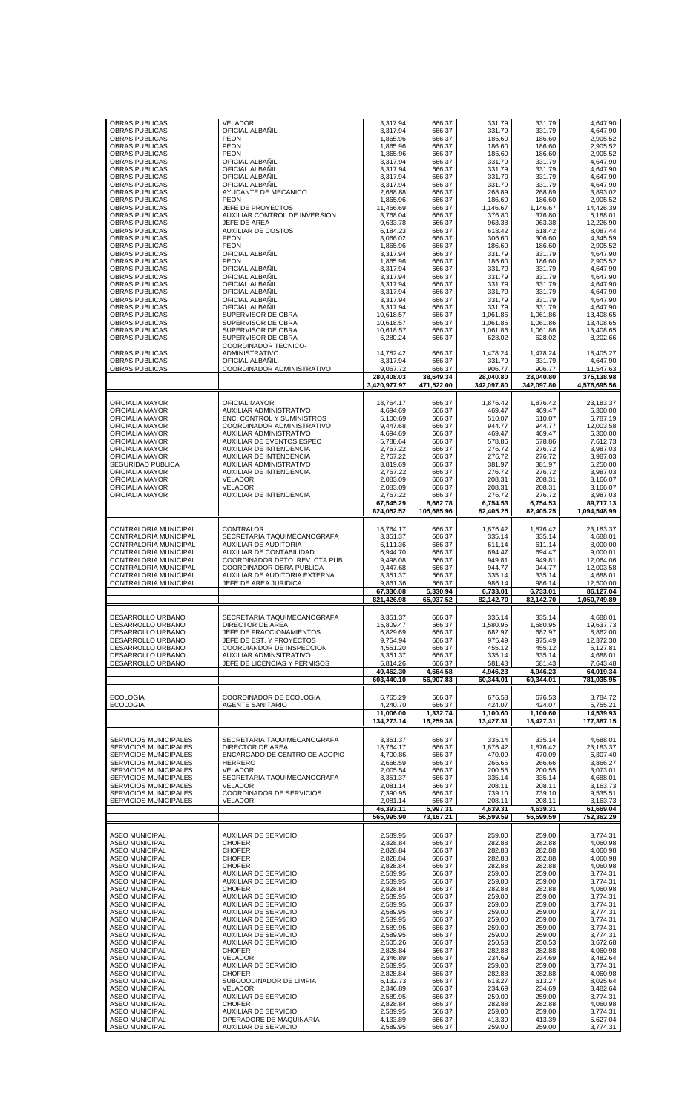| <b>OBRAS PUBLICAS</b><br><b>OBRAS PUBLICAS</b> |                                                             |                       |                    |                    |                    |                       |
|------------------------------------------------|-------------------------------------------------------------|-----------------------|--------------------|--------------------|--------------------|-----------------------|
|                                                | <b>VELADOR</b><br>OFICIAL ALBAÑIL                           | 3,317.94<br>3,317.94  | 666.37<br>666.37   | 331.79<br>331.79   | 331.79<br>331.79   | 4,647.90<br>4,647.90  |
| OBRAS PUBLICAS                                 | <b>PEON</b>                                                 | 1,865.96              | 666.37             | 186.60             | 186.60             | 2,905.52              |
| <b>OBRAS PUBLICAS</b>                          | <b>PEON</b>                                                 | 1,865.96              | 666.37             | 186.60             | 186.60             | 2,905.52              |
| <b>OBRAS PUBLICAS</b>                          | <b>PEON</b>                                                 | 1,865.96              | 666.37             | 186.60             | 186.60             | 2,905.52              |
| OBRAS PUBLICAS                                 | OFICIAL ALBAÑIL                                             | 3,317.94              | 666.37             | 331.79             | 331.79             | 4,647.90              |
| <b>OBRAS PUBLICAS</b>                          | OFICIAL ALBAÑIL                                             | 3,317.94              | 666.37             | 331.79             | 331.79             | 4,647.90              |
| OBRAS PUBLICAS                                 | OFICIAL ALBAÑIL                                             | 3,317.94              | 666.37             | 331.79             | 331.79             | 4,647.90              |
| <b>OBRAS PUBLICAS</b>                          | OFICIAL ALBAÑIL                                             | 3,317.94<br>2.688.88  | 666.37             | 331.79             | 331.79<br>268.89   | 4,647.90<br>3,893.02  |
| <b>OBRAS PUBLICAS</b><br>OBRAS PUBLICAS        | AYUDANTE DE MECANICO<br><b>PEON</b>                         | 1,865.96              | 666.37<br>666.37   | 268.89<br>186.60   | 186.60             | 2,905.52              |
| OBRAS PUBLICAS                                 | JEFE DE PROYECTOS                                           | 11,466.69             | 666.37             | 1,146.67           | 1,146.67           | 14,426.39             |
| <b>OBRAS PUBLICAS</b>                          | AUXILIAR CONTROL DE INVERSION                               | 3,768.04              | 666.37             | 376.80             | 376.80             | 5,188.01              |
| <b>OBRAS PUBLICAS</b>                          | JEFE DE AREA                                                | 9,633.78              | 666.37             | 963.38             | 963.38             | 12,226.90             |
| <b>OBRAS PUBLICAS</b>                          | <b>AUXILIAR DE COSTOS</b>                                   | 6,184.23              | 666.37             | 618.42             | 618.42             | 8,087.44              |
| OBRAS PUBLICAS                                 | <b>PEON</b>                                                 | 3,066.02              | 666.37             | 306.60             | 306.60             | 4,345.59              |
| OBRAS PUBLICAS                                 | <b>PEON</b>                                                 | 1,865.96              | 666.37             | 186.60             | 186.60             | 2.905.52              |
| <b>OBRAS PUBLICAS</b>                          | OFICIAL ALBAÑIL                                             | 3,317.94              | 666.37             | 331.79             | 331.79             | 4,647.90              |
| OBRAS PUBLICAS<br><b>OBRAS PUBLICAS</b>        | <b>PEON</b><br>OFICIAL ALBANIL                              | 1,865.96              | 666.37             | 186.60<br>331.79   | 186.60<br>331.79   | 2,905.52              |
| <b>OBRAS PUBLICAS</b>                          | OFICIAL ALBAÑIL                                             | 3,317.94<br>3,317.94  | 666.37<br>666.37   | 331.79             | 331.79             | 4,647.90<br>4,647.90  |
| <b>OBRAS PUBLICAS</b>                          | OFICIAL ALBAÑIL                                             | 3,317.94              | 666.37             | 331.79             | 331.79             | 4,647.90              |
| OBRAS PUBLICAS                                 | OFICIAL ALBAÑIL                                             | 3,317.94              | 666.37             | 331.79             | 331.79             | 4,647.90              |
| <b>OBRAS PUBLICAS</b>                          | OFICIAL ALBAÑIL                                             | 3,317.94              | 666.37             | 331.79             | 331.79             | 4,647.90              |
| OBRAS PUBLICAS                                 | OFICIAL ALBANIL                                             | 3,317.94              | 666.37             | 331.79             | 331.79             | 4,647.90              |
| <b>OBRAS PUBLICAS</b>                          | SUPERVISOR DE OBRA                                          | 10,618.57             | 666.37             | 1,061.86           | 1,061.86           | 13,408.65             |
| OBRAS PUBLICAS                                 | SUPERVISOR DE OBRA                                          | 10,618.57             | 666.37             | 1,061.86           | 1,061.86           | 13,408.65             |
| OBRAS PUBLICAS                                 | SUPERVISOR DE OBRA                                          | 10,618.57             | 666.37             | 1,061.86           | 1,061.86           | 13,408.65             |
| <b>OBRAS PUBLICAS</b>                          | SUPERVISOR DE OBRA<br>COORDINADOR TECNICO-                  | 6,280.24              | 666.37             | 628.02             | 628.02             | 8,202.66              |
| <b>OBRAS PUBLICAS</b>                          | ADMINISTRATIVO                                              | 14,782.42             | 666.37             | 1.478.24           | 1,478.24           | 18.405.27             |
| <b>OBRAS PUBLICAS</b>                          | OFICIAL ALBAÑIL                                             | 3,317.94              | 666.37             | 331.79             | 331.79             | 4,647.90              |
| <b>OBRAS PUBLICAS</b>                          | COORDINADOR ADMINISTRATIVO                                  | 9,067.72              | 666.37             | 906.77             | 906.77             | 11,547.63             |
|                                                |                                                             | 280,408.03            | 38,649.34          | 28,040.80          | 28.040.80          | 375.138.98            |
|                                                |                                                             | 3,420,977.97          | 471,522.00         | 342.097.80         | 342,097.80         | 4,576,695.56          |
|                                                |                                                             |                       |                    |                    |                    |                       |
| OFICIALIA MAYOR                                | OFICIAL MAYOR                                               | 18,764.17             | 666.37             | 1,876.42           | 1,876.42           | 23,183.37             |
| OFICIALIA MAYOR                                | AUXILIAR ADMINISTRATIVO                                     | 4.694.69              | 666.37             | 469.47             | 469.47             | 6,300.00              |
| OFICIALIA MAYOR                                | <b>ENC. CONTROL Y SUMINISTROS</b>                           | 5,100.69              | 666.37             | 510.07             | 510.07             | 6,787.19              |
| OFICIALIA MAYOR                                | COORDINADOR ADMINISTRATIVO                                  | 9,447.68              | 666.37             | 944.77             | 944.77             | 12,003.58             |
| OFICIALIA MAYOR                                | AUXILIAR ADMINISTRATIVO                                     | 4,694.69              | 666.37             | 469.47             | 469.47             | 6,300.00              |
| OFICIALIA MAYOR                                | AUXILIAR DE EVENTOS ESPEC                                   | 5,788.64              | 666.37             | 578.86             | 578.86             | 7,612.73              |
| OFICIALIA MAYOR<br>OFICIALIA MAYOR             | AUXILIAR DE INTENDENCIA<br>AUXILIAR DE INTENDENCIA          | 2,767.22<br>2,767.22  | 666.37<br>666.37   | 276.72<br>276.72   | 276.72<br>276.72   | 3,987.03<br>3,987.03  |
| SEGURIDAD PUBLICA                              | AUXILIAR ADMINISTRATIVO                                     | 3,819.69              | 666.37             | 381.97             | 381.97             | 5,250.00              |
| OFICIALIA MAYOR                                | AUXILIAR DE INTENDENCIA                                     | 2,767.22              | 666.37             | 276.72             | 276.72             | 3,987.03              |
| OFICIALIA MAYOR                                | <b>VELADOR</b>                                              | 2,083.09              | 666.37             | 208.31             | 208.31             | 3,166.07              |
| OFICIALIA MAYOR                                | <b>VELADOR</b>                                              | 2,083.09              | 666.37             | 208.31             | 208.31             | 3,166.07              |
| OFICIALIA MAYOR                                | AUXILIAR DE INTENDENCIA                                     | 2,767.22              | 666.37             | 276.72             | 276.72             | 3,987.03              |
|                                                |                                                             | 67,545.29             | 8,662.78           | 6,754.53           | 6,754.53           | 89,717.13             |
|                                                |                                                             | 824,052.52            | 105,685.96         | 82,405.25          | 82,405.25          | 1,094,548.99          |
|                                                |                                                             |                       |                    |                    |                    |                       |
| CONTRALORIA MUNICIPAL                          | CONTRALOR                                                   | 18,764.17             | 666.37             | 1,876.42           | 1,876.42           | 23,183.37             |
| CONTRALORIA MUNICIPAL                          | SECRETARIA TAQUIMECANOGRAFA                                 | 3,351.37              | 666.37             | 335.14             | 335.14             | 4,688.01              |
| CONTRALORIA MUNICIPAL                          | <b>AUXILIAR DE AUDITORIA</b>                                | 6,111.36              | 666.37             | 611.14             | 611.14             | 8,000.00              |
| CONTRALORIA MUNICIPAL<br>CONTRALORIA MUNICIPAL | AUXILIAR DE CONTABILIDAD<br>COORDINADOR DPTO. REV. CTA.PUB. | 6.944.70<br>9,498.08  | 666.37<br>666.37   | 694.47<br>949.81   | 694.47<br>949.81   | 9,000.01<br>12,064.06 |
| CONTRALORIA MUNICIPAL                          | COORDINADOR OBRA PUBLICA                                    | 9,447.68              | 666.37             | 944.77             | 944.77             | 12,003.58             |
| CONTRALORIA MUNICIPAL                          | AUXILIAR DE AUDITORIA EXTERNA                               | 3,351.37              | 666.37             | 335.14             | 335.14             | 4.688.01              |
| CONTRALORIA MUNICIPAL                          | JEFE DE AREA JURIDICA                                       | 9,861.36              | 666.37             | 986.14             | 986.14             | 12,500.00             |
|                                                |                                                             | 67,330.08             | 5,330.94           | 6,733.01           | 6.733.01           | 86,127.04             |
|                                                |                                                             | 821,426.98            | 65,037.52          | 82,142.70          | 82,142.70          | 1,050,749.89          |
|                                                |                                                             |                       |                    |                    |                    |                       |
| DESARROLLO URBANO                              | SECRETARIA TAQUIMECANOGRAFA                                 | 3,351.37              | 666.37             | 335.14             | 335.14             | 4,688.01              |
| DESARROLLO URBANO                              | DIRECTOR DE AREA                                            |                       |                    |                    |                    |                       |
|                                                |                                                             |                       |                    | 1.580.95           |                    | 19.637.73             |
| DESARROLLO URBANO                              | JEFE DE FRACCIONAMIENTOS                                    | 15,809.47<br>6.829.69 | 666.37<br>666.37   | 682.97             | 1,580.95<br>682.97 | 8,862.00              |
| DESARROLLO URBANO                              | JEFE DE EST. Y PROYECTOS                                    | 9,754.94              | 666.37             | 975.49             | 975.49             | 12,372.30             |
| DESARROLLO URBANO                              | COORDIANDOR DE INSPECCION                                   | 4,551.20              | 666.37             | 455.12             | 455.12             | 6,127.81              |
| DESARROLLO URBANO                              | AUXILIAR ADMINSITRATIVO                                     | 3,351.37              | 666.37             | 335.14             | 335.14             | 4,688.01              |
| DESARROLLO URBANO                              | JEFE DE LICENCIAS Y PERMISOS                                | 5,814.26              | 666.37             | 581.43             | 581.43             | 7,643.48              |
|                                                |                                                             | 49,462.30             | 4.664.58           | 4,946.23           | 4,946.23           | 64,019.34             |
|                                                |                                                             | 603.440.10            | 56,907.83          | 60,344.01          | 60.344.01          | 781,035.95            |
|                                                |                                                             |                       |                    |                    |                    |                       |
| <b>ECOLOGIA</b>                                | COORDINADOR DE ECOLOGIA                                     | 6,765.29              | 666.37             | 676.53             | 676.53             | 8,784.72              |
| <b>ECOLOGIA</b>                                | <b>AGENTE SANITARIO</b>                                     | 4,240.70              | 666.37             | 424.07<br>1.100.60 | 424.07             | 5,755.21              |
|                                                |                                                             | 11,006.00             | 1,332.74           |                    | 1,100.60           | 14,539.93             |
|                                                |                                                             | 134,273.14            | 16,259.38          | 13,427.31          | 13,427.31          | 177,387.15            |
| <b>SERVICIOS MUNICIPALES</b>                   |                                                             | 3,351.37              | 666.37             | 335.14             | 335.14             | 4.688.01              |
| <b>SERVICIOS MUNICIPALES</b>                   | SECRETARIA TAQUIMECANOGRAFA<br>DIRECTOR DE AREA             | 18.764.17             | 666.37             | 1,876.42           | 1,876.42           | 23.183.37             |
| <b>SERVICIOS MUNICIPALES</b>                   | ENCARGADO DE CENTRO DE ACOPIO                               | 4,700.86              | 666.37             | 470.09             | 470.09             | 6,307.40              |
| <b>SERVICIOS MUNICIPALES</b>                   | <b>HERRERO</b>                                              | 2,666.59              | 666.37             | 266.66             | 266.66             | 3,866.27              |
| <b>SERVICIOS MUNICIPALES</b>                   | <b>VELADOR</b>                                              | 2,005.54              | 666.37             | 200.55             | 200.55             | 3,073.01              |
| <b>SERVICIOS MUNICIPALES</b>                   | SECRETARIA TAQUIMECANOGRAFA                                 | 3,351.37              | 666.37             | 335.14             | 335.14             | 4,688.01              |
| <b>SERVICIOS MUNICIPALES</b>                   | <b>VELADOR</b>                                              | 2,081.14              | 666.37             | 208.11             | 208.11             | 3,163.73              |
| <b>SERVICIOS MUNICIPALES</b>                   | COORDINADOR DE SERVICIOS                                    | 7,390.95              | 666.37             | 739.10             | 739.10             | 9,535.51              |
| <b>SERVICIOS MUNICIPALES</b>                   | VELADOR                                                     | 2,081.14<br>46,393.11 | 666.37<br>5,997.31 | 208.11<br>4,639.31 | 208.11<br>4,639.31 | 3,163.73<br>61,669.04 |
|                                                |                                                             | 565,995.90            | 73,167.21          | 56,599.59          | 56,599.59          | 752,362.29            |
|                                                |                                                             |                       |                    |                    |                    |                       |
| <b>ASEO MUNICIPAL</b>                          | <b>AUXILIAR DE SERVICIO</b>                                 | 2,589.95              | 666.37             | 259.00             | 259.00             | 3,774.31              |
| <b>ASEO MUNICIPAL</b>                          | <b>CHOFER</b>                                               | 2,828.84              | 666.37             | 282.88             | 282.88             | 4,060.98              |
| <b>ASEO MUNICIPAL</b>                          | <b>CHOFER</b>                                               | 2,828.84              | 666.37             | 282.88             | 282.88             | 4,060.98              |
| <b>ASEO MUNICIPAL</b>                          | <b>CHOFER</b>                                               | 2,828.84              | 666.37             | 282.88             | 282.88             | 4,060.98              |
| <b>ASEO MUNICIPAL</b>                          | <b>CHOFER</b>                                               | 2,828.84              | 666.37             | 282.88             | 282.88             | 4,060.98              |
| <b>ASEO MUNICIPAL</b>                          | <b>AUXILIAR DE SERVICIO</b>                                 | 2,589.95              | 666.37             | 259.00             | 259.00             | 3,774.31              |
| <b>ASEO MUNICIPAL</b><br><b>ASEO MUNICIPAL</b> | <b>AUXILIAR DE SERVICIO</b><br><b>CHOFER</b>                | 2,589.95<br>2,828.84  | 666.37<br>666.37   | 259.00<br>282.88   | 259.00<br>282.88   | 3,774.31<br>4,060.98  |
| <b>ASEO MUNICIPAL</b>                          | <b>AUXILIAR DE SERVICIO</b>                                 | 2,589.95              | 666.37             | 259.00             | 259.00             | 3,774.31              |
| <b>ASEO MUNICIPAL</b>                          | <b>AUXILIAR DE SERVICIO</b>                                 | 2,589.95              | 666.37             | 259.00             | 259.00             | 3,774.31              |
| <b>ASEO MUNICIPAL</b>                          | <b>AUXILIAR DE SERVICIO</b>                                 | 2,589.95              | 666.37             | 259.00             | 259.00             | 3,774.31              |
| <b>ASEO MUNICIPAL</b>                          | <b>AUXILIAR DE SERVICIO</b>                                 | 2,589.95              | 666.37             | 259.00             | 259.00             | 3,774.31              |
| <b>ASEO MUNICIPAL</b>                          | <b>AUXILIAR DE SERVICIO</b>                                 | 2,589.95              | 666.37             | 259.00             | 259.00             | 3,774.31              |
| <b>ASEO MUNICIPAL</b>                          | <b>AUXILIAR DE SERVICIO</b>                                 | 2,589.95              | 666.37             | 259.00             | 259.00             | 3,774.31              |
| <b>ASEO MUNICIPAL</b><br><b>ASEO MUNICIPAL</b> | <b>AUXILIAR DE SERVICIO</b><br><b>CHOFER</b>                | 2,505.26<br>2,828.84  | 666.37<br>666.37   | 250.53<br>282.88   | 250.53<br>282.88   | 3,672.68<br>4,060.98  |
| <b>ASEO MUNICIPAL</b>                          | <b>VELADOR</b>                                              | 2,346.89              | 666.37             | 234.69             | 234.69             | 3,482.64              |
| <b>ASEO MUNICIPAL</b>                          | <b>AUXILIAR DE SERVICIO</b>                                 | 2,589.95              | 666.37             | 259.00             | 259.00             | 3,774.31              |
| <b>ASEO MUNICIPAL</b>                          | <b>CHOFER</b>                                               | 2,828.84              | 666.37             | 282.88             | 282.88             | 4,060.98              |
| <b>ASEO MUNICIPAL</b>                          | SUBCOODINADOR DE LIMPIA                                     | 6,132.73              | 666.37             | 613.27             | 613.27             | 8,025.64              |
| <b>ASEO MUNICIPAL</b>                          | VELADOR                                                     | 2,346.89              | 666.37             | 234.69             | 234.69             | 3,482.64              |
| <b>ASEO MUNICIPAL</b>                          | <b>AUXILIAR DE SERVICIO</b>                                 | 2,589.95              | 666.37             | 259.00             | 259.00             | 3,774.31              |
| <b>ASEO MUNICIPAL</b>                          | <b>CHOFER</b>                                               | 2,828.84              | 666.37             | 282.88             | 282.88             | 4,060.98              |
| <b>ASEO MUNICIPAL</b><br><b>ASEO MUNICIPAL</b> | <b>AUXILIAR DE SERVICIO</b><br>OPERADORE DE MAQUINARIA      | 2,589.95<br>4,133.89  | 666.37<br>666.37   | 259.00<br>413.39   | 259.00<br>413.39   | 3.774.31<br>5,627.04  |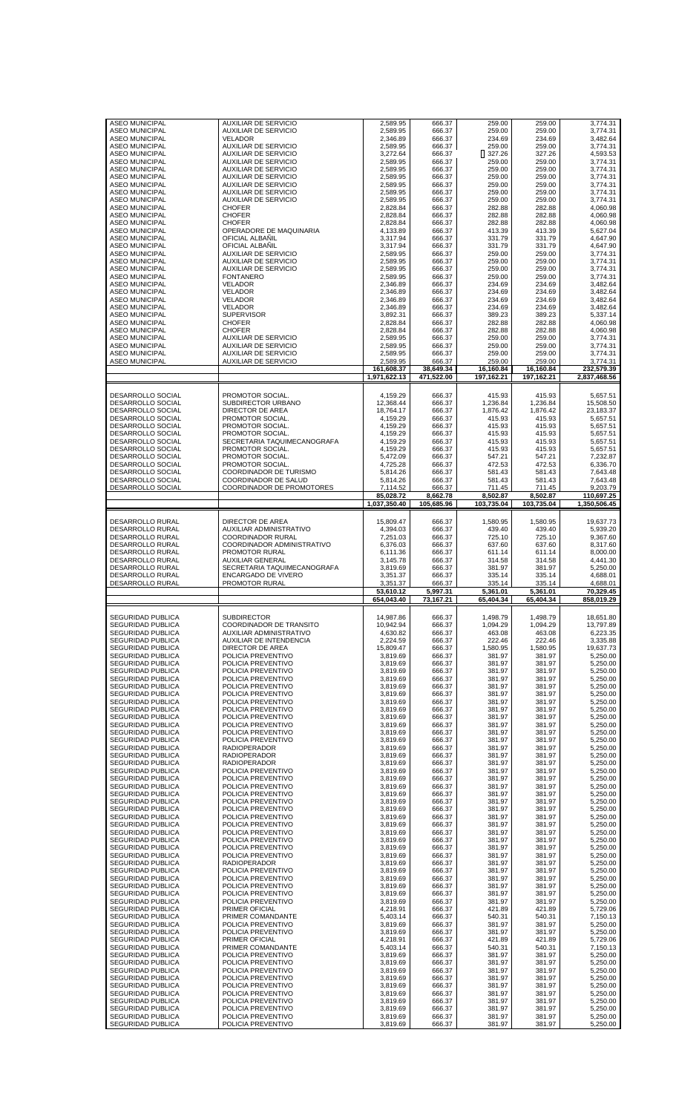| <b>ASEO MUNICIPAL</b><br><b>ASEO MUNICIPAL</b> | <b>AUXILIAR DE SERVICIO</b><br><b>AUXILIAR DE SERVICIO</b> | 2,589.95<br>2,589.95 | 666.37<br>666.37 | 259.00<br>259.00 | 259.00<br>259.00 | 3,774.31<br>3,774.31 |
|------------------------------------------------|------------------------------------------------------------|----------------------|------------------|------------------|------------------|----------------------|
| <b>ASEO MUNICIPAL</b>                          | <b>VELADOR</b>                                             | 2,346.89             | 666.37           | 234.69           | 234.69           | 3,482.64             |
|                                                |                                                            |                      |                  |                  |                  |                      |
| <b>ASEO MUNICIPAL</b><br><b>ASEO MUNICIPAL</b> | <b>AUXILIAR DE SERVICIO</b><br><b>AUXILIAR DE SERVICIO</b> | 2.589.95<br>3,272.64 | 666.37<br>666.37 | 259.00<br>327.26 | 259.00<br>327.26 | 3.774.31<br>4,593.53 |
|                                                |                                                            |                      |                  |                  |                  |                      |
| <b>ASEO MUNICIPAL</b>                          | <b>AUXILIAR DE SERVICIO</b>                                | 2,589.95             | 666.37           | 259.00           | 259.00           | 3,774.31             |
| <b>ASEO MUNICIPAL</b>                          | <b>AUXILIAR DE SERVICIO</b>                                | 2,589.95             | 666.37           | 259.00           | 259.00           | 3,774.31<br>3.774.31 |
| <b>ASEO MUNICIPAL</b><br><b>ASEO MUNICIPAL</b> | <b>AUXILIAR DE SERVICIO</b><br><b>AUXILIAR DE SERVICIO</b> | 2,589.95<br>2,589.95 | 666.37<br>666.37 | 259.00<br>259.00 | 259.00<br>259.00 | 3,774.31             |
| <b>ASEO MUNICIPAL</b>                          | <b>AUXILIAR DE SERVICIO</b>                                | 2,589.95             | 666.37           | 259.00           | 259.00           | 3,774.31             |
| <b>ASEO MUNICIPAL</b>                          | <b>AUXILIAR DE SERVICIO</b>                                | 2,589.95             | 666.37           | 259.00           | 259.00           | 3,774.31             |
| <b>ASEO MUNICIPAL</b>                          | <b>CHOFER</b>                                              | 2,828.84             | 666.37           | 282.88           | 282.88           | 4.060.98             |
| <b>ASEO MUNICIPAL</b>                          | <b>CHOFER</b>                                              | 2,828.84             | 666.37           | 282.88           | 282.88           | 4,060.98             |
| <b>ASEO MUNICIPAL</b>                          | <b>CHOFER</b>                                              | 2,828.84             | 666.37           | 282.88           | 282.88           | 4,060.98             |
| <b>ASEO MUNICIPAL</b>                          | OPERADORE DE MAQUINARIA                                    | 4,133.89             | 666.37           | 413.39           | 413.39           | 5,627.04             |
| <b>ASEO MUNICIPAL</b>                          | OFICIAL ALBAÑIL                                            | 3,317.94             | 666.37           | 331.79           | 331.79           | 4,647.90             |
| <b>ASEO MUNICIPAL</b>                          | OFICIAL ALBANIL                                            | 3.317.94             | 666.37           | 331.79           | 331.79           | 4,647.90             |
| <b>ASEO MUNICIPAL</b>                          | <b>AUXILIAR DE SERVICIO</b>                                | 2,589.95             | 666.37           | 259.00           | 259.00           | 3.774.31             |
| <b>ASEO MUNICIPAL</b>                          | <b>AUXILIAR DE SERVICIO</b>                                | 2,589.95             | 666.37           | 259.00           | 259.00           | 3,774.31             |
| <b>ASEO MUNICIPAL</b>                          | <b>AUXILIAR DE SERVICIO</b>                                | 2.589.95             | 666.37           | 259.00           | 259.00           | 3.774.31             |
| <b>ASEO MUNICIPAL</b>                          | <b>FONTANERO</b>                                           | 2,589.95             | 666.37           | 259.00           | 259.00           | 3,774.31             |
| <b>ASEO MUNICIPAL</b>                          | <b>VELADOR</b>                                             | 2,346.89             | 666.37           | 234.69           | 234.69           | 3,482.64             |
| <b>ASEO MUNICIPAL</b>                          | <b>VELADOR</b>                                             | 2,346.89             | 666.37           | 234.69           | 234.69           | 3,482.64             |
| <b>ASEO MUNICIPAL</b>                          | <b>VELADOR</b>                                             | 2,346.89             | 666.37           | 234.69           | 234.69           | 3,482.64             |
| <b>ASEO MUNICIPAL</b>                          | <b>VELADOR</b>                                             | 2,346.89             | 666.37           | 234.69           | 234.69           | 3,482.64             |
| <b>ASEO MUNICIPAL</b>                          | <b>SUPERVISOR</b>                                          | 3,892.31             | 666.37           | 389.23           | 389.23           | 5,337.14             |
| <b>ASEO MUNICIPAL</b>                          | <b>CHOFER</b>                                              | 2,828.84             | 666.37           | 282.88           | 282.88           | 4,060.98             |
| <b>ASEO MUNICIPAL</b>                          | <b>CHOFER</b>                                              | 2,828.84             | 666.37           | 282.88           | 282.88           | 4,060.98             |
| <b>ASEO MUNICIPAL</b>                          | <b>AUXILIAR DE SERVICIO</b>                                | 2,589.95             | 666.37           | 259.00           | 259.00           | 3,774.31             |
| <b>ASEO MUNICIPAL</b>                          | <b>AUXILIAR DE SERVICIO</b>                                | 2,589.95             | 666.37           | 259.00           | 259.00           | 3,774.31             |
| <b>ASEO MUNICIPAL</b>                          | <b>AUXILIAR DE SERVICIO</b>                                | 2,589.95             | 666.37           | 259.00           | 259.00           | 3,774.31             |
| <b>ASEO MUNICIPAL</b>                          | <b>AUXILIAR DE SERVICIO</b>                                | 2,589.95             | 666.37           | 259.00           | 259.00           | 3,774.31             |
|                                                |                                                            | 161,608.37           | 38,649.34        | 16.160.84        | 16,160.84        | 232,579.39           |
|                                                |                                                            | 1,971,622.13         | 471.522.00       | 197,162.21       | 197,162.21       | 2,837,468.56         |
|                                                |                                                            |                      |                  |                  |                  |                      |
| DESARROLLO SOCIAL                              | PROMOTOR SOCIAL.                                           | 4,159.29             | 666.37           | 415.93           | 415.93           | 5,657.51             |
| DESARROLLO SOCIAL                              | SUBDIRECTOR URBANO                                         | 12,368.44            | 666.37           | 1,236.84         | 1,236.84         | 15,508.50            |
| DESARROLLO SOCIAL                              | DIRECTOR DE AREA                                           | 18.764.17            | 666.37           | 1,876.42         | 1,876.42         | 23,183.37            |
| DESARROLLO SOCIAL                              | PROMOTOR SOCIAL.                                           | 4,159.29             | 666.37           | 415.93           | 415.93           | 5,657.51             |
| DESARROLLO SOCIAL                              | PROMOTOR SOCIAL.                                           | 4,159.29             | 666.37           | 415.93           | 415.93           | 5,657.51             |
| <b>DESARROLLO SOCIAL</b>                       | PROMOTOR SOCIAL.                                           | 4,159.29             | 666.37           | 415.93           | 415.93           | 5,657.51             |
| DESARROLLO SOCIAL                              | SECRETARIA TAQUIMECANOGRAFA                                | 4,159.29             | 666.37           | 415.93           | 415.93           | 5,657.51             |
| DESARROLLO SOCIAL                              | PROMOTOR SOCIAL.                                           | 4,159.29             | 666.37           | 415.93           | 415.93           | 5,657.51             |
| DESARROLLO SOCIAL                              | PROMOTOR SOCIAL.                                           | 5,472.09             | 666.37           | 547.21           | 547.21           | 7,232.87             |
| DESARROLLO SOCIAL                              | PROMOTOR SOCIAL.                                           | 4,725.28             | 666.37           | 472.53           | 472.53           | 6,336.70             |
| DESARROLLO SOCIAL                              | COORDINADOR DE TURISMO                                     | 5,814.26             | 666.37           | 581.43           | 581.43           | 7,643.48             |
| DESARROLLO SOCIAL                              | COORDINADOR DE SALUD                                       | 5,814.26             | 666.37           | 581.43           | 581.43           | 7,643.48             |
| DESARROLLO SOCIAL                              | COORDINADOR DE PROMOTORES                                  | 7,114.52             | 666.37           | 711.45           | 711.45           | 9,203.79             |
|                                                |                                                            | 85,028.72            | 8,662.78         | 8,502.87         | 8,502.87         | 110,697.25           |
|                                                |                                                            | 1,037,350.40         | 105,685.96       | 103,735.04       | 103,735.04       | 1,350,506.45         |
|                                                |                                                            |                      |                  |                  |                  |                      |
| DESARROLLO RURAL                               | DIRECTOR DE AREA                                           | 15,809.47            | 666.37           | 1,580.95         | 1,580.95         | 19,637.73            |
| <b>DESARROLLO RURAL</b>                        | AUXILIAR ADMINISTRATIVO                                    | 4,394.03             | 666.37           | 439.40           | 439.40           | 5,939.20             |
| DESARROLLO RURAL                               | <b>COORDINADOR RURAL</b>                                   | 7,251.03             | 666.37           | 725.10           | 725.10           | 9,367.60             |
| DESARROLLO RURAL                               | COORDINADOR ADMINISTRATIVO                                 | 6,376.03             | 666.37           | 637.60           | 637.60           | 8,317.60             |
| <b>DESARROLLO RURAL</b>                        | PROMOTOR RURAL                                             | 6,111.36             | 666.37           | 611.14           | 611.14           | 8,000.00             |
| DESARROLLO RURAL                               | <b>AUXILIAR GENERAL</b>                                    | 3,145.78             | 666.37           | 314.58           | 314.58           | 4,441.30             |
| DESARROLLO RURAL                               | SECRETARIA TAQUIMECANOGRAFA                                | 3,819.69             | 666.37           | 381.97           | 381.97           | 5,250.00             |
|                                                |                                                            |                      |                  |                  |                  |                      |
| <b>DESARROLLO RURAL</b>                        | ENCARGADO DE VIVERO                                        | 3,351.37             | 666.37           | 335.14           | 335.14           | 4,688.01             |
| DESARROLLO RURAL                               | PROMOTOR RURAL                                             | 3,351.37             | 666.37           | 335.14           | 335.14           | 4,688.01             |
|                                                |                                                            | 53,610.12            | 5,997.31         | 5,361.01         | 5,361.01         | 70,329.45            |
|                                                |                                                            | 654,043.40           | 73,167.21        | 65,404.34        | 65,404.34        | 858,019.29           |
|                                                |                                                            |                      |                  |                  |                  |                      |
| SEGURIDAD PUBLICA                              | <b>SUBDIRECTOR</b>                                         | 14,987.86            | 666.37           | 1,498.79         | 1,498.79         | 18,651.80            |
| SEGURIDAD PUBLICA                              | COORDINADOR DE TRANSITO                                    | 10,942.94            | 666.37           | 1,094.29         | 1,094.29         | 13,797.89            |
| SEGURIDAD PUBLICA                              | AUXILIAR ADMINISTRATIVO                                    | 4,630.82             | 666.37           | 463.08           | 463.08           | 6,223.35             |
| <b>SEGURIDAD PUBLICA</b>                       | <b>AUXILIAR DE INTENDENCIA</b>                             | 2.224.59             | 666.37           | 222.46           | 222.46           | 3,335.88             |
| SEGURIDAD PUBLICA                              | DIRECTOR DE AREA                                           | 15,809.47            | 666.37           | 1,580.95         | 1,580.95         | 19,637.73            |
| <b>SEGURIDAD PUBLICA</b>                       | POLICIA PREVENTIVO                                         | 3,819.69             | 666.37           | 381.97           | 381.97           | 5,250.00             |
| SEGURIDAD PUBLICA                              | POLICIA PREVENTIVO                                         | 3.819.69             | 666.37           | 381.97           | 381.97           | 5,250.00             |
| <b>SEGURIDAD PUBLICA</b>                       | POLICIA PREVENTIVO                                         | 3,819.69             | 666.37           | 381.97           | 381.97           | 5,250.00             |
| SEGURIDAD PUBLICA                              | POLICIA PREVENTIVO                                         | 3,819.69             | 666.37           | 381.97           | 381.97           | 5,250.00             |
| <b>SEGURIDAD PUBLICA</b><br>SEGURIDAD PUBLICA  | POLICIA PREVENTIVO<br>POLICIA PREVENTIVO                   | 3,819.69<br>3,819.69 | 666.37<br>666.37 | 381.97<br>381.97 | 381.97<br>381.97 | 5,250.00<br>5,250.00 |
| SEGURIDAD PUBLICA                              | POLICIA PREVENTIVO                                         | 3,819.69             | 666.37           | 381.97           | 381.97           | 5,250.00             |
| SEGURIDAD PUBLICA                              | POLICIA PREVENTIVO                                         | 3,819.69             | 666.37           | 381.97           | 381.97           | 5.250.00             |
| SEGURIDAD PUBLICA                              | POLICIA PREVENTIVO                                         | 3,819.69             | 666.37           | 381.97           | 381.97           | 5,250.00             |
| SEGURIDAD PUBLICA                              | POLICIA PREVENTIVO                                         | 3,819.69             | 666.37           | 381.97           | 381.97           | 5,250.00             |
| <b>SEGURIDAD PUBLICA</b>                       | POLICIA PREVENTIVO                                         | 3,819.69             | 666.37           | 381.97           | 381.97           | 5.250.00             |
| SEGURIDAD PUBLICA                              | POLICIA PREVENTIVO                                         | 3.819.69             | 666.37           | 381.97           | 381.97           | 5,250.00             |
| SEGURIDAD PUBLICA                              | <b>RADIOPERADOR</b>                                        | 3,819.69             | 666.37           | 381.97           | 381.97           | 5,250.00             |
| <b>SEGURIDAD PUBLICA</b>                       | <b>RADIOPERADOR</b>                                        | 3,819.69             | 666.37           | 381.97           | 381.97           | 5,250.00             |
| SEGURIDAD PUBLICA                              | <b>RADIOPERADOR</b>                                        | 3,819.69             | 666.37           | 381.97           | 381.97           | 5,250.00             |
| <b>SEGURIDAD PUBLICA</b>                       | POLICIA PREVENTIVO                                         | 3,819.69             | 666.37           | 381.97           | 381.97           | 5,250.00             |
| SEGURIDAD PUBLICA                              | POLICIA PREVENTIVO                                         | 3,819.69             | 666.37           | 381.97           | 381.97           | 5,250.00             |
| SEGURIDAD PUBLICA                              | POLICIA PREVENTIVO                                         | 3,819.69             | 666.37           | 381.97           | 381.97           | 5,250.00             |
| SEGURIDAD PUBLICA                              | POLICIA PREVENTIVO                                         | 3,819.69             | 666.37           | 381.97           | 381.97           | 5,250.00             |
| SEGURIDAD PUBLICA                              | POLICIA PREVENTIVO                                         | 3,819.69             | 666.37           | 381.97           | 381.97           | 5,250.00             |
| SEGURIDAD PUBLICA                              | POLICIA PREVENTIVO                                         | 3,819.69             | 666.37           | 381.97           | 381.97           | 5,250.00             |
| SEGURIDAD PUBLICA                              | POLICIA PREVENTIVO                                         | 3,819.69             | 666.37           | 381.97           | 381.97           | 5,250.00             |
| SEGURIDAD PUBLICA                              | POLICIA PREVENTIVO                                         | 3,819.69             | 666.37           | 381.97           | 381.97           | 5,250.00             |
| SEGURIDAD PUBLICA                              | POLICIA PREVENTIVO                                         | 3,819.69             | 666.37           | 381.97           | 381.97           | 5,250.00             |
| SEGURIDAD PUBLICA<br>SEGURIDAD PUBLICA         | POLICIA PREVENTIVO<br>POLICIA PREVENTIVO                   | 3,819.69<br>3,819.69 | 666.37<br>666.37 | 381.97<br>381.97 | 381.97<br>381.97 | 5,250.00<br>5,250.00 |
| <b>SEGURIDAD PUBLICA</b>                       | POLICIA PREVENTIVO                                         | 3,819.69             | 666.37           | 381.97           | 381.97           | 5,250.00             |
| SEGURIDAD PUBLICA                              | <b>RADIOPERADOR</b>                                        | 3,819.69             | 666.37           | 381.97           | 381.97           | 5,250.00             |
| SEGURIDAD PUBLICA                              | POLICIA PREVENTIVO                                         | 3,819.69             | 666.37           | 381.97           | 381.97           | 5,250.00             |
| SEGURIDAD PUBLICA                              | POLICIA PREVENTIVO                                         | 3,819.69             | 666.37           | 381.97           | 381.97           | 5,250.00             |
| SEGURIDAD PUBLICA                              | POLICIA PREVENTIVO                                         | 3,819.69             | 666.37           | 381.97           | 381.97           | 5,250.00             |
| SEGURIDAD PUBLICA                              | POLICIA PREVENTIVO                                         | 3,819.69             | 666.37           | 381.97           | 381.97           | 5,250.00             |
| <b>SEGURIDAD PUBLICA</b>                       | POLICIA PREVENTIVO                                         | 3,819.69             | 666.37           | 381.97           | 381.97           | 5,250.00             |
| SEGURIDAD PUBLICA                              | PRIMER OFICIAL                                             | 4,218.91             | 666.37           | 421.89           | 421.89           | 5,729.06             |
| <b>SEGURIDAD PUBLICA</b>                       | PRIMER COMANDANTE                                          | 5,403.14             | 666.37           | 540.31           | 540.31           | 7,150.13             |
| SEGURIDAD PUBLICA                              | POLICIA PREVENTIVO                                         | 3,819.69             | 666.37           | 381.97           | 381.97           | 5,250.00             |
| SEGURIDAD PUBLICA                              | POLICIA PREVENTIVO                                         | 3,819.69             | 666.37           | 381.97           | 381.97           | 5,250.00             |
| SEGURIDAD PUBLICA                              | PRIMER OFICIAL                                             | 4,218.91             | 666.37           | 421.89           | 421.89           | 5,729.06             |
| SEGURIDAD PUBLICA                              | PRIMER COMANDANTE                                          | 5,403.14             | 666.37           | 540.31           | 540.31           | 7,150.13             |
| SEGURIDAD PUBLICA                              | POLICIA PREVENTIVO                                         | 3,819.69             | 666.37           | 381.97           | 381.97           | 5,250.00             |
| SEGURIDAD PUBLICA                              | POLICIA PREVENTIVO                                         | 3,819.69             | 666.37           | 381.97           | 381.97           | 5,250.00             |
| <b>SEGURIDAD PUBLICA</b>                       | POLICIA PREVENTIVO                                         | 3.819.69             | 666.37           | 381.97           | 381.97           | 5,250.00             |
| SEGURIDAD PUBLICA<br>SEGURIDAD PUBLICA         | POLICIA PREVENTIVO<br>POLICIA PREVENTIVO                   | 3,819.69<br>3.819.69 | 666.37<br>666.37 | 381.97<br>381.97 | 381.97<br>381.97 | 5,250.00<br>5,250.00 |
| SEGURIDAD PUBLICA                              | POLICIA PREVENTIVO                                         | 3,819.69             | 666.37           | 381.97           | 381.97           | 5,250.00             |
| <b>SEGURIDAD PUBLICA</b>                       | POLICIA PREVENTIVO                                         | 3,819.69             | 666.37           | 381.97           | 381.97           | 5,250.00             |
| SEGURIDAD PUBLICA                              | POLICIA PREVENTIVO                                         | 3,819.69             | 666.37           | 381.97           | 381.97           | 5,250.00             |
| <b>SEGURIDAD PUBLICA</b><br>SEGURIDAD PUBLICA  | POLICIA PREVENTIVO<br>POLICIA PREVENTIVO                   | 3,819.69<br>3.819.69 | 666.37<br>666.37 | 381.97<br>381.97 | 381.97<br>381.97 | 5,250.00<br>5,250.00 |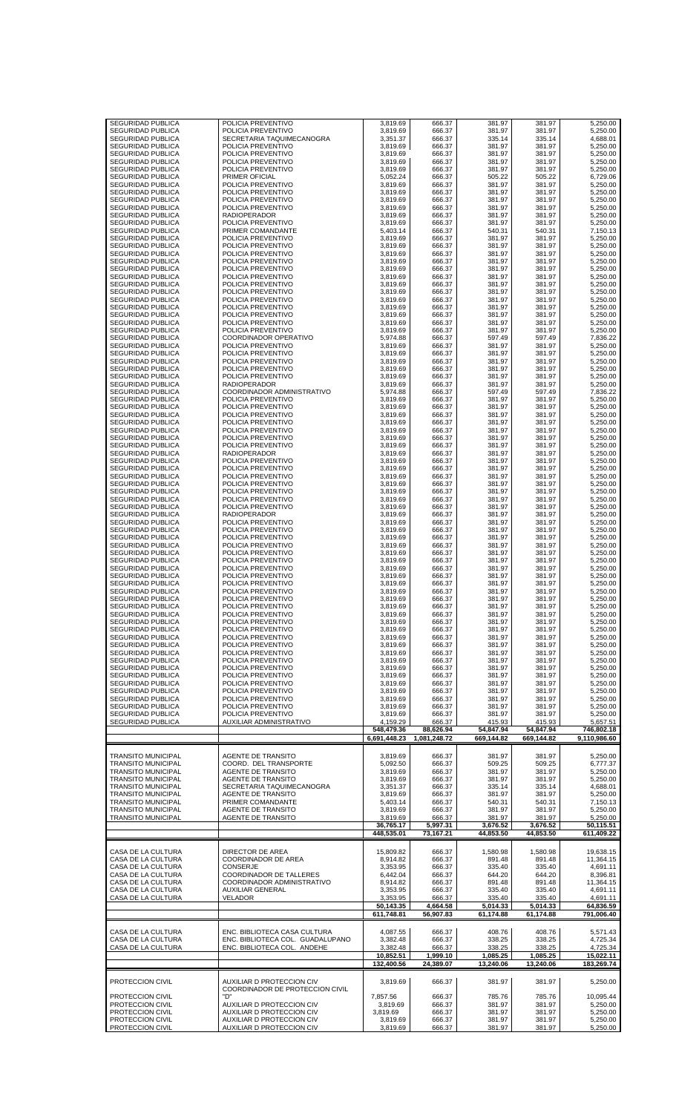| SEGURIDAD PUBLICA<br>SEGURIDAD PUBLICA                 | POLICIA PREVENTIVO<br>POLICIA PREVENTIVO               | 3,819.69<br>3,819.69 | 666.37<br>666.37 | 381.97<br>381.97      | 381.97<br>381.97      | 5,250.00<br>5,250.00    |
|--------------------------------------------------------|--------------------------------------------------------|----------------------|------------------|-----------------------|-----------------------|-------------------------|
| SEGURIDAD PUBLICA                                      | SECRETARIA TAQUIMECANOGRA                              | 3,351.37             | 666.37           | 335.14                | 335.14                | 4,688.01                |
| SEGURIDAD PUBLICA                                      | POLICIA PREVENTIVO                                     | 3,819.69             | 666.37           | 381.97                | 381.97                | 5,250.00                |
| SEGURIDAD PUBLICA<br>SEGURIDAD PUBLICA                 | POLICIA PREVENTIVO<br>POLICIA PREVENTIVO               | 3,819.69<br>3,819.69 | 666.37<br>666.37 | 381.97<br>381.97      | 381.97<br>381.97      | 5,250.00<br>5,250.00    |
| SEGURIDAD PUBLICA                                      | POLICIA PREVENTIVO                                     | 3,819.69             | 666.37           | 381.97                | 381.97                | 5,250.00                |
| SEGURIDAD PUBLICA<br>SEGURIDAD PUBLICA                 | PRIMER OFICIAL<br>POLICIA PREVENTIVO                   | 5,052.24<br>3,819.69 | 666.37<br>666.37 | 505.22<br>381.97      | 505.22<br>381.97      | 6,729.06<br>5,250.00    |
| SEGURIDAD PUBLICA                                      | POLICIA PREVENTIVO                                     | 3,819.69             | 666.37           | 381.97                | 381.97                | 5,250.00                |
| SEGURIDAD PUBLICA                                      | POLICIA PREVENTIVO                                     | 3,819.69             | 666.37           | 381.97                | 381.97                | 5,250.00                |
| <b>SEGURIDAD PUBLICA</b><br>SEGURIDAD PUBLICA          | POLICIA PREVENTIVO<br>RADIOPERADOR                     | 3,819.69<br>3,819.69 | 666.37<br>666.37 | 381.97<br>381.97      | 381.97<br>381.97      | 5,250.00<br>5,250.00    |
| SEGURIDAD PUBLICA                                      | POLICIA PREVENTIVO                                     | 3,819.69             | 666.37           | 381.97                | 381.97                | 5,250.00                |
| SEGURIDAD PUBLICA<br>SEGURIDAD PUBLICA                 | PRIMER COMANDANTE<br>POLICIA PREVENTIVO                | 5,403.14<br>3,819.69 | 666.37<br>666.37 | 540.31<br>381.97      | 540.31<br>381.97      | 7,150.13<br>5,250.00    |
| SEGURIDAD PUBLICA                                      | POLICIA PREVENTIVO                                     | 3,819.69             | 666.37           | 381.97                | 381.97                | 5,250.00                |
| SEGURIDAD PUBLICA                                      | POLICIA PREVENTIVO                                     | 3,819.69             | 666.37           | 381.97                | 381.97                | 5,250.00                |
| SEGURIDAD PUBLICA<br><b>SEGURIDAD PUBLICA</b>          | POLICIA PREVENTIVO<br>POLICIA PREVENTIVO               | 3,819.69<br>3,819.69 | 666.37<br>666.37 | 381.97<br>381.97      | 381.97<br>381.97      | 5,250.00<br>5,250.00    |
| SEGURIDAD PUBLICA                                      | POLICIA PREVENTIVO                                     | 3,819.69             | 666.37           | 381.97                | 381.97                | 5,250.00                |
| SEGURIDAD PUBLICA<br>SEGURIDAD PUBLICA                 | POLICIA PREVENTIVO<br>POLICIA PREVENTIVO               | 3,819.69<br>3,819.69 | 666.37<br>666.37 | 381.97<br>381.97      | 381.97<br>381.97      | 5,250.00<br>5,250.00    |
| SEGURIDAD PUBLICA                                      | POLICIA PREVENTIVO                                     | 3,819.69             | 666.37           | 381.97                | 381.97                | 5,250.00                |
| SEGURIDAD PUBLICA                                      | POLICIA PREVENTIVO                                     | 3,819.69             | 666.37           | 381.97                | 381.97                | 5,250.00                |
| SEGURIDAD PUBLICA<br>SEGURIDAD PUBLICA                 | POLICIA PREVENTIVO<br>POLICIA PREVENTIVO               | 3,819.69<br>3,819.69 | 666.37<br>666.37 | 381.97<br>381.97      | 381.97<br>381.97      | 5,250.00<br>5,250.00    |
| SEGURIDAD PUBLICA                                      | POLICIA PREVENTIVO                                     | 3,819.69             | 666.37           | 381.97                | 381.97                | 5,250.00                |
| SEGURIDAD PUBLICA<br>SEGURIDAD PUBLICA                 | COORDINADOR OPERATIVO<br>POLICIA PREVENTIVO            | 5,974.88<br>3,819.69 | 666.37<br>666.37 | 597.49<br>381.97      | 597.49<br>381.97      | 7,836.22<br>5.250.00    |
| <b>SEGURIDAD PUBLICA</b>                               | POLICIA PREVENTIVO                                     | 3,819.69             | 666.37           | 381.97                | 381.97                | 5,250.00                |
| SEGURIDAD PUBLICA                                      | POLICIA PREVENTIVO                                     | 3,819.69             | 666.37           | 381.97                | 381.97                | 5,250.00                |
| SEGURIDAD PUBLICA<br>SEGURIDAD PUBLICA                 | POLICIA PREVENTIVO<br>POLICIA PREVENTIVO               | 3,819.69<br>3,819.69 | 666.37<br>666.37 | 381.97<br>381.97      | 381.97<br>381.97      | 5,250.00<br>5,250.00    |
| SEGURIDAD PUBLICA                                      | <b>RADIOPERADOR</b>                                    | 3,819.69             | 666.37           | 381.97                | 381.97                | 5,250.00                |
| SEGURIDAD PUBLICA                                      | COORDINADOR ADMINISTRATIVO                             | 5,974.88             | 666.37           | 597.49                | 597.49                | 7,836.22                |
| SEGURIDAD PUBLICA<br>SEGURIDAD PUBLICA                 | POLICIA PREVENTIVO<br>POLICIA PREVENTIVO               | 3,819.69<br>3,819.69 | 666.37<br>666.37 | 381.97<br>381.97      | 381.97<br>381.97      | 5,250.00<br>5,250.00    |
| <b>SEGURIDAD PUBLICA</b>                               | POLICIA PREVENTIVO                                     | 3,819.69             | 666.37           | 381.97                | 381.97                | 5,250.00                |
| SEGURIDAD PUBLICA                                      | POLICIA PREVENTIVO                                     | 3,819.69             | 666.37           | 381.97                | 381.97                | 5,250.00                |
| SEGURIDAD PUBLICA<br>SEGURIDAD PUBLICA                 | POLICIA PREVENTIVO<br>POLICIA PREVENTIVO               | 3,819.69<br>3,819.69 | 666.37<br>666.37 | 381.97<br>381.97      | 381.97<br>381.97      | 5,250.00<br>5,250.00    |
| SEGURIDAD PUBLICA                                      | POLICIA PREVENTIVO                                     | 3,819.69             | 666.37           | 381.97                | 381.97                | 5,250.00                |
| SEGURIDAD PUBLICA<br>SEGURIDAD PUBLICA                 | <b>RADIOPERADOR</b><br>POLICIA PREVENTIVO              | 3,819.69<br>3,819.69 | 666.37<br>666.37 | 381.97<br>381.97      | 381.97<br>381.97      | 5,250.00<br>5,250.00    |
| SEGURIDAD PUBLICA                                      | POLICIA PREVENTIVO                                     | 3,819.69             | 666.37           | 381.97                | 381.97                | 5,250.00                |
| <b>SEGURIDAD PUBLICA</b>                               | POLICIA PREVENTIVO                                     | 3,819.69             | 666.37           | 381.97                | 381.97                | 5,250.00                |
| SEGURIDAD PUBLICA<br>SEGURIDAD PUBLICA                 | POLICIA PREVENTIVO<br>POLICIA PREVENTIVO               | 3,819.69<br>3,819.69 | 666.37<br>666.37 | 381.97<br>381.97      | 381.97<br>381.97      | 5,250.00<br>5,250.00    |
| <b>SEGURIDAD PUBLICA</b>                               | POLICIA PREVENTIVO                                     | 3,819.69             | 666.37           | 381.97                | 381.97                | 5,250.00                |
| SEGURIDAD PUBLICA                                      | POLICIA PREVENTIVO                                     | 3,819.69             | 666.37           | 381.97                | 381.97                | 5,250.00                |
| <b>SEGURIDAD PUBLICA</b><br>SEGURIDAD PUBLICA          | <b>RADIOPERADOR</b><br>POLICIA PREVENTIVO              | 3,819.69<br>3,819.69 | 666.37<br>666.37 | 381.97<br>381.97      | 381.97<br>381.97      | 5,250.00<br>5,250.00    |
| SEGURIDAD PUBLICA                                      | POLICIA PREVENTIVO                                     | 3,819.69             | 666.37           | 381.97                | 381.97                | 5,250.00                |
| SEGURIDAD PUBLICA                                      | POLICIA PREVENTIVO                                     | 3,819.69             | 666.37           | 381.97                | 381.97                | 5,250.00                |
| SEGURIDAD PUBLICA<br>SEGURIDAD PUBLICA                 | POLICIA PREVENTIVO<br>POLICIA PREVENTIVO               | 3,819.69<br>3,819.69 | 666.37<br>666.37 | 381.97<br>381.97      | 381.97<br>381.97      | 5,250.00<br>5,250.00    |
| <b>SEGURIDAD PUBLICA</b>                               | POLICIA PREVENTIVO                                     | 3,819.69             | 666.37           | 381.97                | 381.97                | 5,250.00                |
| SEGURIDAD PUBLICA<br>SEGURIDAD PUBLICA                 | POLICIA PREVENTIVO<br>POLICIA PREVENTIVO               | 3,819.69<br>3,819.69 | 666.37<br>666.37 | 381.97<br>381.97      | 381.97<br>381.97      | 5,250.00<br>5,250.00    |
| SEGURIDAD PUBLICA                                      | POLICIA PREVENTIVO                                     | 3,819.69             | 666.37           | 381.97                | 381.97                | 5,250.00                |
| SEGURIDAD PUBLICA                                      | POLICIA PREVENTIVO                                     | 3,819.69             | 666.37           | 381.97                | 381.97                | 5,250.00                |
| <b>SEGURIDAD PUBLICA</b><br>SEGURIDAD PUBLICA          | POLICIA PREVENTIVO<br>POLICIA PREVENTIVO               | 3,819.69<br>3,819.69 | 666.37<br>666.37 | 381.97<br>381.97      | 381.97<br>381.97      | 5,250.00<br>5,250.00    |
| SEGURIDAD PUBLICA                                      | POLICIA PREVENTIVO                                     | 3,819.69             | 666.37           | 381.97                | 381.97                | 5,250.00                |
| <b>SEGURIDAD PUBLICA</b>                               | POLICIA PREVENTIVO                                     | 3,819.69             | 666.37           | 381.97                | 381.97                | 5,250.00                |
| SEGURIDAD PUBLICA<br><b>SEGURIDAD PUBLICA</b>          | POLICIA PREVENTIVO<br>POLICIA PREVENTIVO               | 3,819.69<br>3,819.69 | 666.37<br>666.37 | 381.97<br>381.97      | 381.97<br>381.97      | 5,250.00<br>5.250.00    |
| <b>SEGURIDAD PUBLICA</b>                               | POLICIA PREVENTIVO                                     | 3,819.69             | 666.37           | 381.97                | 381.97                | 5,250.00                |
| SEGURIDAD PUBLICA                                      | POLICIA PREVENTIVO                                     | 3,819.69             | 666.37           | 381.97                | 381.97                | 5,250.00                |
| <b>SEGURIDAD PUBLICA</b><br><b>SEGURIDAD PUBLICA</b>   | POLICIA PREVENTIVO<br>POLICIA PREVENTIVO               | 3.819.69<br>3,819.69 | 666.37<br>666.37 | 381.97<br>381.97      | 381.97<br>381.97      | 5.250.00<br>5,250.00    |
| SEGURIDAD PUBLICA                                      | POLICIA PREVENTIVO                                     | 3,819.69             | 666.37           | 381.97                | 381.97                | 5,250.00                |
| <b>SEGURIDAD PUBLICA</b><br><b>SEGURIDAD PUBLICA</b>   | POLICIA PREVENTIVO<br>POLICIA PREVENTIVO               | 3.819.69<br>3,819.69 | 666.37<br>666.37 | 381.97<br>381.97      | 381.97<br>381.97      | 5,250.00<br>5,250.00    |
| SEGURIDAD PUBLICA                                      | POLICIA PREVENTIVO                                     | 3,819.69             | 666.37           | 381.97                | 381.97                | 5,250.00                |
| SEGURIDAD PUBLICA                                      | POLICIA PREVENTIVO                                     | 3,819.69             | 666.37           | 381.97                | 381.97                | 5,250.00                |
| <b>SEGURIDAD PUBLICA</b><br><b>SEGURIDAD PUBLICA</b>   | POLICIA PREVENTIVO<br>AUXILIAR ADMINISTRATIVO          | 3,819.69<br>4,159.29 | 666.37<br>666.37 | 381.97<br>415.93      | 381.97<br>415.93      | 5,250.00<br>5,657.51    |
|                                                        |                                                        | 548,479.36           | 88,626.94        | 54,847.94             | 54,847.94             | 746,802.18              |
|                                                        |                                                        | 6,691,448.23         | 1,081,248.72     | 669,144.82            | 669,144.82            | 9,110,986.60            |
| <b>TRANSITO MUNICIPAL</b>                              | <b>AGENTE DE TRANSITO</b>                              | 3.819.69             | 666.37           | 381.97                | 381.97                | 5,250.00                |
| <b>TRANSITO MUNICIPAL</b>                              | COORD. DEL TRANSPORTE                                  | 5,092.50             | 666.37           | 509.25                | 509.25                | 6,777.37                |
| <b>TRANSITO MUNICIPAL</b><br><b>TRANSITO MUNICIPAL</b> | AGENTE DE TRANSITO<br>AGENTE DE TRANSITO               | 3,819.69<br>3,819.69 | 666.37<br>666.37 | 381.97<br>381.97      | 381.97<br>381.97      | 5,250.00<br>5,250.00    |
| <b>TRANSITO MUNICIPAL</b>                              | SECRETARIA TAQUIMECANOGRA                              | 3,351.37             | 666.37           | 335.14                | 335.14                | 4,688.01                |
| <b>TRANSITO MUNICIPAL</b>                              | AGENTE DE TRANSITO                                     | 3,819.69             | 666.37           | 381.97                | 381.97                | 5,250.00                |
| <b>TRANSITO MUNICIPAL</b><br><b>TRANSITO MUNICIPAL</b> | PRIMER COMANDANTE<br>AGENTE DE TRANSITO                | 5,403.14<br>3,819.69 | 666.37<br>666.37 | 540.31<br>381.97      | 540.31<br>381.97      | 7,150.13<br>5,250.00    |
| <b>TRANSITO MUNICIPAL</b>                              | AGENTE DE TRANSITO                                     | 3,819.69             | 666.37           | 381.97                | 381.97                | 5,250.00                |
|                                                        |                                                        | 36,765.17            | 5,997.31         | 3,676.52              | 3,676.52              | 50,115.51               |
|                                                        |                                                        | 448,535.01           | 73,167.21        | 44,853.50             | 44,853.50             | 611,409.22              |
| CASA DE LA CULTURA                                     | DIRECTOR DE AREA                                       | 15,809.82            | 666.37           | 1,580.98              | 1,580.98              | 19,638.15               |
| CASA DE LA CULTURA                                     | COORDINADOR DE AREA                                    | 8,914.82             | 666.37           | 891.48                | 891.48                | 11,364.15               |
| CASA DE LA CULTURA<br>CASA DE LA CULTURA               | CONSERJE<br>COORDINADOR DE TALLERES                    | 3,353.95<br>6,442.04 | 666.37<br>666.37 | 335.40<br>644.20      | 335.40<br>644.20      | 4,691.11<br>8,396.81    |
| CASA DE LA CULTURA                                     | COORDINADOR ADMINISTRATIVO                             | 8,914.82             | 666.37           | 891.48                | 891.48                | 11,364.15               |
| CASA DE LA CULTURA<br>CASA DE LA CULTURA               | AUXILIAR GENERAL<br>VELADOR                            | 3,353.95<br>3,353.95 | 666.37<br>666.37 | 335.40<br>335.40      | 335.40<br>335.40      | 4,691.11<br>4,691.11    |
|                                                        |                                                        | 50,143.35            | 4,664.58         | 5,014.33              | 5,014.33              | 64,836.59               |
|                                                        |                                                        | 611,748.81           | 56,907.83        | 61,174.88             | 61,174.88             | 791,006.40              |
| CASA DE LA CULTURA                                     | ENC. BIBLIOTECA CASA CULTURA                           | 4,087.55             | 666.37           | 408.76                | 408.76                | 5,571.43                |
| CASA DE LA CULTURA                                     | ENC. BIBLIOTECA COL. GUADALUPANO                       | 3,382.48             | 666.37           | 338.25                | 338.25                | 4,725.34                |
| CASA DE LA CULTURA                                     | ENC. BIBLIOTECA COL. ANDEHE                            | 3,382.48             | 666.37           | 338.25                | 338.25                | 4,725.34                |
|                                                        |                                                        | 10,852.51            | 1,999.10         | 1,085.25<br>13,240.06 | 1,085.25<br>13,240.06 | 15,022.11<br>183,269.74 |
|                                                        |                                                        | 132,400.56           | 24,389.07        |                       |                       |                         |
| PROTECCION CIVIL                                       |                                                        |                      |                  |                       |                       |                         |
|                                                        | <b>AUXILIAR D PROTECCION CIV</b>                       | 3.819.69             | 666.37           | 381.97                | 381.97                | 5,250.00                |
| PROTECCION CIVIL                                       | COORDINADOR DE PROTECCION CIVIL<br>"D"                 | 7,857.56             | 666.37           | 785.76                | 785.76                | 10,095.44               |
| PROTECCION CIVIL                                       | AUXILIAR D PROTECCION CIV                              | 3.819.69             | 666.37           | 381.97                | 381.97                | 5,250.00                |
| PROTECCION CIVIL<br>PROTECCION CIVIL                   | AUXILIAR D PROTECCION CIV                              | 3.819.69             | 666.37           | 381.97                | 381.97                | 5,250.00                |
| PROTECCION CIVIL                                       | AUXILIAR D PROTECCION CIV<br>AUXILIAR D PROTECCION CIV | 3,819.69<br>3,819.69 | 666.37<br>666.37 | 381.97<br>381.97      | 381.97<br>381.97      | 5,250.00<br>5,250.00    |